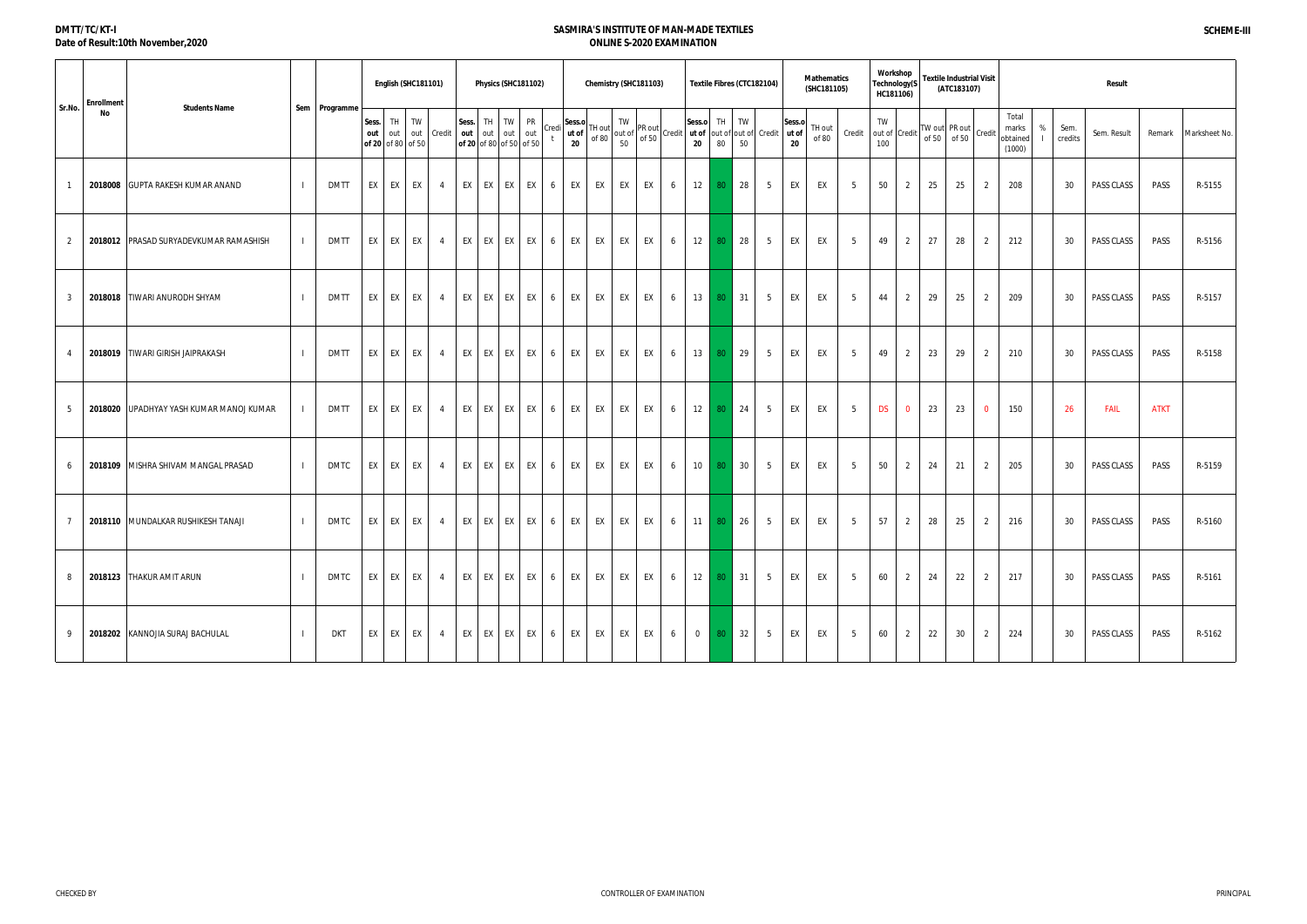| DMTT/TC/KT-I                      |  |
|-----------------------------------|--|
| Date of Result:10th November,2020 |  |

|                | <b>Enrollment</b> |                                         |               |              |           | English (SHC181101)                   |                |                     | Physics (SHC181102)                  |           |       |                                                            |       |    | Chemistry (SHC181103) |   |                |                 | Textile Fibres (CTC182104)                                                                                                                                                                                                                                                                                                                                     |                 |    | <b>Mathematics</b><br>(SHC181105) |        | Workshop<br>Technology(S<br>HC181106) |                |    | <b>Textile Industrial Visit</b><br>(ATC183107) |                |                                      |                 | <b>Result</b> |             |               |
|----------------|-------------------|-----------------------------------------|---------------|--------------|-----------|---------------------------------------|----------------|---------------------|--------------------------------------|-----------|-------|------------------------------------------------------------|-------|----|-----------------------|---|----------------|-----------------|----------------------------------------------------------------------------------------------------------------------------------------------------------------------------------------------------------------------------------------------------------------------------------------------------------------------------------------------------------------|-----------------|----|-----------------------------------|--------|---------------------------------------|----------------|----|------------------------------------------------|----------------|--------------------------------------|-----------------|---------------|-------------|---------------|
| Sr.No.         | No                | <b>Students Name</b>                    | Sem Programme | Sess.<br>out | TH<br>out | TW<br>out Credit<br>of 20 of 80 of 50 |                | Sess. TH<br>out out | TW<br>out<br>of 20 of 80 of 50 of 50 | PR<br>out | Credi | Sess.o<br>" $ $ ut of $ $ <sup>TH out</sup><br>$20\degree$ | of 80 |    |                       |   |                |                 | $\int_0^1 \begin{vmatrix} 1 & W \\ 0 & 1 \end{vmatrix} P R \text{ out}$ (credit) $\begin{vmatrix} 1 & 1 & 1 \\ 0 & 1 \end{vmatrix}$ (sess.org out of out of out of $\begin{vmatrix} 1 & 1 \\ 0 & 1 \end{vmatrix}$ (credit) $\begin{vmatrix} 1 & 1 \\ 0 & 1 \end{vmatrix}$ (credit) $\begin{vmatrix} 1 & 1 \\ 0 & 1 \end{vmatrix}$ (credit) $\begin{vmatrix} 1$ |                 |    | TH out<br>of 80                   | Credit | TW<br>out of Credit<br>100            |                |    | TW out PR out<br>of 50 of 50 Credit            |                | Total<br>marks<br>obtained<br>(1000) | Sem.<br>credits | Sem. Result   | Remark      | Marksheet No. |
|                |                   | 2018008 GUPTA RAKESH KUMAR ANAND        | DMTT          | EX I         | EX        | EX                                    | $\sim$ 4       | EX EX               | EX                                   | EX        | 6     | EX                                                         | EX    |    | EX EX                 | 6 | 12             | 80              | 28                                                                                                                                                                                                                                                                                                                                                             | 5               | EX | EX                                | 5      | 50                                    | $\overline{2}$ | 25 | 25                                             | $\overline{2}$ | 208                                  | 30              | PASS CLASS    | PASS        | R-5155        |
| $\overline{2}$ |                   | 2018012 PRASAD SURYADEVKUMAR RAMASHISH  | DMTT          | EX I         | EX        | EX                                    | $\overline{4}$ | EX EX               | EX                                   | EX        | 6     | EX                                                         | EX    |    | EX EX                 | 6 | 12             | 80              | $\vert$ 28                                                                                                                                                                                                                                                                                                                                                     | 5               | EX | EX                                | 5      | 49                                    | 2              | 27 | 28                                             | $\overline{2}$ | 212                                  | 30              | PASS CLASS    | PASS        | R-5156        |
| 3              |                   | 2018018 TIWARI ANURODH SHYAM            | DMTT          | EX I         | EX        | EX                                    | $\overline{4}$ | EX EX               | EX                                   | EX        | 6     | EX                                                         | EX    |    | EX EX                 | 6 | 13             | 80              | $\sqrt{31}$                                                                                                                                                                                                                                                                                                                                                    | 5               | EX | EX                                | - 5    | 44                                    | $\overline{2}$ | 29 | 25                                             | $\overline{2}$ | 209                                  | 30              | PASS CLASS    | PASS        | R-5157        |
|                |                   | 2018019 TIWARI GIRISH JAIPRAKASH        | DMTT          | EX I         | EX        | EX                                    | $\overline{4}$ | EX EX               | EX                                   | EX        | 6     | EX                                                         | EX    |    | EX EX                 | 6 | 13             | 80              | $\vert$ 29                                                                                                                                                                                                                                                                                                                                                     | 5               | EX | EX                                | - 5    | 49                                    | $\overline{2}$ | 23 | 29                                             | $\overline{2}$ | 210                                  | 30              | PASS CLASS    | PASS        | R-5158        |
| - 5            |                   | 2018020 UPADHYAY YASH KUMAR MANOJ KUMAR | DMTT          | EX           | EX I      | EX                                    | $\overline{4}$ | EX EX               | EX                                   | EX        | 6     | EX                                                         | EX    |    | EX EX                 | 6 | 12             | 80              | 24                                                                                                                                                                                                                                                                                                                                                             | $5\overline{)}$ | EX | EX                                | 5      | <b>DS</b>                             | $\overline{0}$ | 23 | 23                                             | $\overline{0}$ | 150                                  | 26              | <b>FAIL</b>   | <b>ATKT</b> |               |
| 6              |                   | 2018109 MISHRA SHIVAM MANGAL PRASAD     | DMTC          | EX I         | EX        | EX                                    | $\overline{4}$ | EX EX               | <b>EX</b>                            | EX        | 6     | EX                                                         | EX    |    | EX EX                 | 6 | 10             |                 | 80 30                                                                                                                                                                                                                                                                                                                                                          | 5               | EX | EX                                | 5      | 50                                    | $\overline{2}$ | 24 | 21                                             | $\overline{2}$ | 205                                  | 30              | PASS CLASS    | PASS        | R-5159        |
|                |                   | 2018110 MUNDALKAR RUSHIKESH TANAJI      | DMTC          | EX I         | EX        | EX                                    | $\overline{4}$ | EX EX               | EX                                   | EX        | 6     | EX                                                         | EX    | EX | EX                    | 6 | 11             | 80              | $\vert$ 26                                                                                                                                                                                                                                                                                                                                                     | 5               | EX | EX                                | - 5    | 57                                    | $\overline{2}$ | 28 | 25                                             | $\overline{2}$ | 216                                  | 30              | PASS CLASS    | PASS        | R-5160        |
| 8              |                   | 2018123 THAKUR AMIT ARUN                | DMTC          | EX I         | EX        | EX                                    | $\overline{4}$ | EX EX               | EX                                   | EX        | 6     | EX                                                         | EX    |    | EX EX                 | 6 | 12             | 80 <sub>1</sub> | $\blacktriangleleft$ 31 ·                                                                                                                                                                                                                                                                                                                                      | 5               | EX | EX                                | -5     | 60                                    | 2              | 24 | 22                                             | 2              | 217                                  | 30              | PASS CLASS    | PASS        | R-5161        |
| -9             |                   | 2018202 KANNOJIA SURAJ BACHULAL         | DKT           | EX I         | EX        | EX                                    | $\overline{4}$ | EX EX               | <b>EX</b>                            | EX        | 6     | EX                                                         | EX    | EX | EX                    | 6 | $\overline{0}$ | 80              | 32                                                                                                                                                                                                                                                                                                                                                             | 5               | EX | EX                                | -5     | 60                                    | $\overline{2}$ | 22 | 30                                             | $\overline{2}$ | 224                                  | 30              | PASS CLASS    | PASS        | R-5162        |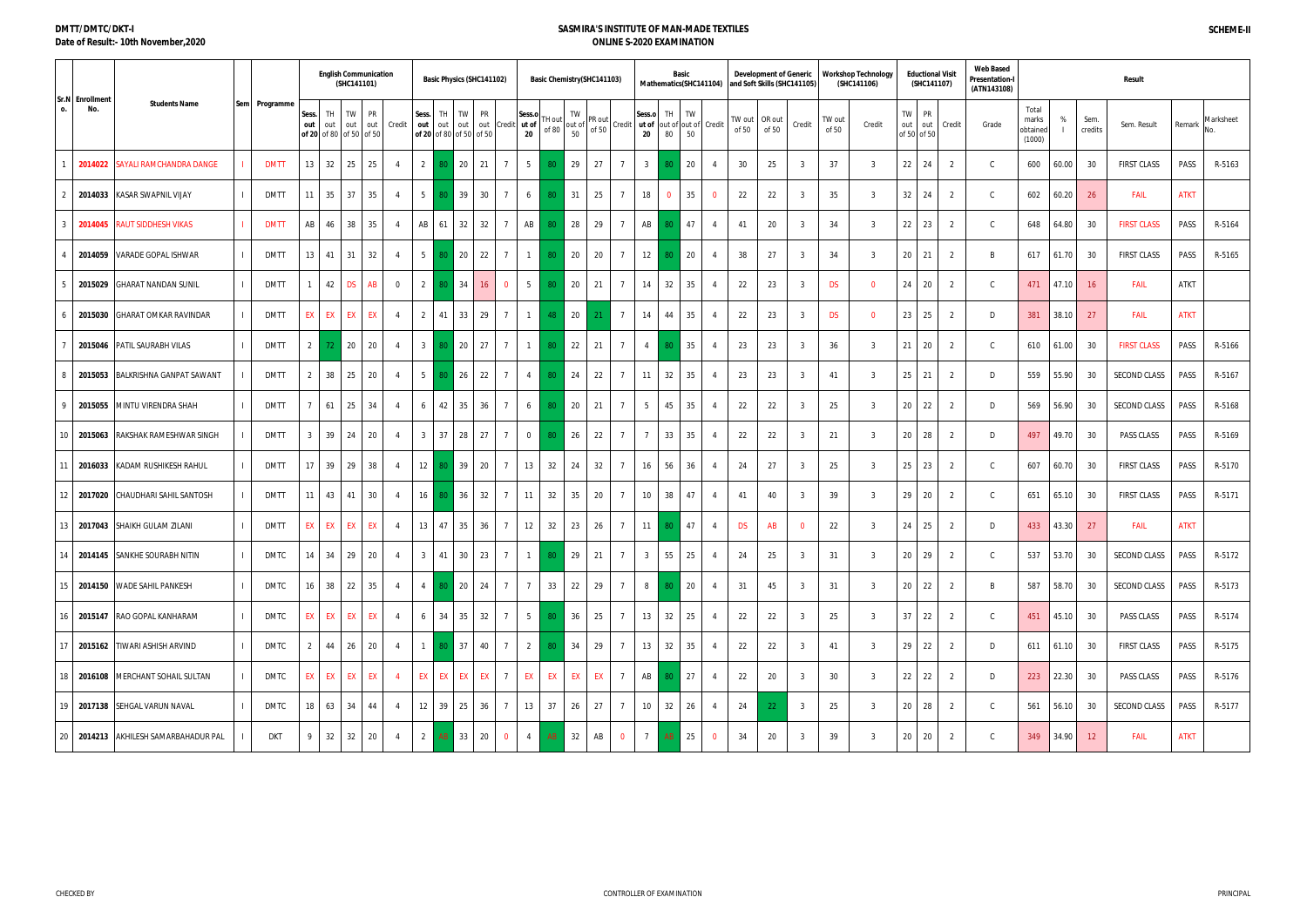#### **DMTT/DMTC/DKT-I Date of Result:- 10th November,2020**

|                                                |               |                |                                               | <b>English Communication</b><br>(SHC141101) |                  |                |                 | Basic Physics (SHC141102)            |                        |                 |                       | Basic Chemistry (SHC141103) |          |                                                                                  |                |                                                |                   | Basic    | Mathematics(SHC141104) |                 | <b>Development of Generic</b> | and Soft Skills (SHC141105) |                 | <b>Workshop Technology</b><br>(SHC141106) |       | <b>Eductional Visit</b><br>(SHC141107) |                | <b>Web Based</b><br>Presentation-l<br>(ATN143108) |                                      |           |                 | Result             |             |           |
|------------------------------------------------|---------------|----------------|-----------------------------------------------|---------------------------------------------|------------------|----------------|-----------------|--------------------------------------|------------------------|-----------------|-----------------------|-----------------------------|----------|----------------------------------------------------------------------------------|----------------|------------------------------------------------|-------------------|----------|------------------------|-----------------|-------------------------------|-----------------------------|-----------------|-------------------------------------------|-------|----------------------------------------|----------------|---------------------------------------------------|--------------------------------------|-----------|-----------------|--------------------|-------------|-----------|
| Sr.N Enrollment<br><b>Students Name</b><br>No. | Sem Programme | out            | TH<br>Sess.<br>out<br>of 20 of 80 of 50 of 50 | TW<br>out                                   | <b>PR</b><br>out | Credit         | Sess.<br>out    | TH<br>out<br>of 20 of 80 of 50 of 50 | TW PR<br>out out Credi |                 | Sess.o<br>ut of<br>20 | 'H out<br>of 80             | TW<br>50 | $\begin{bmatrix} 1 \text{ W} \\ \text{out of} \\ \text{EQ} \end{bmatrix}$ PR out | Credit         | Sess.o<br>ut of out of out of Credit<br>$20\,$ | TH<br>80          | TW<br>50 |                        | TW out<br>of 50 | OR out<br>of 50               | Credit                      | TW out<br>of 50 | Credit                                    | TW    | <b>PR</b><br>out out<br>of 50 of 50    | Credit         | Grade                                             | Total<br>marks<br>obtained<br>(1000) | %         | Sem.<br>credits | Sem. Result        | Remark      | Marksheet |
| SAYALI RAMCHANDRA DANGE<br>2014022             | <b>DMTT</b>   |                | 13 <sup>1</sup><br>32                         | 25                                          | 25               | $\overline{4}$ | 2               | 20                                   | 21                     | $\overline{7}$  | 5                     |                             | 29       | 27                                                                               |                | 3 <sup>3</sup>                                 |                   | 20       |                        | 30              | 25                            | $\mathcal{R}$               | 37              | -3                                        | 22    | 24                                     | 2              | $\mathcal{C}$                                     | 600                                  | 60.00     | 30              | <b>FIRST CLASS</b> | PASS        | R-5163    |
| 2014033<br><b>KASAR SWAPNIL VIJAY</b>          | <b>DMTT</b>   |                | 35<br>11                                      | 37                                          | 35               | $\overline{4}$ | 5 <sup>5</sup>  | 39                                   | 30                     | $\overline{7}$  | 6                     | -80                         | 31       | 25                                                                               |                | 18                                             |                   | 35       | $\overline{0}$         | 22              | 22                            | $\overline{3}$              | 35              | $\overline{3}$                            | 32    | 24                                     | 2              | $\mathcal{C}$                                     | 602                                  | 60.20     | 26              | <b>FAIL</b>        | <b>ATKT</b> |           |
| <b>RAUT SIDDHESH VIKAS</b><br>2014045          | <b>DMTT</b>   |                | AB<br>46                                      | 38                                          | 35               | $\overline{4}$ | AB              | 32<br>61                             | 32                     |                 | AB                    |                             | 28       | 29                                                                               |                | AB                                             |                   | 47       | $\overline{4}$         | 41              | 20                            | 3                           | 34              | $\overline{3}$                            | 22    | 23                                     | 2              | $\mathcal{C}$                                     | 648                                  | 64.80     | 30              | <b>FIRST CLASS</b> | PASS        | R-5164    |
| VARADE GOPAL ISHWAR<br>2014059                 | <b>DMTT</b>   |                | 13<br>41                                      | 31                                          | 32               | $\overline{4}$ | $5\overline{)}$ | 20<br>8ſ                             | 22                     | $\overline{7}$  | $\mathbf{1}$          | 80                          | 20       | 20                                                                               | $\overline{7}$ | 12                                             |                   | 20       | $\overline{4}$         | 38              | 27                            | - 3                         | 34              | $\overline{3}$                            | 20    | 21                                     | 2              | <b>B</b>                                          | 617                                  | 61.70     | 30              | <b>FIRST CLASS</b> | PASS        | R-5165    |
| 2015029 GHARAT NANDAN SUNIL                    | <b>DMTT</b>   |                | 42                                            | <b>DS</b>                                   | AB               | $\overline{0}$ | $\overline{2}$  | 34                                   |                        | $\overline{0}$  | $5^{\circ}$           | -80                         | 20       | 21                                                                               |                | 14                                             | 32                | 35       |                        | 22              | 23                            | 3                           | <b>DS</b>       | $\overline{0}$                            | 24    | 20                                     | 2              | C.                                                | 471                                  | 47.10     | 16              | <b>FAIL</b>        | <b>ATKT</b> |           |
| 2015030<br><b>GHARAT OMKAR RAVINDAR</b>        | <b>DMTT</b>   |                | EX<br>EX                                      | EX                                          | EX               | $\overline{4}$ | 2               | 33<br>41                             | 29                     | $\overline{7}$  | $\mathbf{1}$          | 48                          | 20       | 21                                                                               | $\overline{7}$ | 14                                             | 44                | 35       | 4                      | 22              | 23                            | 3                           | <b>DS</b>       | $\overline{0}$                            | 23    | 25                                     | 2              | D                                                 | 381                                  | 38.10     | 27              | <b>FAIL</b>        | <b>ATKT</b> |           |
| 2015046 PATIL SAURABH VILAS                    | <b>DMTT</b>   |                | 2 <sup>1</sup><br>72.                         | 20                                          | 20               | 4              | 3 <sup>3</sup>  | 20<br>80                             | 27                     | $\overline{7}$  | $\overline{1}$        | 80                          | 22       | 21                                                                               |                | $\overline{4}$                                 |                   | 35       | 4                      | 23              | 23                            | $\overline{3}$              | 36              | $\overline{3}$                            | 21    | 20                                     | 2              | C.                                                | 610                                  | 61.00     | 30              | <b>FIRST CLASS</b> | PASS        | R-5166    |
| <b>BALKRISHNA GANPAT SAWANT</b><br>2015053     | <b>DMTT</b>   |                | 38<br>2                                       | 25                                          | 20               | $\overline{4}$ | $5\overline{)}$ | 26                                   | 22                     | $\overline{7}$  | $\overline{4}$        | 80.                         | 24       | 22                                                                               |                | 11                                             | 32                | 35       |                        | 23              | 23                            | $\overline{3}$              | 41              | $\overline{3}$                            | 25 21 |                                        | 2              | D                                                 | 559                                  | 55.90     | 30              | SECOND CLASS       | PASS        | R-5167    |
| MINTU VIRENDRA SHAH<br>2015055                 | <b>DMTT</b>   | $\overline{7}$ | 61                                            | 25                                          | 34               | $\overline{4}$ | 6               | 35<br>42                             | 36                     | $\overline{7}$  | 6                     | -80                         | 20       | 21                                                                               | $\overline{7}$ | 5                                              | 45                | 35       | $\overline{4}$         | 22              | 22                            | $\overline{3}$              | 25              | $\overline{3}$                            | 20    | 22                                     | 2              | D                                                 | 569                                  | 56.90     | 30              | SECOND CLASS       | PASS        | R-5168    |
| RAKSHAK RAMESHWAR SINGH<br>2015063             | <b>DMTT</b>   |                | 39<br>3 <sup>1</sup>                          | 24                                          | 20               | $\overline{4}$ | 3 <sup>1</sup>  | 37<br>28                             | 27                     | $\overline{7}$  | $\overline{0}$        | 80                          | 26       | 22                                                                               |                | $\overline{7}$                                 | 33                | 35       |                        | 22              | 22                            | 3                           | 21              | $\overline{3}$                            | 20    | 28                                     | 2              | $\Gamma$                                          | 497                                  | 49.70     | 30              | PASS CLASS         | PASS        | R-5169    |
| KADAM RUSHIKESH RAHUL<br>2016033               | <b>DMTT</b>   |                | 39<br>17                                      | 29                                          | 38               | $\overline{4}$ | 12              | 39                                   | 20                     | $\overline{7}$  | 13                    | 32                          | 24       | 32                                                                               |                | 16                                             | 56                | 36       |                        | 24              | 27                            | - 3                         | 25              | $\overline{3}$                            | 25    | 23                                     | 2              | C.                                                | 607                                  | 60.70     | 30              | <b>FIRST CLASS</b> | PASS        | R-5170    |
| 2017020<br>CHAUDHARI SAHIL SANTOSH             | <b>DMTT</b>   |                | 43<br>11                                      | 41                                          | 30               | 4              | 16              | 36                                   | 32                     | $\overline{7}$  | 11                    | 32                          | 35       | 20                                                                               |                | 10                                             | 38                | 47       | 4                      | 41              | 40                            | - 3                         | 39              | $\overline{3}$                            | 29    | 20                                     | 2              | C.                                                | 651                                  | 65.10     | 30              | <b>FIRST CLASS</b> | PASS        | R-5171    |
| 2017043 SHAIKH GULAM ZILANI<br>13 I            | <b>DMTT</b>   |                | EX<br>EX                                      | EX                                          | EX               | $\overline{4}$ | 13              | 35<br>47                             | 36                     | $\overline{7}$  | 12                    | 32                          | 23       | 26                                                                               |                | 11                                             |                   | 47       | $\overline{4}$         | <b>DS</b>       | AB                            | $\Omega$                    | 22              | $\overline{3}$                            | 24    | 25                                     | 2              | D                                                 | 433                                  | 43.30     | 27              | <b>FAIL</b>        | <b>ATKT</b> |           |
| 2014145 SANKHE SOURABH NITIN                   | DMTC          |                | 14 34 29 20                                   |                                             |                  | $\overline{4}$ |                 | 3 41 30 23 7 1 80 29 21              |                        |                 |                       |                             |          |                                                                                  | $\overline{7}$ | 3 <sup>1</sup>                                 | 55 25             |          | $\overline{4}$         | 24              | 25                            | $\overline{3}$              | 31              | $\overline{3}$                            |       | 20 29 2                                |                | $\mathsf{C}$                                      | 537                                  | 53.70     | 30              | SECOND CLASS       | PASS        | $R-5172$  |
| 2014150 WADE SAHIL PANKESH<br>15 I             | <b>DMTC</b>   |                | $16$ 38 22 35                                 |                                             |                  | $\overline{4}$ | $\overline{4}$  | 80                                   | 20 24                  | $7\phantom{0}$  | $\overline{7}$        | 33                          | 22       | 29                                                                               |                | 8                                              | 80 ·              | 20       | $\overline{4}$         | 31              | 45                            | $\overline{3}$              | 31              | $3\overline{3}$                           |       | 20 22                                  | 2              | B                                                 | 587                                  | 58.70     | 30              | SECOND CLASS       | PASS        | R-5173    |
| 2015147 RAO GOPAL KANHARAM<br>16.              | <b>DMTC</b>   |                | EX EX EX EX                                   |                                             |                  | $\overline{4}$ |                 | $6 \mid 34 \mid 35 \mid 32 \mid$     |                        | 7 <sup>1</sup>  | $5 \mid 80$           |                             | 36       | 25                                                                               | $\overline{7}$ |                                                | $13 \mid 32 \mid$ | 25       | $\overline{4}$         | 22              | 22                            | 3 <sup>3</sup>              | 25              | $3\overline{3}$                           |       | $37$ 22                                | 2              | $\mathsf{C}$                                      | 451                                  | 45.10     | 30              | PASS CLASS         | PASS        | R-5174    |
| 2015162 TIWARI ASHISH ARVIND                   | <b>DMTC</b>   |                | 2 <sup>1</sup>                                | 44 26                                       | 20               | $\overline{4}$ | $\mathbf{1}$    | 80 37 40                             |                        | $7\overline{ }$ | 2 <sup>1</sup>        | 80 <sup>°</sup>             | 34       | 29                                                                               |                |                                                | $13 \mid 32$      | 35       |                        | 22              | 22                            | $\overline{3}$              | 41              | $\overline{3}$                            |       | $29$ 22                                | 2              | D                                                 |                                      | 611 61.10 | 30              | <b>FIRST CLASS</b> | PASS        | R-5175    |
| 18 2016108 MERCHANT SOHAIL SULTAN              | <b>DMTC</b>   |                | <b>EX</b>                                     | EX EX                                       | EX               | $\overline{4}$ |                 | EX EX EX                             | EX I                   | $7\overline{ }$ | EX                    | EX                          | EX       | EX                                                                               | $\overline{7}$ | AB                                             | 80 <sub>1</sub>   | 27       | $\overline{4}$         | 22              | 20                            | 3                           | 30              | $\overline{3}$                            |       | $22 \mid 22$                           | 2              | D                                                 | 223                                  | 22.30     | 30              | PASS CLASS         | PASS        | R-5176    |
| 2017138 SEHGAL VARUN NAVAL<br>19 I             | DMTC          |                | $18$ 63 34                                    |                                             | 44               | $\overline{4}$ |                 | 12 39 25 36                          |                        | $7\overline{ }$ | 13                    | 37                          | 26       | 27                                                                               | $\overline{7}$ |                                                | $10 \mid 32$      | 26       | $\overline{4}$         | 24              | 22 <sup>2</sup>               | $\overline{\mathbf{3}}$     | 25              | 3 <sup>1</sup>                            |       | 20 28                                  | 2              | $\mathsf{C}$                                      | 561                                  | 56.10     | 30              | SECOND CLASS       | PASS        | R-5177    |
| 20   2014213   AKHILESH SAMARBAHADUR PAL       | <b>DKT</b>    |                | 32<br>9                                       | 32                                          | 20               | $\overline{4}$ | 2 <sup>1</sup>  | AB 33                                | 20                     | $\overline{0}$  | $\overline{4}$        | AB                          | 32       | AB                                                                               | $\mathbf 0$    | $7\overline{ }$                                | AB                | 25       | $\overline{0}$         | 34              | 20                            | $\mathbf{3}$                | 39              | $\overline{3}$                            |       | 20 20                                  | $\overline{2}$ | $\mathsf{C}$                                      | 349                                  | 34.90     | 12              | <b>FAIL</b>        | <b>ATKT</b> |           |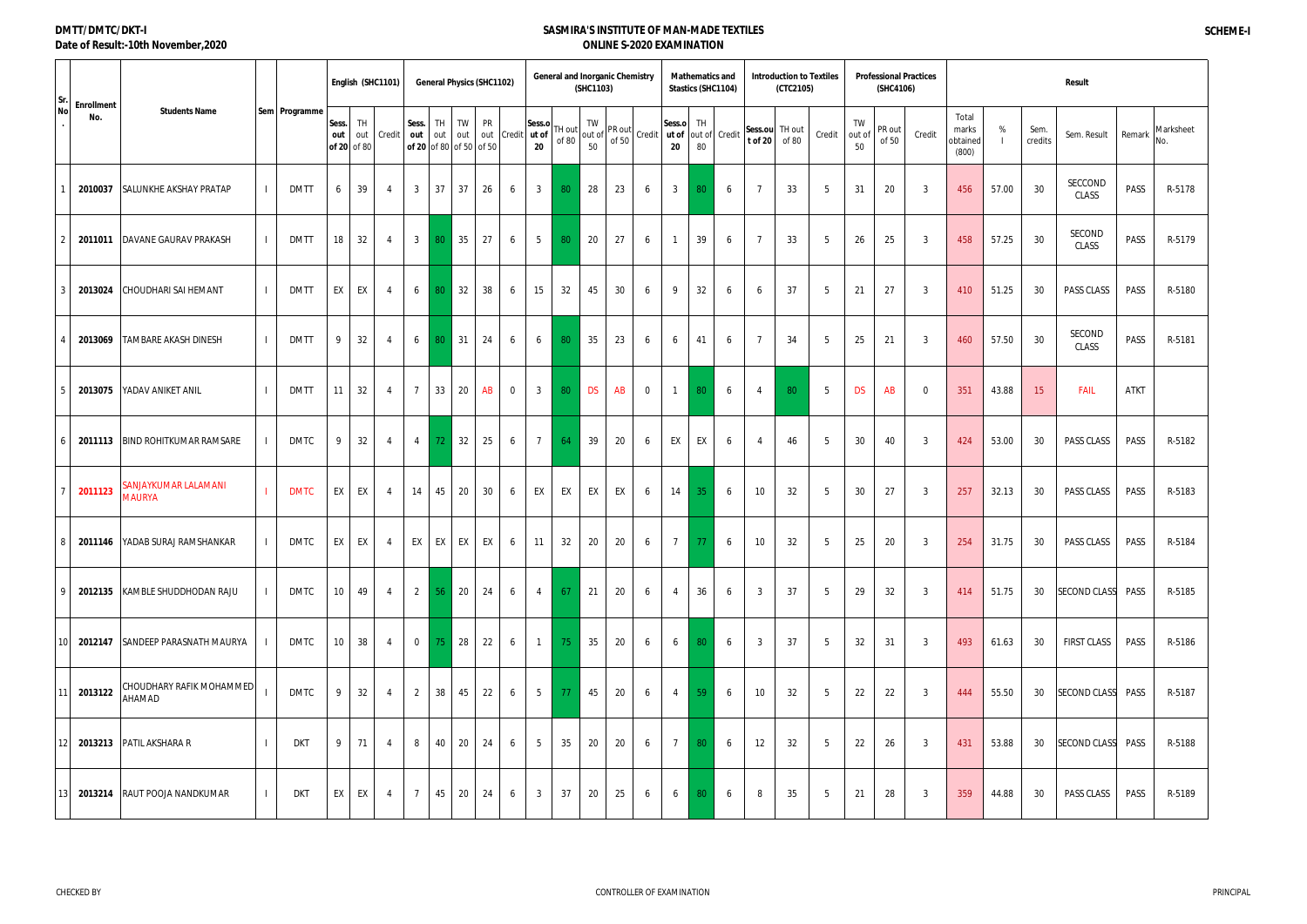### **DMTT/DMTC/DKT-I Date of Result:-10th November,2020**

| Sr.<br><b>Enrollment</b>   |                                       |               |                             |           | English (SHC1101) |                                         |           |            | <b>General Physics (SHC1102)</b> |             |                       | <b>General and Inorganic Chemistry</b> | (SHC1103) |                          |                |                 |          | <b>Mathematics and</b><br>Stastics (SHC1104) |                           | <b>Introduction to Textiles</b><br>(CTC2105) |        |                    | <b>Professional Practices</b><br>(SHC4106) |                |                                     |       |                 | <b>Result</b>       |             |                  |
|----------------------------|---------------------------------------|---------------|-----------------------------|-----------|-------------------|-----------------------------------------|-----------|------------|----------------------------------|-------------|-----------------------|----------------------------------------|-----------|--------------------------|----------------|-----------------|----------|----------------------------------------------|---------------------------|----------------------------------------------|--------|--------------------|--------------------------------------------|----------------|-------------------------------------|-------|-----------------|---------------------|-------------|------------------|
| No<br>No.                  | <b>Students Name</b>                  | Sem Programme | Sess.<br>out<br>of 20 of 80 | TH<br>out | Credit            | Sess.<br>out<br>of 20 of 80 of 50 of 50 | TH<br>out | TW<br>out  | PR<br>out                        | Credit      | Sess.o<br>ut of<br>20 | TH out<br>of 80                        | TW<br>50  | "lout of PR out<br>of 50 | Credit ut of   | Sess.o<br>20    | TH<br>80 | out of Credit                                | Sess.ou TH out<br>t of 20 | of 80                                        | Credit | TW<br>out of<br>50 | PR out<br>of 50                            | Credit         | Total<br>marks<br>obtained<br>(800) | %     | Sem.<br>credits | Sem. Result         | Remark      | Marksheet<br>No. |
| 2010037                    | <b>SALUNKHE AKSHAY PRATAP</b>         | <b>DMTT</b>   | 6                           | 39        | -4                | 3                                       | 37        | 37         | 26                               | 6           | $\mathbf{3}$          | 80                                     | 28        | 23                       | 6              | $\mathbf{3}$    | 80       | 6                                            |                           | 33                                           | 5      | 31                 | 20                                         | -3             | 456                                 | 57.00 | 30 <sup>°</sup> | SECCOND<br>CLASS    | PASS        | R-5178           |
| 2011011                    | DAVANE GAURAV PRAKASH                 | <b>DMTT</b>   | 18                          | 32        | -4                | $\mathbf{3}$                            | 80        | 35         | 27                               | 6           | 5                     | 80                                     | 20        | 27                       | 6              | -1              | 39       | 6                                            |                           | 33                                           | 5      | 26                 | 25                                         | - 3            | 458                                 | 57.25 | 30              | SECOND<br>CLASS     | PASS        | R-5179           |
| 2013024                    | CHOUDHARI SAI HEMANT                  | <b>DMTT</b>   | EX                          | EX        | -4                | 6                                       | 80        | 32         | 38                               | 6           | 15                    | 32                                     | 45        | 30                       | 6              | 9               | 32       | 6                                            | 6                         | 37                                           | 5      | 21                 | 27                                         | - 3            | 410                                 | 51.25 | 30              | PASS CLASS          | PASS        | R-5180           |
| 2013069                    | <b>TAMBARE AKASH DINESH</b>           | <b>DMTT</b>   | 9                           | 32        | -4                | 6                                       | 80        | 31         | 24                               | 6           | 6                     | 80                                     | 35        | 23                       | 6              | 6               | 41       | 6                                            | $\overline{7}$            | 34                                           | 5      | 25                 | 21                                         | -3             | 460                                 | 57.50 | 30              | SECOND<br>CLASS     | PASS        | R-5181           |
| 2013075                    | YADAV ANIKET ANIL                     | <b>DMTT</b>   | 11                          | 32        | -4                | $\overline{7}$                          | 33        | 20         | AB                               | $\mathbf 0$ | $\mathbf{3}$          | 80                                     | <b>DS</b> | AB                       | $\overline{0}$ | $\overline{1}$  | 80       | 6                                            | $\overline{4}$            | 80                                           | 5      | <b>DS</b>          | AB                                         | $\overline{0}$ | 351                                 | 43.88 | 15 <sup>2</sup> | FAIL                | <b>ATKT</b> |                  |
| 2011113<br>6               | <b>BIND ROHITKUMAR RAMSARE</b>        | DMTC          | 9                           | 32        | 4                 | $\overline{4}$                          | 72        | 32         | 25                               | 6           | $7\overline{ }$       | 64                                     | 39        | 20                       | 6              | EX              | EX       | 6                                            | $\overline{4}$            | 46                                           | 5      | 30                 | 40                                         | - 3            | 424                                 | 53.00 | 30              | <b>PASS CLASS</b>   | PASS        | R-5182           |
| 2011123                    | SANJAYKUMAR LALAMANI<br><b>MAURYA</b> | <b>DMTC</b>   | EX                          | EX        | -4                | 14                                      | 45        | 20         | 30                               | 6           | EX                    | EX                                     | EX        | EX                       | 6              | 14              | 35       | 6                                            | 10 <sup>°</sup>           | 32                                           | 5      | 30                 | 27                                         | $\overline{3}$ | 257                                 | 32.13 | 30              | PASS CLASS          | PASS        | R-5183           |
| 8<br>2011146               | YADAB SURAJ RAMSHANKAR                | DMTC          | EX                          | EX        | 4                 | EX                                      | EX        | EX         | EX                               | 6           | 11                    | 32                                     | 20        | 20                       | 6              | $\overline{7}$  | 77       | 6                                            | 10 <sup>°</sup>           | 32                                           | 5      | 25                 | 20                                         | $\overline{3}$ | 254                                 | 31.75 | 30              | PASS CLASS          | PASS        | R-5184           |
| 9<br>2012135               | KAMBLE SHUDDHODAN RAJU                | DMTC          | 10 <sup>°</sup>             | 49        | 4                 | $\overline{2}$                          | 56        | $\vert$ 20 | 24                               | 6           | $\overline{4}$        | 67                                     | 21        | 20                       | 6              | 4               | 36       | 6                                            | $\mathbf{3}$              | 37                                           | 5      | 29                 | 32                                         | - 3            | 414                                 | 51.75 | 30              | SECOND CLASS PASS   |             | R-5185           |
| 10 I                       | 2012147 SANDEEP PARASNATH MAURYA      | DMTC          | 10 <sup>1</sup>             | 38        | 4                 | $\overline{0}$                          | 75        | $\vert$ 28 | 22                               | 6           | $\overline{1}$        | 75                                     | 35        | 20                       | 6              | 6               | 80       | 6                                            | $\mathbf{3}$              | 37                                           | 5      | 32                 | 31                                         | $\overline{3}$ | 493                                 | 61.63 | 30              | FIRST CLASS         | PASS        | R-5186           |
| 11<br>2013122              | CHOUDHARY RAFIK MOHAMMED<br>AHAMAD    | <b>DMTC</b>   | 9                           | 32        | -4                | 2                                       | 38        | 45         | 22                               | 6           | $5\overline{)}$       | 77                                     | 45        | 20                       | 6              | $\overline{4}$  | 59       | 6                                            | 10 <sup>°</sup>           | 32                                           | 5      | 22                 | 22                                         | $\overline{3}$ | 444                                 | 55.50 | 30 <sup>°</sup> | SECOND CLASS PASS   |             | R-5187           |
| 2013213<br>12 <sub>l</sub> | <b>PATIL AKSHARA R</b>                | <b>DKT</b>    | 9                           | 71        | 4                 | 8                                       | 40        | 20         | 24                               | 6           | 5                     | 35                                     | 20        | 20                       | 6              | $7\overline{ }$ | 80       | 6                                            | 12                        | 32                                           | 5      | 22                 | 26                                         | - 3            | 431                                 | 53.88 | 30              | <b>SECOND CLASS</b> | PASS        | R-5188           |
| 2013214<br>13 I            | RAUT POOJA NANDKUMAR                  | DKT           | EX                          | EX        | -4                | 7                                       | 45        | 20         | 24                               | 6           | $\mathbf{3}$          | 37                                     | 20        | 25                       | 6              | 6               | 80       | 6                                            | 8                         | 35                                           | 5      | 21                 | 28                                         | $\overline{3}$ | 359                                 | 44.88 | 30              | PASS CLASS          | PASS        | R-5189           |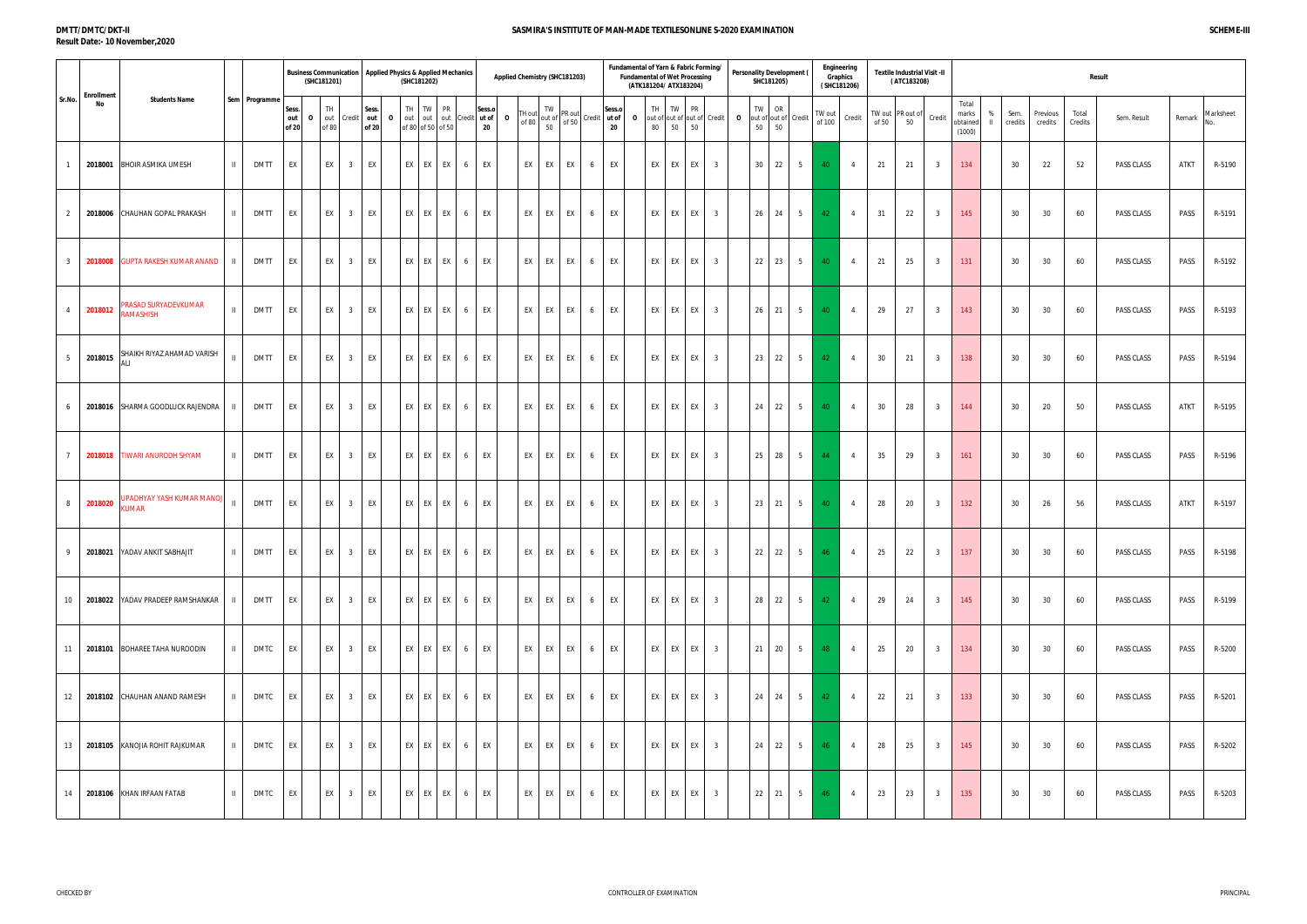#### **DMTT/DMTC/DKT-II Result Date:- 10 November,2020**

|           |                 |                     |                  | Result      |        |                  |
|-----------|-----------------|---------------------|------------------|-------------|--------|------------------|
| $\%$<br>Ш | Sem.<br>credits | Previous<br>credits | Total<br>Credits | Sem. Result | Remark | Marksheet<br>No. |
|           | 30              | 22                  | 52               | PASS CLASS  | ATKT   | R-5190           |
|           | 30              | 30                  | 60               | PASS CLASS  | PASS   | R-5191           |
|           | 30              | 30                  | 60               | PASS CLASS  | PASS   | R-5192           |
|           | 30              | 30                  | 60               | PASS CLASS  | PASS   | R-5193           |
|           | 30              | 30                  | 60               | PASS CLASS  | PASS   | R-5194           |
|           | 30              | 20                  | 50               | PASS CLASS  | ATKT   | R-5195           |
|           | 30              | 30                  | 60               | PASS CLASS  | PASS   | R-5196           |
|           | 30              | 26                  | 56               | PASS CLASS  | ATKT   | R-5197           |
|           | 30              | $30\,$              | 60               | PASS CLASS  | PASS   | R-5198           |
|           | 30              | 30                  | 60               | PASS CLASS  | PASS   | R-5199           |
|           | 30              | 30                  | 60               | PASS CLASS  | PASS   | R-5200           |
|           | 30              | 30                  | 60               | PASS CLASS  | PASS   | R-5201           |
|           | 30              | 30                  | 60               | PASS CLASS  | PASS   | R-5202           |
|           | 30              | 30                  | 60               | PASS CLASS  | PASS   | R-5203           |

#### **Sess. out of 20 O** TH out Credit of 80 **Sess. out of 20 O** TH out 1 of 80 of 50 of 50 TW out out PR Credit **Sess.o ut of 20 O** TH out  $\begin{bmatrix} 1 & 1 & 1 \\ 0 & 0 & 0 \\ 0 & 0 & 0 \end{bmatrix}$  out of TW 50 PR out Credit of  $50$ **Sess.o ut of 20 O** TH out of out of out of Credit **O** 80 50 50 TW PR TW out of out of 50 OR  $50^{10}$ Credit TW out Credit of 50 TW out PR out of<br>of 50 50 **Credit** Total marks obtained (1000) 1 **2018001** BHOIR ASMIKA UMESH II DMTT EX EX 3 EX EX EX EX 6 EX EX EX EX 6 EX EX EX EX 3 30 22 5 40 4 21 21 3 134 30 22 52 PASS CLASS ATKT R-5190 2 **2018006** CHAUHAN GOPAL PRAKASH II DMTT EX EX 3 EX EX EX EX 6 EX EX EX EX 6 EX EX EX EX 3 26 24 5 42 4 31 22 3 145 30 30 60 PASS CLASS PASS R-5191 3 **2018008** GUPTA RAKESH KUMAR ANAND II DMTT EX EX 3 EX EX EX EX 6 EX EX EX EX 6 EX EX EX EX 3 22 23 5 40 4 21 25 3 131 30 30 60 PASS CLASS PASS R-5192 <sup>4</sup> **<sup>2018012</sup>** PRASAD SURYADEVKUMAR RAMASHISH II DMTT EX EX <sup>3</sup> EX EX EX EX <sup>6</sup> EX EX EX EX <sup>6</sup> EX EX EX EX <sup>3</sup> <sup>26</sup> <sup>21</sup> <sup>5</sup> <sup>40</sup> <sup>4</sup> <sup>29</sup> <sup>27</sup> <sup>3</sup> <sup>143</sup> <sup>30</sup> <sup>30</sup> <sup>60</sup> PASS CLASS PASS R-5193 **2018015** SHAIKH RIYAZ AHAMAD VARISH ALI II DMTT EX EX <sup>3</sup> EX EX EX EX <sup>6</sup> EX EX EX EX <sup>6</sup> EX EX EX EX <sup>3</sup> <sup>23</sup> <sup>22</sup> <sup>5</sup> <sup>42</sup> <sup>4</sup> <sup>30</sup> <sup>21</sup> <sup>3</sup> <sup>138</sup> <sup>30</sup> <sup>30</sup> <sup>60</sup> PASS CLASS PASS R-5194 6 **2018016** SHARMA GOODLUCK RAJENDRA II DMTT EX EX 3 EX EX EX EX 6 EX EX EX EX 6 EX EX EX EX 3 24 22 5 40 4 30 28 3 144 30 20 50 PASS CLASS ATKT R-5195 7 **2018018** TIWARI ANURODH SHYAM II DMTT EX EX 3 EX EX EX EX 6 EX EX EX EX 6 EX EX EX EX 3 25 28 5 44 4 35 29 3 161 30 30 60 PASS CLASS PASS R-5196 <sup>8</sup> **<sup>2018020</sup>** UPADHYAY YASH KUMAR MANOJ KUMAR II DMTT EX EX <sup>3</sup> EX EX EX EX <sup>6</sup> EX EX EX EX <sup>6</sup> EX EX EX EX <sup>3</sup> <sup>23</sup> <sup>21</sup> <sup>5</sup> <sup>40</sup> <sup>4</sup> <sup>28</sup> <sup>20</sup> <sup>3</sup> <sup>132</sup> <sup>30</sup> <sup>26</sup> <sup>56</sup> PASS CLASS ATKT R-5197 9 **2018021** YADAV ANKIT SABHAJIT II DMTT EX EX 3 EX EX EX EX 6 EX EX EX EX 6 EX EX EX EX 3 22 22 5 46 4 25 22 3 137 30 30 60 PASS CLASS PASS R-5198 10 **2018022** YADAV PRADEEP RAMSHANKAR II DMTT EX EX 3 EX EX EX EX 6 EX EX EX EX 6 EX EX EX EX 3 28 22 5 42 4 29 24 3 145 30 30 60 PASS CLASS PASS R-5199 11 **2018101** BOHAREE TAHA NUROODIN II DMTC EX EX 3 EX EX EX EX 6 EX EX EX EX 6 EX EX EX EX 3 21 20 5 48 4 25 20 3 134 30 30 60 PASS CLASS PASS R-5200 12 **2018102** CHAUHAN ANAND RAMESH II DMTC EX EX 3 EX EX EX EX 6 EX EX EX EX 6 EX EX EX EX 3 24 24 5 42 4 22 21 3 133 30 30 60 PASS CLASS PASS R-5201 13 **2018105** KANOJIA ROHIT RAJKUMAR II DMTC EX EX 3 EX EX EX EX 6 EX EX EX EX 6 EX EX EX EX 3 24 22 5 46 4 28 25 3 145 30 30 60 PASS CLASS PASS R-5202 14 **2018106** KHAN IRFAAN FATAB II DMTC EX EX 3 EX EX EX EX 6 EX EX EX EX 6 EX EX EX EX 3 22 21 5 46 4 23 23 3 135 30 30 60 PASS CLASS PASS R-5203 Business Communication | Applied Physics & Applied Mechanics | Applied Chemistry (SHC181203) | Fundament and the temperation of Personality Development (| ""Graphics" | Textile Industrial Visit -II | Graphics | Textile Ind **(SHC181201) Sr.No. Enrollment No Students Name Sem Programme Textile Industrial Visit -II ( ATC183208) Applied Physics & Applied Mechanics Fundamental of Yarn & Fabric Forming/ Fundamental of Wet Processing (ATK181204/ ATX183204) Personality Development ( SHC181205) Engineering Graphics ( SHC181206)**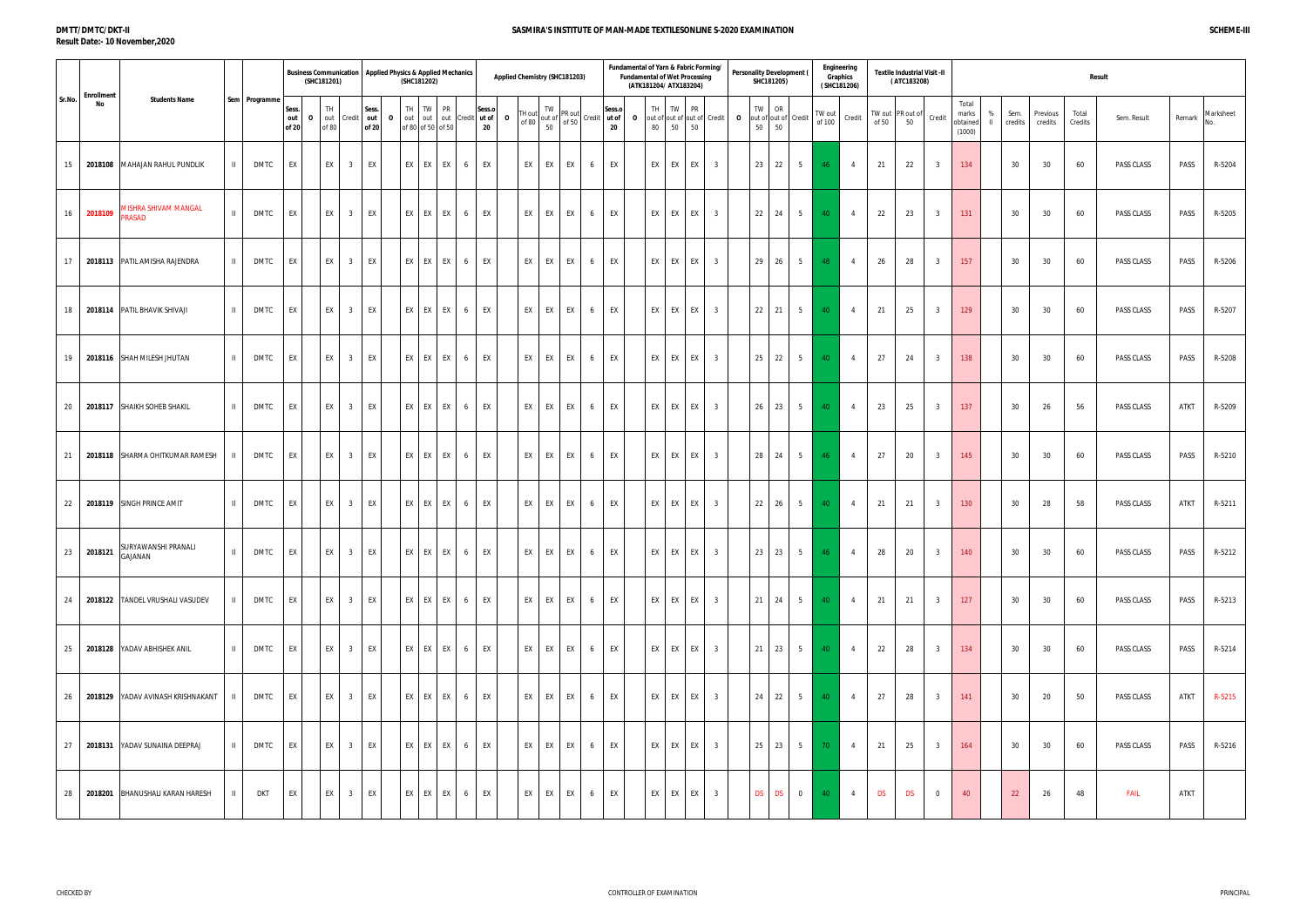#### **DMTT/DMTC/DKT-II Result Date:- 10 November,2020**

|           |                 |                     |                  | Result      |        |                  |
|-----------|-----------------|---------------------|------------------|-------------|--------|------------------|
| $\%$<br>Ш | Sem.<br>credits | Previous<br>credits | Total<br>Credits | Sem. Result | Remark | Marksheet<br>No. |
|           | 30              | 30                  | 60               | PASS CLASS  | PASS   | R-5204           |
|           | 30              | 30                  | 60               | PASS CLASS  | PASS   | R-5205           |
|           | 30              | 30                  | 60               | PASS CLASS  | PASS   | R-5206           |
|           | 30              | 30                  | 60               | PASS CLASS  | PASS   | R-5207           |
|           | 30              | 30                  | 60               | PASS CLASS  | PASS   | R-5208           |
|           | 30              | 26                  | 56               | PASS CLASS  | ATKT   | R-5209           |
|           | 30              | 30                  | 60               | PASS CLASS  | PASS   | R-5210           |
|           | 30              | 28                  | 58               | PASS CLASS  | ATKT   | R-5211           |
|           | 30              | $30\,$              | 60               | PASS CLASS  | PASS   | R-5212           |
|           | 30              | 30                  | 60               | PASS CLASS  | PASS   | R-5213           |
|           | 30              | 30                  | 60               | PASS CLASS  | PASS   | R-5214           |
|           | 30              | 20                  | 50               | PASS CLASS  | ATKT   | R-5215           |
|           | 30              | 30                  | 60               | PASS CLASS  | PASS   | R-5216           |
|           | 22              | 26                  | 48               | <b>FAIL</b> | ATKT   |                  |

#### **Sess. out of 20 O** TH out Credit of 80 **Sess. out of 20 O** TH out 1 of 80 of 50 of 50 TW out out PR Credit **Sess.o ut of 20 O** TH out of 80 out of of 50 Credit TW 50 PR out Credit **Sess.o ut of 20 O** TH out of out of out of Credit **O** 80 50 50 TW **PR** TW out of out of  $\frac{21}{50}$ OR  $50^{10}$ Credit TW out Credit of 50 TW out PR out of<br>of 50 50 **Credit** Total marks obtained (1000) Business Communication | Applied Physics & Applied Mechanics | Applied Chemistry (SHC181203) | Fundament and the temperation of Personality Development (| ""Graphics" | Textile Industrial Visit -II | Graphics | Textile Ind **(SHC181201) Sr.No. Enrollment No Students Name Sem Programme Textile Industrial Visit -II ( ATC183208) Applied Physics & Applied Mechanics Fundamental of Yarn & Fabric Forming/ Fundamental of Wet Processing (ATK181204/ ATX183204) Personality Development ( SHC181205) Engineering Graphics ( SHC181206)** 15 **2018108** MAHAJAN RAHUL PUNDLIK II DMTC EX EX 3 EX EX EX EX 6 EX EX EX EX 6 EX EX EX EX 3 23 22 5 46 4 21 22 3 134 30 30 60 PASS CLASS PASS R-5204 <sup>16</sup> **<sup>2018109</sup>** MISHRA SHIVAM MANGAL PRASAD II DMTC EX EX <sup>3</sup> EX EX EX EX <sup>6</sup> EX EX EX EX <sup>6</sup> EX EX EX EX <sup>3</sup> <sup>22</sup> <sup>24</sup> <sup>5</sup> <sup>40</sup> <sup>4</sup> <sup>22</sup> <sup>23</sup> <sup>3</sup> <sup>131</sup> <sup>30</sup> <sup>30</sup> <sup>60</sup> PASS CLASS PASS R-5205 17 **2018113** PATIL AMISHA RAJENDRA II DMTC EX EX 3 EX EX EX EX 6 EX EX EX EX 6 EX EX EX EX 3 29 26 5 48 4 26 28 3 157 30 30 60 PASS CLASS PASS R-5206 18 **2018114** PATIL BHAVIK SHIVAJI II DMTC EX EX 3 EX EX EX EX 6 EX EX EX EX 6 EX EX EX EX 3 22 21 5 40 4 21 25 3 129 30 30 60 PASS CLASS PASS R-5207 19 **2018116** SHAH MILESH JHUTAN II DMTC EX EX 3 EX EX EX EX 6 EX EX EX EX 6 EX EX EX EX 3 25 22 5 40 4 27 24 3 138 30 30 60 PASS CLASS PASS R-5208 20 **2018117** SHAIKH SOHEB SHAKIL II DMTC EX EX 3 EX EX EX EX 6 EX EX EX EX 6 EX EX EX EX 3 26 23 5 40 4 23 25 3 137 30 26 56 PASS CLASS ATKT R-5209 21 **2018118** SHARMA OHITKUMAR RAMESH II DMTC EX EX 3 EX EX EX EX 6 EX EX EX EX 6 EX EX EX EX 3 28 24 5 46 4 27 20 3 145 30 30 60 PASS CLASS PASS R-5210 22 **2018119** SINGH PRINCE AMIT II DMTC EX EX 3 EX EX EX EX 6 EX EX EX EX 6 EX EX EX EX 3 22 26 5 40 4 21 21 3 130 30 28 58 PASS CLASS ATKT R-5211 23 **2018121** SURYAWANSHI PRANALI GAJANAN II DMTC EX EX <sup>3</sup> EX EX EX EX <sup>6</sup> EX EX EX EX <sup>6</sup> EX EX EX EX <sup>3</sup> <sup>23</sup> <sup>23</sup> <sup>5</sup> <sup>46</sup> <sup>4</sup> <sup>28</sup> <sup>20</sup> <sup>3</sup> <sup>140</sup> <sup>30</sup> <sup>30</sup> <sup>60</sup> PASS CLASS PASS R-5212 24 **2018122** TANDEL VRUSHALI VASUDEV II DMTC EX EX 3 EX EX EX EX 6 EX EX EX EX 6 EX EX EX EX 3 21 24 5 40 4 21 21 3 127 30 30 60 PASS CLASS PASS R-5213 25 **2018128** YADAV ABHISHEK ANIL II DMTC EX EX 3 EX EX EX EX 6 EX EX EX EX 6 EX EX EX EX 3 21 23 5 40 4 22 28 3 134 30 30 60 PASS CLASS PASS R-5214 26 **2018129** YADAV AVINASH KRISHNAKANT II DMTC EX EX 3 EX EX EX EX 6 EX EX EX EX 6 EX EX EX EX 3 24 22 5 40 4 27 28 3 141 30 20 50 PASS CLASS ATKT R-5215 27 **2018131** YADAV SUNAINA DEEPRAJ II DMTC EX EX 3 EX EX EX EX 6 EX EX EX EX 6 EX EX EX EX 3 25 23 5 70 4 21 25 3 164 30 30 60 PASS CLASS PASS R-5216 28 **2018201** BHANUSHALI KARAN HARESH II DKT EX EX 3 EX EX EX EX 6 EX EX EX EX 6 EX EX EX EX 3 DS DS 0 40 4 DS DS 0 40 22 26 48 FAIL ATKT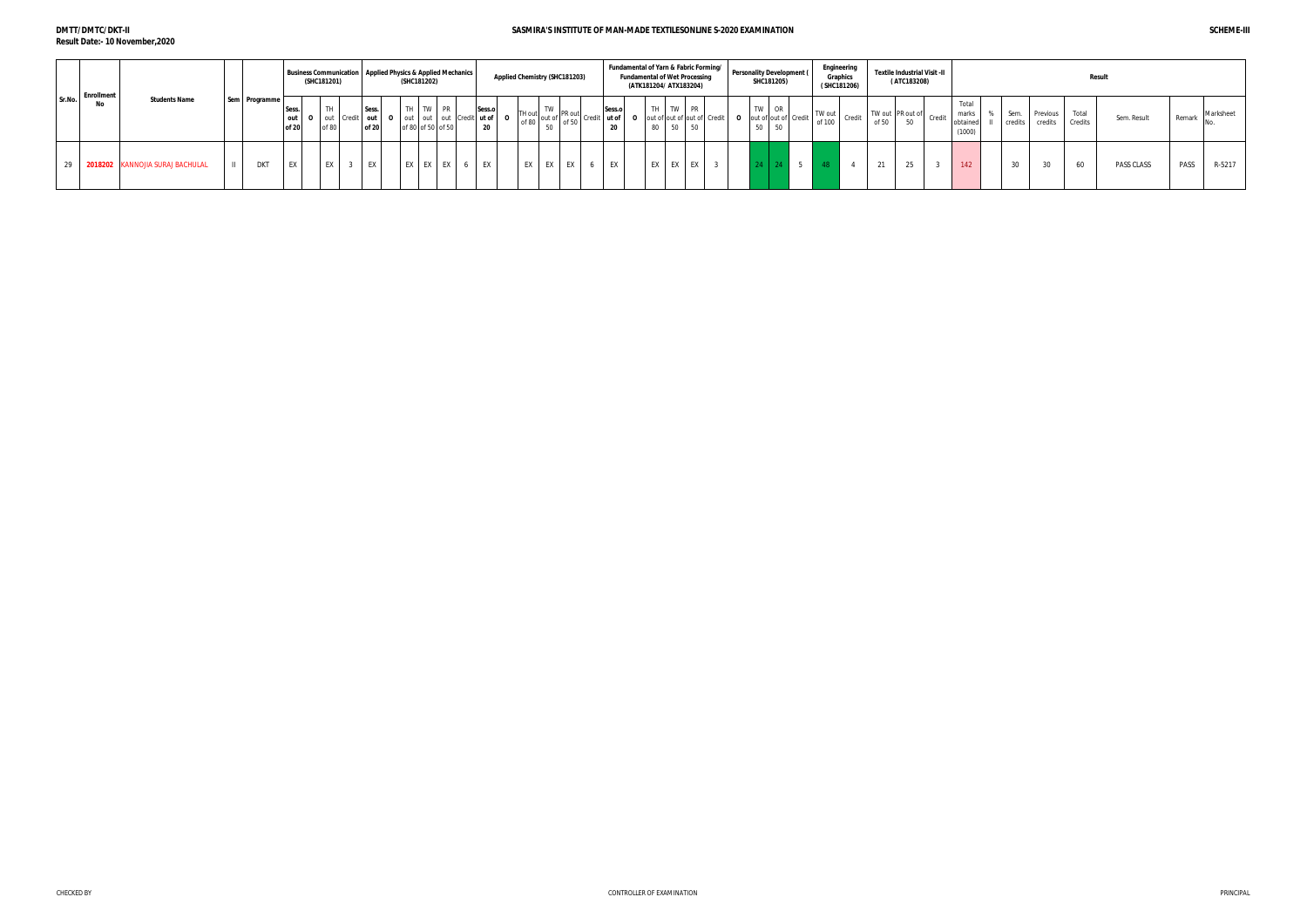#### **DMTT/DMTC/DKT-II Result Date:- 10 November,2020**

|        | <b>Enrollment</b>               |               |                | <b>Business Communication   Applied Physics &amp; Applied Mechanics</b><br>(SHC181201)     |                | (SHC181202) |                               |              | Applied Chemistry (SHC181203) |    |    |    | <b>Fundamental of Wet Processing</b><br>(ATK181204/ ATX183204) |  | Fundamental of Yarn & Fabric Forming/   Personality Development $\int$<br>SHC181205) | Engineering<br><b>Graphics</b><br>(SHC181206) |        |       | Textile Industrial Visit -II<br>(ATC183208) |        |                                      |                 |                     | <b>Result</b>    |             |        |           |
|--------|---------------------------------|---------------|----------------|--------------------------------------------------------------------------------------------|----------------|-------------|-------------------------------|--------------|-------------------------------|----|----|----|----------------------------------------------------------------|--|--------------------------------------------------------------------------------------|-----------------------------------------------|--------|-------|---------------------------------------------|--------|--------------------------------------|-----------------|---------------------|------------------|-------------|--------|-----------|
| Sr.No. | <b>Students Name</b><br>No      | Sem Programme | Sess.<br>of 20 | TH<br>  out   0   out   Credit   out   0   out   out   out   Credit   ut of   0  <br>of 80 | Sess.<br>of 20 |             | TH TW PR<br>of 80 of 50 of 50 | Sess.o<br>20 |                               |    |    |    |                                                                |  | TW OR<br><b>O</b> out of out of Credit<br>50 50                                      | TW out<br>of 100                              | Credit | of 50 | TW out PR out of                            | Credit | Total<br>marks<br>obtained<br>(1000) | Sem.<br>credits | Previous<br>credits | Total<br>Credits | Sem. Result | Remark | Marksheet |
|        | 2018202 KANNOJIA SURAJ BACHULAL | <b>DKT</b>    | EX             | EX                                                                                         | EX             | EX I        | EX EX                         | EX           | EX<br>EX                      | EX | EX | EX | EX<br>EX I                                                     |  |                                                                                      |                                               |        | 21    | $\sim$                                      |        | 142                                  | $\sim$          | $\sim$              | 60               | PASS CLASS  | PASS   | R-5217    |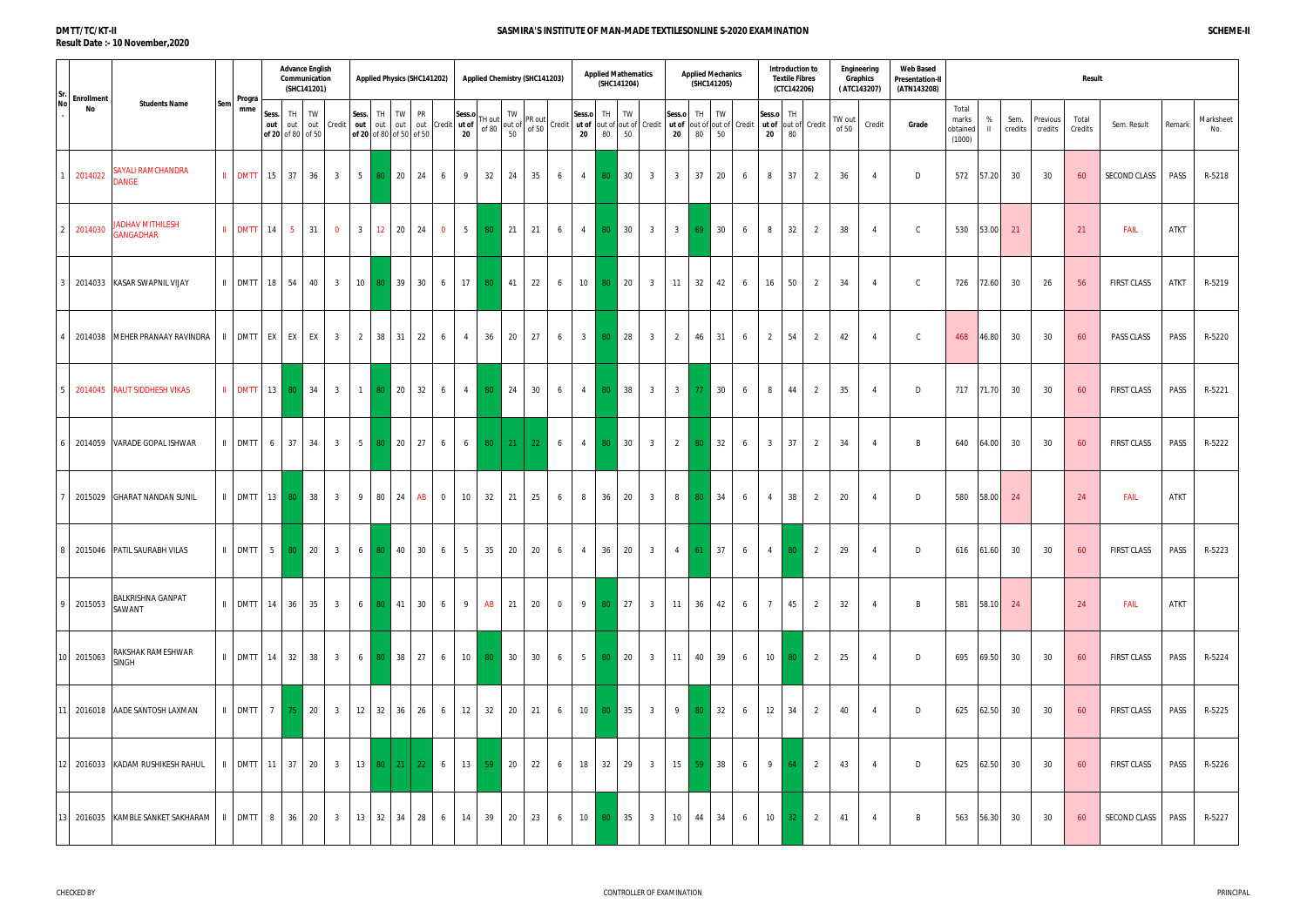#### **DMTT/TC/KT-II Result Date :- 10 November,2020**

|    | $\begin{bmatrix}$ Sr. $\end{bmatrix}$ Enrollment |                                                                                         |     | Progra                                    |              | <b>Advance English</b><br>Communication | (SHC141201) |                |                                                |            | <b>Applied Physics (SHC141202)</b>  |                      |                |                 | Applied Chemistry (SHC141203)                           |                                                                                                                              | <b>Applied Mathematics</b> | (SHC141204)     |                   |                | <b>Applied Mechanics</b> | (SHC141205)     |   |                | Introduction to<br><b>Textile Fibres</b><br>(CTC142206) |                |                 | Engineering<br>Graphics<br>(ATC143207) | <b>Web Based</b><br><b>Presentation-II</b><br>(ATN143208) |                                      |                   |                 |                     | Result           |              |             |                  |
|----|--------------------------------------------------|-----------------------------------------------------------------------------------------|-----|-------------------------------------------|--------------|-----------------------------------------|-------------|----------------|------------------------------------------------|------------|-------------------------------------|----------------------|----------------|-----------------|---------------------------------------------------------|------------------------------------------------------------------------------------------------------------------------------|----------------------------|-----------------|-------------------|----------------|--------------------------|-----------------|---|----------------|---------------------------------------------------------|----------------|-----------------|----------------------------------------|-----------------------------------------------------------|--------------------------------------|-------------------|-----------------|---------------------|------------------|--------------|-------------|------------------|
| No | No                                               | <b>Students Name</b>                                                                    | Sem | mme                                       | Sess.<br>out | TH<br>out<br>of 20 of 80 of 50          | TW          | out Credit     | Sess. TH<br>out out<br>of 20 of 80 of 50 of 50 | TW         | <b>PR</b>                           | out out Credit ut of | Sess.o<br>20   | FH out<br>of 80 | $\begin{bmatrix} TW\\ out~ of\\ 50\end{bmatrix}$ PR out | Sess.o<br>  Credit   ut of  out of  out of   Credit   ut of  out of  out of   Credit   ut of  out of   Credit<br>$20\degree$ | TH 1<br>80                 | TW<br>50        |                   | Sess.o<br>20   | TH  <br>80               | TW<br>50        |   | 20             | Sess.o TH<br>80                                         |                | TW out<br>of 50 | Credit                                 | Grade                                                     | Total<br>marks<br>obtained<br>(1000) | %<br>$\mathbf{H}$ | Sem.<br>credits | Previous<br>credits | Total<br>Credits | Sem. Result  | Remark      | Marksheet<br>No. |
|    | 2014022                                          | SAYALI RAMCHANDRA<br><b>JANGE</b>                                                       |     | $\parallel$ DMTT 15 37                    |              |                                         | 36 l        | 3 <sup>3</sup> |                                                | 5 80 20 24 |                                     | 6                    | 9              | 32              | 24<br>35                                                | 6<br>4                                                                                                                       |                            | 80 30           | $\overline{3}$    | 3 <sup>3</sup> | 37                       | 20              | 6 | 8              | 37                                                      | $\overline{2}$ | 36              | $\overline{4}$                         | D                                                         |                                      | 572 57.20         | 30              | 30                  | 60               | SECOND CLASS | PASS        | R-5218           |
|    | 2 2014030                                        | <b>ADHAV MITHILESH</b><br><b>GANGADHAR</b>                                              |     | II DMTT 14 5                              |              |                                         | 31          | $\overline{0}$ | 3 <sup>1</sup>                                 | 12 20      | 24                                  | $\overline{0}$       | 5 <sup>1</sup> | 80              | 21<br>21                                                | 6<br>4                                                                                                                       | 80 <sub>1</sub>            | 30              | $\overline{3}$    | $3 \mid$       | 69                       | 30              | 6 | 8              | 32                                                      | 2              | 38              | $\overline{a}$                         | $\mathsf{C}$                                              | 530                                  | 53.00             | 21              |                     | 21               | <b>FAIL</b>  | <b>ATKT</b> |                  |
|    |                                                  | 2014033 KASAR SWAPNIL VIJAY                                                             |     | $II$ DMTT 18 54                           |              |                                         | 40          | 3 <sup>3</sup> |                                                | 10 80 39   | 30                                  | 6                    | 17             | 80              | 41<br>22                                                | 10<br>6                                                                                                                      | 80                         | 20              | 3 <sup>3</sup>    | 11             | 32                       | 42              | 6 | 16             | 50                                                      | 2              | 34              | $\overline{4}$                         | $\mathsf{C}$                                              | 726                                  | 72.60             | 30              | 26                  | 56               | FIRST CLASS  | <b>ATKT</b> | R-5219           |
|    |                                                  | 2014038 MEHER PRANAAY RAVINDRA   II DMTT   EX   EX   EX                                 |     |                                           |              |                                         |             | 3 <sup>3</sup> |                                                | 2 38 31    | 22                                  | 6                    | $\overline{4}$ | 36              | 20<br>27                                                | $\overline{\mathbf{3}}$<br>6                                                                                                 | 80                         | 28              | 3 <sup>1</sup>    | $\overline{2}$ | 46                       | 31              | 6 | 2              | 54                                                      | $\overline{2}$ | 42              | $\overline{A}$                         | $\mathsf{C}$                                              | 468                                  | 46.80             | 30              | 30                  | 60               | PASS CLASS   | PASS        | R-5220           |
|    |                                                  | 2014045 RAUT SIDDHESH VIKAS                                                             |     | II DMTT 13 80 34                          |              |                                         |             | 3 <sup>1</sup> |                                                | 1 80 20    | 32                                  | 6                    | 4              | 80              | 24<br>30                                                | 6                                                                                                                            | 4 80                       | 38              | 3 <sup>3</sup>    | $3 \mid$       |                          | 77 30           | 6 | 8              | 44                                                      | $\overline{2}$ | 35              | $\overline{A}$                         | D                                                         | 717                                  | 71.70             | 30              | 30                  | 60               | FIRST CLASS  | PASS        | R-5221           |
|    |                                                  | 2014059 VARADE GOPAL ISHWAR                                                             |     | II DMTT 6                                 |              | 37                                      | 34          | 3 <sup>3</sup> |                                                | 5 80 20    | 27                                  | 6                    | $6 \mid$       |                 | $80$   21   22                                          | 6                                                                                                                            | 4 80                       | 30 <sup>°</sup> | $3\overline{3}$   | $2 \mid$       | 80                       | 32              | 6 | $\mathbf{3}$   | 37                                                      | $\overline{2}$ | 34              | $\overline{4}$                         | B                                                         | 640                                  | 64.00             | 30              | 30                  | 60               | FIRST CLASS  | PASS        | R-5222           |
|    |                                                  | 2015029 GHARAT NANDAN SUNIL                                                             |     | $\parallel$ DMTT 13 80 38                 |              |                                         |             | 3 <sup>3</sup> |                                                | 9 80 24    | AB                                  | $\overline{0}$       | 10             | 32              | 21<br>25                                                | 6<br>8                                                                                                                       | 36                         | 20              | $\overline{3}$    | 8 <sup>1</sup> | 80                       | 34              | 6 | $\overline{4}$ | 38                                                      | 2              | 20              | $\overline{4}$                         | D                                                         | 580                                  | 58.00             | 24              |                     | 24               | <b>FAIL</b>  | <b>ATKT</b> |                  |
|    |                                                  | 8 2015046 PATIL SAURABH VILAS                                                           |     |                                           |              |                                         |             |                |                                                |            |                                     | $6\overline{6}$      | 5 <sub>1</sub> |                 | 35 20 20                                                | $6\overline{6}$                                                                                                              |                            |                 | $4 \t36 \t20 \t3$ | $\mathbf{A}$   | 61                       | 37 <sup>1</sup> |   | $\mathbf{A}$   | 80 <sub>1</sub>                                         | $\overline{2}$ | 29              | $\mathbf{A}$                           | $D \Box$                                                  |                                      |                   | 616 61.60 30    | 30                  | 60               | FIRST CLASS  | <b>PASS</b> | R-5223           |
|    | 9 2015053                                        | BALKRISHNA GANPAT<br>SAWANT                                                             |     | $\parallel$ DMTT 14 36 35                 |              |                                         |             | 3 <sup>1</sup> |                                                |            | 6 80 41 30                          | 6 <sup>6</sup>       | 9 <sup>1</sup> |                 | AB 21 20                                                | $\overline{0}$                                                                                                               |                            |                 | 9 80 27 3         |                | $11 \t36$                | 42              | 6 | $\overline{7}$ | 45                                                      | $\overline{2}$ | 32              | $\overline{4}$                         | B                                                         |                                      | 581 58.10 24      |                 |                     | 24               | <b>FAIL</b>  | ATKT        |                  |
|    | 10 2015063                                       | RAKSHAK RAMESHWAR<br><b>SINGH</b>                                                       |     | $\parallel$ DMTT 14 32 38                 |              |                                         |             | 3 <sup>3</sup> |                                                |            | $6 \ 80 \ 38 \ 27$                  | 6 <sup>1</sup>       |                | $10$ 80         | 30 30                                                   | 6                                                                                                                            | 5 80 20                    |                 | 3 <sup>3</sup>    | 11             |                          | 40 39           | 6 |                | $10 \quad 80$                                           | $\overline{2}$ | 25              | $\overline{4}$                         | D                                                         |                                      | 695 69.50 30      |                 | 30                  | 60               | FIRST CLASS  | PASS        | R-5224           |
|    |                                                  | 11 2016018 AADE SANTOSH LAXMAN                                                          |     | $\parallel$ DMTT 7 75 20                  |              |                                         |             | 3 <sup>3</sup> |                                                |            | $12 \mid 32 \mid 36 \mid 26 \mid 6$ |                      | 12             |                 | 32 20 21                                                | 6                                                                                                                            | 10 80 35                   |                 | $\overline{3}$    |                | 9 80 32                  |                 | 6 | 12             | 34                                                      | 2              | 40              | $\overline{4}$                         | D                                                         | 625                                  | 62.50 30          |                 | 30                  | 60               | FIRST CLASS  | PASS        | R-5225           |
|    |                                                  | 12 2016033 KADAM RUSHIKESH RAHUL                                                        |     | $\parallel$ DMTT 11 37 20 3 13 80 21 22 6 |              |                                         |             |                |                                                |            |                                     |                      | 13             | $-59$           | 20<br>22                                                | 6                                                                                                                            |                            |                 | 18 32 29 3        |                | 15 59 38                 |                 | 6 |                | $9 \mid 64$                                             | $\overline{2}$ | 43              | $\overline{4}$                         | D                                                         | 625                                  | 62.50             | 30              | 30                  | 60               | FIRST CLASS  | PASS        | R-5226           |
|    |                                                  | 13 2016035 KAMBLE SANKET SAKHARAM   II   DMTT   8   36   20   3   13   32   34   28   6 |     |                                           |              |                                         |             |                |                                                |            |                                     |                      | 14             | 39              | 20 23                                                   | 6                                                                                                                            | 10 80 35                   |                 | 3 <sup>3</sup>    |                | $10 \mid 44$             | 34              | 6 | 10             | 32 <sub>1</sub>                                         | $\overline{2}$ | 41              | $\overline{4}$                         | B                                                         | 563                                  | 56.30 30          |                 | 30                  | 60               | SECOND CLASS | PASS        | R-5227           |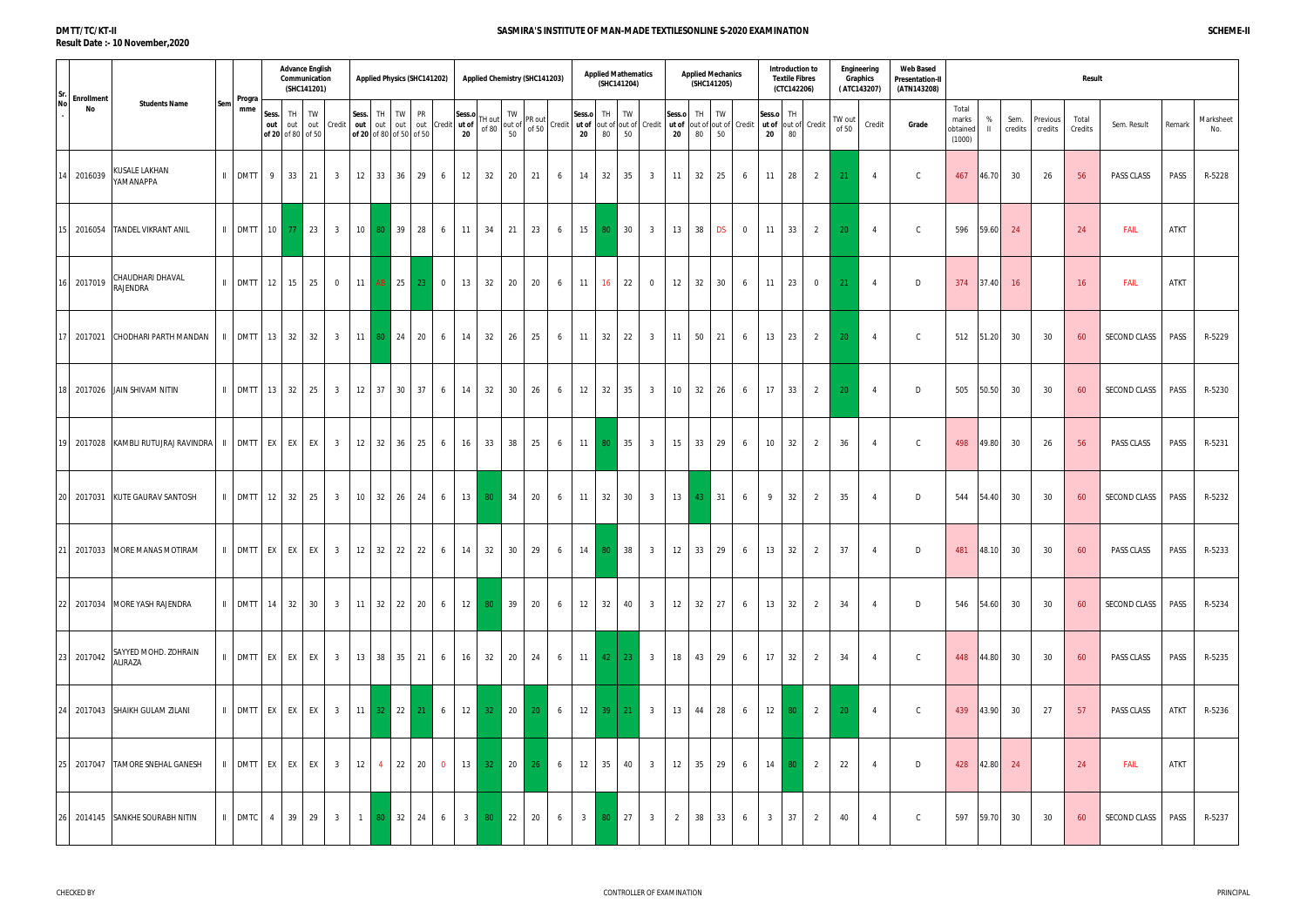#### **DMTT/TC/KT-II Result Date :- 10 November,2020**

| Sr  | <b>Enrollment</b> |                                                                                                      |     |                                                                                                                 |              | <b>Advance English</b><br>Communication | (SHC141201) |                |                                    |          |             | <b>Applied Physics (SHC141202)</b> |                 |              |                 | Applied Chemistry (SHC141203)                                                                           |    |                                                                                              |                             | <b>Applied Mathematics</b><br>(SHC141204) |              |                 |                       | <b>Applied Mechanics</b><br>(SHC141205) |           |                 |    | Introduction to<br><b>Textile Fibres</b><br>(CTC142206) |                             |                 | Engineering<br>Graphics<br>(ATC143207) | <b>Web Based</b><br><b>Presentation-II</b><br>(ATN143208) |                                      |                   |                 |                     | Result           |              |             |                  |
|-----|-------------------|------------------------------------------------------------------------------------------------------|-----|-----------------------------------------------------------------------------------------------------------------|--------------|-----------------------------------------|-------------|----------------|------------------------------------|----------|-------------|------------------------------------|-----------------|--------------|-----------------|---------------------------------------------------------------------------------------------------------|----|----------------------------------------------------------------------------------------------|-----------------------------|-------------------------------------------|--------------|-----------------|-----------------------|-----------------------------------------|-----------|-----------------|----|---------------------------------------------------------|-----------------------------|-----------------|----------------------------------------|-----------------------------------------------------------|--------------------------------------|-------------------|-----------------|---------------------|------------------|--------------|-------------|------------------|
| Nol | No                | <b>Students Name</b>                                                                                 | Sem | Progra<br>mme                                                                                                   | Sess.<br>out | TH<br>out<br>of 20 of 80 of 50          | TW          | out Credit     | out out<br>of 20 of 80 of 50 of 50 | Sess. TH | TW          | PR<br>out out Credit ut of         |                 | Sess.o<br>20 | [H out<br>of 80 | $\begin{array}{c}\n\text{TW} \\ \text{out of} \\ \begin{array}{c}\n50\n\end{array}\n\end{array}$ PR out |    | Credit   ut of  out of out of  Credit   ut of  out of out of  Credit   ut of  out of  Credit | Sess.o<br>20                | TH<br>80                                  | TW<br>50     |                 | Sess.o<br>$20\degree$ | TH<br>80                                | TW<br>50  |                 | 20 | Sess.o TH<br>80                                         |                             | TW out<br>of 50 | Credit                                 | Grade                                                     | Total<br>marks<br>obtained<br>(1000) | %<br>$\mathbf{H}$ | Sem.<br>credits | Previous<br>credits | Total<br>Credits | Sem. Result  | Remark      | Marksheet<br>No. |
|     | 14 2016039        | KUSALE LAKHAN<br>YAMANAPPA                                                                           |     | $II$ DMTT 9                                                                                                     |              | 33                                      | 21          | 3 <sup>3</sup> |                                    |          | 12 33 36 29 |                                    | 6               | 12           | 32              | 20                                                                                                      | 21 | 6                                                                                            | 14 32                       |                                           | 35           | 3 <sup>3</sup>  | 11                    | 32                                      | 25        | 6               | 11 | 28                                                      | $\overline{2}$              | 21              | $\overline{4}$                         | C                                                         | 467                                  | 46.70             | 30              | 26                  | 56               | PASS CLASS   | PASS        | R-5228           |
|     | 15 2016054        | <b>TANDEL VIKRANT ANIL</b>                                                                           |     | $\parallel$ DMTT 10 77 23                                                                                       |              |                                         |             | 3 <sup>3</sup> |                                    |          | 10 80 39    | 28                                 | 6               | 11           | 34              | 21                                                                                                      | 23 | 6                                                                                            | 15                          | 80 30                                     |              | $\overline{3}$  | 13                    | 38                                      | <b>DS</b> | $\overline{0}$  | 11 | 33                                                      | $\overline{2}$              | 20 <sup>°</sup> | $\overline{4}$                         | $\mathsf{C}$                                              | 596                                  | 59.60             | 24              |                     | 24               | <b>FAIL</b>  | <b>ATKT</b> |                  |
|     | 16 2017019        | CHAUDHARI DHAVAL<br>RAJENDRA                                                                         |     | $\parallel$ DMTT 12 15                                                                                          |              |                                         | 25          | $\overline{0}$ |                                    |          | 11 $AB$ 25  | 23                                 |                 | 13           | 32              | 20                                                                                                      | 20 | 6                                                                                            | 11                          | 16                                        | 22           | $\mathbf 0$     | 12                    | 32                                      | 30        | 6               | 11 | 23                                                      | $\overline{0}$              | 21              | $\overline{4}$                         | D                                                         | 374                                  | 37.40             | -16             |                     | 16               | <b>FAIL</b>  | <b>ATKT</b> |                  |
|     |                   | 17 2017021 CHODHARI PARTH MANDAN                                                                     |     | $\parallel$ DMTT 13 32                                                                                          |              |                                         | 32          | 3 <sup>3</sup> |                                    |          | 11 80 24    | 20                                 | 6               | 14           | 32              | 26                                                                                                      | 25 | 6                                                                                            | $11 \quad 32$               |                                           | 22           | $\overline{3}$  | 11                    | 50                                      | 21        | 6               | 13 | 23                                                      | 2                           | 20              | $\overline{4}$                         | $\mathsf{C}$                                              | 512                                  | 51.20             | 30              | 30                  | 60               | SECOND CLASS | PASS        | R-5229           |
|     |                   | 18 2017026 JAIN SHIVAM NITIN                                                                         |     | $\parallel$ DMTT 13 32                                                                                          |              |                                         | 25          | 3 <sup>3</sup> |                                    |          | 12 37 30 37 |                                    | 6               | 14           | 32              | 30                                                                                                      | 26 | 6                                                                                            | $12 \quad 32$               |                                           | 35           | 3 <sup>3</sup>  | 10 32                 |                                         | 26        | 6               | 17 | 33                                                      | 2                           | 20              | $\overline{4}$                         | D                                                         | 505                                  | 50.50             | 30              | 30                  | 60               | SECOND CLASS | PASS        | R-5230           |
|     |                   | 19 2017028 KAMBLI RUTUJRAJ RAVINDRA   II   DMTT   EX   EX   EX                                       |     |                                                                                                                 |              |                                         |             | 3 <sup>1</sup> |                                    |          | 12 32 36    | 25                                 | 6               | 16           | 33              | 38                                                                                                      | 25 | 6                                                                                            | 11 80 35                    |                                           |              | $3\overline{3}$ | 15                    | $1\,33\,1$                              | 29        | 6               | 10 | 32                                                      | 2                           | 36              | $\overline{A}$                         | $\mathsf{C}$                                              | 498                                  | 49.80             | 30              | 26                  | 56               | PASS CLASS   | PASS        | R-5231           |
|     |                   | 20 2017031 KUTE GAURAV SANTOSH                                                                       |     | $\parallel$ DMTT 12 32                                                                                          |              |                                         | 25          | 3 <sup>3</sup> |                                    |          |             | 10 32 26 24                        | $6\overline{6}$ |              | 13 80           | 34                                                                                                      | 20 | 6                                                                                            | $11 \mid 32 \mid$           |                                           | 30           | 3 <sup>3</sup>  |                       | 13 43 31                                |           | 6               | 9  | 32                                                      | $\overline{2}$              | 35              | $\overline{4}$                         | D                                                         | 544                                  | 54.40             | 30              | 30                  | 60               | SECOND CLASS | PASS        | R-5232           |
|     |                   | 21  2017033  MORE MANAS MOTIRAM        II   DMTT   EX   EX   EX    3      12    32    22    22     6 |     |                                                                                                                 |              |                                         |             |                |                                    |          |             |                                    |                 |              |                 | $14$ 32 30 29                                                                                           |    | 6 14 80 38 3 12 33 29                                                                        |                             |                                           |              |                 |                       |                                         |           | 6               |    |                                                         | $13 \mid 32 \mid 2 \mid 37$ |                 | $\overline{4}$                         | $\Box$                                                    |                                      |                   | 481 48.10 30    | 30                  | 60               | PASS CLASS   |             | PASS R-5233      |
|     |                   | 22 2017034 MORE YASH RAJENDRA                                                                        |     | $\parallel$ DMTT 14 32 30 3 11 32 22 20 6                                                                       |              |                                         |             |                |                                    |          |             |                                    |                 |              |                 | 12 80 39 20                                                                                             |    | $6\overline{6}$                                                                              | 12 32 40 3                  |                                           |              |                 |                       | $12 \mid 32 \mid 27 \mid$               |           | 6 <sup>6</sup>  |    | 13 32                                                   | 2                           | 34              | $\overline{4}$                         | D                                                         |                                      | 546 54.60 30      |                 | 30                  | 60               | SECOND CLASS | PASS        | R-5234           |
|     | 23 2017042        | SAYYED MOHD. ZOHRAIN<br><b>ALIRAZA</b>                                                               |     | $\parallel$ DMTT EX EX EX 3                                                                                     |              |                                         |             |                |                                    |          |             | 13   38   35   21   6              |                 | 16           |                 | 32 20 24                                                                                                |    | 6 <sup>1</sup>                                                                               | $11 \mid 42 \mid 23 \mid 3$ |                                           |              |                 |                       | 18 43 29                                |           | 6               |    | $17 \quad 32$                                           | 2                           | 34              | $\overline{4}$                         | $\mathsf{C}$                                              |                                      | 448 44.80 30      |                 | 30                  | 60               | PASS CLASS   | PASS        | R-5235           |
|     |                   | 24 2017043 SHAIKH GULAM ZILANI                                                                       |     | II DMTT EX EX EX 3 11 32 22 21 6 12 32 20 20 6                                                                  |              |                                         |             |                |                                    |          |             |                                    |                 |              |                 |                                                                                                         |    |                                                                                              | $12 \mid 39 \mid$           |                                           | $21 \quad 3$ |                 | 13                    | 44 28                                   |           | 6               |    |                                                         | $12 \mid 80 \mid 2 \mid$    | 20              | $\overline{4}$                         | $\mathsf{C}$                                              |                                      | 439 43.90 30      |                 | 27                  | 57               | PASS CLASS   | ATKT        | R-5236           |
|     |                   | 25 2017047 TAMORE SNEHAL GANESH                                                                      |     | $\vert$ DMTT EX EX EX 3 12 4 22 20 0                                                                            |              |                                         |             |                |                                    |          |             |                                    |                 |              |                 | 13 32 20                                                                                                | 26 | 6                                                                                            | 12 35 40 3                  |                                           |              |                 |                       | $12 \mid 35 \mid 29$                    |           | $6\overline{6}$ |    |                                                         | 14 80 2                     | 22              | $\overline{4}$                         | D                                                         | 428                                  | 42.80 24          |                 |                     | 24               | <b>FAIL</b>  | ATKT        |                  |
|     |                   | 26 2014145 SANKHE SOURABH NITIN                                                                      |     | DMTC     4     39     29     3        1   <mark>80  </mark> 32     24     6     3   <mark>80  </mark> 22     20 |              |                                         |             |                |                                    |          |             |                                    |                 |              |                 |                                                                                                         |    | 6                                                                                            | 3 80 27                     |                                           |              | 3 <sup>3</sup>  |                       | $2 \mid 38 \mid$                        | 33        | 6               |    | 3 3 3 3 3 4 3 4 3 4 3 4 3 4 3 4 3 4 $\overline{37}$     | 2                           | 40              | $\overline{4}$                         | $\mathsf{C}$                                              | 597 59.70 30                         |                   |                 | 30                  | 60               | SECOND CLASS | PASS        | R-5237           |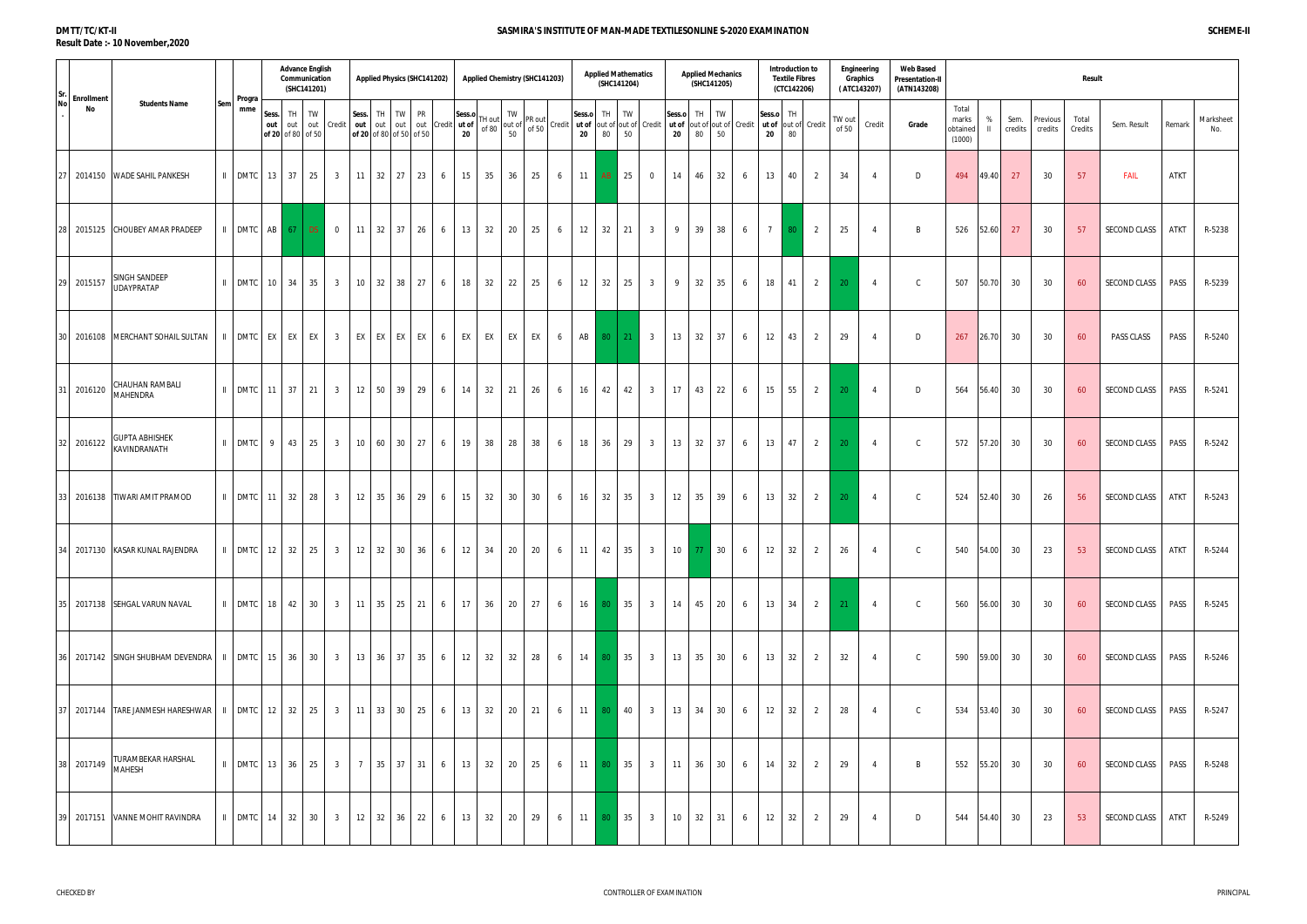### **DMTT/TC/KT-II Result Date :- 10 November,2020**

| Sr.       | <b>Enrollment</b> |                                                                                          | Progra                 |                                          | <b>Advance English</b><br>Communication<br>(SHC141201) |    |                         |                                |                               | <b>Applied Physics (SHC141202)</b>                                                                                          |   |              |               | Applied Chemistry (SHC141203)                                                                                                                                                                                 |    |                                         |              | <b>Applied Mathematics</b><br>(SHC141204) |    |                 |                                            | <b>Applied Mechanics</b><br>(SHC141205) |          |   |                 | Introduction to<br><b>Textile Fibres</b><br>(CTC142206) |                     |                 | Engineering<br>Graphics<br>(ATC143207) | <b>Web Based</b><br><b>Presentation-II</b><br>(ATN143208) |                                      |                    |                 |                     | Result           |                              |             |                  |
|-----------|-------------------|------------------------------------------------------------------------------------------|------------------------|------------------------------------------|--------------------------------------------------------|----|-------------------------|--------------------------------|-------------------------------|-----------------------------------------------------------------------------------------------------------------------------|---|--------------|---------------|---------------------------------------------------------------------------------------------------------------------------------------------------------------------------------------------------------------|----|-----------------------------------------|--------------|-------------------------------------------|----|-----------------|--------------------------------------------|-----------------------------------------|----------|---|-----------------|---------------------------------------------------------|---------------------|-----------------|----------------------------------------|-----------------------------------------------------------|--------------------------------------|--------------------|-----------------|---------------------|------------------|------------------------------|-------------|------------------|
| <b>No</b> | No                | <b>Students Name</b><br>Sem                                                              | mme                    | Sess.<br>out<br>out<br>of 20 of 80 of 50 | TH                                                     | TW | out Credit              | Sess. TH<br>out out            | TW<br>of 20 of 80 of 50 of 50 | <b>PR</b><br>out out Credit ut of                                                                                           |   | Sess.o<br>20 |               | TW<br>$\left  \begin{matrix} \text{TH} & \text{out} \\ \text{out} & \text{out} \end{matrix} \right $ out of $\left  \begin{matrix} \text{F1} & \text{F2} \\ \text{F1} & \text{F2} \end{matrix} \right $<br>50 |    | Credit   ut of  out of  out of   Credit | Sess.o<br>20 | TH TW<br>80                               | 50 |                 | Sess.o<br>ut of out of out of Credit<br>20 | TH<br>80                                | TW<br>50 |   | Sess.o<br>20    | TH<br>80                                                | ut of out of Credit | TW out<br>of 50 | Credit                                 | Grade                                                     | Total<br>marks<br>obtained<br>(1000) | %<br>$\mathbf{II}$ | Sem.<br>credits | Previous<br>credits | Total<br>Credits | Sem. Result                  | Remark      | Marksheet<br>No. |
|           |                   | 2014150 WADE SAHIL PANKESH                                                               | II DMTC                | 13 37                                    |                                                        | 25 | 3 <sup>3</sup>          | $11 \overline{\phantom{0}}32$  | 27                            | 23                                                                                                                          | 6 | 15           | 35            | 36                                                                                                                                                                                                            | 25 | 6                                       | 11           | AB                                        | 25 | $\mathbf 0$     | 14                                         | 46                                      | 32       | 6 | 13              | 40                                                      | 2                   | 34              | $\overline{4}$                         | D                                                         | 494                                  | 49.40              | 27              | 30                  | 57               | <b>FAIL</b>                  | <b>ATKT</b> |                  |
| 28 I      | 2015125           | CHOUBEY AMAR PRADEEP                                                                     | II DMTC                | AB 67                                    |                                                        | DS | $\overline{0}$          | $11 \overline{\phantom{0}} 32$ | 37                            | 26<br>6                                                                                                                     |   | 13           | 32            | 20                                                                                                                                                                                                            | 25 | 6                                       | 12           | 32                                        | 21 | 3 <sup>3</sup>  | 9                                          | 39                                      | 38       | 6 | 7               | 80                                                      | 2                   | 25              | $\overline{4}$                         | B                                                         | 526                                  | $52.60$            | 27              | 30                  | 57               | SECOND CLASS                 | ATKT        | R-5238           |
| 29        | 2015157           | SINGH SANDEEP<br>$\mathbf{H}$<br><b>UDAYPRATAP</b>                                       | <b>DMTC</b>            | 10 34                                    |                                                        | 35 | 3 <sup>3</sup>          | 10 32                          | 38                            | 27                                                                                                                          | 6 | 18           | 32            | 22                                                                                                                                                                                                            | 25 | 6                                       | 12           | 32                                        | 25 | $3\overline{3}$ | 9                                          | 32                                      | 35       | 6 | 18              | 41                                                      | $\overline{2}$      | 20              | $\overline{4}$                         | $\mathsf{C}$                                              | 507                                  | 50.70              | 30              | 30                  | 60               | SECOND CLASS                 | PASS        | R-5239           |
|           |                   | 30 2016108 MERCHANT SOHAIL SULTAN<br>$\mathbf{H}$                                        |                        | DMTC EX EX                               |                                                        | EX | $\overline{\mathbf{3}}$ | EX EX                          | EX                            | EX<br>6                                                                                                                     |   | EX           | EX            | EX                                                                                                                                                                                                            | EX | 6                                       | AB           | 80                                        | 21 | $\overline{3}$  | 13                                         | 32                                      | 37       | 6 | 12              | 43                                                      |                     | 29              | $\overline{4}$                         | D                                                         | 267                                  | 26.70              | 30              | 30                  | 60               | PASS CLASS                   | PASS        | R-5240           |
|           | 31 2016120        | CHAUHAN RAMBALI<br>MAHENDRA                                                              | II DMTC                | $11 \overline{\smash{\big)}\ 37}$        |                                                        | 21 | 3 <sup>3</sup>          | $12 \mid 50$                   | 39                            | 29                                                                                                                          | 6 | 14           | 32            | 21                                                                                                                                                                                                            | 26 | 6                                       | 16           | 42                                        | 42 | $\overline{3}$  | 17                                         | 43                                      | 22       | 6 | 15              | 55                                                      | $\overline{2}$      | 20              | $\overline{4}$                         | D                                                         | 564                                  | 56.40              | 30              | 30                  | 60               | SECOND CLASS                 | PASS        | R-5241           |
|           | 32 2016122        | <b>GUPTA ABHISHEK</b><br>KAVINDRANATH                                                    | II DMTC                | 9 <sup>1</sup>                           | 43                                                     | 25 | 3 <sup>3</sup>          | 10 60                          | 30 <sup>°</sup>               | 27                                                                                                                          | 6 | 19           | 38            | 28                                                                                                                                                                                                            | 38 | 6                                       | 18           | 36                                        | 29 | $\overline{3}$  | 13                                         | 32                                      | 37       | 6 | 13              | 47                                                      | $\overline{2}$      | 20              | $\overline{4}$                         | $\mathsf{C}$                                              | 572                                  | 57.20              | 30              | 30                  | 60               | SECOND CLASS                 | PASS        | R-5242           |
|           |                   | 33 2016138 TIWARI AMIT PRAMOD                                                            | $\parallel$ DMTC 11 32 |                                          |                                                        | 28 | $\overline{\mathbf{3}}$ |                                | 12 35 36                      | 29<br>6                                                                                                                     |   | 15           | 32            | 30                                                                                                                                                                                                            | 30 | 6                                       | 16           | 32                                        | 35 | 3 <sup>3</sup>  | 12                                         | 35                                      | 39       | 6 | 13              | 32                                                      | $\overline{2}$      | 20              | $\overline{4}$                         | $\mathsf{C}$                                              | 524                                  | 52.40              | 30              | 26                  | 56               | SECOND CLASS                 | <b>ATKT</b> | R-5243           |
|           |                   | 34 2017130 KASAR KUNAL RAJENDRA                                                          |                        |                                          |                                                        |    |                         |                                |                               | DMTC   12   32   25   3   12   32   30   36   6   12   34   20   20   6   11   42   35   3   10   77   30   6   12   32   2 |   |              |               |                                                                                                                                                                                                               |    |                                         |              |                                           |    |                 |                                            |                                         |          |   |                 |                                                         |                     | 26              | $\overline{4}$                         | $\mathsf{C}$                                              |                                      |                    | 540 54.00 30    | 23                  | 53               | SECOND CLASS   ATKT   R-5244 |             |                  |
|           |                   | 35 2017138 SEHGAL VARUN NAVAL                                                            |                        |                                          |                                                        |    |                         |                                |                               | ILDMTC 18 42 30 3 11 35 25 21 6                                                                                             |   | 17           | 36 20         |                                                                                                                                                                                                               | 27 | 6                                       |              |                                           |    | 16 80 35 3      | 14 45 20                                   |                                         |          | 6 |                 | 13 34                                                   | 2                   | $-21$           | $\overline{4}$                         | $\mathsf{C}$                                              | 560                                  | 56.00 30           |                 | 30                  | 60               | SECOND CLASS                 | PASS        | R-5245           |
|           |                   | 36 2017142 SINGH SHUBHAM DEVENDRA   II   DMTC   15   36   30   3   13   36   37   35   6 |                        |                                          |                                                        |    |                         |                                |                               |                                                                                                                             |   | 12           | 32 32         |                                                                                                                                                                                                               | 28 | 6                                       |              |                                           |    | 14 80 35 3      |                                            | 13 35 30                                |          | 6 |                 | $13 \mid 32 \mid$                                       | 2                   | 32              | $\overline{4}$                         | $\mathsf{C}$                                              |                                      | 590 59.00 30       |                 | 30                  | 60               | SECOND CLASS                 | PASS        | R-5246           |
|           |                   | 37 2017144 TARE JANMESH HARESHWAR   II   DMTC   12   32   25   3   11   33   30   25   6 |                        |                                          |                                                        |    |                         |                                |                               |                                                                                                                             |   |              | 13 32 20      |                                                                                                                                                                                                               | 21 | 6                                       |              |                                           |    | 11 80 40 3      |                                            | 13 34 30                                |          | 6 |                 | $12 \mid 32 \mid$                                       | 2                   | 28              | $\overline{4}$                         | $\mathsf{C}$                                              | 534 53.40 30                         |                    |                 | 30                  | 60               | SECOND CLASS                 | PASS        | R-5247           |
|           | 38 2017149        | TURAMBEKAR HARSHAL<br>MAHESH                                                             | $\parallel$ DMTC 13 36 |                                          |                                                        |    | $25 \quad 3$            |                                |                               | 7 35 37 31 6                                                                                                                |   | 13           | $32 \quad 20$ |                                                                                                                                                                                                               | 25 | 6                                       |              |                                           |    | 11 80 35 3      | $11 \mid 36 \mid$                          |                                         | 30       | 6 |                 | $14 \mid 32 \mid$                                       | 2                   | 29              | $\overline{4}$                         | B                                                         | 552 55.20 30                         |                    |                 | 30                  | -60              | SECOND CLASS                 | PASS        | R-5248           |
|           |                   | 39 2017151 VANNE MOHIT RAVINDRA                                                          | $\parallel$ DMTC 14 32 |                                          |                                                        |    | $30 \mid 3 \mid$        |                                |                               | $12 \mid 32 \mid 36 \mid 22 \mid 6$                                                                                         |   | 13           | 32            | 20                                                                                                                                                                                                            | 29 | 6                                       | 11 80 35 3   |                                           |    |                 | $10 \quad 32$                              |                                         | 31       | 6 | 12 <sup>1</sup> | 32                                                      | 2                   | 29              | $\overline{4}$                         | D                                                         |                                      | 544 54.40 30       |                 | 23                  | 53               | SECOND CLASS                 | ATKT        | R-5249           |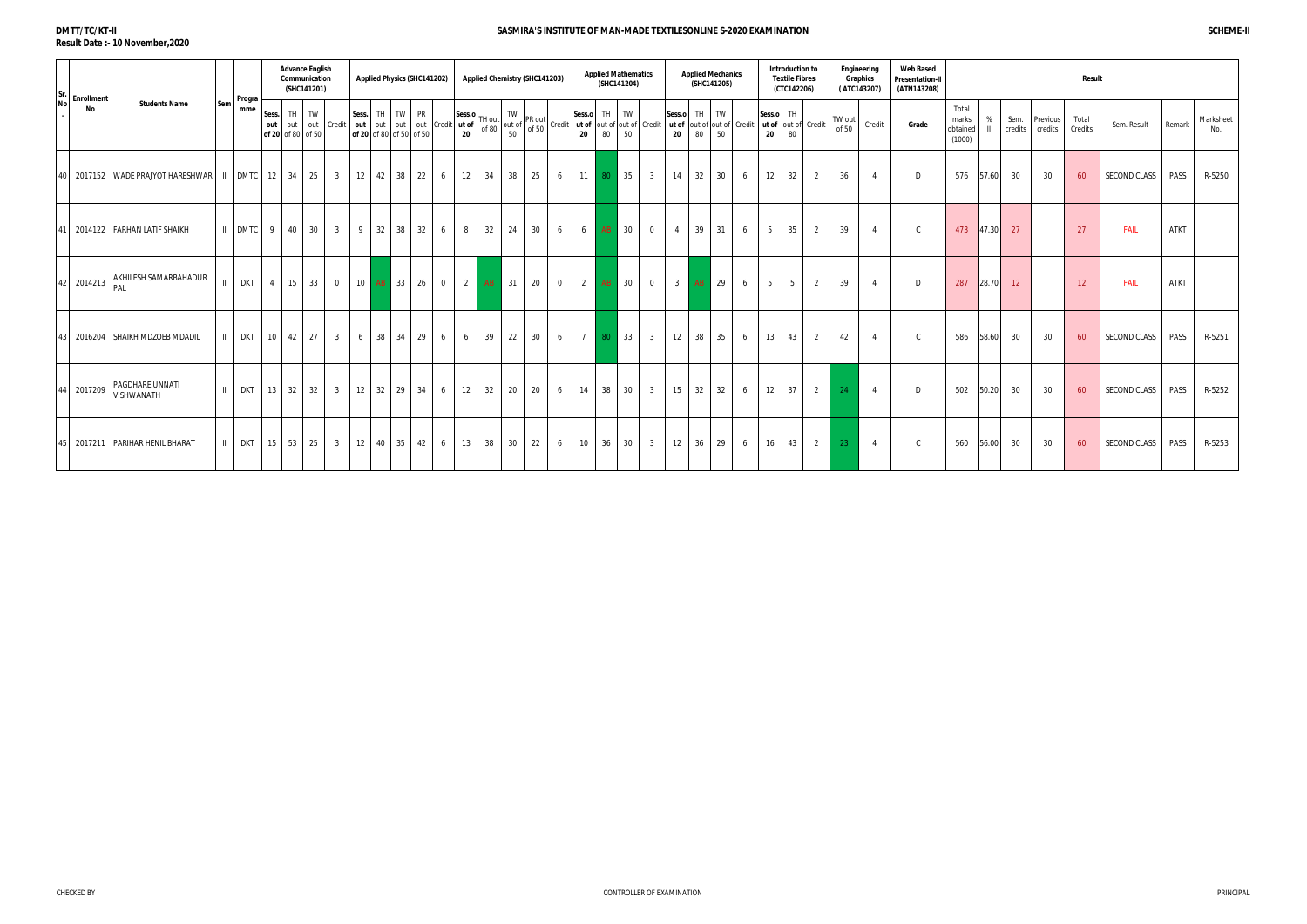#### **Web Based Presentation-II (ATN143208) Sess. out of 20** of 80 of 50 TH out TW out Credit **Sess. out of 20** of 80 of 50 of 50 TH out TW out out Credit PR **Sess.o ut of**  TH out **20** of 80 TW out of PR out<br>Form of 50 Credit 50 **Sess.o** ut of out of out of Credit **20** TH 80 TW 50 **Sess.o** ut of out of out of Credit **20** TH 80 TW 50 **Sess.o ut of 20** TH  $\begin{array}{c} 0.76 \\ \text{out of } \end{array}$  Credit  $\begin{array}{c} 0.77 \\ \text{in } \mathbb{R} \end{array}$ 80 TW out **Credit Grade** Total marks obtained (1000) **Sr. No . Enrollment No Students Name Sem Progra mme Advance English Communication (SHC141201) Applied Physics (SHC141202) Applied Chemistry (SHC141203) Applied Mathematics (SHC141204) Engineering Graphics ( ATC143207) Applied Mechanics (SHC141205) Introduction to Textile Fibres (CTC142206)** 40 2017152 WADE PRAJYOT HARESHWAR II DMTC 12 34 25 3 12 42 38 22 6 12 34 38 25 6 11 80 35 3 14 32 30 6 12 32 2 36 4 D 576 57.60 30 30 60 SECOND CLASS PASS R-5250 2014122 FARHANLATIF SHAIKH |II DMTC 9 40 30 3 9 32 38 32 6 8 32 24 30 6 6 8 30 0 4 39 31 6 5 35 2 39 4 C 473 47. 42 2014213 AKHILESH SAMARBAHADUR PAL II DKT 4 15 33 0 10 <mark>AB 33 26 0 2 AB 31 20 0 2 AB 30 0 3 AB 29 6 5 5 2 39 4 D 287 28.70 12 12 FAIL ATKT</mark> 43 2016204 SHAIKH MDZOEB MDADIL | II | DKT | 10 | 42 | 27 | 3 | 6 | 38 | 34 | 29 | 6 | 39 | 22 | 30 | 6 | 7 <mark>80 |</mark> 33 | 3 | 12 | 38 | 35 | 6 | 13 | 43 | 2 | 42 | 4 | C | 586 |58. 4 2017209 PAGDHARE UNNATI VISHWANATH II DKT <sup>13</sup> <sup>32</sup> <sup>32</sup> <sup>3</sup> <sup>12</sup> <sup>32</sup> <sup>29</sup> <sup>34</sup> <sup>6</sup> <sup>12</sup> <sup>32</sup> <sup>20</sup> <sup>20</sup> <sup>6</sup> <sup>14</sup> <sup>38</sup> <sup>30</sup> <sup>3</sup> <sup>15</sup> <sup>32</sup> <sup>32</sup> <sup>6</sup> <sup>12</sup> <sup>37</sup> <sup>2</sup> <sup>24</sup> <sup>4</sup> <sup>D</sup> <sup>502</sup> 50.20 <sup>30</sup> <sup>30</sup> <sup>60</sup> SECOND CLASS PASS R-5252 45|2017211 |PARIHAR HENIL BHARAT | || DKT | 15 | 53 | 25 | 3 | 12 | 40 | 35 | 42 | 6 | 13 | 38 | 30 | 22 | 6 | 10 | 36 | 30 | 30 | 30 | 30 | 30 | 56.00 30 | 30 | 30 | SECOND CLASS | PASS | R-5253

|        |                 |                     | <b>Result</b>    |                     |             |                  |
|--------|-----------------|---------------------|------------------|---------------------|-------------|------------------|
| %<br>Ш | Sem.<br>credits | Previous<br>credits | Total<br>Credits | Sem. Result         | Remark      | Marksheet<br>No. |
| .60    | 30              | 30                  | 60               | <b>SECOND CLASS</b> | PASS        | R-5250           |
| .30    | 27              |                     | 27               | FAIL                | <b>ATKT</b> |                  |
| 3.70   | 12              |                     | 12               | <b>FAIL</b>         | <b>ATKT</b> |                  |
| 3.60   | 30              | 30                  | 60               | <b>SECOND CLASS</b> | PASS        | R-5251           |
| .20    | 30              | 30                  | 60               | SECOND CLASS        | PASS        | R-5252           |
| 00.6   | 30              | 30                  | 60               | SECOND CLASS        | PASS        | R-5253           |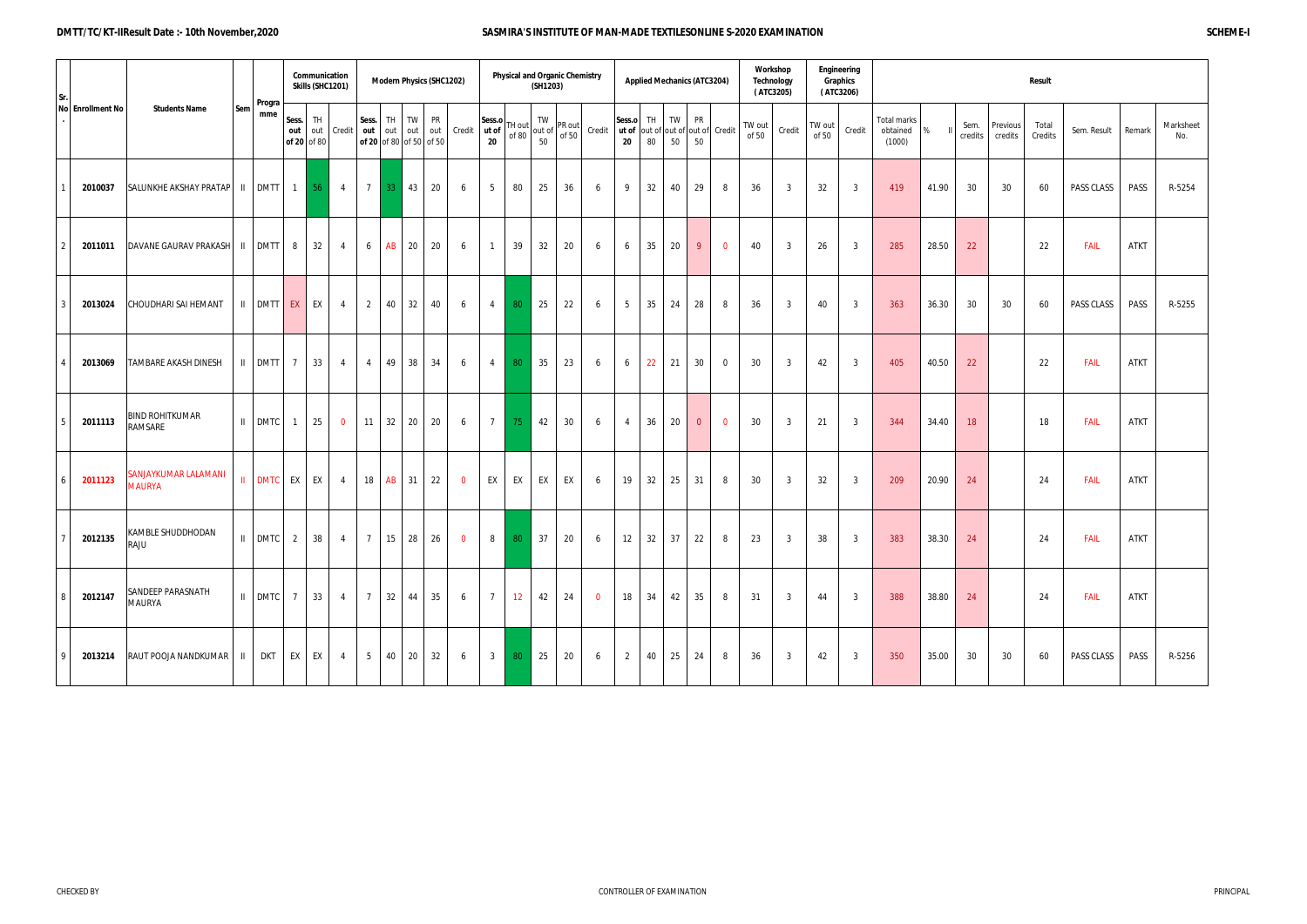#### **DMTT/TC/KT-IIResult Date :- 10th November,2020 SASMIRA'S INSTITUTE OF MAN-MADE TEXTILESONLINE S-2020 EXAMINATION SCHEME-I**

| Sr.           |                  |                                       |             | Progra            |                | Communication<br>Skills (SHC1201) |                |                                         |           |                      | <b>Modern Physics (SHC1202)</b> |                |                       |                 | (SH1203)           | <b>Physical and Organic Chemistry</b> |                |                                                   |          | <b>Applied Mechanics (ATC3204)</b> |                 |                | <b>Technology</b><br>(ATC3205) | Workshop     |                 | Engineering<br>Graphics<br>(ATC3206) |                                          |       | Result          |                     |                  |             |             |                  |  |  |  |  |  |  |
|---------------|------------------|---------------------------------------|-------------|-------------------|----------------|-----------------------------------|----------------|-----------------------------------------|-----------|----------------------|---------------------------------|----------------|-----------------------|-----------------|--------------------|---------------------------------------|----------------|---------------------------------------------------|----------|------------------------------------|-----------------|----------------|--------------------------------|--------------|-----------------|--------------------------------------|------------------------------------------|-------|-----------------|---------------------|------------------|-------------|-------------|------------------|--|--|--|--|--|--|
|               | No Enrollment No | <b>Students Name</b>                  | Sem         | mme               | Sess.<br>out   | TH<br>of 20 of 80                 | out Credit     | Sess.<br>out<br>of 20 of 80 of 50 of 50 | TH I      | TW PR<br>out out out |                                 | Credit         | Sess.o<br>ut of<br>20 | TH out<br>of 80 | TW<br>out of<br>50 | PR out<br>of 50                       | Credit         | Sess.o<br>ut of out of out of out of Credit<br>20 | TH<br>80 | TW<br>50                           | <b>PR</b><br>50 |                | TW out<br>of 50                | Credit       | TW out<br>of 50 | Credit                               | <b>Total marks</b><br>obtained<br>(1000) | %     | Sem.<br>credits | Previous<br>credits | Total<br>Credits | Sem. Result | Remark      | Marksheet<br>No. |  |  |  |  |  |  |
|               | 2010037          | $SALUNKHE AKSHAY PRATAP$ II DMTT 1 56 |             |                   |                |                                   | 4              | $7\overline{ }$                         | <b>33</b> | 43                   | 20                              | 6              | 5                     | 80              | 25                 | 36                                    | 6              | 9                                                 | 32       | 40                                 | 29              | 8              | 36                             | 3            | 32              | $\overline{3}$                       | 419                                      | 41.90 | 30              | 30                  | 60               | PASS CLASS  | PASS        | R-5254           |  |  |  |  |  |  |
| $\mathcal{P}$ | 2011011          | DAVANE GAURAV PRAKASH   II   DMTT     |             |                   | 8              | 32                                | 4              | 6                                       | AB        | 20                   | 20                              | 6              | $\mathbf{1}$          | 39              | 32                 | 20                                    | 6              | 6                                                 | 35       | 20                                 | 9               | $\mathbf 0$    | 40                             | 3            | 26              | $\overline{3}$                       | 285                                      | 28.50 | 22              |                     | 22               | <b>FAIL</b> | <b>ATKT</b> |                  |  |  |  |  |  |  |
| 3             | 2013024          | CHOUDHARI SAI HEMANT                  |             | II DMTT EX        |                | EX                                | $\overline{4}$ | $\overline{2}$                          | 40        | 32                   | 40                              | 6              | $\overline{4}$        | 80              | 25                 | 22                                    | 6              | 5                                                 | 35       | 24                                 | 28              | 8              | 36                             | 3            | 40              | $\overline{3}$                       | 363                                      | 36.30 | 30              | 30                  | 60               | PASS CLASS  | PASS        | R-5255           |  |  |  |  |  |  |
|               | 2013069          | TAMBARE AKASH DINESH                  |             | II DMTT           | $\overline{7}$ | 33                                | $\overline{4}$ | $\overline{4}$                          | 49        | 38                   | 34                              | 6              | $\overline{4}$        | 80              | 35                 | 23                                    | 6              | 6                                                 | 22       | 21                                 | 30              | $\overline{0}$ | 30                             | 3            | 42              | $\overline{3}$                       | 405                                      | 40.50 | 22              |                     | 22               | <b>FAIL</b> | <b>ATKT</b> |                  |  |  |  |  |  |  |
| 5             | 2011113          | <b>BIND ROHITKUMAR</b><br>RAMSARE     |             | II DMTC           | $\overline{1}$ | 25                                | $\mathbf 0$    | 11                                      | 32        | 20                   | 20                              | 6              | $\overline{7}$        | 75              | 42                 | 30                                    | 6              | 4                                                 | 36       | 20                                 | $\overline{0}$  | $\mathbf 0$    | 30                             | 3            | 21              | $\overline{3}$                       | 344                                      | 34.40 | 18              |                     | 18               | FAIL        | ATKT        |                  |  |  |  |  |  |  |
| 6             | 2011123          | SANJAYKUMAR LALAMANI<br><b>MAURYA</b> |             | <b>II</b> DMTC EX |                | EX                                | 4              | 18                                      | AB        | 31                   | 22                              | $\overline{0}$ | EX                    | EX              | EX                 | EX                                    | 6              | 19                                                | 32       | 25                                 | 31              | 8              | 30                             | $\mathbf{3}$ | 32              | $\overline{3}$                       | 209                                      | 20.90 | 24              |                     | 24               | <b>FAIL</b> | ATKT        |                  |  |  |  |  |  |  |
|               | 2012135          | KAMBLE SHUDDHODAN<br>RAJU             |             | II DMTC 2         |                | 38                                | $\overline{4}$ | $7\overline{ }$                         | 15        | 28                   | 26                              | $\overline{0}$ | 8                     | 80              | 37                 | 20                                    | 6              | 12                                                | 32       | 37                                 | 22              | 8              | 23                             | $\mathbf{3}$ | 38              | $\overline{3}$                       | 383                                      | 38.30 | 24              |                     | 24               | FAIL        | ATKT        |                  |  |  |  |  |  |  |
| 8             | 2012147          | SANDEEP PARASNATH<br><b>MAURYA</b>    |             | II DMTC 7         |                | 33                                | 4              | $7\overline{ }$                         |           | $32 \mid 44 \mid 35$ |                                 | 6              | $\overline{7}$        | 12              | 42                 | 24                                    | $\overline{0}$ | 18                                                | 34       | 42                                 | 35              | 8              | 31                             | $\mathbf{3}$ | 44              | $\overline{3}$                       | 388                                      | 38.80 | 24              |                     | 24               | <b>FAIL</b> | <b>ATKT</b> |                  |  |  |  |  |  |  |
| Q             | 2013214          | RAUT POOJA NANDKUMAR                  | $\parallel$ | <b>DKT</b>        | EX             | EX                                | $\overline{4}$ | 5 <sub>5</sub>                          |           | 40 20 32             |                                 | 6              | $\overline{3}$        | 80              | 25                 | 20                                    | 6              | $\mathbf{2}$                                      | 40       | 25                                 | 24              | 8              | 36                             | $\mathbf{3}$ | 42              | $\overline{3}$                       | 350                                      | 35.00 | 30              | 30                  | 60               | PASS CLASS  | PASS        | R-5256           |  |  |  |  |  |  |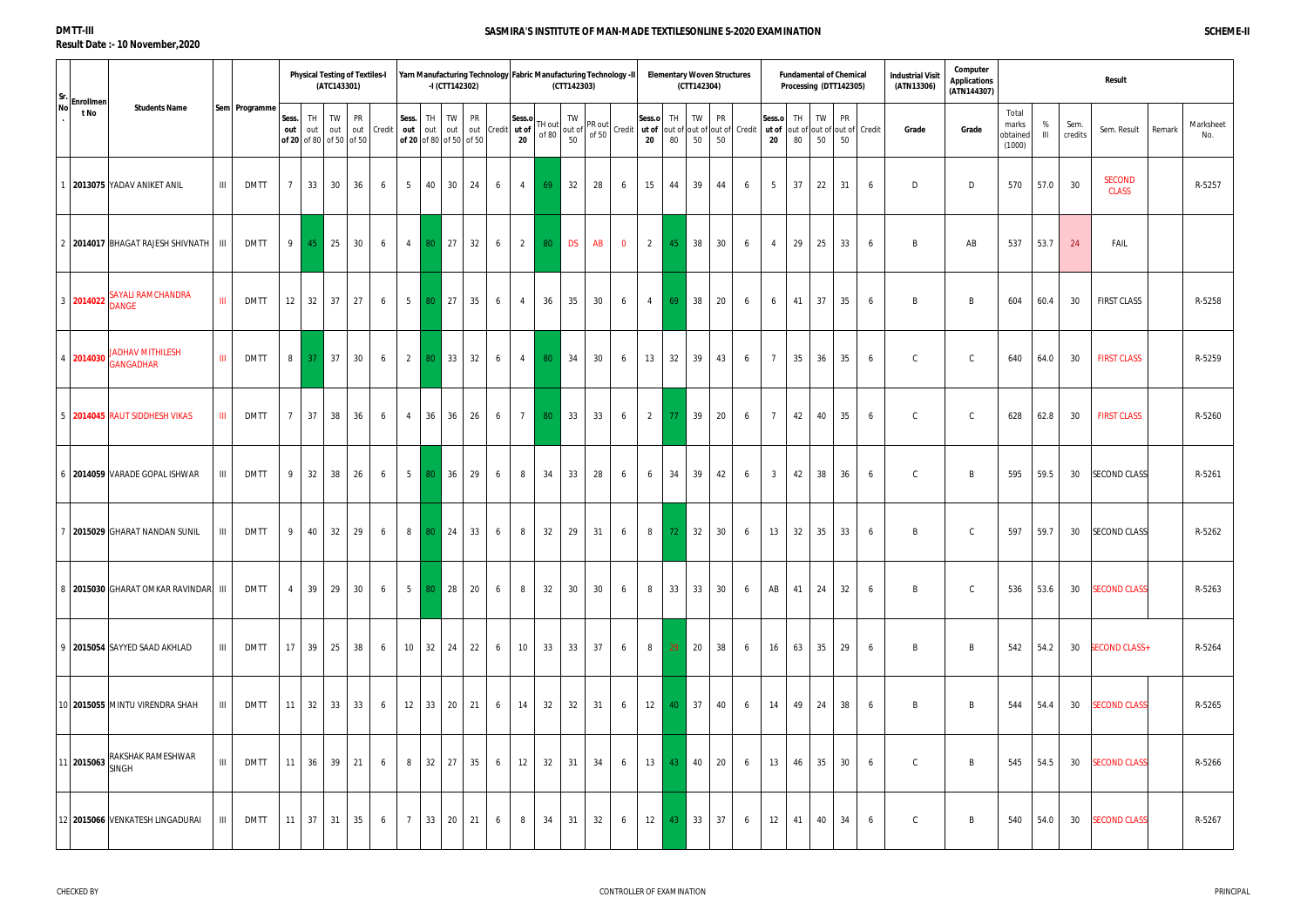| Sr. Enrollmen                                              |                                                   |                |                                      | (ATC143301) | <b>Physical Testing of Textiles-I</b> |        |                           |                       | Yarn Manufacturing Technology Fabric Manufacturing Technology -II<br>-I (CTT142302) |            |                       |                 | (CTT142303) |        |                |                |     | <b>Elementary Woven Structures</b><br>(CTT142304) |        |                                                                                                                                                                                                                                                                                               |                       | <b>Fundamental of Chemical</b><br>Processing (DTT142305) |          |          |   | <b>Industrial Visit</b><br>(ATN13306) | Computer<br><b>Applications</b><br>(ATN144307) |                                      |                     |                 | <b>Result</b>                 |                            |
|------------------------------------------------------------|---------------------------------------------------|----------------|--------------------------------------|-------------|---------------------------------------|--------|---------------------------|-----------------------|-------------------------------------------------------------------------------------|------------|-----------------------|-----------------|-------------|--------|----------------|----------------|-----|---------------------------------------------------|--------|-----------------------------------------------------------------------------------------------------------------------------------------------------------------------------------------------------------------------------------------------------------------------------------------------|-----------------------|----------------------------------------------------------|----------|----------|---|---------------------------------------|------------------------------------------------|--------------------------------------|---------------------|-----------------|-------------------------------|----------------------------|
| <b>Students Name</b><br>t No                               | Sem Programme                                     | Sess.<br>out   | TH<br>out<br>of 20 of 80 of 50 of 50 | TW<br>out   | PR<br>out                             | Credit | Sess.<br>out              | TH<br>out out         | <b>TW</b><br><b>PR</b><br>of 20 of 80 of 50 of 50                                   | out Credit | Sess.o<br>ut of<br>20 | TH out<br>of 80 | TW          | PR out |                | Sess.o         | TH. | TW                                                | PR     | $\begin{bmatrix}$ out of $\begin{bmatrix} 6 & 1 \ 0 & 50 \end{bmatrix}$ of 50 $\begin{bmatrix} 1 & 0 \ 0 & 1 \end{bmatrix}$ credit $\begin{bmatrix} 1 & 0 \ 0 & 20 \end{bmatrix}$ and $\begin{bmatrix} 0 & 1 \ 0 & 50 \end{bmatrix}$ 50 $\begin{bmatrix} 1 & 0 \ 0 & 50 \end{bmatrix}$ credit | Sess.o<br>ut of<br>20 | TH<br>out of out of out of Credit<br>80                  | TW<br>50 | PR<br>50 |   | Grade                                 | Grade                                          | Total<br>marks<br>obtained<br>(1000) | %<br>$\mathbf{III}$ | Sem.<br>credits | Sem. Result                   | Marksheet<br>Remark<br>No. |
| 2013075 YADAV ANIKET ANIL                                  | Ш<br><b>DMTT</b>                                  | $7^{\circ}$    | 33                                   | 30          | 36                                    | 6      | 5 <sup>5</sup>            | 40 30                 | 24                                                                                  | 6          | $\overline{4}$        | 69              | 32          | 28     | 6              | 15             | 44  | 39                                                | 44     | 6                                                                                                                                                                                                                                                                                             | 5                     | 37                                                       | 22       | 31       | 6 | D                                     | D                                              | 570                                  | 57.0                | 30              | <b>SECOND</b><br><b>CLASS</b> | R-5257                     |
| 2014017 BHAGAT RAJESH SHIVNATH   III                       | <b>DMTT</b>                                       | 9              | $45$ 25                              |             | 30                                    | 6      | $\overline{4}$            | $\vert$ 27<br>80      | 32                                                                                  | 6          | $\overline{2}$        | 80              | <b>DS</b>   | AB     | $\overline{0}$ | $\overline{2}$ | 45  | 38                                                | $30\,$ | 6                                                                                                                                                                                                                                                                                             | $\overline{4}$        | 29                                                       | 25       | 33       | 6 | B                                     | AB                                             | 537                                  | 53.7                | 24              | FAIL                          |                            |
| SAYALI RAMCHANDRA<br>3 2014022<br><b>DANGE</b>             | $\mathbf{III}$<br><b>DMTT</b>                     | 12             | 32 37                                |             | 27                                    | 6      | 5 <sup>5</sup>            | 27<br>-80             | 35                                                                                  | 6          | $\overline{4}$        | 36              | 35          | 30     | 6              | $\overline{4}$ | 69  | 38                                                | 20     | 6                                                                                                                                                                                                                                                                                             | 6                     | 41                                                       | 37       | 35       | 6 | B                                     | B                                              | 604                                  | 60.4                | 30              | <b>FIRST CLASS</b>            | R-5258                     |
| <b>JADHAV MITHILESH</b><br>$\frac{4}{3}$ 2014030 GANGADHAR | Ш.<br><b>DMTT</b>                                 | 8 <sup>1</sup> | 37                                   | 37          | 30                                    | 6      | 2                         | 80 33                 | 32                                                                                  | 6          | $\overline{4}$        | 80              | 34          | 30     | 6              | 13             | 32  | 39                                                | 43     | 6                                                                                                                                                                                                                                                                                             | $\overline{7}$        | 35                                                       | 36       | 35       | 6 | ${\mathbb C}$                         | $\mathsf{C}$                                   | 640                                  | 64.0                | 30              | <b>FIRST CLASS</b>            | R-5259                     |
| 5 2014045 RAUT SIDDHESH VIKAS                              | Ш<br><b>DMTT</b>                                  | $\overline{7}$ | 37                                   | 38          | 36                                    | 6      | $\overline{4}$            | 36<br>36              | 26                                                                                  | 6          | $\overline{7}$        | 80              | 33          | 33     | 6              | $\overline{2}$ | 77  | 39                                                | 20     | 6                                                                                                                                                                                                                                                                                             | $\overline{7}$        | 42                                                       | 40       | 35       | 6 | $\mathsf{C}$                          | $\mathsf{C}$                                   | 628                                  | 62.8                | 30              | <b>FIRST CLASS</b>            | R-5260                     |
| 6 2014059 VARADE GOPAL ISHWAR                              | <b>DMTT</b><br>Ш                                  | 9              | 32                                   | 38          | 26                                    | 6      | 5 <sup>1</sup>            | 36<br>-80             | 29                                                                                  | 6          | 8                     | 34              | 33          | 28     | 6              | 6              | 34  | 39                                                | 42     | 6                                                                                                                                                                                                                                                                                             | $\mathbf{3}$          | 42                                                       | 38       | 36       | 6 | $\mathsf{C}$                          | B                                              | 595                                  | 59.5                | 30              | <b>SECOND CLASS</b>           | R-5261                     |
| 2015029 GHARAT NANDAN SUNIL                                | <b>DMTT</b><br>Ш                                  | 9              | 40                                   | 32          | 29                                    | 6      | 8                         | 24<br>-80             | 33                                                                                  | 6          | 8                     | 32              | 29          | 31     | 6              | 8              | 72  | 32                                                | $30\,$ | 6                                                                                                                                                                                                                                                                                             | 13                    | 32                                                       | 35       | 33       | 6 | B                                     | $\mathsf{C}$                                   | 597                                  | 59.7                | 30              | <b>SECOND CLASS</b>           | R-5262                     |
| 8 2015030 GHARAT OMKAR RAVINDAR III                        | <b>DMTT</b>                                       | $4 \square$    | 39 29                                |             | 30                                    | 6      | $5-1$                     | 28<br>80 <sub>1</sub> | 20                                                                                  | 6          | 8                     | 32              | 30          | 30     | 6              | 8              | 33  | 33                                                | 30     | 6                                                                                                                                                                                                                                                                                             | AB                    | 41                                                       | 24       | 32       | 6 | B                                     | $\mathsf{C}$                                   | 536                                  | 53.6                | 30              | <b>SECOND CLASS</b>           | R-5263                     |
| 9   2015054 SAYYED SAAD AKHLAD                             | Ш<br>dmtt                                         |                | 17 39 25                             |             | 38                                    | 6      | $10 \mid 32 \mid 24 \mid$ |                       | 22                                                                                  | 6          | 10                    | 33              | 33          | 37     | 6              | 8              | 29  | 20                                                | 38     | 6                                                                                                                                                                                                                                                                                             | 16                    | 63                                                       | 35       | -29      | 6 | B                                     | B                                              | 542                                  | 54.2                | 30              | <b>SECOND CLASS+</b>          | R-5264                     |
| 10 2015055 MINTU VIRENDRA SHAH                             | Ш<br>DMTT                                         |                | $11 \mid 32 \mid 33 \mid 33 \mid$    |             |                                       | 6      |                           |                       | $12 \mid 33 \mid 20 \mid 21$                                                        | 6          | 14                    | 32              | 32          | 31     | 6              | 12             |     | 40 37                                             | 40     | 6                                                                                                                                                                                                                                                                                             | 14                    | 49                                                       | 24       | 38       | 6 | B                                     | B                                              | 544                                  | 54.4                | 30              | <b>SECOND CLASS</b>           | R-5265                     |
| RAKSHAK RAMESHWAR<br>$111$ 2015063 SINGH                   | $\ensuremath{\mathsf{III}}\xspace$<br><b>DMTT</b> |                | $11 \mid 36 \mid 39 \mid 21 \mid$    |             |                                       | 6      |                           |                       | 8 32 27 35                                                                          | 6          | 12                    | 32              | 31          | 34     | 6              | 13             |     | 43 40                                             | 20     | 6                                                                                                                                                                                                                                                                                             | 13                    | 46                                                       | 35       | 30       | 6 | $\mathsf{C}$                          | B                                              | 545                                  | 54.5                | 30              | <b>SECOND CLASS</b>           | R-5266                     |
| 12 2015066 VENKATESH LINGADURAI                            | Ш<br>DMTT                                         |                | $11 \quad 37 \quad 31$               |             | 35                                    | 6      | 7                         |                       | 33 20 21                                                                            | 6          | 8                     | 34              | 31          | 32     | 6              | 12             | 43  | 33                                                | 37     | 6                                                                                                                                                                                                                                                                                             | 12                    | 41                                                       | 40       | 34       | 6 | C                                     | B                                              | 540                                  | 54.0                | 30              | <b>SECOND CLASS</b>           | R-5267                     |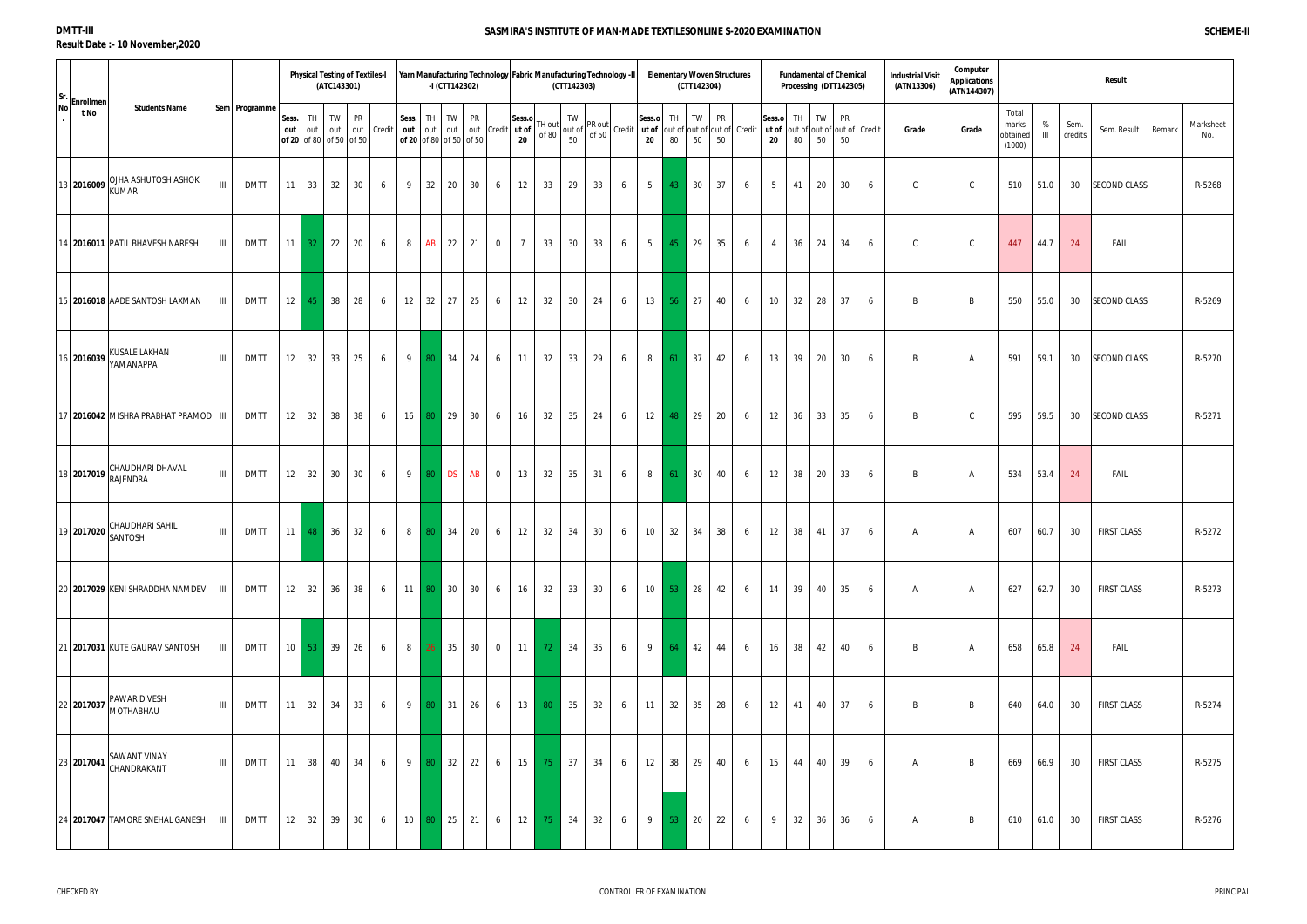| Sr.       |                   |                                                               |                    |               |                 |                  | <b>Physical Testing of Textiles-I</b><br>(ATC143301) |            |              |   | -I (CTT142302)                              |           |                  |                | Yarn Manufacturing Technology   Fabric Manufacturing Technology -II | (CTT142303) |    |   |                                                                                                                                                                                                  |                 | <b>Elementary Woven Structures</b><br>(CTT142304) |                 |                                     |                |          | <b>Fundamental of Chemical</b><br>Processing (DTT142305) |          |                             | <b>Industrial Visit</b><br>(ATN13306) | Computer<br><b>Applications</b><br>(ATN144307) |                                      |                     |                 | Result              |        |                  |
|-----------|-------------------|---------------------------------------------------------------|--------------------|---------------|-----------------|------------------|------------------------------------------------------|------------|--------------|---|---------------------------------------------|-----------|------------------|----------------|---------------------------------------------------------------------|-------------|----|---|--------------------------------------------------------------------------------------------------------------------------------------------------------------------------------------------------|-----------------|---------------------------------------------------|-----------------|-------------------------------------|----------------|----------|----------------------------------------------------------|----------|-----------------------------|---------------------------------------|------------------------------------------------|--------------------------------------|---------------------|-----------------|---------------------|--------|------------------|
| <b>No</b> | Enrollmen<br>t No | <b>Students Name</b>                                          |                    | Sem Programme | Sess.<br>out    | <b>TH</b><br>out | <b>PR</b><br>TW<br>out<br>of 20 of 80 of 50 of 50    | out Credit | Sess.<br>out |   | TH TW<br>out out<br>of 20 of 80 of 50 of 50 | <b>PR</b> | out Credit ut of | Sess.o<br>20   | TH out<br>of 80                                                     |             |    |   | out of $\begin{vmatrix} 1 & 0 \\ 0 & 1 \end{vmatrix}$ out of $\begin{vmatrix} 1 & 0 \\ 0 & 1 \end{vmatrix}$ credit $\begin{vmatrix} \text{Sess.t.} \\ \text{ut of } \\ \text{st.} \end{vmatrix}$ | TH<br>80        | TW<br>50                                          | <b>PR</b><br>50 | out of out of out of Credit   ut of | Sess.o<br>20   | TH<br>80 | TW<br>50                                                 | PR<br>50 | out of out of out of Credit | Grade                                 | Grade                                          | Total<br>marks<br>obtained<br>(1000) | %<br>$\mathbf{III}$ | Sem.<br>credits | Sem. Result         | Remark | Marksheet<br>No. |
|           |                   | OJHA ASHUTOSH ASHOK<br>13 2016009 KUMAR                       | $\mathbf{III}$     | <b>DMTT</b>   | 11              | 33               | 32<br>30                                             |            | 9<br>6       |   | 32 20                                       | 30        | 6                | 12             | 33                                                                  | 29          | 33 | 6 | $5\overline{)}$                                                                                                                                                                                  | 43              | 30                                                | 37              | 6                                   | 5              | 41       | 20                                                       | 30       | 6                           | $\mathsf{C}$                          | $\mathsf{C}$                                   | 510                                  | 51.0                | 30              | <b>SECOND CLASS</b> |        | R-5268           |
|           |                   | 14 2016011 PATIL BHAVESH NARESH                               | $\mathbf{III}$     | <b>DMTT</b>   | 11              | 32 <sub>1</sub>  | 22<br>20                                             |            | 8<br>6       |   | AB<br>22                                    | 21        | $\overline{0}$   | $\overline{7}$ | 33                                                                  | 30          | 33 | 6 | $5\overline{)}$                                                                                                                                                                                  | 45              | 29                                                | 35              | 6                                   | $\overline{4}$ | 36       | 24                                                       | 34       | 6                           | $\mathsf{C}$                          | C                                              | 447                                  | 44.7                | 24              | FAIL                |        |                  |
|           |                   | 15 2016018 AADE SANTOSH LAXMAN                                | Ш                  | DMTT          | 12              | 45               | 38<br>28                                             |            | 12<br>6      |   | $32 \mid 27 \mid$                           | 25        | 6                | 12             | 32                                                                  | 30          | 24 | 6 | 13                                                                                                                                                                                               | -56             | 27                                                | 40              | 6                                   | 10             | 32       | 28                                                       | 37       | 6                           | B                                     | B                                              | 550                                  | 55.0                | 30              | <b>SECOND CLASS</b> |        | R-5269           |
|           |                   | 116 2016039 KUSALE LAKHAN<br>YAMANAPPA                        | $\mathbf{III}$     | <b>DMTT</b>   | 12              | 32               | 33<br>25                                             |            | 9<br>6       |   | 34<br>80                                    | 24        | 6                | 11             | 32                                                                  | 33          | 29 | 6 | 8                                                                                                                                                                                                | -61             | 37                                                | 42              | 6                                   | 13             | 39       | 20                                                       | 30       | 6                           | B                                     | A                                              | 591                                  | 59.1                | 30              | <b>SECOND CLASS</b> |        | R-5270           |
|           |                   | 17 2016042 MISHRA PRABHAT PRAMOD III                          |                    | <b>DMTT</b>   | 12              | 32               | 38<br>38                                             |            | 16<br>6      |   | 29<br>-80                                   | 30        | 6                | 16             | 32                                                                  | 35          | 24 | 6 | 12                                                                                                                                                                                               | 48              | 29                                                | 20              | 6                                   | 12             | 36       | 33                                                       | 35       | 6                           | B                                     | $\mathcal{C}$                                  | 595                                  | 59.5                | 30              | <b>SECOND CLASS</b> |        | R-5271           |
|           |                   | 18 2017019 CHAUDHARI DHAVAL                                   | $\mathbf{III}$     | <b>DMTT</b>   | 12              | 32               | 30<br>30                                             |            | 9<br>6       |   | 80 DS                                       | AB        | $\overline{0}$   | 13             | 32                                                                  | 35          | 31 | 6 | 8                                                                                                                                                                                                | -61             | 30                                                | 40              | 6                                   | 12             | 38       | 20                                                       | 33       | 6                           | B                                     | A                                              | 534                                  | 53.4                | 24              | FAIL                |        |                  |
|           |                   | <b>CHAUDHARI SAHIL</b><br>$\left  19 \right $ 2017020 SANTOSH | $\mathop{\rm III}$ | <b>DMTT</b>   | 11              | 48               | 36<br>32                                             |            | 8<br>6       |   | 80 34                                       | 20        | 6                | 12             | 32                                                                  | 34          | 30 | 6 | 10                                                                                                                                                                                               |                 | $32 \mid 34$                                      | 38              | 6                                   | 12             | 38       | 41                                                       | 37       | 6                           | A                                     | A                                              | 607                                  | 60.7                | 30              | <b>FIRST CLASS</b>  |        | R-5272           |
|           |                   | 20 2017029 KENI SHRADDHA NAMDEV                               | $\mathbf{III}$     | <b>DMTT</b>   | 12              | 32 36            | 38                                                   |            | 6            |   | 11 80 30                                    | 30        | 6                | 16             | 32                                                                  | 33          | 30 | 6 | 10 <sup>1</sup>                                                                                                                                                                                  |                 | $53$ 28                                           | 42              | 6                                   | 14             | 39       | 40                                                       | 35       | 6                           | A                                     | $\mathsf{A}$                                   | 627                                  | 62.7                | 30              | <b>FIRST CLASS</b>  |        | R-5273           |
|           |                   | 21 2017031 KUTE GAURAV SANTOSH                                | $\mathbf{III}$     | DMTT          | 10 <sup>1</sup> | -53 -            | 39<br>26                                             |            | 8<br>6       |   | 35<br>26 <sup>2</sup>                       | 30        | $\overline{0}$   | 11             | -72 -                                                               | 34          | 35 | 6 | 9                                                                                                                                                                                                | -64             | 42                                                | 44              | 6                                   | 16             | 38       | 42                                                       | 40       | 6                           | B                                     | A                                              | 658                                  | 65.8                | 24              | FAIL                |        |                  |
|           |                   | <b>PAWAR DIVESH</b><br>22 2017037 MOTHABHAU                   | -III-l             | <b>DMTT</b>   | 11 <sup>1</sup> | 32 34            | 33                                                   |            | 6            | 9 | 80 31 26                                    |           | 6                | 13             | 80                                                                  | 35          | 32 | 6 | 11                                                                                                                                                                                               | 32              | 35                                                | 28              | 6                                   | 12             | 41       | 40                                                       | 37       | 6                           | B                                     | B                                              | 640                                  | 64.0                | 30              | <b>FIRST CLASS</b>  |        | R-5274           |
|           |                   | 23 2017041 SAWANT VINAY<br>CHANDRAKANT                        | $\mathbf{III}$     | <b>DMTT</b>   | 11              | 38               | 40<br>34                                             |            | 9<br>6       |   | 32<br>80 <sup>°</sup>                       | 22        | 6                | 15             | 75                                                                  | 37          | 34 | 6 | 12                                                                                                                                                                                               | 38              | 29                                                | 40              | 6                                   | 15             | 44       | 40                                                       | 39       | 6                           | A                                     | B                                              | 669                                  | 66.9                | 30              | <b>FIRST CLASS</b>  |        | R-5275           |
|           |                   | 24 2017047 TAMORE SNEHAL GANESH                               | III                | <b>DMTT</b>   | 12              | 32 39            | 30 <sup>°</sup>                                      |            | 10<br>6      |   | 80 25                                       | 21        | 6                | 12             | 75                                                                  | 34          | 32 | 6 | 9                                                                                                                                                                                                | 53 <sub>1</sub> | 20                                                | 22              | 6                                   | 9              | 32       | 36                                                       | 36       | 6                           | A                                     | B                                              | 610                                  | 61.0                | 30              | <b>FIRST CLASS</b>  |        | R-5276           |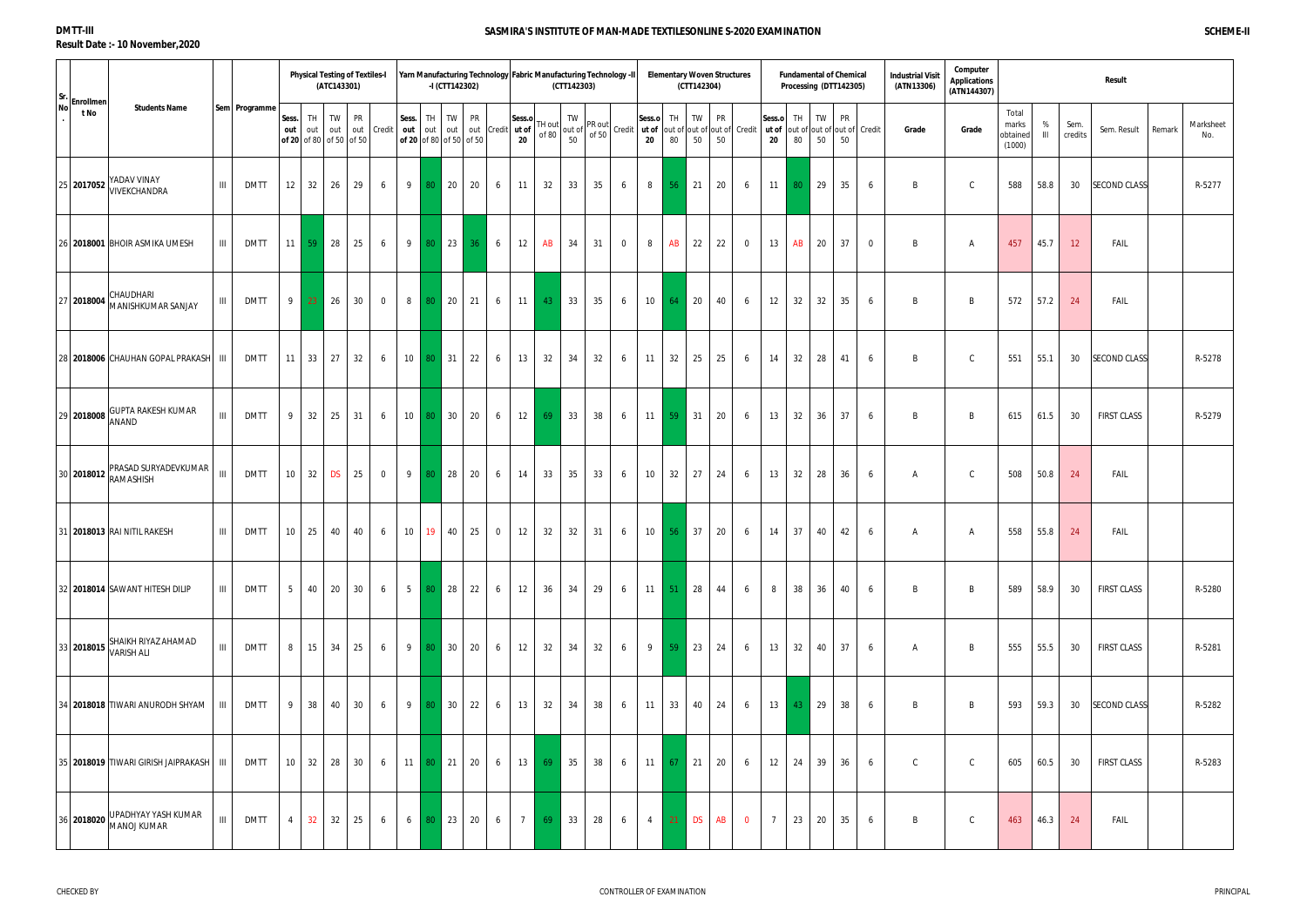| Sr. Enrollmen                   |                                               |                                                   |                | <b>Physical Testing of Textiles-I</b> | (ATC143301)      |                  |                |                 | -I (CTT142302)                   | Yarn Manufacturing Technology Fabric Manufacturing Technology -II |              |                | (CTT142303) |                    |    |                |                |           | (CTT142304)       | <b>Elementary Woven Structures</b> |                                                                                                                                                                                            |                       |                                | <b>Fundamental of Chemical</b><br>Processing (DTT142305) |          |                             | <b>Industrial Visit</b><br>(ATN13306) | Computer<br>Applications<br>(ATN144307) |                                      |                     |                 | Result                |                  |
|---------------------------------|-----------------------------------------------|---------------------------------------------------|----------------|---------------------------------------|------------------|------------------|----------------|-----------------|----------------------------------|-------------------------------------------------------------------|--------------|----------------|-------------|--------------------|----|----------------|----------------|-----------|-------------------|------------------------------------|--------------------------------------------------------------------------------------------------------------------------------------------------------------------------------------------|-----------------------|--------------------------------|----------------------------------------------------------|----------|-----------------------------|---------------------------------------|-----------------------------------------|--------------------------------------|---------------------|-----------------|-----------------------|------------------|
| t No                            | <b>Students Name</b>                          | Sem Programme                                     | Sess.<br>out   | TH<br>out<br>of 20 of 80 of 50 of 50  | <b>TW</b><br>out | PR<br>out Credit |                | Sess.           | TH TW<br>of 20 of 80 of 50 of 50 | PR<br>out out out out Credit ut of                                | Sess.o<br>20 | H out<br>of 80 |             | TW<br>out of<br>50 |    |                | Sess.o<br>20   | TH.<br>80 | TW<br>50          | PR<br>50                           | $\int_{0}^{\infty}$ of 50 $\int_{0}^{\infty}$ Credit $\int_{0}^{\infty}$ <b>ut of</b> $\int_{0}^{\infty}$ out of $\int_{0}^{\infty}$ out of $\int_{0}^{\infty}$ Credit $\int_{0}^{\infty}$ | Sess.o<br>ut of<br>20 | $^{\circ}$ TH $^{\circ}$<br>80 | <b>TW</b><br>50                                          | PR<br>50 | out of out of out of Credit | Grade                                 | Grade                                   | Total<br>marks<br>obtained<br>(1000) | %<br>$\mathbf{III}$ | Sem.<br>credits | Sem. Result<br>Remark | Marksheet<br>No. |
| 25 2017052                      | YADAV VINAY<br>VIVEKCHANDRA                   | Ш<br><b>DMTT</b>                                  | 12             | 32                                    | 26               | 29               | 6              | 9               | 80 20                            | 20<br>6                                                           | 11           | 32             |             | 33                 | 35 | 6              | 8              | 56        | 21                | 20                                 | 6                                                                                                                                                                                          | 11                    | 80                             | 29                                                       | 35       | 6                           | B                                     | $\mathsf C$                             | 588                                  | 58.8                | 30              | <b>SECOND CLASS</b>   | R-5277           |
|                                 | 26 2018001 BHOIR ASMIKA UMESH                 | Ш<br><b>DMTT</b>                                  | 11             | 59 <sup>°</sup>                       | 28               | 25               | 6              | 9               | $\vert$ 23 $\vert$<br>-80        | 6<br>36                                                           | 12           | AB             |             | 34                 | 31 | $\overline{0}$ | 8              | AB        | 22                | 22                                 | $\overline{0}$                                                                                                                                                                             | 13                    | AB                             | 20                                                       | 37       | $\overline{0}$              | B                                     | A                                       | 457                                  | 45.7                | 12              | FAIL                  |                  |
| 27 2018004                      | CHAUDHARI<br>MANISHKUMAR SANJAY               | $\mathbf{III}$<br><b>DMTT</b>                     |                | 9 23 26                               |                  | 30               | $\overline{0}$ | 8               | 80 20 21                         | 6                                                                 | 11           | 43             |             | 33                 | 35 | 6              | 10             | 64        | 20                | 40                                 | 6                                                                                                                                                                                          | 12                    | 32                             | 32                                                       | 35       | 6                           | B                                     | B                                       | 572                                  | 57.2                | 24              | FAIL                  |                  |
|                                 | 28 2018006 CHAUHAN GOPAL PRAKASH   III        | <b>DMTT</b>                                       | 11             | $33 \mid 27$                          |                  | 32               | 6              | 10 <sup>1</sup> | $80 \quad 31$                    | 22<br>6                                                           | 13           | 32             |             | 34                 | 32 | 6              | 11             | 32        | 25                | 25                                 | 6                                                                                                                                                                                          | 14                    | 32                             | 28                                                       | 41       | 6                           | B                                     | $\mathsf{C}$                            | 551                                  | 55.1                | 30              | <b>SECOND CLASS</b>   | R-5278           |
| 29 2018008<br><b>ANAND</b>      | <b>GUPTA RAKESH KUMAR</b>                     | $\ensuremath{\mathsf{III}}\xspace$<br><b>DMTT</b> | 9              | 32                                    | 25               | 31               | 6              | 10 <sup>1</sup> | 80 30                            | 20<br>6                                                           | 12           | 69             |             | 33                 | 38 | 6              | 11             | 59        | $\vert$ 31        | 20                                 | 6                                                                                                                                                                                          | 13                    | 32                             | 36                                                       | 37       | 6                           | B                                     | B                                       | 615                                  | 61.5                | 30              | <b>FIRST CLASS</b>    | R-5279           |
| 130 2018012 RAMASHISH           | PRASAD SURYADEVKUMAR                          | $\ensuremath{\mathsf{III}}\xspace$<br><b>DMTT</b> | 10             | $32$ DS                               |                  | 25               | $\overline{0}$ | 9               | 80 28                            | 20<br>6                                                           | 14           | 33             |             | 35                 | 33 | 6              | 10             | 32        | 27                | 24                                 | 6                                                                                                                                                                                          | 13                    | 32                             | 28                                                       | 36       | 6                           | A                                     | $\mathsf{C}$                            | 508                                  | 50.8                | 24              | FAIL                  |                  |
| 31   2018013   RAI NITIL RAKESH |                                               | Ш<br><b>DMTT</b>                                  | 10             | 25                                    | 40               | 40               | 6              | 10 <sup>°</sup> | 40<br>19 <sup>1</sup>            | 25<br>$\overline{0}$                                              | 12           | 32             |             | 32                 | 31 | 6              | 10             | 56        | 37                | 20                                 | 6                                                                                                                                                                                          | 14                    | 37                             | 40                                                       | 42       | 6                           | A                                     | A                                       | 558                                  | 55.8                | 24              | FAIL                  |                  |
|                                 | 32 2018014 SAWANT HITESH DILIP                | Ш<br><b>DMTT</b>                                  | 5 <sup>5</sup> | 40 20 30                              |                  |                  | 6              | $5 \mid$        | 80 28                            | 22<br>6                                                           | 12           | 36             |             | 34                 | 29 | 6              | 11             | $-51$     | $\vert$ 28        | 44                                 | 6                                                                                                                                                                                          | 8                     | 38                             | 36                                                       | 40       | 6                           | B                                     | B                                       | 589                                  | 58.9                | 30              | <b>FIRST CLASS</b>    | R-5280           |
| 33 2018015                      | SHAIKH RIYAZ AHAMAD<br><b>VARISH ALI</b>      | $\ensuremath{\mathsf{III}}\xspace$<br><b>DMTT</b> | 8              | 15 <sup>1</sup>                       | 34               | 25               | 6              | 9               | 30 <sup>1</sup><br>-80.          | -20<br>6                                                          | 12           | 32             |             | 34                 | 32 | 6              | 9              | -59       | 23                | 24                                 | - 6                                                                                                                                                                                        | 13                    | 32                             | 40                                                       | 37       | 6                           | A                                     | B                                       | 555                                  | 55.5                | 30              | <b>FIRST CLASS</b>    | R-5281           |
|                                 | 34 2018018 TIWARI ANURODH SHYAM   III         | <b>DMTT</b>                                       | 91             | 38                                    | 40 30            |                  | 6              | 9 I             | 80 30 22                         | 6                                                                 | 13           | 32             |             | 34                 | 38 | 6              | 11             | 33        | 40                | 24                                 | 6                                                                                                                                                                                          | 13 <sup>1</sup>       | 43                             | 29                                                       | 38       | 6                           | B                                     | B                                       | 593                                  | 59.3                | 30              | <b>SECOND CLASS</b>   | R-5282           |
|                                 | 35   2018019   TIWARI GIRISH JAIPRAKASH   III | <b>DMTT</b>                                       | 10             | 32 28                                 |                  | 30               | 6              |                 | $11 \quad 80 \quad 21 \quad 20$  | 6                                                                 | 13           | 69             |             | 35                 | 38 | 6              | 11             | -67       | $\blacksquare$ 21 | 20                                 | 6                                                                                                                                                                                          | 12                    | 24                             | 39                                                       | 36       | 6                           | $\mathsf{C}$                          | C                                       | 605                                  | 60.5                | 30              | <b>FIRST CLASS</b>    | R-5283           |
| 36 2018020                      | UPADHYAY YASH KUMAR<br>MANOJ KUMAR            | Ш<br><b>DMTT</b>                                  | 4 <sub>1</sub> | 32 32 25                              |                  |                  | 6              | 6               | 80 23 20                         | 6                                                                 |              | 7<br>69        |             | 33                 | 28 | 6              | $\overline{4}$ | 21        | <b>DS</b>         | AB                                 | $\overline{\mathbf{0}}$                                                                                                                                                                    | $\overline{7}$        | 23                             | 20                                                       | 35       | 6                           | B                                     | $\mathsf C$                             | 463                                  | 46.3                | 24              | FAIL                  |                  |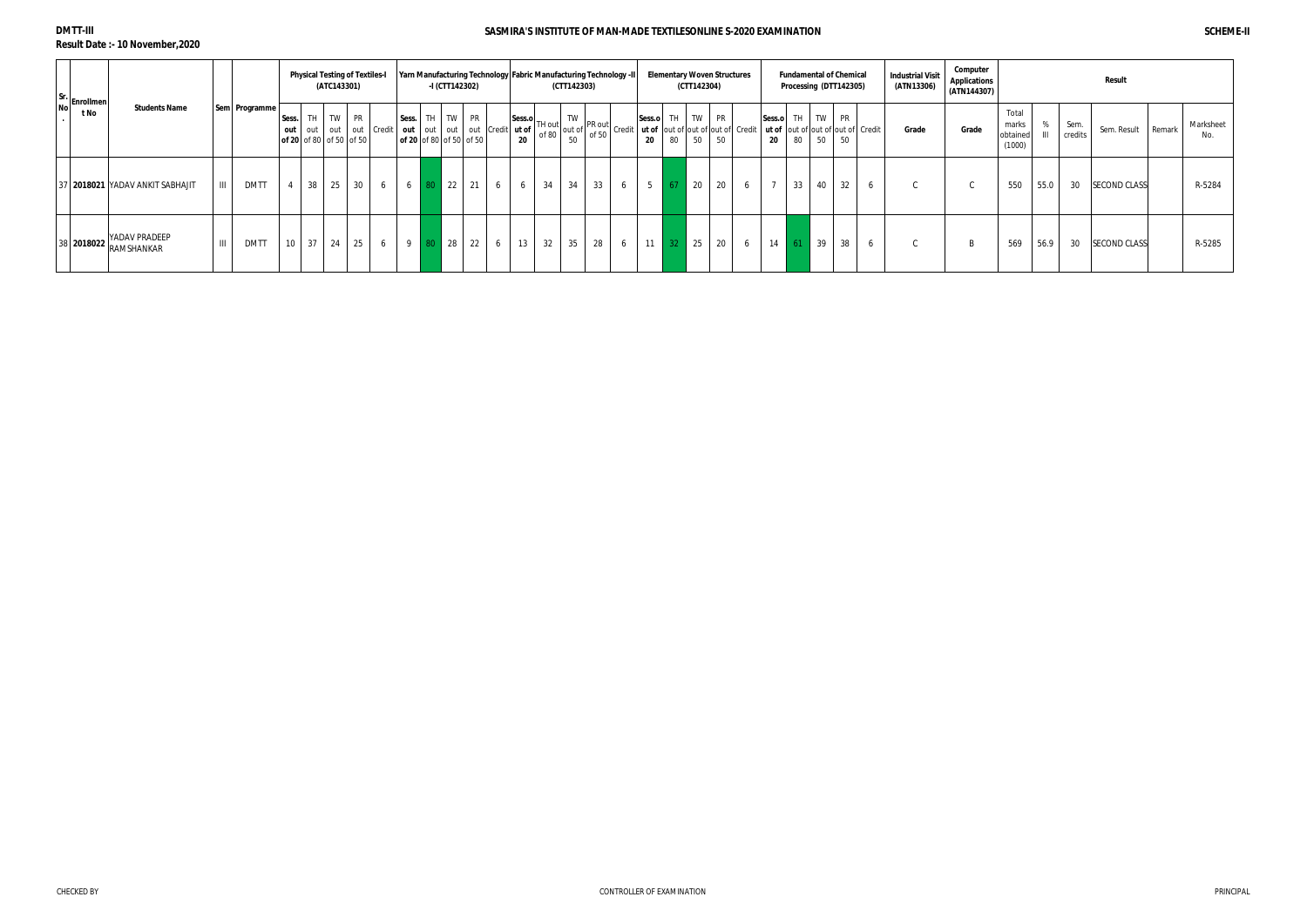**DMTT-III**

**Result Date :- 10 November,2020**

| Sr.<br>No Enrollmen |                                |                |               |       |          | (ATC143301) | <b>Physical Testing of Textiles-I</b>       |                        |                                         |    | -I (CTT142302) |       |                                        |    |    | (CTT142303) | <b>Yarn Manufacturing Technology Fabric Manufacturing Technology -II</b> |   |    |    | <b>Elementary Woven Structures</b><br>(CTT142304)                                                                                                                                                                                                                                                                                                                                                              |                 |   |                |    | <b>Fundamental of Chemical</b><br>Processing (DTT142305) |    | <b>Industrial Visit</b><br>(ATN13306) | Computer<br><b>Applications</b><br>(ATN144307) |                                      |          |                 | Result              |        |                  |
|---------------------|--------------------------------|----------------|---------------|-------|----------|-------------|---------------------------------------------|------------------------|-----------------------------------------|----|----------------|-------|----------------------------------------|----|----|-------------|--------------------------------------------------------------------------|---|----|----|----------------------------------------------------------------------------------------------------------------------------------------------------------------------------------------------------------------------------------------------------------------------------------------------------------------------------------------------------------------------------------------------------------------|-----------------|---|----------------|----|----------------------------------------------------------|----|---------------------------------------|------------------------------------------------|--------------------------------------|----------|-----------------|---------------------|--------|------------------|
| t No                | <b>Students Name</b>           |                | Sem Programme | Sess. |          |             | TH TW PR<br>$\sigma$ 6 20 of 80 of 50 of 50 | out out out out Credit | Sess. TH<br>$\log 20$ of 80 of 50 of 50 |    |                | TW PR | out   out   out   out   Credit   ut of | 20 |    | 50          |                                                                          |   | 20 |    | Sess.o TH TW PR<br>Sess.o TH out of $\begin{bmatrix} 1 \end{bmatrix}$ TW $\begin{bmatrix} 1 \end{bmatrix}$ PR out of $\begin{bmatrix} 1 \end{bmatrix}$ Credit $\begin{bmatrix} 1 \end{bmatrix}$ Credit $\begin{bmatrix} 1 \end{bmatrix}$ Credit $\begin{bmatrix} 1 \end{bmatrix}$ Credit $\begin{bmatrix} 1 \end{bmatrix}$ Credit $\begin{bmatrix} 1 \end{bmatrix}$ Credit $\begin{bmatrix} 1 \end{b$<br>80 50 | 50              |   | 20             |    | Sess.o TH TW PR<br>80 50                                 | 50 | Grade                                 | Grade                                          | Total<br>marks<br>obtained<br>(1000) | $\Omega$ | Sem.<br>credits | Sem. Result         | Remark | Marksheet<br>No. |
|                     | 7 2018021 YADAV ANKIT SABHAJIT | $\mathbf{H}$   | <b>DMTT</b>   |       |          | 38 25       | 30                                          | 6                      | 6                                       | 80 | $\vert$ 22     | 21    | 6                                      |    | 34 | 34          | 33                                                                       | 6 |    | 67 | 20                                                                                                                                                                                                                                                                                                                                                                                                             | 20 <sup>1</sup> | 6 | $\overline{7}$ | 33 | 40                                                       | 32 | $\sim$<br>◡                           |                                                | 550                                  | 55.0     | 30              | <b>SECOND CLASS</b> |        | R-5284           |
| 38 2018022          | YADAV PRADEEP<br>RAMSHANKAR    | $\mathbf{III}$ | <b>DMTT</b>   |       | 10 37 24 |             | 25                                          | 6                      | 9 <sup>1</sup>                          | 80 | 28             | 22    | 6                                      | 13 | 32 | 35          | 28                                                                       | 6 | 11 | 32 | 25                                                                                                                                                                                                                                                                                                                                                                                                             | 20 6            |   | $14 \quad 61$  |    | $\vert$ 39                                               | 38 | $\sim$<br>◡                           |                                                | 569                                  | 56.9     | 30              | <b>SECOND CLASS</b> |        | R-5285           |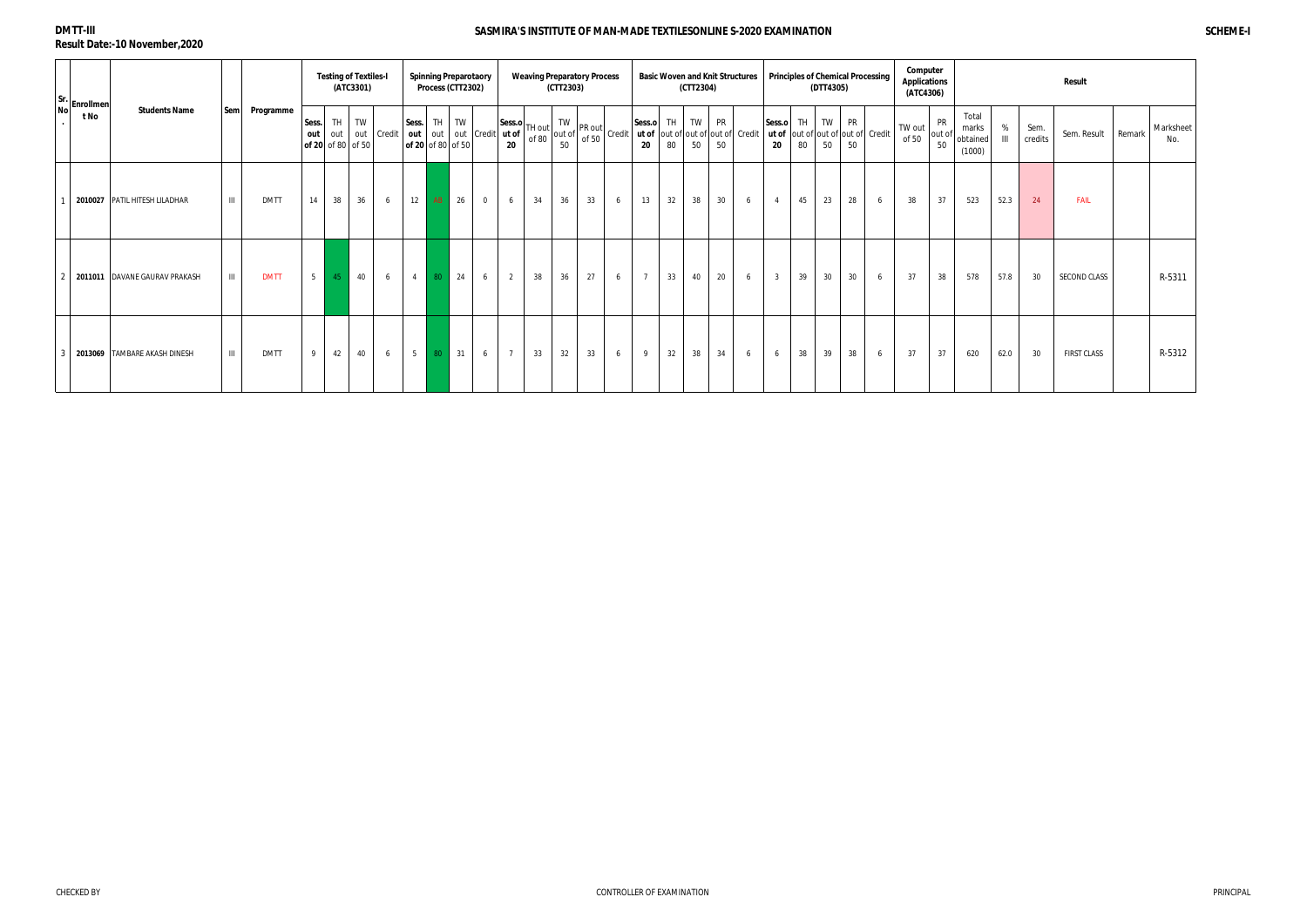| $\begin{bmatrix}$ Sr.<br>No $\begin{bmatrix}$ Enrollmen |                                    |                |             |              | <b>Testing of Textiles-I</b>   | (ATC3301) |            |                            |    | <b>Spinning Preparotaory</b><br>Process (CTT2302) |                          |                | <b>Weaving Preparatory Process</b> | (CTT2303) |    |                                                                                                                                                                                                                                                                                                                                                                                |                |    | (CTT2304) |    | <b>Basic Woven and Knit Structures</b> |                |          | (DTT4305)       |                 | <b>Principles of Chemical Processing</b> | Computer<br><b>Applications</b><br>(ATC4306) |                    |                                      |                |                 | Result             |        |                  |
|---------------------------------------------------------|------------------------------------|----------------|-------------|--------------|--------------------------------|-----------|------------|----------------------------|----|---------------------------------------------------|--------------------------|----------------|------------------------------------|-----------|----|--------------------------------------------------------------------------------------------------------------------------------------------------------------------------------------------------------------------------------------------------------------------------------------------------------------------------------------------------------------------------------|----------------|----|-----------|----|----------------------------------------|----------------|----------|-----------------|-----------------|------------------------------------------|----------------------------------------------|--------------------|--------------------------------------|----------------|-----------------|--------------------|--------|------------------|
| t No                                                    | <b>Students Name</b>               | Sem            | Programme   | Sess.<br>out | TH<br>out<br>of 20 of 80 of 50 | TW        | out Credit | Sess.<br>of 20 of 80 of 50 | TH | TW                                                | out out out Credit ut of | Sess.o<br>20   | TH out<br>of 80                    |           |    | vut $\begin{vmatrix} 1 \text{ W} \\ \text{out of} \\ 50 \end{vmatrix}$ PR out $\begin{vmatrix} 1 \text{ V} \\ \text{out of} \\ 50 \end{vmatrix}$ Credit $\begin{vmatrix} 1 \text{ W} \\ \text{out of} \\ 2 \text{ A} \end{vmatrix}$ TW $\begin{vmatrix} PR \\ \text{out of} \\ \text{out of} \end{vmatrix}$ Credit $\begin{vmatrix} 1 \text{ W} \\ \text{in of} \end{vmatrix}$ |                |    |           |    |                                        | Sess.o<br>20   | TH<br>80 | <b>TW</b><br>50 | PR<br>50        | ut of out of out of out of Credit        | TW out<br>of 50                              | PR<br>out of<br>50 | Total<br>marks<br>obtained<br>(1000) | $\mathbf{III}$ | Sem.<br>credits | Sem. Result        | Remark | Marksheet<br>No. |
|                                                         | 2010027 PATIL HITESH LILADHAR      | $\mathbf{III}$ | <b>DMTT</b> | 14           | 38                             | 36        | 6          | 12                         | AB | 26                                                | $\mathbf 0$              | 6              | 34                                 | 36        | 33 | 6                                                                                                                                                                                                                                                                                                                                                                              | 13             | 32 | 38        | 30 | 6                                      | $\overline{4}$ | 45       | 23              | 28              | 6                                        | 38                                           | 37                 | 523                                  | 52.3           | 24              | <b>FAIL</b>        |        |                  |
|                                                         | 2011011 DAVANE GAURAV PRAKASH      | $\mathbf{H}$   | <b>DMTT</b> | $5 \mid$     | 45                             | 40        | 6          | $\overline{4}$             | 80 | 24                                                | 6                        | 2              | 38                                 | 36        | 27 | 6                                                                                                                                                                                                                                                                                                                                                                              | $\overline{7}$ | 33 | 40        | 20 | 6                                      | 3 <sup>3</sup> | 39       | 30              | 30 <sup>°</sup> | 6                                        | 37                                           | 38                 | 578                                  | 57.8           | 30              | SECOND CLASS       |        | R-5311           |
|                                                         | 3   2013069   TAMBARE AKASH DINESH | $\mathbf{III}$ | <b>DMTT</b> | 9            | 42                             | 40        | 6          | 5 <sup>5</sup>             | 80 | 31                                                | 6                        | $\overline{7}$ | 33                                 | 32        | 33 | 6                                                                                                                                                                                                                                                                                                                                                                              | 9              | 32 | 38        | 34 | 6                                      | 6              | 38       | 39              | 38              | 6                                        | 37                                           | 37                 | 620                                  | 62.0           | 30              | <b>FIRST CLASS</b> |        | R-5312           |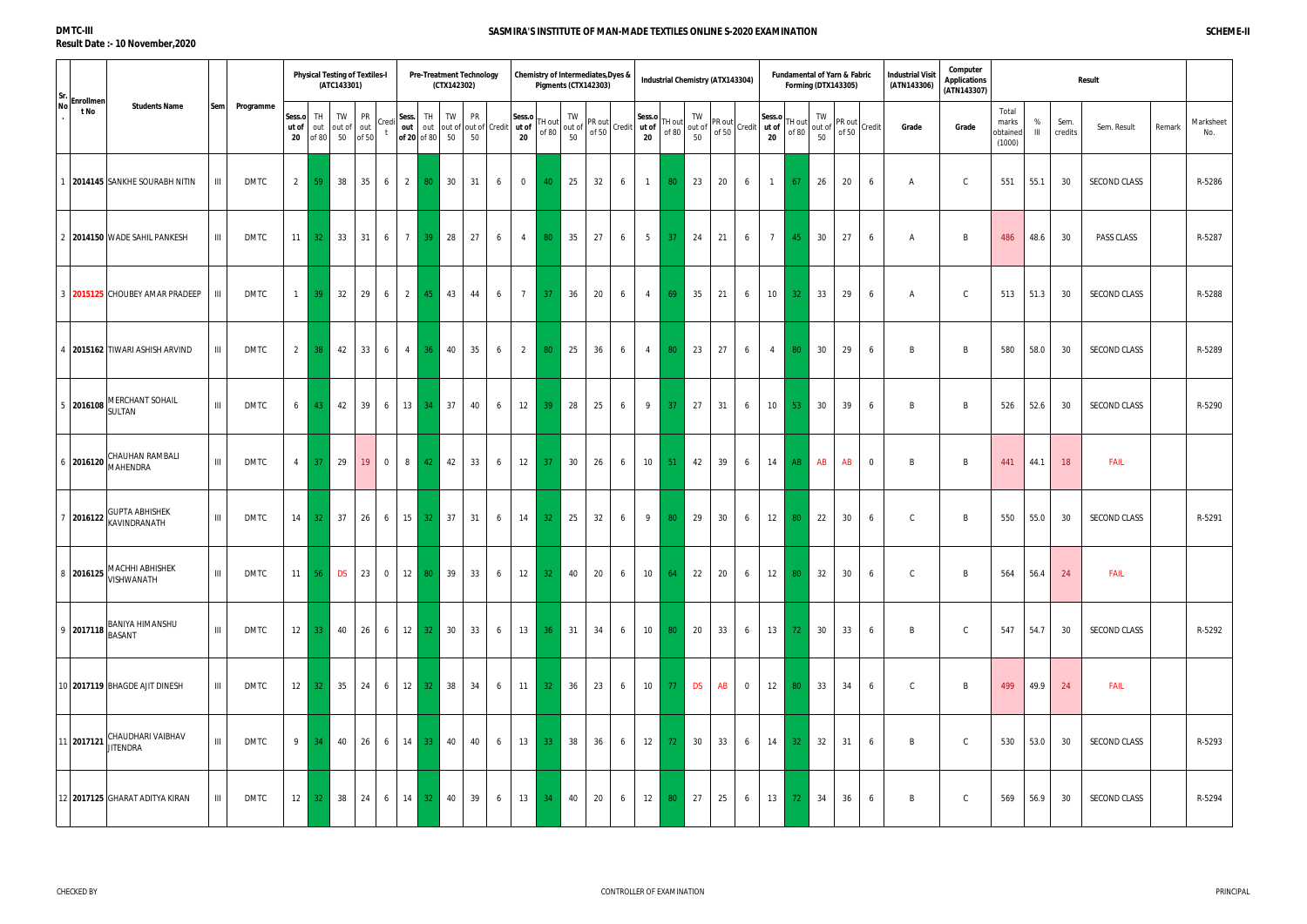|                                       |                                                                                                                           |                    |             |                       |                               | (ATC143301)        | <b>Physical Testing of Textiles-I</b> |                |                        | <b>Pre-Treatment Technology</b><br>(CTX142302) |                                               |                |                   |                 |          | Chemistry of Intermediates, Dyes &<br>Pigments (CTX142303)                                                                      |              |                |                 | <b>Industrial Chemistry (ATX143304)</b> |                   |                |                              |                 | <b>Fundamental of Yarn &amp; Fabric</b><br>Forming (DTX143305) |       |                 | <b>Industrial Visit</b><br>(ATN143306) | Computer<br><b>Applications</b><br>(ATN143307) |                                      |                   |                 | Result              |        |                  |
|---------------------------------------|---------------------------------------------------------------------------------------------------------------------------|--------------------|-------------|-----------------------|-------------------------------|--------------------|---------------------------------------|----------------|------------------------|------------------------------------------------|-----------------------------------------------|----------------|-------------------|-----------------|----------|---------------------------------------------------------------------------------------------------------------------------------|--------------|----------------|-----------------|-----------------------------------------|-------------------|----------------|------------------------------|-----------------|----------------------------------------------------------------|-------|-----------------|----------------------------------------|------------------------------------------------|--------------------------------------|-------------------|-----------------|---------------------|--------|------------------|
| $ Sr.$ Enrollmen <sup>1</sup><br>t No | <b>Students Name</b>                                                                                                      | <b>Sem</b>         | Programme   | Sess.o<br>ut of<br>20 | TH<br>out<br>of 80            | TW<br>out of<br>50 | <b>PR</b><br>Cred<br>out<br>of 50     | Sess.          | out out<br>of 20 of 80 | TH<br>TW<br>50                                 | <b>PR</b><br>out of out of Credit ut of<br>50 |                | Sess.o<br>20      | TH out<br>of 80 | TW<br>50 | $\begin{array}{c c}\n\text{I} & \text{IV} \\ \text{out of} & \text{P} & \text{O} \\ \hline\n\text{FQ} & \text{FQ}\n\end{array}$ | Credit ut of | Sess.o<br>20   | TH out<br>of 80 | TW<br>out of<br>50                      | PR out<br>of $50$ |                | Sess.o<br>Credit ut of<br>20 | TH out<br>of 80 | TW<br>out of<br>50                                             | of 50 | PR out   Credit | Grade                                  | Grade                                          | Total<br>marks<br>obtained<br>(1000) | %<br>$\mathbf{H}$ | Sem.<br>credits | Sem. Result         | Remark | Marksheet<br>No. |
|                                       | 2014145 SANKHE SOURABH NITIN                                                                                              | ШL                 | <b>DMTC</b> | $2 \mid$              | 59                            | 38                 | 35                                    | 6              | $\overline{2}$         | 30<br>80 <sub>1</sub>                          | 31                                            | 6              | $\overline{0}$    | 40              | 25       | 32                                                                                                                              | 6            | $\mathbf{1}$   | 80              | 23                                      | 20                | 6              | $\overline{1}$               | 67              | 26                                                             | 20    | 6               | A                                      |                                                | 551                                  | 55.1              | 30              | SECOND CLASS        |        | R-5286           |
|                                       | 2   2014150   WADE SAHIL PANKESH                                                                                          | $\mathbf{III}$     | <b>DMTC</b> | 11                    | 32 <sup>2</sup>               | 33                 | 31<br>6                               |                | 7 <sup>1</sup>         | 28<br>39                                       | 27                                            | 6              | $\overline{4}$    | 80 <sup>°</sup> | 35       | 27                                                                                                                              | 6            | 5 <sub>5</sub> | 37 <sup>°</sup> | 24                                      | 21                | 6              | $7\overline{ }$              | 45              | 30                                                             | 27    | 6               | A                                      | B                                              | 486                                  | 48.6              | 30              | PASS CLASS          |        | R-5287           |
|                                       | 3 2015125 CHOUBEY AMAR PRADEEP                                                                                            | Ш                  | <b>DMTC</b> | $\overline{1}$        | 39                            | 32                 | 29                                    | 6              | $2 \mid$               | 43<br>45                                       | 44                                            | 6              | $7\overline{ }$   | 37              | 36       | 20                                                                                                                              | 6            | $\overline{4}$ | 69              | 35                                      | 21                | 6              | 10                           | 32              | 33                                                             | 29    | 6               | A                                      | $\Gamma$                                       | 513                                  | 51.3              | 30              | SECOND CLASS        |        | R-5288           |
|                                       | 4   2015162  TIWARI ASHISH ARVIND                                                                                         | $\mathbf{III}$     | <b>DMTC</b> | 2                     | 38                            | 42                 | 33                                    | 6              | 4  <br>-36             | 40                                             | 35                                            | 6              | $\overline{2}$    | 80              | 25       | 36                                                                                                                              | 6            | $\overline{4}$ | 80              | 23                                      | 27                | 6              | $\overline{4}$               | 80              | 30                                                             | 29    | 6               | B                                      | <b>B</b>                                       | 580                                  | 58.0              | 30              | SECOND CLASS        |        | R-5289           |
| 5 2016108                             | MERCHANT SOHAIL<br><b>SULTAN</b>                                                                                          | III                | <b>DMTC</b> | 6                     | 43                            | 42                 | 39                                    | 6              | $13 \mid 34 \mid$      | $\vert$ 37                                     | 40                                            | 6              | 12                | -39             | 28       | 25                                                                                                                              | 6            | 9              | 37 <sup>°</sup> | 27                                      | 31                | 6              | 10                           | 53              | 30                                                             | 39    | 6               | B                                      | <b>B</b>                                       | 526                                  | 52.6              | 30              | SECOND CLASS        |        | R-5290           |
|                                       | CHAUHAN RAMBALI<br>$\frac{1}{16}$ 2016120 MAHENDRA                                                                        | III                | <b>DMTC</b> | $\overline{4}$        | 37                            | 29                 | 19<br>$\overline{0}$                  |                | 8 <sup>1</sup>         | $\vert$ 42<br>42                               | 33                                            | 6              | 12                | -37             | 30       | 26                                                                                                                              | 6            | 10             | 51              | 42                                      | 39                | 6              | 14                           | AB              | AB                                                             | AB    | $\overline{0}$  | B                                      | B                                              | 441                                  | 44.1              | 18              | FAIL                |        |                  |
|                                       | 2016122 GUPTA ABHISHEK                                                                                                    | III                | <b>DMTC</b> |                       | $14 \overline{\phantom{0}}32$ | 37                 | 26                                    | 6              |                        | 15 32 37                                       | 31                                            | 6              | 14                | 32 <sup>°</sup> | 25       | 32                                                                                                                              | 6            | 9              | 80              | 29                                      | 30                | 6              | 12                           | 80              | 22                                                             | 30    | 6               | $\mathsf{C}$                           | B                                              | 550                                  | 55.0              | 30              | SECOND CLASS        |        | R-5291           |
|                                       | MACHHI ABHISHEK<br>  8 <b>2016125</b> WISHWANATH                                                                          | $\mathop{\rm III}$ | <b>DMTC</b> |                       |                               |                    | $11 \t 56 \t DS \t 23 \t 0$           |                |                        | 12 80 39                                       | 33                                            | 6 <sup>1</sup> | $12 \mid 32 \mid$ |                 | 40       | 20                                                                                                                              | 6            | 10             |                 | $64$ 22                                 | 20                | 6              | 12                           | 80              | 32                                                             | 30    | 6               | $\mathsf{C}$                           | B                                              | 564                                  | 56.4              | 24              | <b>FAIL</b>         |        |                  |
|                                       | $\Bigg 9\Bigg 2017118\Bigg {\footnotesize \text{BANIYA HIMANSHU}}\Bigg 9\Bigg 2017118\Bigg {\footnotesize \text{BASANT}}$ | $\mathbf{III}$     | <b>DMTC</b> |                       | $12 \mid 33 \mid$             | 40                 | 26                                    | 6              |                        | 12 32 30                                       | 33                                            | 6              | 13                | 36 <sup>°</sup> | 31       | 34                                                                                                                              | 6            | 10             | 80              | 20                                      | 33                | 6              | 13                           | 72              | 30                                                             | 33    | 6               | B                                      |                                                | 547                                  | 54.7              | 30              | <b>SECOND CLASS</b> |        | R-5292           |
|                                       | 10 2017119 BHAGDE AJIT DINESH                                                                                             | $\mathbf{III}$     | DMTC        |                       | $12 \mid 32 \mid$             | 35                 | 24                                    | 6              | 12                     | 38<br>32 <sub>1</sub>                          | 34                                            | 6              | 11                | 32 <sub>1</sub> | 36       | 23                                                                                                                              | 6            | 10             | 77              | <b>DS</b>                               | AB                | $\overline{0}$ | 12                           | 80              | 33                                                             | 34    | 6               | $\mathsf{C}$                           | B                                              | 499                                  | 49.9              | 24              | <b>FAIL</b>         |        |                  |
| 11 2017121                            | CHAUDHARI VAIBHAV<br><b>JITENDRA</b>                                                                                      | III                | <b>DMTC</b> |                       | $9 \mid 34 \mid$              | 40                 | 26                                    | 6 <sup>1</sup> |                        | 14 33 40                                       | 40                                            | 6              | $13\quad 33$      |                 | 38       | 36                                                                                                                              | 6            | 12             |                 | 72 30                                   | 33                | 6              | 14                           | 32 <sup>2</sup> | 32                                                             | 31    | 6               | B                                      |                                                | 530                                  | 53.0              | 30              | SECOND CLASS        |        | R-5293           |
|                                       | 12 2017125 GHARAT ADITYA KIRAN                                                                                            | $\mathbf{III}$     | DMTC        |                       | $12 \mid 32 \mid$             | 38                 | 24                                    | 6              |                        | 14 32 40                                       | 39                                            | 6              | 13                | 34              | 40       | 20                                                                                                                              | 6            | 12             | 80              | 27                                      | 25                | 6              | 13                           | 72              | 34                                                             | 36    | 6               | B                                      |                                                | 569                                  | 56.9              | 30              | SECOND CLASS        |        | R-5294           |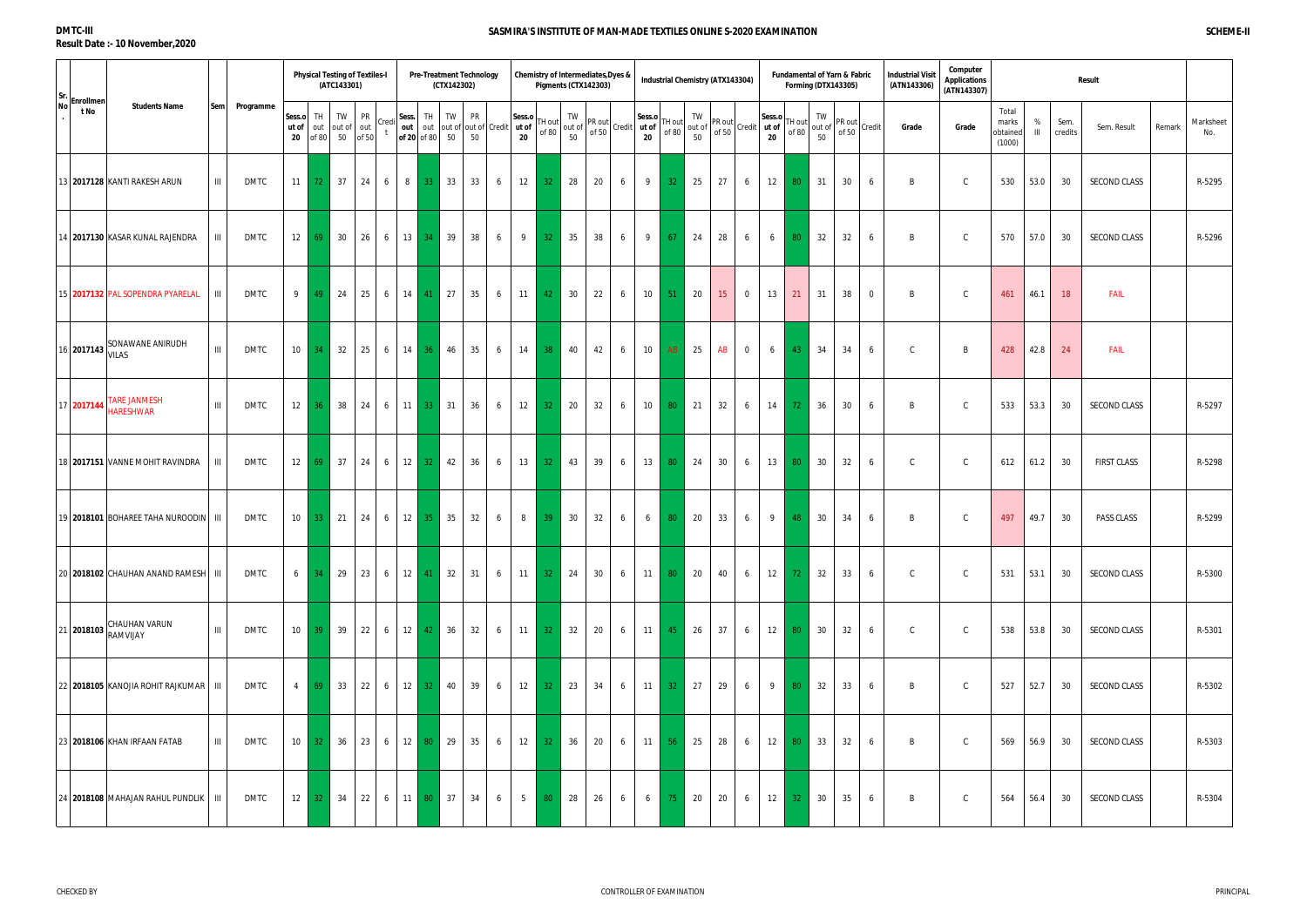| $ Sr.$ Enrollmen' |                                              |                |             |                       |                   | (ATC143301)          | <b>Physical Testing of Textiles-I</b> |               |                        | (CTX142302)               | <b>Pre-Treatment Technology</b>        |              | Chemistry of Intermediates, Dyes &<br>Pigments (CTX142303) |          |                                          |              |                 |                   | <b>Industrial Chemistry (ATX143304)</b>                                                                                                                                   |                 |                |              | Fundamental of Yarn & Fabric<br><b>Forming (DTX143305)</b> |                    |                 |             | <b>Industrial Visit</b><br>(ATN143306) | Computer<br><b>Applications</b><br>(ATN143307) |                                      |          |                 | <b>Result</b>       |        |                  |
|-------------------|----------------------------------------------|----------------|-------------|-----------------------|-------------------|----------------------|---------------------------------------|---------------|------------------------|---------------------------|----------------------------------------|--------------|------------------------------------------------------------|----------|------------------------------------------|--------------|-----------------|-------------------|---------------------------------------------------------------------------------------------------------------------------------------------------------------------------|-----------------|----------------|--------------|------------------------------------------------------------|--------------------|-----------------|-------------|----------------------------------------|------------------------------------------------|--------------------------------------|----------|-----------------|---------------------|--------|------------------|
| t No              | <b>Students Name</b>                         | <b>Sem</b>     | Programme   | Sess.o<br>ut of<br>20 | TH.<br>of 80      | TW<br>out out of out | <b>PR</b><br>50 of 50                 | Sess.<br>Cred | out out<br>of 20 of 80 | TH<br>TW<br>50            | PR<br>out of out of Credit ut of<br>50 | Sess.o<br>20 | 「H out<br>of 80                                            | TW<br>50 | $\cdot$ l out of $ $ PR out l .<br>of 50 | Credit ut of | Sess.o<br>20    | TH out I<br>of 80 | TW<br>$\left  \begin{array}{cc} \text{out of} \\ \text{of 50} \end{array} \right $ Credit $\left  \begin{array}{cc} \text{ut of} \\ \text{at } \end{array} \right $<br>50 | PR out          |                | Sess.o<br>20 | TH out<br>of 80                                            | TW<br>out of<br>50 | PR out<br>of 50 | Credit      | Grade                                  | Grade                                          | Total<br>marks<br>obtainec<br>(1000) | %<br>III | Sem.<br>credits | Sem. Result         | Remark | Marksheet<br>No. |
|                   | 13 2017128 KANTI RAKESH ARUN                 | $\mathbf{III}$ | <b>DMTC</b> |                       | $11 \quad 72$     | 37                   | 24                                    | 6             | 8 <sup>1</sup>         | 33<br>33 <sup>°</sup>     | 33<br>6                                | 12           | 32 <sub>1</sub>                                            | 28       | 20                                       | 6            | 9               | 32 <sub>2</sub>   | 25                                                                                                                                                                        | 27              | 6              | 12           | 80                                                         | 31                 | 30              | 6           | B                                      |                                                | 530                                  | 53.0     | 30              | <b>SECOND CLASS</b> |        | R-5295           |
|                   | 14 2017130 KASAR KUNAL RAJENDRA              | Ш              | <b>DMTC</b> |                       | $12 \mid 69 \mid$ | 30                   | 26                                    | 6             | 13                     | 39<br>34                  | 38<br>6                                | 9            | 32 <sup>2</sup>                                            | 35       | 38                                       | 6            | 9               | 67                | 24                                                                                                                                                                        | 28              | 6              | 6            | 80                                                         | 32                 | 32              | 6           | B                                      | C.                                             | 570                                  | 57.0     | 30              | <b>SECOND CLASS</b> |        | R-5296           |
|                   | 15 2017132 PAL SOPENDRA PYARELAL             | $\mathbf{III}$ | <b>DMTC</b> | 9                     | 49                | 24                   | 25                                    | 6             | $14$ 41                | $\vert$ 27                | 35<br>6                                | 11           | 42                                                         | 30       | 22                                       | 6            | 10              | 51                | 20                                                                                                                                                                        | 15 <sup>2</sup> | $\overline{0}$ | 13           | 21                                                         | 31                 | 38              | $\mathbf 0$ | B                                      | C.                                             | 461                                  | 46.1     | 18              | FAIL                |        |                  |
| 16 2017143        | SONAWANE ANIRUDH<br><b>VILAS</b>             | III            | <b>DMTC</b> | 10 <sup>1</sup>       | 34                | 32                   | 25                                    | 6             | 14<br>36               | 46                        | 35<br>6                                | 14           | 38 <sup>°</sup>                                            | 40       | 42                                       | 6            | 10              | AB                | 25                                                                                                                                                                        | AB              | $\overline{0}$ | 6            | 43                                                         | 34                 | 34              | 6           | $\mathcal{C}$                          | B.                                             | 428                                  | 42.8     | 24              | FAIL                |        |                  |
| 17 2017144        | <b>TARE JANMESH</b><br><b>HARESHWAR</b>      | III            | <b>DMTC</b> |                       | $12 \mid 36 \mid$ | 38                   | 24                                    | 6             |                        | $11 \quad 33 \quad 31$    | 36<br>6                                | 12           | 32 <sub>1</sub>                                            | 20       | 32                                       | 6            | 10 <sup>1</sup> | 80                | $\vert$ 21                                                                                                                                                                | 32              | 6              | 14           | 72                                                         | 36                 | 30              | 6           | B                                      |                                                | 533                                  | 53.3     | 30              | <b>SECOND CLASS</b> |        | R-5297           |
|                   | 18 2017151 VANNE MOHIT RAVINDRA              | Ш              | <b>DMTC</b> |                       | $12 \mid 69 \mid$ | 37                   | 24                                    | 6             | 12                     | 32 <sup>2</sup><br>42     | 36<br>6                                | 13           | 32 <sub>1</sub>                                            | 43       | 39                                       | 6            | 13              | 80                | 24                                                                                                                                                                        | 30              | 6              | 13           | 80                                                         | 30                 | 32              | 6           | $\mathsf{C}$                           | $\mathcal{C}$                                  | 612                                  | 61.2     | 30              | <b>FIRST CLASS</b>  |        | R-5298           |
|                   | 19 2018101 BOHAREE TAHA NUROODIN III         |                | <b>DMTC</b> |                       | $10 \mid 33 \mid$ | 21                   | 24                                    | 6             | $12 \mid 35 \mid$      | 35                        | 32<br>6                                | 8            | 39 <sup>°</sup>                                            | 30       | 32                                       | 6            | 6               | 80                | 20                                                                                                                                                                        | 33              | 6              | 9            | 48                                                         | 30                 | 34              | 6           | B                                      | C.                                             | 497                                  | 49.7     | 30              | PASS CLASS          |        | R-5299           |
|                   | 20 2018102 CHAUHAN ANAND RAMESH   III        |                | <b>DMTC</b> |                       | $6 \mid 34 \mid$  | 29                   | 23                                    | 6             |                        | $12 \mid 41 \mid 32 \mid$ | 31                                     | $6$ 11       | 32 <sup>2</sup>                                            | 24       | 30                                       | 6            | 11              |                   | 80 20                                                                                                                                                                     | 40              | 6              | 12           | 72                                                         | 32                 | 33              | 6           | $\mathsf{C}$                           | C.                                             | 531                                  | 53.1     | 30              | <b>SECOND CLASS</b> |        | R-5300           |
|                   | CHAUHAN VARUN<br>121 <b>2018103 RAMVIJAY</b> | $\mathbf{III}$ | <b>DMTC</b> |                       | $10 \mid 39$      | 39                   | 22                                    | 6             | $12 \mid 42 \mid$      | 36                        | 32                                     | $6$ 11       | 32 <sup>2</sup>                                            | 32       | 20                                       | 6            | 11              | 45                | 26                                                                                                                                                                        | 37              | 6              | 12           | 80                                                         | 30                 | 32              | 6           | $\mathsf C$                            |                                                | 538                                  | 53.8     | 30              | <b>SECOND CLASS</b> |        | R-5301           |
|                   | 22 2018105 KANOJIA ROHIT RAJKUMAR   III      |                | <b>DMTC</b> |                       | $4 \mid 69$       | 33                   | 22                                    | 6             | 12                     | $32 \mid 40 \mid$         | 39<br>6                                | 12           | 32 <sub>1</sub>                                            | 23       | 34                                       | 6            | 11              | 32 <sup>2</sup>   | 27                                                                                                                                                                        | 29              | 6              | 9            | 80                                                         | 32                 | 33              | 6           | B                                      |                                                | 527                                  | 52.7     | 30              | SECOND CLASS        |        | R-5302           |
|                   | 23 2018106 KHAN IRFAAN FATAB                 | Ш              | <b>DMTC</b> |                       |                   | 10 32 36             | 23 6                                  |               |                        | 12 80 29                  | 35<br>6                                | 12           | 32 <sub>1</sub>                                            | 36       | 20                                       | 6            | 11              | 56                | 25                                                                                                                                                                        | 28              | 6              | 12           | 80                                                         | 33                 | 32              | 6           | B                                      |                                                | 569                                  | 56.9     | 30              | <b>SECOND CLASS</b> |        | R-5303           |
|                   | 24 2018108 MAHAJAN RAHUL PUNDLIK   III       |                | <b>DMTC</b> |                       | $12 \mid 32 \mid$ | 34                   | 22                                    | 6             |                        | 11 80 37                  | 34<br>6                                | $5-1$        | 80 <sup>°</sup>                                            | 28       | 26                                       | 6            | 6               | 75                | 20                                                                                                                                                                        | 20              | 6              | 12           | 32                                                         | 30                 | 35              | 6           | B                                      |                                                | 564                                  | 56.4     | 30              | SECOND CLASS        |        | R-5304           |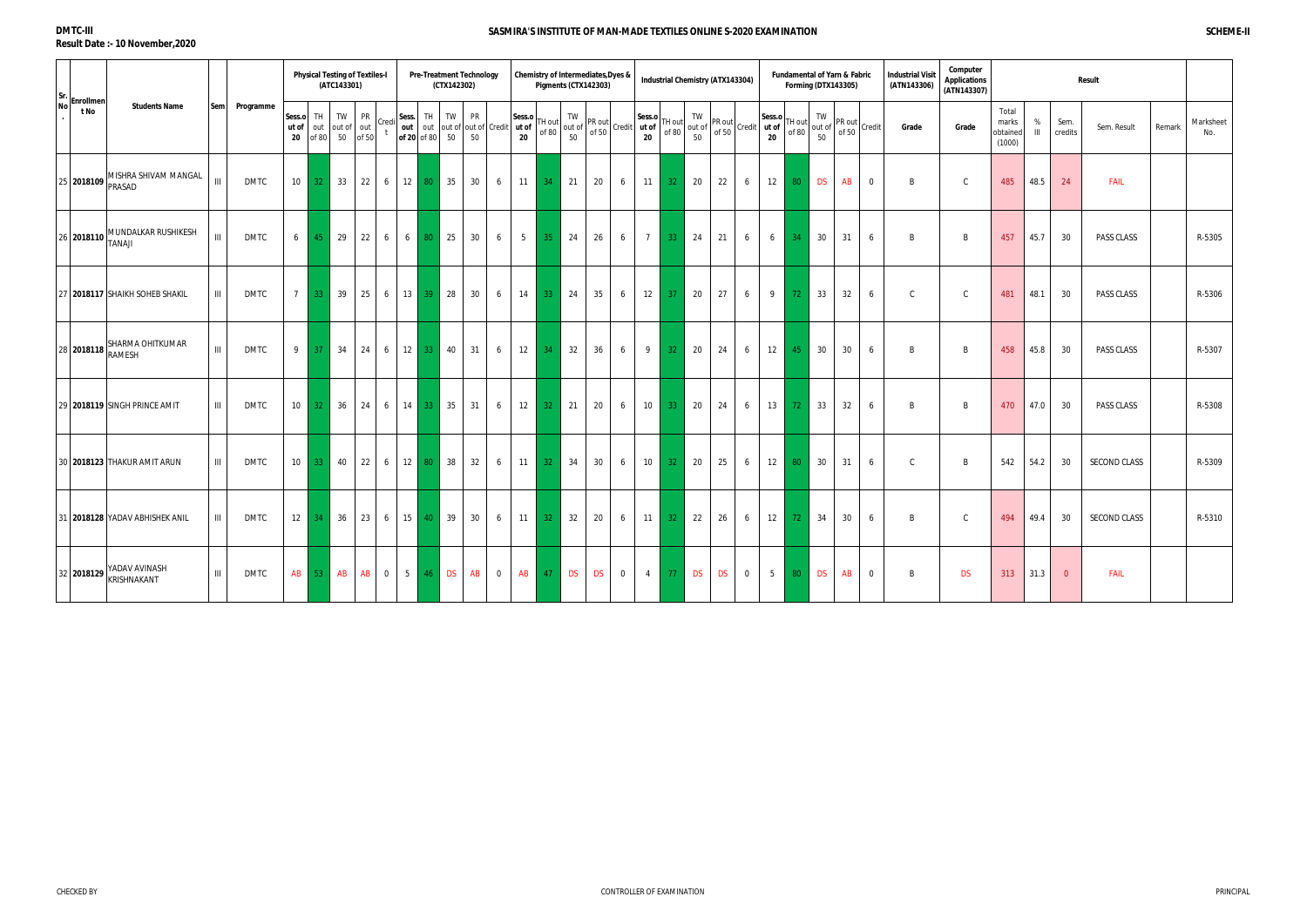| Sr.                                                    |     |             |                       |                 | <b>Physical Testing of Textiles-I</b><br>(ATC143301) |                           |                |                      |                 | (CTX142302)  | <b>Pre-Treatment Technology</b> |                                              |                | Chemistry of Intermediates, Dyes & |           |                    | Pigments (CTX142303) |                |                |                 |           | <b>Industrial Chemistry (ATX143304)</b> |                |                                                                                                                                                                                                                              |                 |                    | <b>Forming (DTX143305)</b> | <b>Fundamental of Yarn &amp; Fabric</b> | <b>Industrial Visit</b><br>(ATN143306) | Computer<br>Applications<br>(ATN143307) |                                      |                     |                 | Result              |        |                  |
|--------------------------------------------------------|-----|-------------|-----------------------|-----------------|------------------------------------------------------|---------------------------|----------------|----------------------|-----------------|--------------|---------------------------------|----------------------------------------------|----------------|------------------------------------|-----------|--------------------|----------------------|----------------|----------------|-----------------|-----------|-----------------------------------------|----------------|------------------------------------------------------------------------------------------------------------------------------------------------------------------------------------------------------------------------------|-----------------|--------------------|----------------------------|-----------------------------------------|----------------------------------------|-----------------------------------------|--------------------------------------|---------------------|-----------------|---------------------|--------|------------------|
| Enrollmen<br><b>No</b><br><b>Students Name</b><br>t No | Sem | Programme   | Sess.o<br>ut of<br>20 | TH<br>of 80     | TW<br>out out of<br>50                               | <b>PR</b><br>out<br>of 50 | Cred           | Sess.<br>of 20 of 80 | TH              | TW<br>50     | <b>PR</b><br>50                 | out   out   out of   out of   Credit   ut of | Sess.o<br>20   | 「H out<br>of 80                    |           | TW<br>out of<br>50 | PR out<br>of 50      | Credit ut of   | Sess.o<br>20   | TH out<br>of 80 |           |                                         |                | If $\begin{vmatrix} 1 & 1 & 1 \\ 1 & 1 & 1 \\ 0 & 0 & 0 \end{vmatrix}$ PR out $\begin{vmatrix} 1 & 1 & 1 \\ 1 & 1 & 1 \\ 0 & 0 & 0 \end{vmatrix}$ Credit $\begin{vmatrix} 1 & 1 & 1 \\ 1 & 1 & 1 \\ 0 & 1 & 1 \end{vmatrix}$ | TH out<br>of 80 | TW<br>out of<br>50 | PR out<br>of 50            | Credit                                  | Grade                                  | Grade                                   | Total<br>marks<br>obtained<br>(1000) | %<br>$\mathbf{III}$ | Sem.<br>credits | Sem. Result         | Remark | Marksheet<br>No. |
| MISHRA SHIVAM MANGAL<br>25 2018109<br>PRASAD           | III | <b>DMTC</b> | 10 <sup>1</sup>       |                 | $32 \mid 33$                                         | 22                        | 6              | 12                   |                 | 80 35        | 30                              | 6                                            | 11             | 34                                 | 21        |                    | 20                   | 6              | 11             | 32 <sub>1</sub> | 20        | 22                                      | 6              | 12                                                                                                                                                                                                                           | 80              | <b>DS</b>          |                            | AB<br>$\overline{0}$                    | B                                      | C                                       | 485                                  | 48.5                | 24              | <b>FAIL</b>         |        |                  |
| MUNDALKAR RUSHIKESH<br>26 2018110<br><b>ILANAT</b>     | III | <b>DMTC</b> | 6                     | 45              | 29                                                   | 22                        | 6              | 6                    | 80              | 25           | 30                              | 6                                            | 5 <sup>5</sup> | 35 <sub>1</sub>                    |           | 24                 | 26                   | 6              | $\overline{7}$ | -33             | 24        | 21                                      | 6              | 6                                                                                                                                                                                                                            | 34              | 30                 | 31                         | 6                                       | B                                      | B                                       | 457                                  | 45.7                | 30              | PASS CLASS          |        | R-5305           |
| 27 2018117 SHAIKH SOHEB SHAKIL                         | III | DMTC        | 7                     | 33 <sup>°</sup> | 39                                                   | 25                        | 6              | $13 \mid$            |                 | $39$ 28      | 30                              | 6                                            | 14             | 33                                 | 24        |                    | 35                   | 6              | 12             | 37              | 20        | 27                                      | 6              | 9                                                                                                                                                                                                                            | 72              | 33                 |                            | 32<br>6                                 | $\mathsf{C}$                           | $\mathsf{C}$                            | 481                                  | 48.1                | 30              | PASS CLASS          |        | R-5306           |
| SHARMA OHITKUMAR<br>28 2018118 RAMESH                  | III | DMTC        | 9                     | 37 <sup>°</sup> | 34                                                   | 24                        | 6              | 12                   | 33 <sup>1</sup> | 40           | 31                              | 6                                            | 12             | 34                                 |           | 32                 | 36                   | 6              | 9              | 32 <sup>°</sup> | 20        | 24                                      | 6              | 12                                                                                                                                                                                                                           | 45              | 30                 |                            | 30<br>6                                 | B                                      | B                                       | 458                                  | 45.8                | 30              | PASS CLASS          |        | R-5307           |
| 29 2018119 SINGH PRINCE AMIT                           | III | DMTC        | 10 <sup>1</sup>       | 32 <sup>1</sup> | 36                                                   | 24                        | 6              | 14                   |                 | $33 \mid 35$ | 31                              | 6                                            | 12             | 32 <sup>2</sup>                    | 21        |                    | 20                   | 6              | 10             | 33 <sup>°</sup> | 20        | 24                                      | 6              | 13                                                                                                                                                                                                                           | 72              | 33                 |                            | 32<br>6                                 | B                                      | B                                       | 470                                  | 47.0                | 30              | PASS CLASS          |        | R-5308           |
| 30 2018123 THAKUR AMIT ARUN                            | III | DMTC        | $10-1$                | 33 <sup>1</sup> | 40                                                   | 22                        |                |                      |                 | $6$ 12 80 38 | 32                              | 6                                            | 11             | 32 <sup>2</sup>                    | 34        |                    | 30                   | 6              | 10             | 32 <sup>2</sup> | 20        | 25                                      | 6              | 12                                                                                                                                                                                                                           | 80              | 30                 | 31                         | 6                                       | $\mathsf{C}$                           | R                                       | 542                                  | 54.2                | 30              | <b>SECOND CLASS</b> |        | R-5309           |
| 31 2018128 YADAV ABHISHEK ANIL                         | III | DMTC        | 12                    | 34 <sup>2</sup> | 36                                                   | 23                        | 6              | 15 <sup>1</sup>      | 40 <sup>°</sup> | 39           | 30                              | 6                                            | 11             | 32 <sup>2</sup>                    | 32        |                    | 20                   | 6              | 11             | 32 <sup>2</sup> | 22        | 26                                      | 6              | 12                                                                                                                                                                                                                           | 72              | 34                 |                            | 30<br>6                                 | <sub>R</sub>                           | C                                       | 494                                  | 49.4                | 30              | <b>SECOND CLASS</b> |        | R-5310           |
| YADAV AVINASH<br>32 2018129 KRISHNAKANT                | III | DMTC        | AB                    |                 | 53 AB                                                | AB                        | $\overline{0}$ | 5 <sub>1</sub>       |                 | 46 DS        | AB                              | $\overline{0}$                               | <b>AB</b>      | 47                                 | <b>DS</b> |                    | <b>DS</b>            | $\overline{0}$ | $\overline{4}$ | -77             | <b>DS</b> | <b>DS</b>                               | $\overline{0}$ | 5 <sub>5</sub>                                                                                                                                                                                                               | 80              | <b>DS</b>          |                            | AB<br>$\overline{0}$                    | B                                      | <b>DS</b>                               | 313                                  | 31.3                | $\overline{0}$  | <b>FAIL</b>         |        |                  |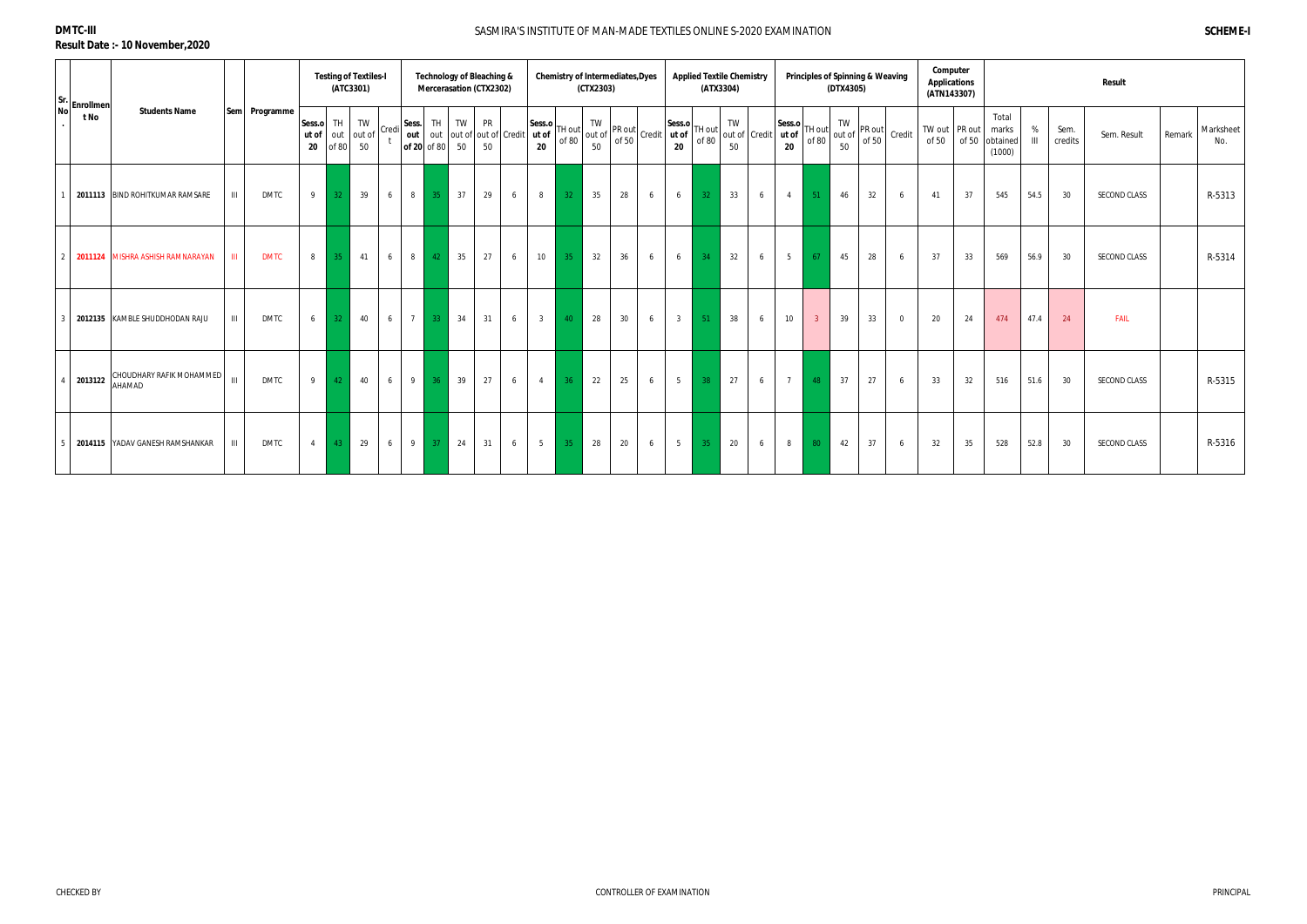| Sr. Enrollmen <sup>1</sup> |                                           |      |               |                       |                 | <b>Testing of Textiles-I</b><br>(ATC3301) |       |                               |                 | Technology of Bleaching &<br>Mercerasation (CTX2302) |          |                          |                       |    | (CTX2303) | <b>Chemistry of Intermediates, Dyes</b>                                                                        |   |                       |                 | <b>Applied Textile Chemistry</b><br>(ATX3304) |   |                                     |                 | <b>Principles of Spinning &amp; Weaving</b><br>(DTX4305) |    |                                                                       | Computer<br><b>Applications</b><br>(ATN143307) |                        |                                      |                     |                 | <b>Result</b>       |        |                  |
|----------------------------|-------------------------------------------|------|---------------|-----------------------|-----------------|-------------------------------------------|-------|-------------------------------|-----------------|------------------------------------------------------|----------|--------------------------|-----------------------|----|-----------|----------------------------------------------------------------------------------------------------------------|---|-----------------------|-----------------|-----------------------------------------------|---|-------------------------------------|-----------------|----------------------------------------------------------|----|-----------------------------------------------------------------------|------------------------------------------------|------------------------|--------------------------------------|---------------------|-----------------|---------------------|--------|------------------|
| t No                       | <b>Students Name</b>                      |      | Sem Programme | Sess.o<br>ut of<br>20 | TH I<br>of 80   | TW<br>out out of<br>50                    | Credi | Sess.<br>out  <br>of 20 of 80 | TH              | TW<br>50                                             | PR<br>50 | out out of out of Credit | Sess.o<br>ut of<br>20 |    | TW<br>50  | TH out $\begin{bmatrix} 1 & 0 \\ 0 & 1 \end{bmatrix}$ or $\begin{bmatrix} 1 & 0 \\ 0 & 1 \end{bmatrix}$ Credit |   | Sess.o<br>ut of<br>20 | TH out<br>of 80 | TW<br>50                                      |   | Sess.o<br>out of Credit ut of<br>20 | TH out<br>of 80 | TW<br>out of<br>50                                       |    | $\begin{array}{c}\n\text{PR out} \\ \text{of 50}\n\end{array}$ Credit | of 50                                          | TW out PR out<br>of 50 | Total<br>marks<br>obtained<br>(1000) | %<br>$\mathbf{III}$ | Sem.<br>credits | Sem. Result         | Remark | Marksheet<br>No. |
|                            | 2011113 BIND ROHITKUMAR RAMSARE           | III  | <b>DMTC</b>   | 9                     | 32              | 39                                        | 6     | 8                             | 35              | 37                                                   | 29       | 6                        | 8                     | 32 | 35        | 28                                                                                                             | 6 | 6                     | 32              | 33                                            | 6 | $\overline{4}$                      | 51              | 46                                                       | 32 | 6                                                                     | 41                                             | 37                     | 545                                  | 54.5                | 30              | <b>SECOND CLASS</b> |        | R-5313           |
|                            | 2011124 MISHRA ASHISH RAMNARAYAN          | THE. | <b>DMTC</b>   | $8 \mid$              | 35              | 41                                        | 6     | 8                             | 42              | 35                                                   | 27       | 6                        | 10                    | 35 | 32        | 36                                                                                                             | 6 | 6                     | 34              | 32                                            | 6 | 5 <sub>5</sub>                      | 67              | 45                                                       | 28 | 6                                                                     | 37                                             | 33                     | 569                                  | 56.9                | 30              | SECOND CLASS        |        | R-5314           |
|                            | 2012135 KAMBLE SHUDDHODAN RAJU            | III  | <b>DMTC</b>   | 6                     | 32 <sup>°</sup> | 40                                        | 6     | $7\overline{ }$               | 33 <sup>°</sup> | 34                                                   | 31       | 6                        | 3 <sup>3</sup>        | 40 | 28        | $30\,$                                                                                                         | 6 | 3 <sup>1</sup>        | -51             | 38                                            | 6 | 10                                  | 3 <sup>2</sup>  | 39                                                       | 33 | $\overline{0}$                                                        | 20                                             | 24                     | 474                                  | 47.4                | 24              | <b>FAIL</b>         |        |                  |
| 2013122                    | CHOUDHARY RAFIK MOHAMMED<br><b>AHAMAD</b> | III  | <b>DMTC</b>   | 9                     | 42              | 40                                        | 6     | 9                             | 36              | 39                                                   | 27       | 6                        | $\overline{4}$        | 36 | 22        | 25                                                                                                             | 6 | 5 <sub>5</sub>        | 38              | 27                                            | 6 | $7\overline{ }$                     | 48              | 37                                                       | 27 | 6                                                                     | 33                                             | 32                     | 516                                  | 51.6                | 30              | <b>SECOND CLASS</b> |        | R-5315           |
|                            | 2014115 YADAV GANESH RAMSHANKAR           | Ш    | <b>DMTC</b>   | $4 \mid$              | 43              | 29                                        | 6     | 9                             | 37              | 24                                                   | 31       | 6                        | 5 <sup>5</sup>        | 35 | 28        | 20                                                                                                             | 6 | 5 <sup>5</sup>        | 35              | 20                                            | 6 | 8                                   | 80 <sub>1</sub> | 42                                                       | 37 | 6                                                                     | 32                                             | 35                     | 528                                  | 52.8                | 30              | SECOND CLASS        |        | R-5316           |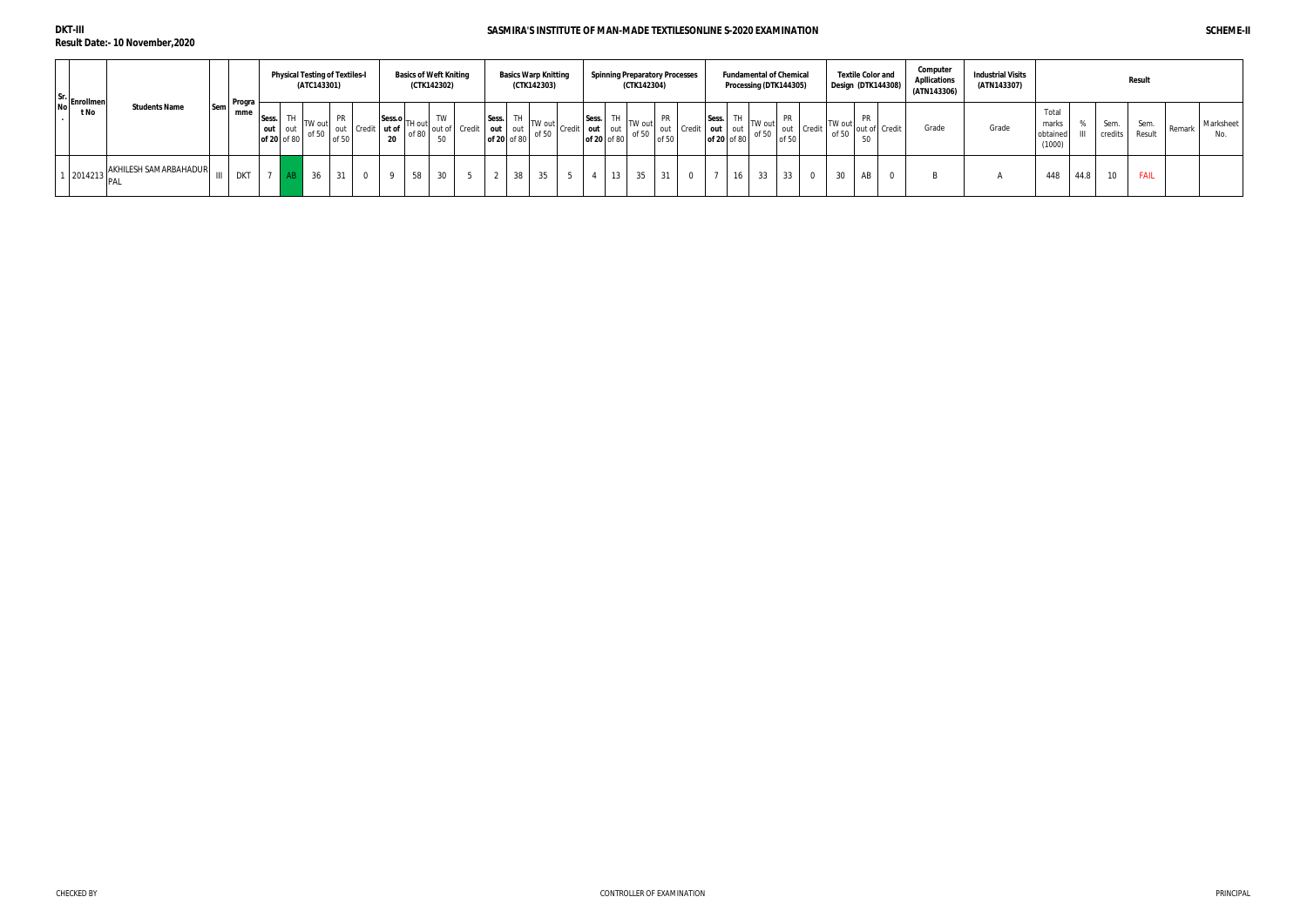| Sr.<br>No Enrollmen |                      |            | <b>Program</b> |       |                        | <b>Physical Testing of Textiles-I</b><br>(ATC143301) |                    |                  |                                                  |       | <b>Basics of Weft Kniting</b><br>(CTK142302) |                           |                      |    | <b>Basics Warp Knitting</b><br>(CTK142303) |                         |             | <b>Spinning Preparatory Processes</b><br>(CTK142304) |             |                    |       |                   | <b>Fundamental of Chemical</b><br>Processing (DTK144305) |       |            | Design (DTK144308) |                 | <b>Textile Color and</b> | Computer<br><b>Apllications</b><br>(ATN143306) | <b>Industrial Visits</b><br>(ATN143307) |                                      |      |                 | Result         |        |                  |
|---------------------|----------------------|------------|----------------|-------|------------------------|------------------------------------------------------|--------------------|------------------|--------------------------------------------------|-------|----------------------------------------------|---------------------------|----------------------|----|--------------------------------------------|-------------------------|-------------|------------------------------------------------------|-------------|--------------------|-------|-------------------|----------------------------------------------------------|-------|------------|--------------------|-----------------|--------------------------|------------------------------------------------|-----------------------------------------|--------------------------------------|------|-----------------|----------------|--------|------------------|
| t No                | <b>Students Name</b> | <b>Sem</b> | mme            | Sess. | out out<br>of 20 of 80 | TW out<br>of 50                                      | <b>PR</b><br>of 50 | out Credit ut of | $ \text{Sess.o} $ TH out $ \text{Sess.n} $<br>20 | of 80 | 50                                           | out of Credit   out   out | Sess.<br>of 20 of 80 |    | TW out<br>of 50                            | Sess.<br>Credit out out | of 20 of 80 | TW out<br>of 50                                      | PR<br>of 50 | out Credit out out | Sess. | TH<br>of 20 of 80 | TW out<br>of 50                                          | of 50 | out Credit | TW out<br>of 50    | <b>PR</b><br>50 | out of Credit            | Grade                                          | Grade                                   | Total<br>marks<br>obtained<br>(1000) |      | Sem.<br>credits | Sem.<br>Result | Remark | Marksheet<br>No. |
|                     |                      |            | <b>DKT</b>     |       |                        | 36                                                   | 31                 |                  |                                                  |       | 30                                           |                           |                      | 38 |                                            |                         | 13          | 35                                                   | 31          | $\Omega$           |       | 16                | 33                                                       | 33    |            | 30                 | AB              |                          | D.                                             |                                         | 448                                  | 44.8 | 10              | FAIL           |        |                  |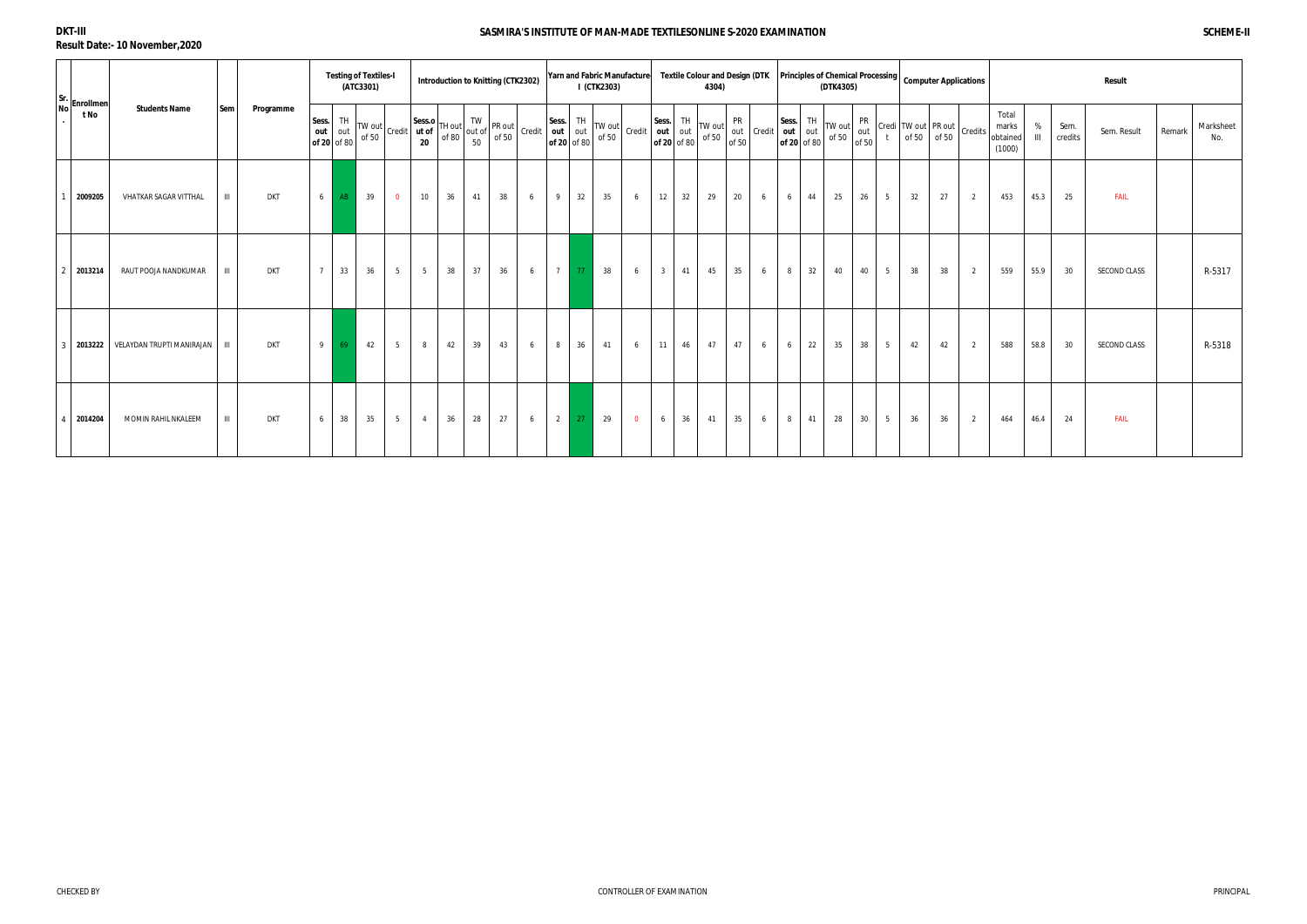|     | Sr. Enrollmen |                                 |                |            |                |                          | <b>Testing of Textiles-I</b><br>(ATC3301) |                 | Introduction to Knitting (CTK2302)                                                                                                                                                                                                                                                                                                                                                                                                              |    |    |    |   |                |     | I (CTK2303) |                                                                                                                        |                |    | Yarn and Fabric Manufacture Textile Colour and Design (DTK<br>4304)                                                                                                    |           |   |          |    | (DTK4305)                                                                                                                                                                                                    | Principles of Chemical Processing   Computer Applications |      |    |                     |                                                                 |                                      |                                         |                 | Result       |        |                  |
|-----|---------------|---------------------------------|----------------|------------|----------------|--------------------------|-------------------------------------------|-----------------|-------------------------------------------------------------------------------------------------------------------------------------------------------------------------------------------------------------------------------------------------------------------------------------------------------------------------------------------------------------------------------------------------------------------------------------------------|----|----|----|---|----------------|-----|-------------|------------------------------------------------------------------------------------------------------------------------|----------------|----|------------------------------------------------------------------------------------------------------------------------------------------------------------------------|-----------|---|----------|----|--------------------------------------------------------------------------------------------------------------------------------------------------------------------------------------------------------------|-----------------------------------------------------------|------|----|---------------------|-----------------------------------------------------------------|--------------------------------------|-----------------------------------------|-----------------|--------------|--------|------------------|
| Nol | t No          | <b>Students Name</b>            | Sem            | Programme  | Sess.<br>out   | TH<br>out<br>of 20 of 80 | TW out                                    |                 | $\begin{array}{ l l l }\n\hline\n\text{TW out} & \text{Credit} & \text{W cost} \\ \hline\n\text{of 50} & \text{Credit} & \text{ut of 80} \\ \hline\n\text{of 50} & \text{of 80} & \text{of 50} \\ \hline\n\end{array}\n\begin{array}{ l l } \hline\n\text{TW} & \text{TW out} & \text{Sess.} & \text{TH} \\ \hline\n\text{out} & \text{out} & \text{out} \\ \text{out} & \text{out 80} & \text{of 50} \\ \hline\n\text{of 80} & \text{of 50}\n$ |    |    |    |   |                |     |             | $\left[\begin{array}{c c}\n\text{Credit} & \text{out} & \text{out} \\ \text{of 20} & \text{of 80}\n\end{array}\right]$ | Sess.          | TH | $\int_{\text{if } \Omega_0}$ TW out $\begin{bmatrix} \text{r}_{11} \\ \text{out} \\ \text{of } 50 \end{bmatrix}$ Credit $\begin{bmatrix} 1 \\ \text{or} \end{bmatrix}$ | <b>PR</b> |   | Sess. TH |    | $\begin{bmatrix} \text{sess.} \\ \text{out} \\ \text{of 20} \end{bmatrix} \begin{bmatrix} \text{IH} \\ \text{out} \\ \text{of 50} \end{bmatrix} \begin{bmatrix} \text{TW out} \\ \text{of 50} \end{bmatrix}$ | PR<br>$\frac{1}{100}$<br>of 50                            | $-t$ |    | Credi TW out PR out | $\int_0^1$ of 50 $\int_0^1$ of 50 $\int_0^1$ Credits $\int_0^1$ | Total<br>marks<br>obtained<br>(1000) | %<br>$\ensuremath{\mathsf{III}}\xspace$ | Sem.<br>credits | Sem. Result  | Remark | Marksheet<br>No. |
|     | 2009205       | VHATKAR SAGAR VITTHAL           | $\  \cdot \ $  | <b>DKT</b> | 6              | AB                       | 39                                        | $\mathbf{0}$    | 10                                                                                                                                                                                                                                                                                                                                                                                                                                              | 36 | 41 | 38 | 6 | 9              | 32  | 35          | 6                                                                                                                      | 12             | 32 | 29                                                                                                                                                                     | 20        | 6 | 6        | 44 | 25                                                                                                                                                                                                           | 26                                                        | 5    | 32 | 27                  | 2                                                               | 453                                  | 45.3                                    | 25              | <b>FAIL</b>  |        |                  |
|     | 2013214       | RAUT POOJA NANDKUMAR            | $\mathbf{III}$ | <b>DKT</b> | $7^{\circ}$    | 33                       | 36                                        | 5               | 5 <sup>5</sup>                                                                                                                                                                                                                                                                                                                                                                                                                                  | 38 | 37 | 36 | 6 |                |     | 38          | 6                                                                                                                      | 3 <sup>1</sup> | 41 | 45                                                                                                                                                                     | 35        | 6 | 8        | 32 | 40                                                                                                                                                                                                           | 40                                                        | 5    | 38 | 38                  | 2                                                               | 559                                  | 55.9                                    | 30              | SECOND CLASS |        | R-5317           |
|     | 2013222       | VELAYDAN TRUPTI MANIRAJAN   III |                | <b>DKT</b> | 9 <sup>1</sup> | 69                       | 42                                        | 5               | 8                                                                                                                                                                                                                                                                                                                                                                                                                                               | 42 | 39 | 43 | 6 | 8              | 36  | 41          | 6                                                                                                                      | 11             | 46 | 47                                                                                                                                                                     | 47        | 6 | 6        | 22 | 35                                                                                                                                                                                                           | 38                                                        | 5    | 42 | 42                  | 2                                                               | 588                                  | 58.8                                    | 30              | SECOND CLASS |        | R-5318           |
|     | 2014204       | MOMIN RAHIL NKALEEM             | $\mathbf{H}$   | <b>DKT</b> | 6              | 38                       | 35                                        | $5\overline{)}$ | $\overline{4}$                                                                                                                                                                                                                                                                                                                                                                                                                                  | 36 | 28 | 27 | 6 | $\overline{2}$ | -27 | 29          | $\overline{0}$                                                                                                         | 6              | 36 | 41                                                                                                                                                                     | 35        | 6 | 8        | 41 | 28                                                                                                                                                                                                           | 30 <sup>°</sup>                                           | 5    | 36 | 36                  | 2                                                               | 464                                  | 46.4                                    | 24              | <b>FAIL</b>  |        |                  |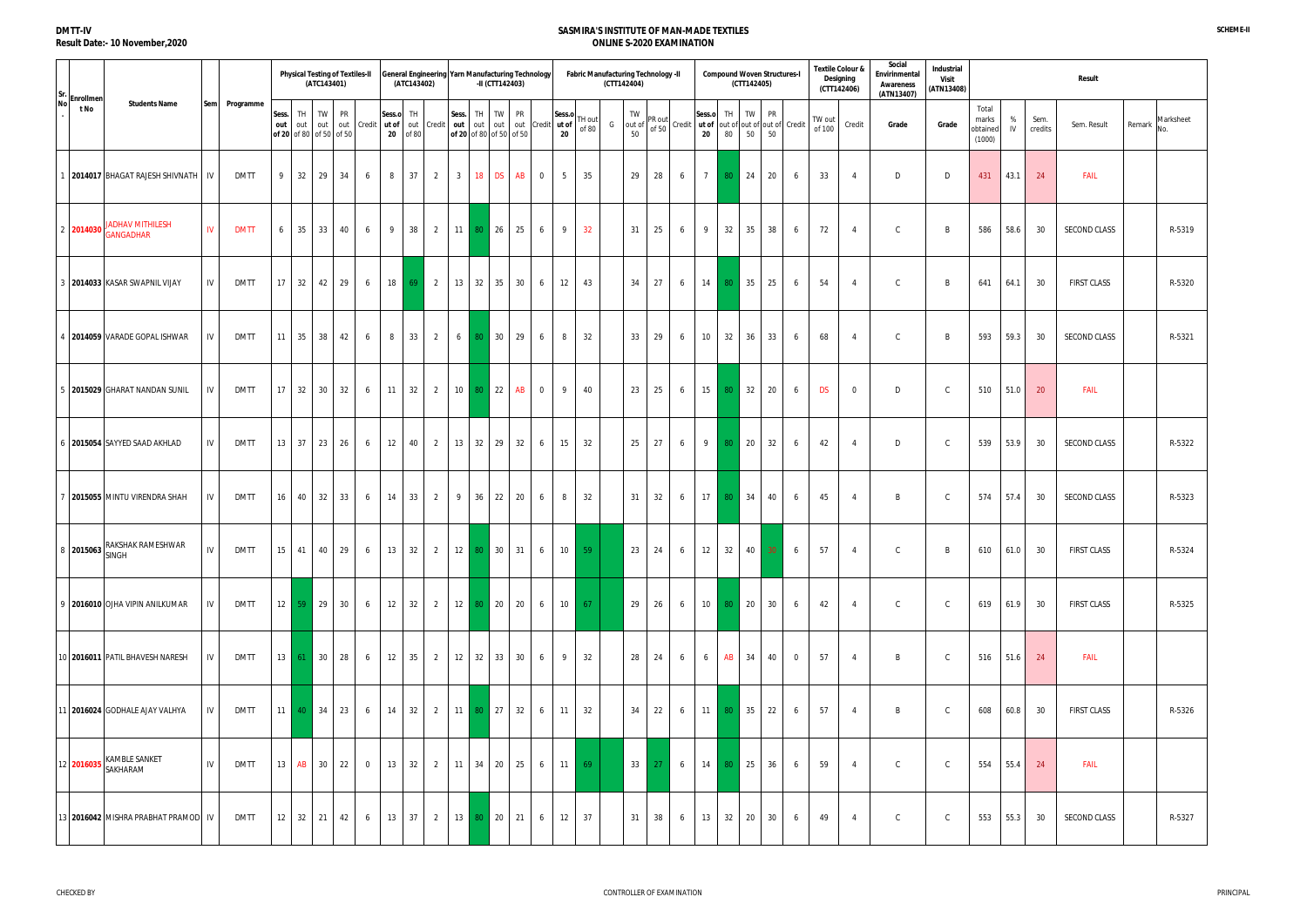| Sr.  | Enrollmen |                                                                                 |            |             |              |           | (ATC143401)                          | <b>Physical Testing of Textiles-II</b> |                |              | (ATC143402)     | General Engineering Yarn Manufacturing Technology                     |                  | -II (CTT142403)               |                 |    |                      |                       | Fabric Manufacturing Technology -II | (CTT142404) |                    |                    |                                                 |                 |          | (CTT142405) | <b>Compound Woven Structures-I</b> |                |                  | <b>Textile Colour &amp;</b><br>Designing<br>(CTT142406) | Social<br>Envirinmental<br>Awareness<br>(ATN13407) | Industrial<br>Visit<br>(ATN13408) |                                      |         |                 | Result              |        |                  |
|------|-----------|---------------------------------------------------------------------------------|------------|-------------|--------------|-----------|--------------------------------------|----------------------------------------|----------------|--------------|-----------------|-----------------------------------------------------------------------|------------------|-------------------------------|-----------------|----|----------------------|-----------------------|-------------------------------------|-------------|--------------------|--------------------|-------------------------------------------------|-----------------|----------|-------------|------------------------------------|----------------|------------------|---------------------------------------------------------|----------------------------------------------------|-----------------------------------|--------------------------------------|---------|-----------------|---------------------|--------|------------------|
| No l | t No      | <b>Students Name</b>                                                            | <b>Sem</b> | Programme   | Sess.<br>out | TH<br>out | TW<br>out<br>of 20 of 80 of 50 of 50 | PR<br>out                              | Credit ut of   | Sess.o<br>20 | TH<br>out<br>08 | Credit                                                                | Sess.<br>out out | TH<br>of 20 of 80 of 50 of 50 | <b>TW</b>       | PR | out out Credit ut of | Sess.o<br>$20\degree$ | TH out<br>of 80                     | G           | TW<br>out of<br>50 | PR out<br>of $501$ | Credit   ut of  out of  out of  out of   Credit | Sess.o<br>20    | TH<br>80 | TW<br>50    | PR<br>50                           |                | TW out<br>of 100 | Credit                                                  | Grade                                              | Grade                             | Total<br>marks<br>obtained<br>(1000) | %<br>IV | Sem.<br>credits | Sem. Result         | Remark | Marksheet<br>No. |
|      |           | 2014017 BHAGAT RAJESH SHIVNATH   IV                                             |            | <b>DMTT</b> | 9            | 32        | 29                                   | 34                                     | 6              | 8            | 37              | $\overline{2}$                                                        | 3 <sup>1</sup>   | 18                            | <b>DS</b>       | AB | $\overline{0}$       | 5                     | 35                                  |             | 29                 | 28                 | 6                                               | $7\overline{ }$ | 80       | 24          | 20                                 | 6              | 33               | $\overline{4}$                                          | D                                                  | D                                 | 431                                  | 43.1    | 24              | <b>FAIL</b>         |        |                  |
|      |           | <b>JADHAV MITHILESH</b><br>$2 \left  \textbf{2014030} \right  \text{GANGADHAR}$ | IV         | <b>DMTT</b> | 6            | 35        | 33                                   | 40                                     | 6              | - 9          | 38              | $\overline{2}$                                                        | 11               | l 80.                         | 26              | 25 | 6                    | 9                     | 32                                  |             | 31                 | 25                 | 6                                               | - 9             | 32       | 35          | 38                                 | 6              | 72               | $\overline{4}$                                          | $\mathsf{C}$                                       | B                                 | 586                                  | 58.6    | 30              | SECOND CLASS        |        | R-5319           |
|      |           | 2014033 KASAR SWAPNIL VIJAY                                                     | IV         | <b>DMTT</b> | 17           | 32        | 42                                   | 29                                     | 6              | 18           | 69              | $\overline{2}$                                                        | 13               | 32                            | 35              | 30 | 6                    | 12                    | 43                                  |             | 34                 | 27                 | 6                                               | 14              | 80       | 35          | 25                                 | 6              | 54               | $\overline{4}$                                          | $\mathsf{C}$                                       | B                                 | 641                                  | 64.1    | 30              | <b>FIRST CLASS</b>  |        | R-5320           |
|      |           | 2014059 VARADE GOPAL ISHWAR                                                     | IV.        | <b>DMTT</b> | 11           | 35        | 38                                   | 42                                     | 6              | 8            | 33              | $\overline{2}$                                                        | 6                | 80.                           | 30 <sup>°</sup> | 29 | 6                    | 8                     | 32                                  |             | 33                 | 29                 | 6                                               | 10              | 32       | 36          | 33                                 | 6              | 68               | $\overline{4}$                                          | $\mathsf{C}$                                       | B                                 | 593                                  | 59.3    | 30              | <b>SECOND CLASS</b> |        | R-5321           |
|      |           | 2015029 GHARAT NANDAN SUNIL                                                     | IV         | <b>DMTT</b> | 17           | 32        | 30 <sup>2</sup>                      | 32                                     | 6              | 11           | 32              | $\overline{2}$                                                        |                  | 10 80 22                      |                 | AB | $\overline{0}$       | 9                     | 40                                  |             | 23                 | 25                 | 6                                               | 15              | 80       | 32          | 20                                 | 6              | <b>DS</b>        | $\mathbf 0$                                             | D                                                  | C.                                | 510                                  | 51.0    | 20              | <b>FAIL</b>         |        |                  |
|      |           | 2015054 SAYYED SAAD AKHLAD                                                      | IV         | DMTT        | 13           | 37        | 23                                   | 26                                     | 6              | 12           | 40              | $\overline{2}$                                                        | 13 32            |                               | 29              | 32 | 6                    | 15                    | 32                                  |             | 25                 | 27                 | 6                                               | -9              | 80       | 20          | 32                                 | 6              | 42               | $\overline{4}$                                          | D                                                  | C.                                | 539                                  | 53.9    | 30              | SECOND CLASS        |        | R-5322           |
|      |           | 2015055 MINTU VIRENDRA SHAH                                                     | IV         | <b>DMTT</b> | 16           | 40        | 32                                   | 33                                     | 6              | 14           | 33              | $\overline{2}$                                                        | 9                | 36                            | 22              | 20 | 6                    | 8                     | 32                                  |             | 31                 | 32                 | 6                                               | 17              | 80       | 34          | 40                                 | 6              | 45               | $\overline{4}$                                          | B                                                  | C.                                | 574                                  | 57.4    | 30              | SECOND CLASS        |        | R-5323           |
|      |           | RAKSHAK RAMESHWAR<br>8 2015063 March                                            | IV         | <b>DMTT</b> |              |           |                                      |                                        |                |              |                 | 15   41   40   29   6   13   32   2   12   80   30   31   6   10   59 |                  |                               |                 |    |                      |                       |                                     |             |                    |                    | 23 24 6 12 32 40 30 6                           |                 |          |             |                                    |                | 57               | $\overline{4}$                                          | $\mathsf{C}$                                       | B                                 | 610 61.0                             |         | 30              | <b>FIRST CLASS</b>  |        | R-5324           |
|      |           | 9 2016010 OJHA VIPIN ANILKUMAR                                                  | IV         | DMTT        |              |           | $12 \quad 59 \quad 29 \quad 30$      |                                        | 6              | 12           | 32              |                                                                       |                  | 2 12 80 20 20                 |                 |    | 6                    | 10                    | 67                                  |             | 29                 | 26                 | 6                                               | 10              | 80 20    |             | 30                                 | 6              | 42               | $\overline{4}$                                          | $\mathsf{C}$                                       | $\mathsf{C}$                      | 619                                  | 61.9    | 30              | <b>FIRST CLASS</b>  |        | R-5325           |
|      |           | 10 2016011 PATIL BHAVESH NARESH                                                 | IV         | DMTT        |              |           | $13 \mid 61 \mid 30 \mid$            | 28                                     | 6              | 12           | 35              | $\overline{2}$                                                        |                  | 12 32 33 30                   |                 |    | 6                    | 9                     | 32                                  |             | 28                 | 24                 | 6                                               | 6               | AB       | 34          | 40                                 | $\overline{0}$ | 57               | $\overline{4}$                                          | B                                                  | $\mathsf{C}$                      | 516                                  | 51.6    | 24              | <b>FAIL</b>         |        |                  |
|      |           | 11 2016024 GODHALE AJAY VALHYA                                                  | IV         | DMTT        | 11           |           | 40 34                                | 23                                     | 6              | 14           | 32              | $\overline{2}$                                                        |                  | $11$ 80 27 32                 |                 |    | 6                    | 11                    | 32                                  |             | 34                 | 22                 | 6                                               | 11              |          | 80 35       | 22                                 | 6              | 57               | $\overline{4}$                                          | B                                                  | $\mathsf{C}$                      | 608                                  | 60.8    | 30              | <b>FIRST CLASS</b>  |        | R-5326           |
|      |           | 12 2016035 KAMBLE SANKET                                                        | IV         | DMTT        | 13           | AB        | 30 <sup>1</sup>                      | 22                                     | $\overline{0}$ | 13           | 32              | $\overline{2}$                                                        | 11               | $34$ 20 25                    |                 |    | 6                    | 11                    | 69                                  |             | 33                 | - 27               | 6                                               | 14              | 80       | 25          | 36                                 | 6              | 59               | $\overline{4}$                                          | $\mathsf{C}$                                       | C.                                | 554                                  | 55.4    | 24              | <b>FAIL</b>         |        |                  |
|      |           | 13 2016042 MISHRA PRABHAT PRAMOD                                                | IV         | <b>DMTT</b> | 12           | 32        | 21                                   | 42                                     | 6              | 13           | 37              | $2 \quad$                                                             |                  | 13 80 20                      |                 | 21 | 6                    | 12                    | 37                                  |             | 31                 | 38                 | 6                                               | 13              | 32       | 20          | 30                                 | 6              | 49               | $\overline{4}$                                          | $\mathsf{C}$                                       | C.                                | 553                                  | 55.3    | 30              | SECOND CLASS        |        | R-5327           |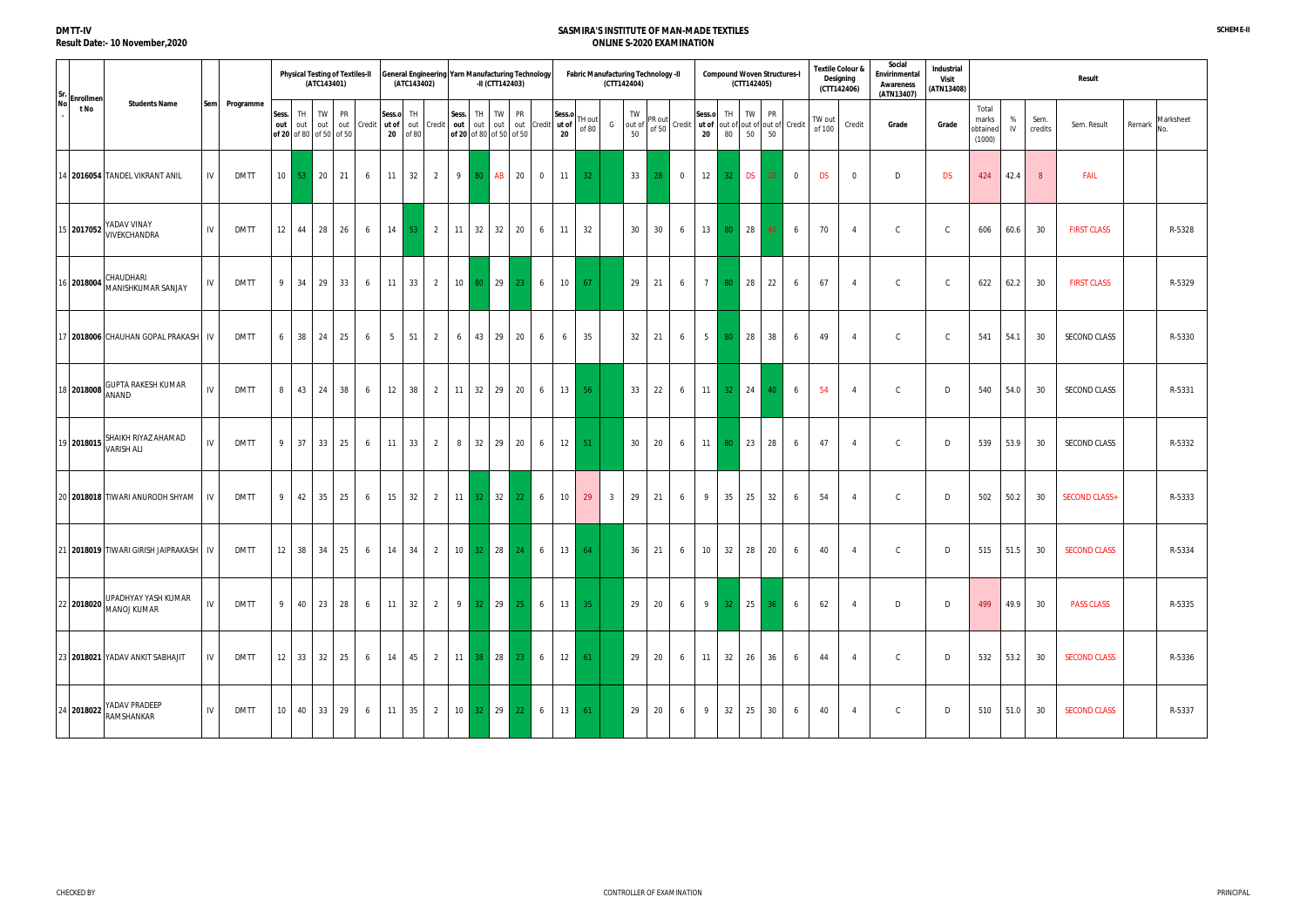| Sr.       | Enrollmen  |                                                    |     |             |                 | <b>Physical Testing of Textiles-II</b> | (ATC143401) |           |                                     |                              | (ATC143402) |                |                  | General Engineering Yarn Manufacturing Technology<br>-II (CTT142403) |                 |                      |              |                   |                 | Fabric Manufacturing Technology -II<br>(CTT142404) |                 |                                          |              |                 | (CTT142405) | <b>Compound Woven Structures-I</b> |                |                  | <b>Textile Colour &amp;</b><br>Designing<br>(CTT142406) | Social<br>Envirinmental<br>Awareness<br>(ATN13407) | Industrial<br><b>Visit</b><br>(ATN13408) |                                      |         |                 | Result               |        |                  |
|-----------|------------|----------------------------------------------------|-----|-------------|-----------------|----------------------------------------|-------------|-----------|-------------------------------------|------------------------------|-------------|----------------|------------------|----------------------------------------------------------------------|-----------------|----------------------|--------------|-------------------|-----------------|----------------------------------------------------|-----------------|------------------------------------------|--------------|-----------------|-------------|------------------------------------|----------------|------------------|---------------------------------------------------------|----------------------------------------------------|------------------------------------------|--------------------------------------|---------|-----------------|----------------------|--------|------------------|
| <b>No</b> | t No       | <b>Students Name</b>                               | Sem | Programme   | Sess.<br>out    | TH<br>out<br>of 20 of 80 of 50 of 50   | TW<br>out   | PR<br>out |                                     | Sess.o<br>Credit ut of<br>20 | TH<br>of 80 | out Credit     | Sess.<br>out out | TH<br><b>TW</b><br>of 20 of 80 of 50 of 50                           | <b>PR</b>       | out out Credit ut of | Sess.o<br>20 | TH out<br>of 80   | G               | TW<br>out of<br>50                                 | PR out<br>of 50 | Credit ut of out of out of out of Credit | Sess.o<br>20 | TH<br>80        | TW<br>50    | PR<br>50                           |                | TW out<br>of 100 | Credit                                                  | Grade                                              | Grade                                    | Total<br>marks<br>obtaineo<br>(1000) | %<br>IV | Sem.<br>credits | Sem. Result          | Remark | Marksheet<br>No. |
|           |            | 14   2016054   TANDEL VIKRANT ANIL                 | IV  | <b>DMTT</b> | 10 <sup>1</sup> | 53 <sup>°</sup>                        | 20          | 21        | 6                                   | 11                           | 32          | 2              | 9 <sup>1</sup>   | AB <sub>1</sub><br>80 <sup>1</sup>                                   | 20              | $\overline{0}$       | 11           | 32 <sub>1</sub>   |                 | 33                                                 | 28              | $\overline{0}$                           | 12           | 32 <sub>1</sub> | <b>DS</b>   | 20                                 | $\overline{0}$ | <b>DS</b>        | $\overline{0}$                                          | D                                                  | <b>DS</b>                                | 424                                  | 42.4    | 8               | <b>FAIL</b>          |        |                  |
|           |            | 15 2017052 YADAV VINAY                             | IV  | <b>DMTT</b> | 12              | 44                                     | 28          | 26        | 6                                   | 14                           | -53         | $\overline{2}$ | 11               | 32<br>32                                                             | 20              | 6                    | 11           | 32                |                 | 30                                                 | 30              | 6                                        | 13           | 80              | 28          | 40                                 | 6              | 70               | $\overline{4}$                                          | $\mathsf{C}$                                       | C.                                       | 606                                  | 60.6    | 30              | <b>FIRST CLASS</b>   |        | R-5328           |
|           |            | 116 2018004 CHAUDHARI<br>MANISHKUMAR SANJAY        | IV  | <b>DMTT</b> | 9               | 34                                     | 29          | 33        | 6                                   | 11                           | 33          | 2              | 10 <sup>1</sup>  | 29<br>80 -                                                           | 23              | 6                    | 10           | 67                |                 | 29                                                 | 21              | 6                                        | 7            | 80              | 28          | 22                                 | 6              | 67               | $\overline{4}$                                          | $\mathsf{C}$                                       |                                          | 622                                  | 62.2    | 30              | <b>FIRST CLASS</b>   |        | R-5329           |
|           |            | 17 2018006 CHAUHAN GOPAL PRAKASH                   | IV  | <b>DMTT</b> | 6               | 38                                     | 24          | 25        | 6                                   | 5                            | 51          | 2              | 6                | 43 29                                                                | 20              | 6                    | 6            | 35                |                 | 32                                                 | 21              | 6                                        | 5            | 80              | 28          | 38                                 | 6              | 49               | $\overline{4}$                                          | $\mathsf{C}$                                       | - C                                      | 541                                  | 54.1    | 30              | SECOND CLASS         |        | R-5330           |
|           | 18 2018008 | <b>GUPTA RAKESH KUMAR</b><br>ANAND                 | IV  | <b>DMTT</b> | 8               | 43                                     | 24          | 38        | 6                                   | 12                           | 38          | 2              |                  | $11 \quad 32 \quad 29 \quad 20$                                      |                 | 6                    | 13           | 56                |                 | 33                                                 | 22              | 6                                        | 11           | 32 <sub>1</sub> | 24          | 40                                 | 6              | 54               | $\overline{4}$                                          | $\mathsf{C}$                                       | D                                        | 540                                  | 54.0    | 30              | SECOND CLASS         |        | R-5331           |
|           | 19 2018015 | <b>SHAIKH RIYAZ AHAMAD</b><br><b>VARISH ALI</b>    | IV  | <b>DMTT</b> | 9               | 37                                     | 33          | 25        | 6                                   | 11                           | 33          | $\overline{2}$ | 8                | 32 29 20                                                             |                 | 6                    | 12           | 51                |                 | 30                                                 | 20              | 6                                        |              | $11 \quad 80$   | 23          | 28                                 | 6              | 47               | $\overline{4}$                                          | $\mathsf{C}$                                       | D                                        | 539                                  | 53.9    | 30              | SECOND CLASS         |        | R-5332           |
|           |            | 20 2018018 TIWARI ANURODH SHYAM                    | IV  | <b>DMTT</b> | 9               | 42                                     | 35          | 25        | 6                                   | 15                           | 32          | $\overline{2}$ |                  | 32<br>$11 \quad 32$                                                  | 22              | 6                    | 10           | 29                | $3\overline{3}$ | 29                                                 | 21              | 6                                        | 9            | 35              | 25          | 32                                 | 6              | 54               | $\overline{4}$                                          | $\mathsf{C}$                                       | D                                        | 502                                  | 50.2    | 30              | <b>SECOND CLASS+</b> |        | R-5333           |
|           |            | 21 2018019 TIWARI GIRISH JAIPRAKASH   IV           |     | <b>DMTT</b> |                 |                                        |             |           | $12 \mid 38 \mid 34 \mid 25 \mid 6$ |                              |             |                |                  | 14 34 2 10 32 28 24 6                                                |                 |                      |              | $13 \quad 64$     |                 | 36                                                 | 21              | 6                                        |              |                 |             | 10 32 28 20                        | 6              | 40               | $\overline{4}$                                          | $\mathsf{C}$                                       | D                                        | 515 51.5                             |         | 30              | <b>SECOND CLASS</b>  |        | R-5334           |
|           |            | UPADHYAY YASH KUMAR<br>22 2018020 MANOJ KUMAR      | IV  | <b>DMTT</b> | -9              | 40                                     | 23          | 28        | 6                                   | 11                           | 32          | $\overline{2}$ |                  | 9 32 29                                                              | 25              | 6                    |              | $13 \mid 35 \mid$ |                 | 29                                                 | 20              | 6                                        | 9            | $32 -$          | 25          |                                    | 6              | 62               | 4                                                       | D                                                  | D                                        | 499                                  | 49.9    | - 30            | <b>PASS CLASS</b>    |        | R-5335           |
|           |            | 23 2018021 YADAV ANKIT SABHAJIT                    | IV  | <b>DMTT</b> |                 | $12 \mid 33 \mid$                      | 32          | 25        | 6                                   | 14                           | 45          | 2              |                  | $11 \quad 38 \quad 28$                                               | $23-1$          | 6                    |              | $12 \mid 61 \mid$ |                 | 29                                                 | 20              | 6                                        | 11           | 32              | 26          | 36                                 | 6              | 44               | 4                                                       | $\mathsf{C}$                                       | D                                        | 532                                  | 53.2    | 30              | <b>SECOND CLASS</b>  |        | R-5336           |
|           |            | YADAV PRADEEP<br>$\frac{1}{24}$ 2018022 RAMSHANKAR | IV  | DMTT        | 10 <sup>°</sup> | 40                                     | 33          | 29        | 6                                   | 11                           | 35          | 2              |                  | $10 \mid 32 \mid 29 \mid$                                            | 22 <sub>1</sub> | 6                    |              | $13 \mid 61$      |                 | 29                                                 | 20              | 6                                        | 9            | 32              | 25          | 30                                 | 6              | 40               | 4                                                       | $\mathsf{C}$                                       | D                                        | 510                                  | 51.0    | 30              | <b>SECOND CLASS</b>  |        | R-5337           |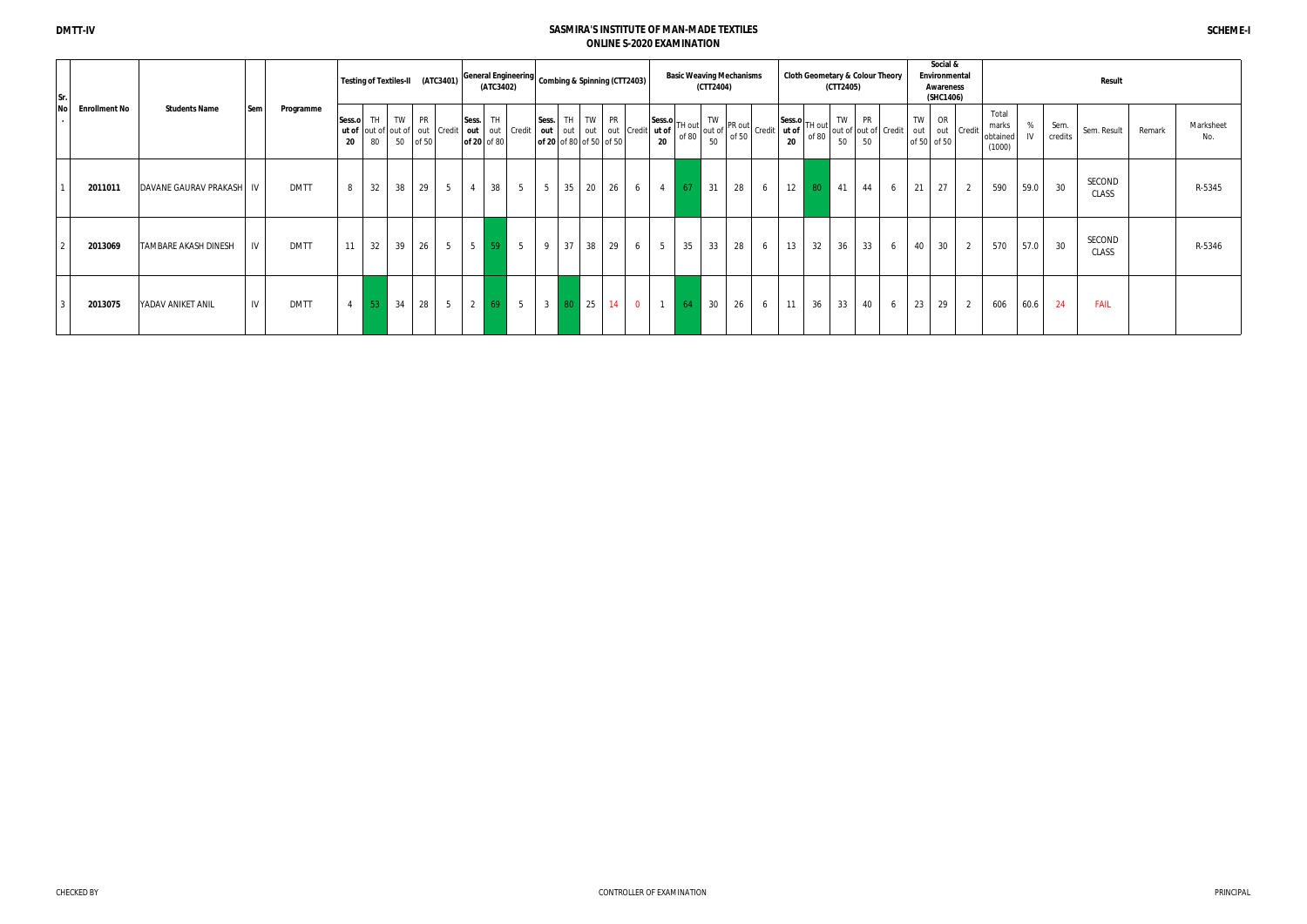| Sr.  |                      |                       |      |             |                       |    |    | Testing of Textiles-II (ATC3401)                    |                |                                | (ATC3402)          |                |                                  |              |       | Seneral Engineering Combing & Spinning (CTT2403) |                                              | <b>Basic Weaving Mechanisms</b> | (CTT2404)       |    |                                                                                                                                                                                            |                                                                     |    | (CTT2405) |                 | <b>Cloth Geometary &amp; Colour Theory</b>                     |           | Social &<br>Environmental<br>Awareness<br>(SHC1406) |            |                                      |         |                 | <b>Result</b>   |        |                  |
|------|----------------------|-----------------------|------|-------------|-----------------------|----|----|-----------------------------------------------------|----------------|--------------------------------|--------------------|----------------|----------------------------------|--------------|-------|--------------------------------------------------|----------------------------------------------|---------------------------------|-----------------|----|--------------------------------------------------------------------------------------------------------------------------------------------------------------------------------------------|---------------------------------------------------------------------|----|-----------|-----------------|----------------------------------------------------------------|-----------|-----------------------------------------------------|------------|--------------------------------------|---------|-----------------|-----------------|--------|------------------|
| No l | <b>Enrollment No</b> | <b>Students Name</b>  | Sem  | Programme   | Sess.o TH TW PR<br>20 | 80 |    | <b>ut of</b> out of out of out   Credit<br>50 of 50 |                | Sess.<br>$\sim$   out   $\sim$ | TH.<br>of 20 of 80 | out Credit     | Sess.<br>of 20 of 80 of 50 of 50 |              | TH TW | <b>PR</b><br>out out out out Credit              | $4$ ut of $\vert \cdot \vert$<br>$20\degree$ |                                 | <b>TW</b><br>50 |    | $\begin{array}{ c c c c c }\n\text{Session} & \text{TH} & \text{TW} & \text{PR} & \text{Out} \\ \text{ut of} & \text{of 80} & \text{out of} & \text{of 50} & \text{credit} \\ \end{array}$ | $ \text{Sess.o} $ <sub>TH out</sub><br>ut of $\vert$<br>$20\degree$ |    | TW<br>50  | <b>PR</b><br>50 | $\mathcal{F}$   $\frac{1}{1}$ of 80   out of   out of   Credit | TW<br>out | OR<br>of 50 of 50                                   | out Credit | Total<br>marks<br>obtained<br>(1000) | %<br>IV | Sem.<br>credits | Sem. Result     | Remark | Marksheet<br>No. |
|      | 2011011              | DAVANE GAURAV PRAKASH | - IV | <b>DMTT</b> |                       | 32 | 38 | 29                                                  | 5              | $\overline{4}$                 | 38                 | 5 <sup>5</sup> | 5                                | 35           | 20    | 26<br>6                                          | $\overline{4}$                               | 67'                             | 31              | 28 | 6                                                                                                                                                                                          | 12                                                                  | 80 | 41        | 44              | 6                                                              | 21        | 27                                                  |            | 590                                  | 59.0    | 30              | SECOND<br>CLASS |        | R-5345           |
|      | 2013069              | TAMBARE AKASH DINESH  |      | <b>DMTT</b> | 11                    | 32 | 39 | 26                                                  | 5 <sub>5</sub> | $5 \vert$                      | 59                 | $5^{\circ}$    | 9                                | 37           | 38    | 29<br>6                                          | 5 <sup>5</sup>                               | 35                              | 33              | 28 | 6                                                                                                                                                                                          | 13                                                                  | 32 | 36        | 33              | 6                                                              | 40        | 30                                                  | 2          | 570                                  | 57.0    | 30              | SECOND<br>CLASS |        | R-5346           |
|      | 2013075              | YADAV ANIKET ANIL     | IV   | <b>DMTT</b> |                       | 53 | 34 | $28 \mid 5$                                         |                | $\vert$ 2 $\vert$              |                    | $69$ 5         |                                  | $3 \quad 80$ | 25    | $\overline{0}$<br>14                             |                                              | 64                              | 30              | 26 | 6                                                                                                                                                                                          | 11                                                                  | 36 | 33        | 40              | 6                                                              | 23        | 29                                                  | 2          | 606                                  | 60.6    | 24              | <b>FAIL</b>     |        |                  |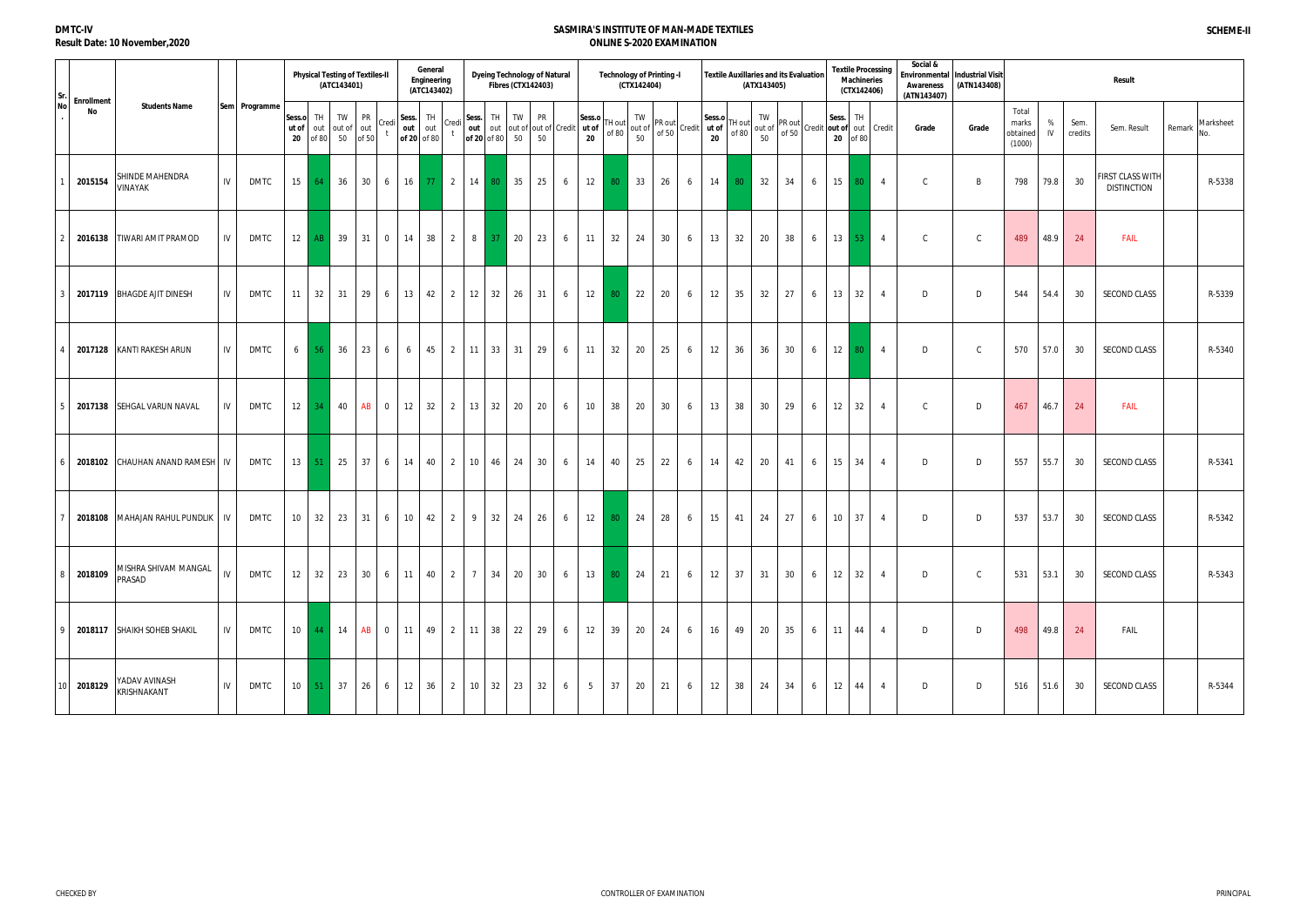|   | <b>Enrollment</b> |                                              |     |               |                       |                     | <b>Physical Testing of Textiles-II</b><br>(ATC143401) |                   |                 |                             | General<br>Engineering<br>(ATC143402) |                  |                             |         | <b>Dyeing Technology of Natural</b><br><b>Fibres (CTX142403)</b> |   |                 |                   | (CTX142404) | <b>Technology of Printing -I</b>                                                                                                                                 |   |              |                 | (ATX143405) | Textile Auxillaries and its Evaluation                                                 |   | <b>Textile Processing</b><br><b>Machineries</b><br>(CTX142406) |        |                          | Social &<br>Environmental<br><b>Awareness</b><br>(ATN143407) | <b>Industrial Visit</b><br>(ATN143408) |                                      |      |                 | <b>Result</b>                          |        |           |
|---|-------------------|----------------------------------------------|-----|---------------|-----------------------|---------------------|-------------------------------------------------------|-------------------|-----------------|-----------------------------|---------------------------------------|------------------|-----------------------------|---------|------------------------------------------------------------------|---|-----------------|-------------------|-------------|------------------------------------------------------------------------------------------------------------------------------------------------------------------|---|--------------|-----------------|-------------|----------------------------------------------------------------------------------------|---|----------------------------------------------------------------|--------|--------------------------|--------------------------------------------------------------|----------------------------------------|--------------------------------------|------|-----------------|----------------------------------------|--------|-----------|
|   | No                | <b>Students Name</b>                         |     | Sem Programme | Sess.o<br>ut of<br>20 | TH.<br>out<br>of 80 | TW<br>out of out<br>50                                | PR<br>of 50       | Credi           | Sess.<br>out<br>of 20 of 80 | TH<br>out                             | Credi            | Sess.<br>out<br>of 20 of 80 | TH I    | TW<br><b>PR</b><br>out out of out of Credit ut of<br>50<br>50    |   | Sess.o<br>20    | TH out<br>of 80   | TW<br>50    | $\begin{bmatrix} 1 \text{ W} \\ \text{out of} \\ \text{of 50} \end{bmatrix}$ Credit $\begin{bmatrix} 3 \text{ e.} \\ \text{at of} \\ \text{at of} \end{bmatrix}$ |   | Sess.o<br>20 | TH out<br>of 80 | TW<br>50    | $\begin{bmatrix} 1 & 1 & 1 \\ 1 & 1 & 1 \\ 1 & 1 & 1 \\ 1 & 1 & 1 \end{bmatrix}$ of 50 |   | Sess.<br>20 of 80                                              | TH     | Credit out of out Credit | Grade                                                        | Grade                                  | Total<br>marks<br>obtained<br>(1000) | IV   | Sem.<br>credits | Sem. Result                            | Remark | Marksheet |
|   | 2015154           | SHINDE MAHENDRA<br>VINAYAK                   | IV  | DMTC          | 15                    | 64                  | 36                                                    | 30                | 6               | 16                          | -77                                   | 2                | 14                          | 80      | $\vert$ 35<br>25                                                 | 6 | 12              | -80               | 33          | 26                                                                                                                                                               | 6 | 14           | 80              | 32          | 34                                                                                     | 6 | 15                                                             | 80     | $\overline{4}$           | $\mathsf{C}$                                                 | B                                      | 798                                  | 79.8 | 30              | FIRST CLASS WITH<br><b>DISTINCTION</b> |        | R-5338    |
|   | 2016138           | <b>TIWARI AMIT PRAMOD</b>                    | IV. | DMTC          |                       | $12$ AB             | 39                                                    | 1311              | $\overline{0}$  | 14                          | 38                                    | 2 8              |                             | -37     | $\vert$ 20<br>23                                                 | 6 | 11              | 32                | 24          | 30                                                                                                                                                               | 6 | 13           | 32              | 20          | 38                                                                                     | 6 | $13 \parallel$                                                 | $53 -$ | $\overline{4}$           | $\mathcal{C}$                                                | $\mathsf{C}$                           | 489                                  | 48.9 | 24              | FAIL                                   |        |           |
|   |                   | 2017119 BHAGDE AJIT DINESH                   | IV. | DMTC          | 11                    | 32                  | 31                                                    | 29                | 6               | 13                          | 42                                    | $\overline{2}$   | 12                          | 32      | 26<br>31                                                         | 6 | 12              | 80 <sub>1</sub>   | 22          | 20                                                                                                                                                               | 6 | 12           | 35              | 32          | 27                                                                                     | 6 | 13                                                             | 32     | $\overline{4}$           | D                                                            | D                                      | 544                                  | 54.4 | 30              | SECOND CLASS                           |        | R-5339    |
|   | 2017128           | KANTI RAKESH ARUN                            | IV  | DMTC          | 6                     | 56                  | 36                                                    | 23                | 6               | 6                           | 45                                    | $2 \mid 11 \mid$ |                             | 33      | 31<br>29                                                         | 6 | 11              | 32                | 20          | 25                                                                                                                                                               | 6 | 12           | 36              | 36          | 30                                                                                     | 6 | $12$ 80                                                        |        | $\overline{4}$           | D                                                            | $\mathsf{C}$                           | 570                                  | 57.0 | 30              | SECOND CLASS                           |        | R-5340    |
| 5 | 2017138           | <b>SEHGAL VARUN NAVAL</b>                    | IV. | DMTC          | 12                    | 34                  | 40                                                    | AB                | $\overline{0}$  | 12                          | 32                                    | 2                | 13                          | 32      | 20<br>20                                                         | 6 | 10 <sup>°</sup> | 38                | 20          | 30                                                                                                                                                               | 6 | 13           | 38              | 30          | 29                                                                                     | 6 | 12                                                             | 32     | $\overline{4}$           | $\mathsf{C}$                                                 | D                                      | 467                                  | 46.7 | 24              | FAIL                                   |        |           |
|   |                   | 2018102 CHAUHAN ANAND RAMESH                 | IV  | DMTC          |                       | $13 \mid 51$        |                                                       | $25 \mid 37 \mid$ | $6\overline{6}$ | 14                          | 40                                    | $2 \mid 10 \mid$ |                             | 46 24   | 30                                                               | 6 | 14              | 40                | 25          | 22                                                                                                                                                               | 6 | 14           | 42              | 20          | 41                                                                                     | 6 | 15                                                             | 34     | $\overline{4}$           | D                                                            | D                                      | 557                                  | 55.7 | 30              | SECOND CLASS                           |        | R-5341    |
|   | 2018108           | MAHAJAN RAHUL PUNDLIK                        | 1V  | DMTC          | 10 <sup>°</sup>       | 32                  | 23                                                    | 31                | 6               | 10 <sup>°</sup>             | 42                                    | $\overline{2}$   | 9                           | 32      | 26<br>24                                                         | 6 | 12              | 80 <sub>1</sub>   | 24          | 28                                                                                                                                                               | 6 | 15           | 41              | 24          | 27                                                                                     | 6 | 10                                                             | 37     | $\overline{4}$           | D                                                            | D                                      | 537                                  | 53.7 | 30              | SECOND CLASS                           |        | R-5342    |
|   | 2018109           | <b>MISHRA SHIVAM MANGAL</b><br><b>PRASAD</b> | IV  | DMTC          | 12                    | 32                  |                                                       | 23 30 6           |                 | 11                          | 40                                    | $2 \mid 7 \mid$  |                             | $34$ 20 | 30 <sup>°</sup>                                                  | 6 |                 | $13 \mid 80 \mid$ | 24          | 21                                                                                                                                                               | 6 | 12           | 37              | 31          | 30                                                                                     | 6 | 12                                                             | 32     | 4                        | D                                                            | $\mathsf{C}$                           | 531                                  | 53.1 | 30              | <b>SECOND CLASS</b>                    |        | R-5343    |
|   |                   | 2018117 SHAIKH SOHEB SHAKIL                  | 1V  | DMTC          |                       | $10 \mid 44$        | 14                                                    | AB                | $\overline{0}$  | 11                          | 49                                    | $2 \mid 11 \mid$ |                             | 38      | 22<br>29                                                         | 6 | 12              | 39                | 20          | 24                                                                                                                                                               | 6 | 16           | 49              | 20          | 35                                                                                     | 6 | 11                                                             | 44     | $\overline{4}$           | D                                                            | D                                      | 498                                  | 49.8 | 24              | FAIL                                   |        |           |
|   | 2018129           | YADAV AVINASH<br>KRISHNAKANT                 | IV  | DMTC          |                       | $10$ 51             | 37                                                    | 26                | 6               | 12                          | 36                                    | $2 \mid 10 \mid$ |                             | 32      | 32<br>23                                                         | 6 | $5\overline{)}$ | 37                | 20          | 21                                                                                                                                                               | 6 | 12           | 38              | 24          | 34                                                                                     | 6 | 12                                                             | 44     | 4                        | D                                                            | D                                      | 516                                  | 51.6 | 30              | <b>SECOND CLASS</b>                    |        | R-5344    |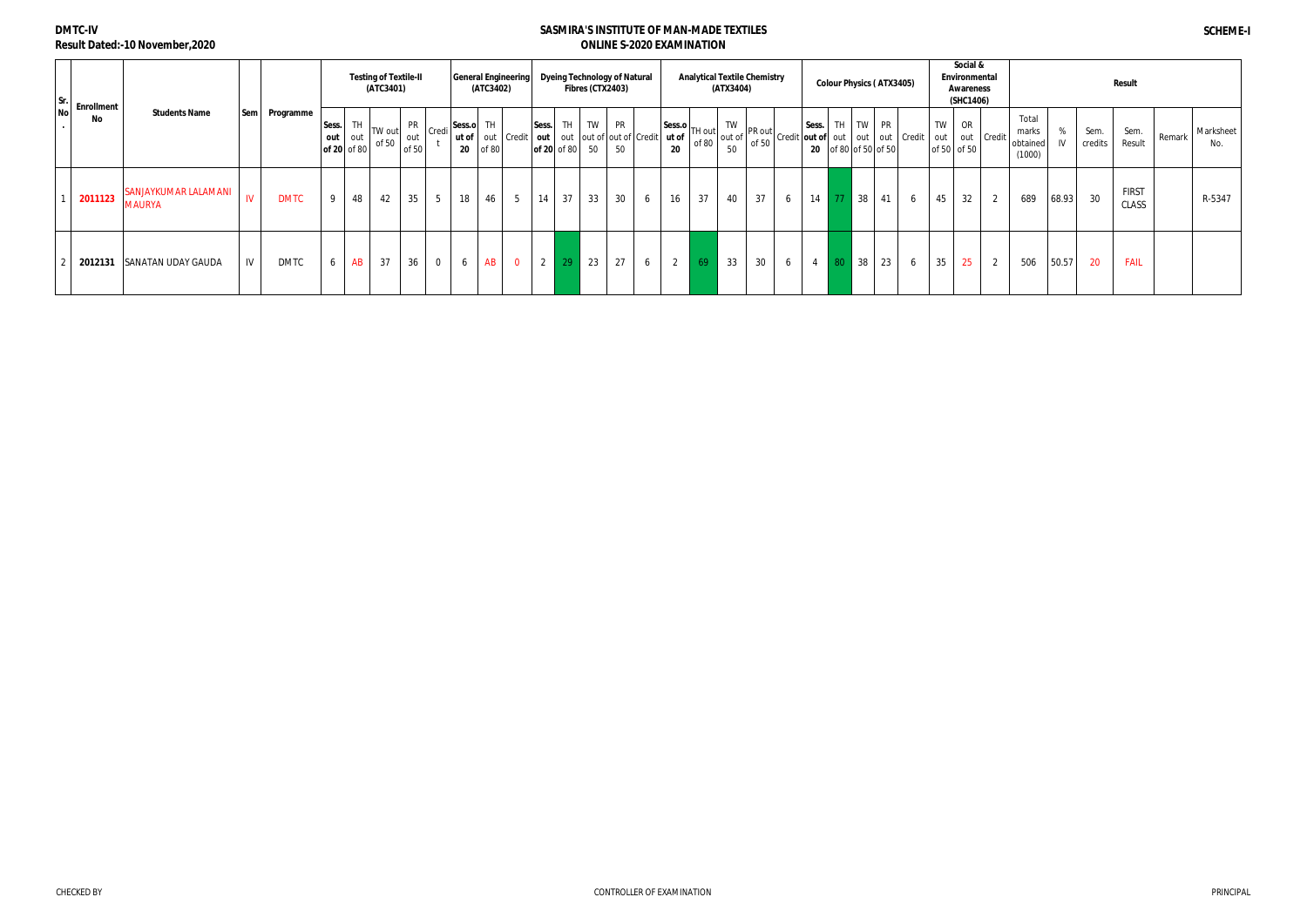| Nol | $\begin{array}{c c}\nSr. \\ N. \\ \end{array}$ Enrollment |                                |            |             |                                 |    | <b>Testing of Textile-II</b><br>(ATC3401) |              |                                   |    | (ATC3402)   | <b>General Engineering</b>                                                                                                                |                |    | Fibres (CTX2403)       | <b>Dyeing Technology of Natural</b> |   |                                                                                                                                                                                                                                                                                                                                                                                                                                             | <b>Analytical Textile Chemistry</b> | (ATX3404) |    |   |                |    |    | <b>Colour Physics (ATX3405)</b> |   |                  | Social &<br>Environmental<br>Awareness<br>(SHC1406) |                |                                      |         |                 | <b>Result</b>         |        |                  |
|-----|-----------------------------------------------------------|--------------------------------|------------|-------------|---------------------------------|----|-------------------------------------------|--------------|-----------------------------------|----|-------------|-------------------------------------------------------------------------------------------------------------------------------------------|----------------|----|------------------------|-------------------------------------|---|---------------------------------------------------------------------------------------------------------------------------------------------------------------------------------------------------------------------------------------------------------------------------------------------------------------------------------------------------------------------------------------------------------------------------------------------|-------------------------------------|-----------|----|---|----------------|----|----|---------------------------------|---|------------------|-----------------------------------------------------|----------------|--------------------------------------|---------|-----------------|-----------------------|--------|------------------|
|     | No                                                        | <b>Students Name</b>           | <b>Sem</b> | Programme   | Sess.<br>out out<br>of 20 of 80 | TH | TW out<br>of 50                           | out<br>of 50 | $PR$ $\vert$ Credi $\vert$ Sess.o | 20 | TH<br>of 80 | <b>ut of</b> $\vert$ out $\vert$ Credit $\vert$ out $\vert$ out $\vert$ out of $\vert$ out of $\vert$ Credit $\vert$ <b>ut of</b> $\vert$ | Sess.          |    | of 20 of 80 $\vert$ 50 | TH TW PR<br>50                      |   | TH out $\begin{bmatrix} \text{Sess.}\mathbf{0} \\ \text{ut of} \\ \text{of 80} \end{bmatrix}$ TH out $\begin{bmatrix} \text{TW} \\ \text{out of} \\ \text{of 50} \end{bmatrix}$ PR out $\begin{bmatrix} \text{Sess.} \\ \text{out of} \\ \text{out of} \\ \text{to 80} \end{bmatrix}$ of $\begin{bmatrix} \text{iv} \\ \text{out} \\ \text{of 80} \end{bmatrix}$ of $\begin{bmatrix} \text{iv} \\ \text{out} \\ \text{of 50} \end{bmatrix}$ |                                     |           |    |   |                |    |    |                                 |   | <b>TW</b><br>out | OR<br>of 50 of 50                                   | l out Credit   | Total<br>marks<br>obtained<br>(1000) | %<br>IV | Sem.<br>credits | Sem.<br>Result        | Remark | Marksheet<br>No. |
|     | 2011123                                                   | SANJAYKUMAR LALAMANI<br>MAURYA | W          | <b>DMTC</b> | 9                               | 48 | 42                                        | 35           | 5 <sup>5</sup>                    | 18 | 46          | $5\overline{)}$                                                                                                                           | 14             | 37 | 33                     | 30                                  | 6 | 16                                                                                                                                                                                                                                                                                                                                                                                                                                          | 37                                  | 40        | 37 | 6 | 14             | 77 | 38 | 41                              | 6 | 45               | 32                                                  | 2              | 689                                  | 68.93   | 30              | <b>FIRST</b><br>CLASS |        | R-5347           |
|     | 2012131                                                   | SANATAN UDAY GAUDA             | IV         | <b>DMTC</b> | 6                               | AB | 37                                        | 36           | $\mathbf 0$                       | 6  | AB          | $\overline{0}$                                                                                                                            | $\overline{2}$ | 29 | 23                     | 27                                  | 6 | $\overline{2}$                                                                                                                                                                                                                                                                                                                                                                                                                              | 69                                  | 33        | 30 | 6 | $\overline{4}$ | 80 | 38 | 23                              | 6 | 35               | 25                                                  | $\overline{2}$ | 506                                  | 50.57   | 20              | <b>FAIL</b>           |        |                  |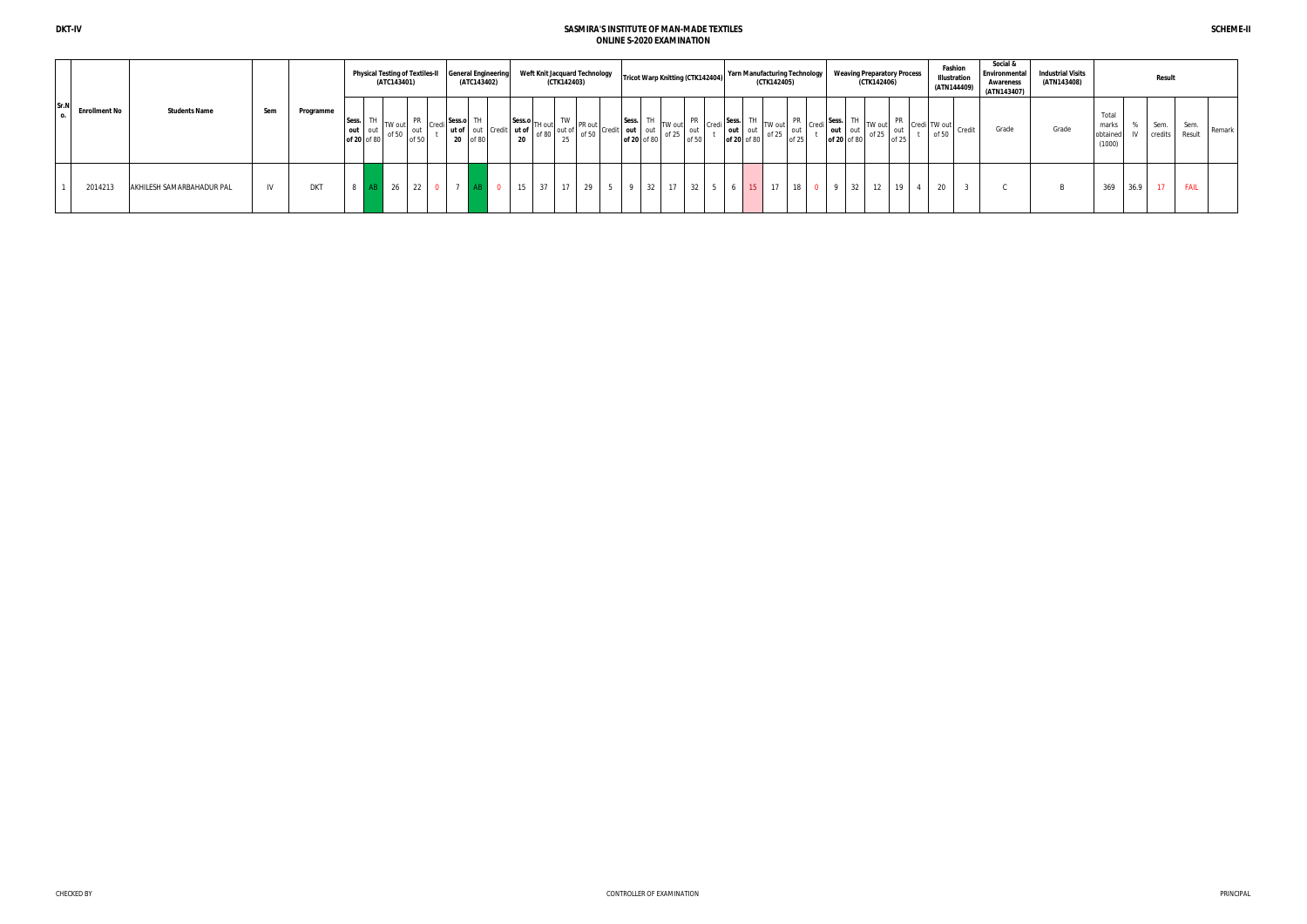|                              |                           |              |            |                                 | <b>Physical Testing of Textiles-II</b><br>(ATC143401) |                              |                       | <b>General Engineering</b><br>(ATC143402) |                     |       | (CTK142403) | Weft Knit Jacquard Technology | <b>Tricot Warp Knitting (CTK142404)</b>                                                                                                                                                                                                                                                                                                                                                                                                                                                                                                |    |             |             | Yarn Manufacturing Technology | (CTK142405)     |              |                                                                               |                        | <b>Weaving Preparatory Process</b><br>(CTK142406)                                                                                                                                 |  | Fashion<br>Illustration<br>(ATN144409) | Social &<br>Environmental<br>Awareness<br>(ATN143407) | <b>Industrial Visits</b><br>(ATN143408) |                                      |      | <b>Result</b>   |                |        |
|------------------------------|---------------------------|--------------|------------|---------------------------------|-------------------------------------------------------|------------------------------|-----------------------|-------------------------------------------|---------------------|-------|-------------|-------------------------------|----------------------------------------------------------------------------------------------------------------------------------------------------------------------------------------------------------------------------------------------------------------------------------------------------------------------------------------------------------------------------------------------------------------------------------------------------------------------------------------------------------------------------------------|----|-------------|-------------|-------------------------------|-----------------|--------------|-------------------------------------------------------------------------------|------------------------|-----------------------------------------------------------------------------------------------------------------------------------------------------------------------------------|--|----------------------------------------|-------------------------------------------------------|-----------------------------------------|--------------------------------------|------|-----------------|----------------|--------|
| Sr.N<br><b>Enrollment No</b> | <b>Students Name</b>      | Sem          | Programme  | Sess.<br>out out<br>of 20 of 80 | TW out<br>$\sim$ 0f 50                                | $PR$ $Cred1$<br>out<br>of 50 | Sess.o TH<br>20 of 80 | ut of out Credit ut of                    | Sess.o TH out<br>20 | of 80 |             |                               | of 20 of 80 of 25 of 50 $\begin{bmatrix} \n\text{TW out} \\ \n\text{out} \\ \n\text{of } 50 \n\end{bmatrix} \begin{bmatrix} \n\text{PR} \\ \n\text{out} \\ \n\text{of } 50 \n\end{bmatrix} \begin{bmatrix} \n\text{Sess.} \n\end{bmatrix} \begin{bmatrix} \n\text{res.} \n\end{bmatrix}$<br>$\begin{bmatrix} 1 & TW \\ tr \text{ of } 50 \end{bmatrix}$ PR out $\begin{bmatrix} \text{Sess.} \\ \text{out} \\ \text{of 20} \end{bmatrix}$ Th of 80 $\begin{bmatrix} 1 \\ 0 \end{bmatrix}$ or 80 $\begin{bmatrix} 0 \\ 0 \end{bmatrix}$ |    |             | of 20 of 80 | out                           | TW out<br>of 25 | out<br>of 25 | $\left  \text{Creal} \right $ <sup>Sess.</sup> $\left  \right $ <sup>TH</sup> | out out<br>of 20 of 80 | $\frac{1}{10}$ TW out $\begin{bmatrix} PR \\ opt25 \end{bmatrix}$ Credi TW out $\begin{bmatrix} C\end{bmatrix}$ Credit $\begin{bmatrix} TW & out \\ of & 50 \end{bmatrix}$ Credit |  |                                        | Grade                                                 | Grade                                   | Total<br>marks<br>obtained<br>(1000) |      | Sem.<br>credits | Sem.<br>Result | Remark |
| 2014213                      | AKHILESH SAMARBAHADUR PAL | $\mathbf{B}$ | <b>DKT</b> |                                 | 26                                                    | 22                           |                       |                                           |                     | 37    | 17          | 29                            | 32                                                                                                                                                                                                                                                                                                                                                                                                                                                                                                                                     | 17 | $32 \mid 5$ |             |                               | 17              | 18           |                                                                               | $\frac{32}{ }$         | 12                                                                                                                                                                                |  | $\Omega$<br>ZU                         |                                                       |                                         | 369                                  | 36.9 | 17              | <b>FAIL</b>    |        |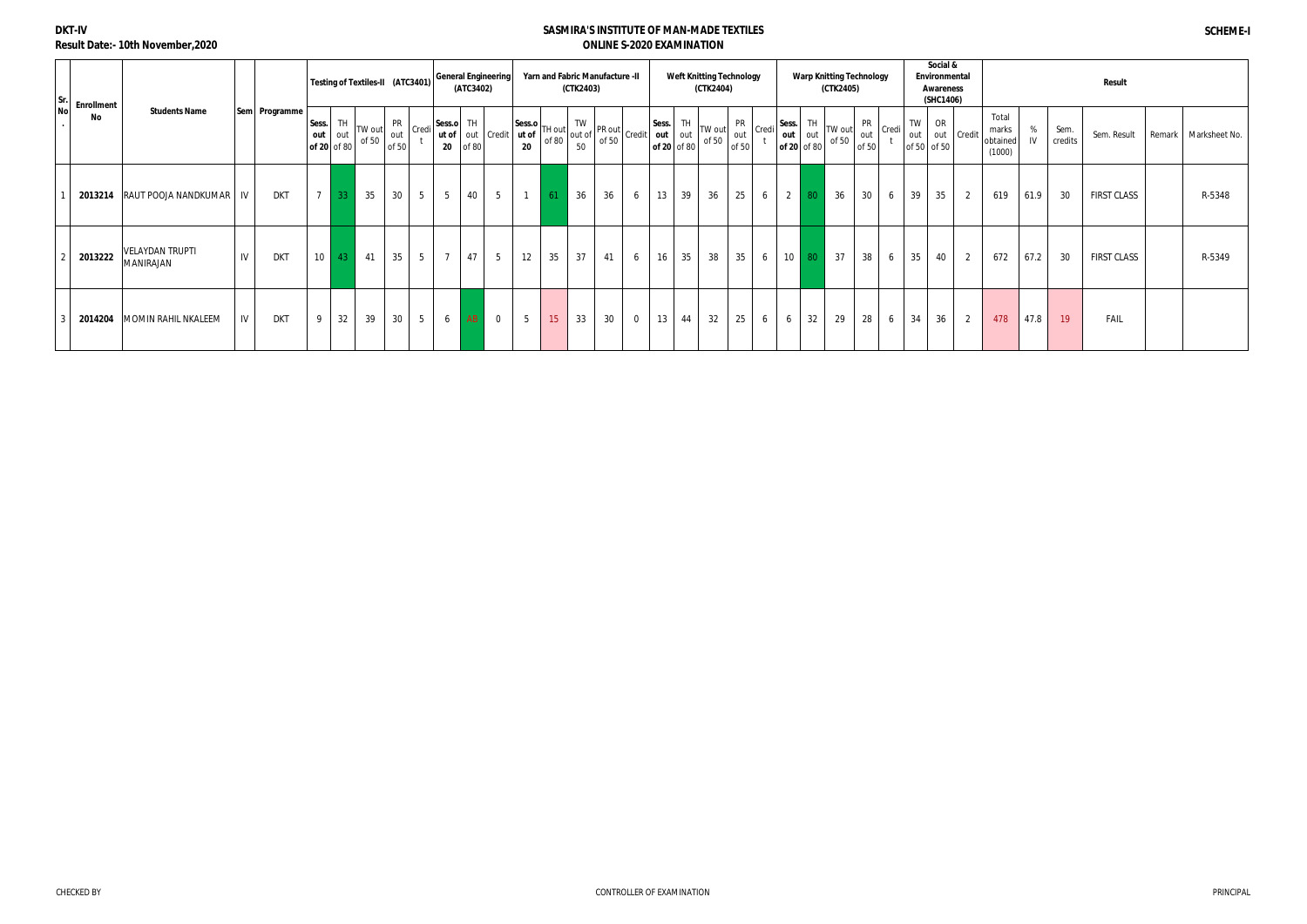### **DKT-IV Result Date:- 10th November,2020**

| Sr.       | <b>Enrollment</b> |                                            |    |               |                |                                 | Testing of Textiles-II (ATC3401) |                           |                | <b>General Engineering</b>                | (ATC3402) |                 |                                                                                                                                                                                                                                                                                                                                                                                                                                                                                                                                                                               |      | (CTK2403) | Yarn and Fabric Manufacture -II |                |                                 |    | <b>Weft Knitting Technology</b><br>(CTK2404) |                    |       |                             |           | (CTK2405)       | <b>Warp Knitting Technology</b>    |           | Social &<br>Environmental<br>Awareness<br>(SHC1406) |                |                                      |         |                 | Result             |                        |
|-----------|-------------------|--------------------------------------------|----|---------------|----------------|---------------------------------|----------------------------------|---------------------------|----------------|-------------------------------------------|-----------|-----------------|-------------------------------------------------------------------------------------------------------------------------------------------------------------------------------------------------------------------------------------------------------------------------------------------------------------------------------------------------------------------------------------------------------------------------------------------------------------------------------------------------------------------------------------------------------------------------------|------|-----------|---------------------------------|----------------|---------------------------------|----|----------------------------------------------|--------------------|-------|-----------------------------|-----------|-----------------|------------------------------------|-----------|-----------------------------------------------------|----------------|--------------------------------------|---------|-----------------|--------------------|------------------------|
| <b>No</b> | No                | <b>Students Name</b>                       |    | Sem Programme | Sess.<br>out   | <b>TH</b><br>out<br>of 20 of 80 | TW out<br>of 50                  | <b>PR</b><br>out<br>of 50 | Credi          | Sess.o TH<br>ut of out Credit ut of<br>20 | of 80     |                 | $ \text{Sess.o}\left \begin{matrix} 1 \\ 1 \end{matrix}\right  \text{ and } \left \begin{matrix} 1 \\ 0 \end{matrix}\right  \text{ or } \left \begin{matrix} 1 \\ 1 \end{matrix}\right  \text{ or } \left \begin{matrix} 1 \\ 1 \end{matrix}\right  \text{ or } \left \begin{matrix} 1 \\ 1 \end{matrix}\right  \text{ or } \left \begin{matrix} 1 \\ 1 \end{matrix}\right  \text{ or } \left \begin{matrix} 1 \\ 1 \end{matrix}\right  \text{ or } \left \begin{matrix} 1 \\ 1 \end{matrix}\right  \text{ or } \left \begin{matrix} 1 \\ 1 \end{matrix}\right  \text{$<br>20 |      | 50        |                                 |                | Sess.<br>out out<br>of 20 of 80 | TH | <b>ITW</b> out<br>of 50                      | PR<br>out<br>of 50 | Credi | Sess.<br>out<br>of 20 of 80 | TH<br>out | TW out<br>of 50 | <b>PR</b><br>Credi<br>out<br>of 50 | TW<br>out | OR<br>of 50 of 50                                   | out Credit     | Total<br>marks<br>obtained<br>(1000) | %<br>IV | Sem.<br>credits | Sem. Result        | Remark   Marksheet No. |
|           | 2013214           | RAUT POOJA NANDKUMAR   IV                  |    | <b>DKT</b>    | $\overline{ }$ | 33                              | 35                               | 30                        | 5 <sup>5</sup> | $5\overline{)}$                           | 40        | 5 <sup>5</sup>  |                                                                                                                                                                                                                                                                                                                                                                                                                                                                                                                                                                               | - 61 | 36        | 36                              | 6              | 13                              | 39 | 36                                           | 25                 | 6     | $\overline{2}$              | 80        | 36              | 30<br>6                            | 39        | 35                                                  | $\overline{2}$ | 619                                  | 61.9    | 30              | <b>FIRST CLASS</b> | R-5348                 |
|           | 2013222           | <b>VELAYDAN TRUPTI</b><br><b>MANIRAJAN</b> | IV | <b>DKT</b>    | 10             | 43                              | 41                               | 35                        | 5 <sub>5</sub> | $\overline{7}$                            | 47        | $5\overline{)}$ | 12                                                                                                                                                                                                                                                                                                                                                                                                                                                                                                                                                                            | 35   | 37        | 41                              | 6              | 16                              | 35 | 38                                           | 35                 | 6     | 10                          | 80        | 37              | 38<br>6                            | 35        | 40                                                  | 2              | 672                                  | 67.2    | 30              | <b>FIRST CLASS</b> | R-5349                 |
|           | 2014204           | MOMIN RAHIL NKALEEM                        | IV | <b>DKT</b>    |                | 32                              | 39                               | 30                        | 5 <sup>5</sup> | 6                                         | AB        | $\mathbf 0$     | 5                                                                                                                                                                                                                                                                                                                                                                                                                                                                                                                                                                             | 15   | 33        | 30                              | $\overline{0}$ | 13                              | 44 | 32                                           | 25                 | 6     | 6                           | 32        | 29              | 28<br>6                            | 34        | 36                                                  | $\overline{2}$ | 478                                  | 47.8    | 19 <sup>°</sup> | FAIL               |                        |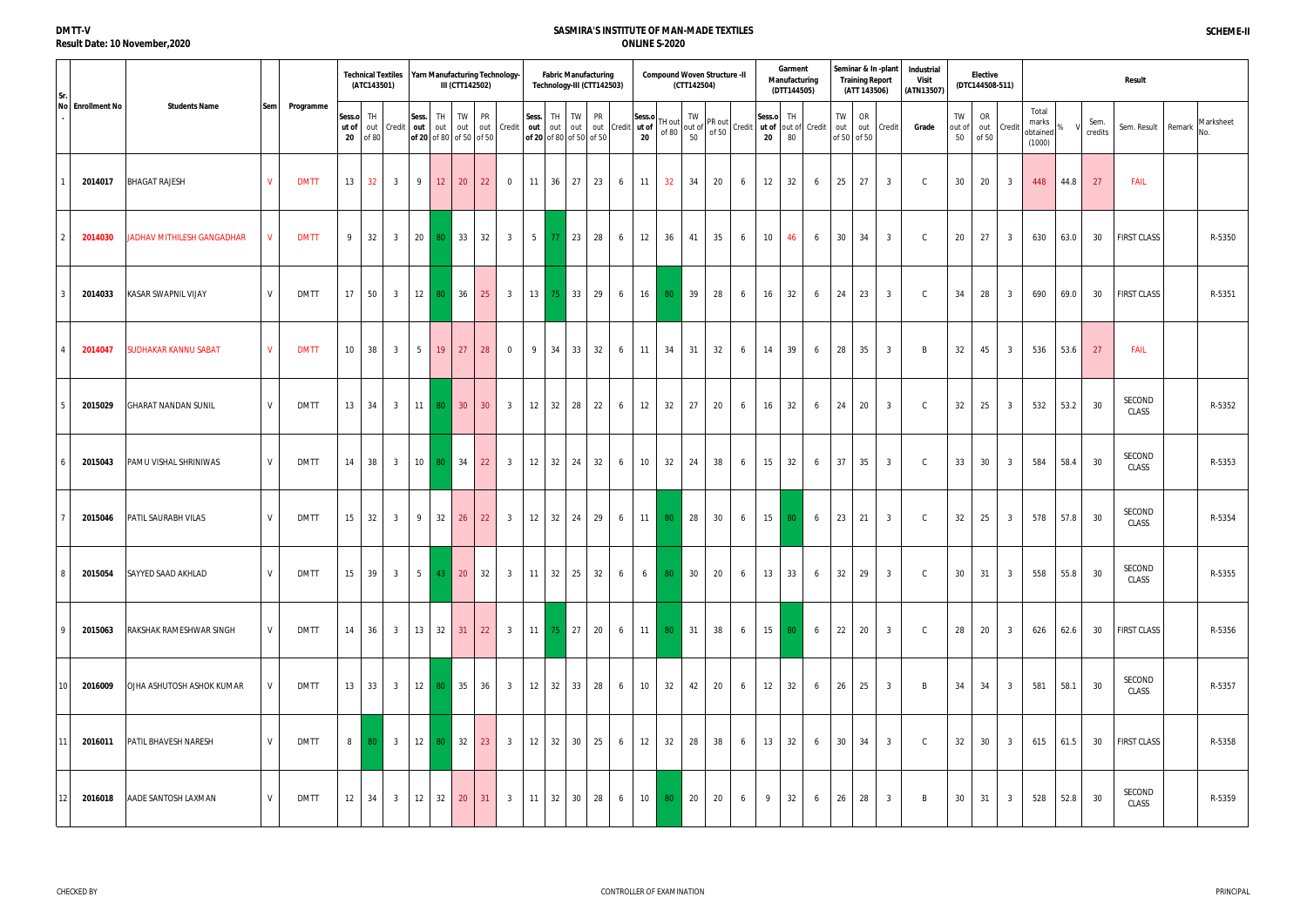# **DMTT-V Result Date: 10 November,2020**

|                  |                                   |                 |             |                          | (ATC143501)  | <b>Technical Textiles</b> |                  | Yarn Manufacturing Technology- | III (CTT142502) |                 |                            |                   | <b>Fabric Manufacturing</b><br>Technology-III (CTT142503)                                                                                                                                                                                                     |    |   |                       |               | <b>Compound Woven Structure -II</b><br>(CTT142504) |    |   |    | Garment<br>Manufacturing<br>(DTT144505)                                                                                                                                                                                                                |                 |                                 | <b>Training Report</b><br>(ATT 143506) | Seminar & In-plant | Industrial<br><b>Visit</b><br>(ATN13507) |                    | <b>Elective</b><br>(DTC144508-511) |                 |                                      |      |                 | <b>Result</b>      |                  |
|------------------|-----------------------------------|-----------------|-------------|--------------------------|--------------|---------------------------|------------------|--------------------------------|-----------------|-----------------|----------------------------|-------------------|---------------------------------------------------------------------------------------------------------------------------------------------------------------------------------------------------------------------------------------------------------------|----|---|-----------------------|---------------|----------------------------------------------------|----|---|----|--------------------------------------------------------------------------------------------------------------------------------------------------------------------------------------------------------------------------------------------------------|-----------------|---------------------------------|----------------------------------------|--------------------|------------------------------------------|--------------------|------------------------------------|-----------------|--------------------------------------|------|-----------------|--------------------|------------------|
| No Enrollment No | <b>Students Name</b>              | Sem             | Programme   | Sess.o TH<br>ut of<br>20 | out<br>of 80 | Credit                    | Sess.<br>out out | TH.<br>of 20 of 80 of 50 of 50 | TW              | PR              | out out Credit             |                   | Sess. TH TW PR<br><b>Sess.</b> $\begin{bmatrix} 1 \text{H} \\ 0 \text{H} \end{bmatrix}$ out out out credit $\begin{bmatrix} 1 \text{H} \\ \text{H} \end{bmatrix}$ and $\begin{bmatrix} 1 \text{H} \\ \text{H} \end{bmatrix}$ of 80<br>of 20 of 80 of 50 of 50 |    |   | Sess.o<br>$20\degree$ |               |                                                    |    |   |    | "It out of $\begin{vmatrix} 1 \text{ V} \\ \text{out of} \\ 50 \end{vmatrix}$ Credit $\begin{vmatrix} \text{Sess.o} \\ \text{ut of} \\ \text{out of} \end{vmatrix}$ Credit $\begin{vmatrix} 1 \text{ H} \\ \text{out of} \\ 2 \text{ A} \end{vmatrix}$ |                 | <b>TW</b><br>out<br>of 50 of 50 | OR                                     | out Credit         | Grade                                    | TW<br>out of<br>50 | OR<br>of 50                        | out Credit      | Total<br>marks<br>obtained<br>(1000) |      | Sem.<br>credits | Sem. Result Remark | Marksheet<br>No. |
| 2014017          | <b>BHAGAT RAJESH</b>              | V               | <b>DMTT</b> | 13                       | 32           | $\overline{3}$            | 9                | 12                             | 20              | 22              | $\overline{0}$             |                   | $11 \mid 36 \mid 27$                                                                                                                                                                                                                                          | 23 | 6 | 11                    | 32            | 34                                                 | 20 | 6 | 12 | 32                                                                                                                                                                                                                                                     | 6               | 25                              | 27                                     | $\overline{3}$     | $\mathsf{C}$                             | 30                 | 20                                 | $\overline{3}$  | 448                                  | 44.8 | 27              | <b>FAIL</b>        |                  |
| 2014030          | <b>JADHAV MITHILESH GANGADHAR</b> | $\mathsf{V}$    | <b>DMTT</b> | 9                        | 32           | $\overline{3}$            | 20               | 80 33                          |                 | 32              | $\overline{3}$             |                   | 5 77 23                                                                                                                                                                                                                                                       | 28 | 6 | 12                    | 36            | 41                                                 | 35 | 6 | 10 | 46                                                                                                                                                                                                                                                     | 6               |                                 | 30 34                                  | $\overline{3}$     | $\mathsf{C}$                             | 20                 | 27                                 | $\overline{3}$  | 630                                  | 63.0 | 30              | <b>FIRST CLASS</b> | R-5350           |
| 2014033          | <b>KASAR SWAPNIL VIJAY</b>        | V               | <b>DMTT</b> | 17                       | 50           | 3 <sup>3</sup>            | $12 \mid 80$     |                                | 36              | 25              | 3 <sup>1</sup>             |                   | 13 75 33 29                                                                                                                                                                                                                                                   |    | 6 | 16                    | 80            | 39                                                 | 28 | 6 | 16 | 32                                                                                                                                                                                                                                                     | 6               | 24                              | 23                                     | $\overline{3}$     | $\mathsf{C}$                             | 34                 | 28                                 | $\overline{3}$  | 690                                  | 69.0 | 30              | <b>FIRST CLASS</b> | R-5351           |
| 2014047          | <b>SUDHAKAR KANNU SABAT</b>       | $V_{\parallel}$ | <b>DMTT</b> | 10 <sup>°</sup>          | 38           | 3 <sup>3</sup>            | 5 <sup>1</sup>   | 19                             | 27              | 28              | $\overline{0}$             |                   | 9 34 33                                                                                                                                                                                                                                                       | 32 | 6 | 11                    | 34            | 31                                                 | 32 | 6 | 14 | 39                                                                                                                                                                                                                                                     | 6               | 28                              | 35                                     | $\overline{3}$     | B                                        | 32                 | 45                                 | $3\overline{3}$ | 536                                  | 53.6 | 27              | <b>FAIL</b>        |                  |
| 2015029          | <b>GHARAT NANDAN SUNIL</b>        | V               | <b>DMTT</b> | 13                       | 34           | 3 <sup>3</sup>            | $11$ 80          |                                | 30 <sup>°</sup> | 30 <sup>°</sup> | $\overline{\mathbf{3}}$    | $12 \mid 32 \mid$ | 28                                                                                                                                                                                                                                                            | 22 | 6 | 12                    | 32            | 27                                                 | 20 | 6 | 16 | 32                                                                                                                                                                                                                                                     | 6               | 24                              | 20                                     | $\overline{3}$     | $\mathsf{C}$                             | 32                 | 25                                 | $\overline{3}$  | 532                                  | 53.2 | 30              | SECOND<br>CLASS    | R-5352           |
| 2015043          | PAMU VISHAL SHRINIWAS             | V               | <b>DMTT</b> | 14                       | 38           | 3 <sup>3</sup>            |                  | 10 80 34                       |                 | 22              | $\overline{3}$             |                   | 12 32 24 32                                                                                                                                                                                                                                                   |    | 6 | 10 <sup>1</sup>       | 32            | 24                                                 | 38 | 6 | 15 | 32                                                                                                                                                                                                                                                     | 6               | 37                              | 35                                     | $\overline{3}$     | $\mathsf{C}$                             | 33                 | 30                                 | $3\overline{3}$ | 584                                  | 58.4 | 30              | SECOND<br>CLASS    | R-5353           |
| 2015046          | PATIL SAURABH VILAS               | V               | <b>DMTT</b> | 15                       | 32           | 3 <sup>3</sup>            | 9                | 32                             | 26              | 22              | $\overline{\mathbf{3}}$    |                   | $12 \mid 32 \mid 24 \mid$                                                                                                                                                                                                                                     | 29 | 6 | 11                    | 80            | 28                                                 | 30 | 6 | 15 | 80                                                                                                                                                                                                                                                     | 6               | 23                              | 21                                     | 3 <sup>1</sup>     | $\mathsf{C}$                             | 32                 | 25                                 | $\overline{3}$  | 578                                  | 57.8 | 30              | SECOND<br>CLASS    | R-5354           |
| 2015054          | SAYYED SAAD AKHLAD                | V               | <b>DMTT</b> | 15                       | 39           | 3 <sup>3</sup>            |                  | $5 \mid 43 \mid$               |                 | 20 32           | $\overline{\phantom{a}}$ 3 |                   | 11   32   25   32                                                                                                                                                                                                                                             |    | 6 |                       |               | $6 \t 80 \t 30$                                    | 20 | 6 | 13 |                                                                                                                                                                                                                                                        | $33 \t6$        |                                 | $32 \mid 29$                           | 3 <sup>1</sup>     | $\mathsf{C}$                             | 30 <sup>°</sup>    | 31                                 | 3 <sup>3</sup>  | 558                                  | 55.8 | 30              | SECOND<br>CLASS    | R-5355           |
| 2015063          | RAKSHAK RAMESHWAR SINGH           | V               | <b>DMTT</b> | 14                       | 36           | $\overline{3}$            |                  | $13 \mid 32 \mid$              | 31              | 22              | $\overline{3}$             |                   | $11 \mid 75 \mid 27 \mid 20$                                                                                                                                                                                                                                  |    | 6 | 11                    | 80            | $\vert$ 31                                         | 38 | 6 | 15 | 80 l                                                                                                                                                                                                                                                   | $6\overline{6}$ | 22                              | 20                                     | $\overline{3}$     | $\mathsf{C}$                             | 28                 | 20                                 | $\overline{3}$  | 626                                  | 62.6 | 30              | <b>FIRST CLASS</b> | R-5356           |
| 2016009          | OJHA ASHUTOSH ASHOK KUMAR         |                 | <b>DMTT</b> | 13                       | 33           | $\overline{\mathbf{3}}$   | 12 80            |                                | 35              | 36              | 3 <sup>1</sup>             |                   | 12 32 33 28                                                                                                                                                                                                                                                   |    | 6 | 10                    | 32            | 42                                                 | 20 | 6 | 12 | 32                                                                                                                                                                                                                                                     | 6               | 26                              | 25                                     | $\overline{3}$     | B                                        | 34                 | 34                                 | $3\overline{3}$ | 581                                  | 58.1 | 30              | SECOND<br>CLASS    | R-5357           |
| 2016011<br>11    | PATIL BHAVESH NARESH              | V               | <b>DMTT</b> | 8 <sup>1</sup>           | 80           | $\overline{\mathbf{3}}$   | 12               | 80                             | 32              | 23              | $\overline{\mathbf{3}}$    | $12 \mid 32 \mid$ | $30-1$                                                                                                                                                                                                                                                        | 25 | 6 | 12                    | 32            | 28                                                 | 38 | 6 | 13 | 32                                                                                                                                                                                                                                                     | 6               | 30 <sup>1</sup>                 | 34                                     | $\overline{3}$     | $\mathsf{C}$                             | 32                 | 30                                 | $\overline{3}$  | 615                                  | 61.5 | 30              | <b>FIRST CLASS</b> | R-5358           |
| 2016018          | AADE SANTOSH LAXMAN               | V               | <b>DMTT</b> | 12                       | 34           | $\overline{\mathbf{3}}$   |                  | $12 \quad 32 \quad 20$         |                 | 31              | $\overline{\mathbf{3}}$    |                   | $11 \t32 \t30 \t28$                                                                                                                                                                                                                                           |    | 6 |                       | $10 \quad 80$ | $\vert$ 20                                         | 20 | 6 | 9  | 32                                                                                                                                                                                                                                                     | 6               | 26                              | 28                                     | $\overline{3}$     | B                                        | 30                 | 31                                 | $\overline{3}$  | 528                                  | 52.8 | 30              | SECOND<br>CLASS    | R-5359           |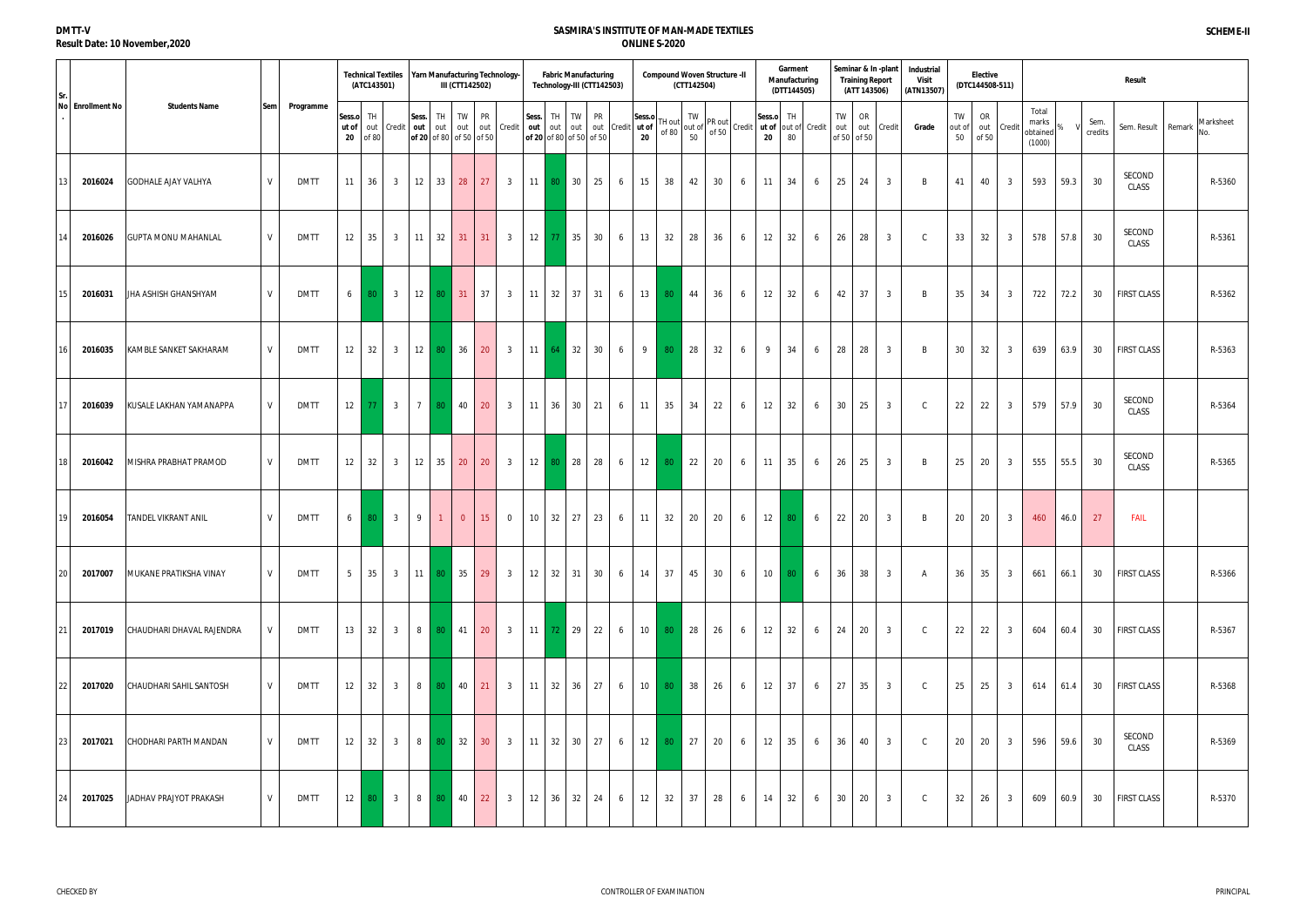#### **DMTT-V Result Date: 10 November,2020**

|                  |                            |     |             |                          | (ATC143501)       | <b>Technical Textiles</b> |                                  |            | III (CTT142502)    |                 | Yarn Manufacturing Technology- |                   | <b>Fabric Manufacturing</b><br>Technology-III (CTT142503)                 |    |   |               |                 | <b>Compound Woven Structure -II</b><br>(CTT142504) |       |                                                                                                                                                                                                                                                                                        |    | Garment<br>Manufacturing<br>(DTT144505) |                |                 | <b>Training Report</b><br>(ATT 143506) | Seminar & In-plant | Industrial<br><b>Visit</b><br>(ATN13507) |                    | <b>Elective</b><br>(DTC144508-511) |                         |                                      |      |                 | Result             |                  |
|------------------|----------------------------|-----|-------------|--------------------------|-------------------|---------------------------|----------------------------------|------------|--------------------|-----------------|--------------------------------|-------------------|---------------------------------------------------------------------------|----|---|---------------|-----------------|----------------------------------------------------|-------|----------------------------------------------------------------------------------------------------------------------------------------------------------------------------------------------------------------------------------------------------------------------------------------|----|-----------------------------------------|----------------|-----------------|----------------------------------------|--------------------|------------------------------------------|--------------------|------------------------------------|-------------------------|--------------------------------------|------|-----------------|--------------------|------------------|
| No Enrollment No | <b>Students Name</b>       | Sem | Programme   | Sess.o TH<br>ut of<br>20 | of 80             | out Credit out out        | Sess.<br>of 20 of 80 of 50 of 50 | TH.        | TW                 | PR              | out out Credit                 |                   | Sess. TH TW PR<br>out out out out Credit ut of<br>of 20 of 80 of 50 of 50 |    |   | Sess.o<br>20  | TH out<br>of 80 |                                                    |       | If $\begin{vmatrix} uv \\ out \text{ of } v \end{vmatrix}$ PR out $\begin{vmatrix} \text{Sess.o} \\ \text{ of } 50 \end{vmatrix}$ Credit $\begin{vmatrix} \text{Sess.o} \\ \text{ at } \text{ of } v \end{vmatrix}$ Credit $\begin{vmatrix} \text{Tr} \\ \text{ out } 0 \end{vmatrix}$ |    |                                         |                | TW<br>out       | OR<br>of 50 of 50                      | out Credit         | Grade                                    | TW<br>out of<br>50 | OR<br>of 50                        | out Credit              | Total<br>marks<br>obtained<br>(1000) |      | Sem.<br>credits | Sem. Result Remark | Marksheet<br>No. |
| 2016024          | <b>GODHALE AJAY VALHYA</b> | V   | <b>DMTT</b> | 11                       | 36                | $\mathbf{3}$              | 12                               | 33         | 28                 | 27              | $\overline{\mathbf{3}}$        |                   | 11 80 30                                                                  | 25 | 6 | 15            | 38              | 42                                                 | 30    | 6                                                                                                                                                                                                                                                                                      | 11 | 34                                      | 6              | 25              | 24                                     | $\overline{3}$     | B                                        | 41                 | 40                                 | $\overline{3}$          | 593                                  | 59.3 | 30              | SECOND<br>CLASS    | R-5360           |
| 2016026          | <b>GUPTA MONU MAHANLAL</b> | V   | <b>DMTT</b> | 12                       | 35                | $\overline{\mathbf{3}}$   | $11 \mid 32 \mid$                |            | 31                 | 31              | 3 <sup>3</sup>                 |                   | $12$ 77 35                                                                | 30 | 6 | 13            | 32              | 28                                                 | 36    | 6                                                                                                                                                                                                                                                                                      | 12 | 32                                      | 6              | <b>26</b>       | 28                                     | $\overline{3}$     | $\mathcal{C}$                            | 33                 | 32                                 | $\overline{3}$          | 578                                  | 57.8 | 30              | SECOND<br>CLASS    | R-5361           |
| 2016031          | JHA ASHISH GHANSHYAM       | V   | DMTT        | 6 <sup>1</sup>           | 80                | $\overline{\mathbf{3}}$   |                                  | 12 80 31   |                    | $\vert$ 37      | $\overline{\phantom{a}}$ 3     |                   | $11 \mid 32 \mid 37 \mid 31 \mid$                                         |    | 6 | 13            | 80              | 44                                                 | 36    | 6                                                                                                                                                                                                                                                                                      | 12 | 32                                      | 6              | 42              | 37                                     | $\overline{3}$     | B                                        | 35                 | 34                                 | $\overline{3}$          | 722                                  | 72.2 | 30              | <b>FIRST CLASS</b> | R-5362           |
| 2016035          | KAMBLE SANKET SAKHARAM     | V   | <b>DMTT</b> | 12                       | 32                | 3 <sup>3</sup>            | 12                               | 80         | 36                 | 20              | $\overline{3}$                 |                   | $11 \mid 64 \mid 32 \mid$                                                 | 30 | 6 | 9             | 80              | 28                                                 | 32    | 6                                                                                                                                                                                                                                                                                      | 9  | 34                                      | 6              | 28              | 28                                     | $\overline{3}$     | B                                        | 30                 | 32                                 | $\mathbf{3}$            | 639                                  | 63.9 | 30              | <b>FIRST CLASS</b> | R-5363           |
| 2016039          | KUSALE LAKHAN YAMANAPPA    | V   | <b>DMTT</b> | 12                       | 77                | 3 <sup>3</sup>            | $7^{\circ}$                      | 80         | 40                 | 20              | $\overline{\mathbf{3}}$        | $11 \mid 36 \mid$ | $30-1$                                                                    | 21 | 6 | 11            | 35              | 34                                                 | 22    | 6                                                                                                                                                                                                                                                                                      | 12 | 32                                      | 6              | 30 <sup>1</sup> | 25                                     | $\overline{3}$     | $\mathcal{C}$                            | 22                 | 22                                 | $\overline{3}$          | 579                                  | 57.9 | 30              | SECOND<br>CLASS    | R-5364           |
| 2016042          | MISHRA PRABHAT PRAMOD      | V   | <b>DMTT</b> | 12                       | 32                | $\overline{\mathbf{3}}$   | 12                               | 35         | 20                 | 20              | $\overline{3}$                 |                   | 12 80 28                                                                  | 28 | 6 | 12            | 80              | 22                                                 | 20    | 6                                                                                                                                                                                                                                                                                      | 11 | 35                                      | 6              | 26              | 25                                     | $\overline{3}$     | B                                        | 25                 | 20                                 | $\mathbf{3}$            | 555                                  | 55.5 | 30              | SECOND<br>CLASS    | R-5365           |
| 2016054          | <b>TANDEL VIKRANT ANIL</b> | V   | <b>DMTT</b> | 6                        | 80                | 3 <sup>3</sup>            | 9                                | $\sim$ 1   | $\overline{0}$     | 15              | $\overline{0}$                 |                   | $10 \mid 32 \mid 27 \mid$                                                 | 23 | 6 | 11            | 32              | 20                                                 | 20    | 6                                                                                                                                                                                                                                                                                      | 12 | 80                                      | 6              | 22              | 20                                     | $\overline{3}$     | B                                        | 20                 | 20                                 | $\overline{3}$          | 460                                  | 46.0 | 27              | <b>FAIL</b>        |                  |
| 2017007<br>20    | MUKANE PRATIKSHA VINAY     | V   | <b>DMTT</b> | 5 <sup>5</sup>           | 35                |                           | 3 11 80 35                       |            |                    | 29              | $\sim$ 3                       |                   | 12 32 31 30                                                               |    | 6 | $14 \mid 37$  |                 |                                                    | 45 30 | 6                                                                                                                                                                                                                                                                                      |    | 10 80 6                                 |                |                 | 36 38                                  | $\overline{3}$     | $\mathsf{A}$                             | 36                 | 35                                 | $\overline{\mathbf{3}}$ | 661                                  | 66.1 | 30              | <b>FIRST CLASS</b> | R-5366           |
| 2017019          | CHAUDHARI DHAVAL RAJENDRA  | V   | <b>DMTT</b> |                          | $13 \mid 32$      | $\overline{\mathbf{3}}$   |                                  | 8 80 41 20 |                    |                 |                                |                   | 3 11 72 29 22                                                             |    | 6 | $10 \quad 80$ |                 | $\vert$ 28                                         | 26    | 6                                                                                                                                                                                                                                                                                      | 12 | 32                                      |                | $6 \quad 24$    | 20                                     | $\overline{3}$     | $\mathsf{C}$                             | 22                 | 22                                 | $\overline{3}$          | 604                                  | 60.4 | 30              | <b>FIRST CLASS</b> | R-5367           |
| 2017020          | CHAUDHARI SAHIL SANTOSH    | V   | <b>DMTT</b> | 12                       | 32                | $\overline{\mathbf{3}}$   |                                  | 8 80 40 21 |                    |                 |                                |                   | 3   11   32   36   27                                                     |    | 6 | $10 \quad 80$ |                 | $\vert$ 38                                         | 26    | 6                                                                                                                                                                                                                                                                                      | 12 | 37                                      | 6 <sup>1</sup> |                 | 27 35                                  | 3 <sup>3</sup>     | $\mathsf{C}$                             | 25                 | 25                                 | 3 <sup>3</sup>          | 614                                  | 61.4 | 30              | <b>FIRST CLASS</b> | R-5368           |
| 2017021          | CHODHARI PARTH MANDAN      | V   | <b>DMTT</b> | 12                       | 32                | $\overline{\mathbf{3}}$   | 8 80                             |            | $\vert$ 32 $\vert$ | 30 <sup>°</sup> |                                |                   | 3   11   32   30   27                                                     |    | 6 | $12 \mid 80$  |                 | 27                                                 | 20    | 6                                                                                                                                                                                                                                                                                      | 12 | 35                                      | 6              | 36              | 40                                     | $\overline{3}$     | $\mathsf{C}$                             | 20                 | 20                                 | $\overline{3}$          | 596                                  | 59.6 | 30              | SECOND<br>CLASS    | R-5369           |
| 2017025          | JADHAV PRAJYOT PRAKASH     | V   | <b>DMTT</b> |                          | $12 \mid 80 \mid$ | $\overline{\mathbf{3}}$   |                                  | 8 80 40    |                    | 22              | $\overline{\mathbf{3}}$        |                   | $12 \mid 36 \mid 32 \mid 24 \mid$                                         |    | 6 | 12            | 32              | 37                                                 | 28    | 6                                                                                                                                                                                                                                                                                      | 14 | 32                                      | 6              |                 | 30 20                                  | $\overline{3}$     | $\mathsf{C}$                             | 32                 | 26                                 | $\overline{3}$          | 609                                  | 60.9 | 30              | <b>FIRST CLASS</b> | R-5370           |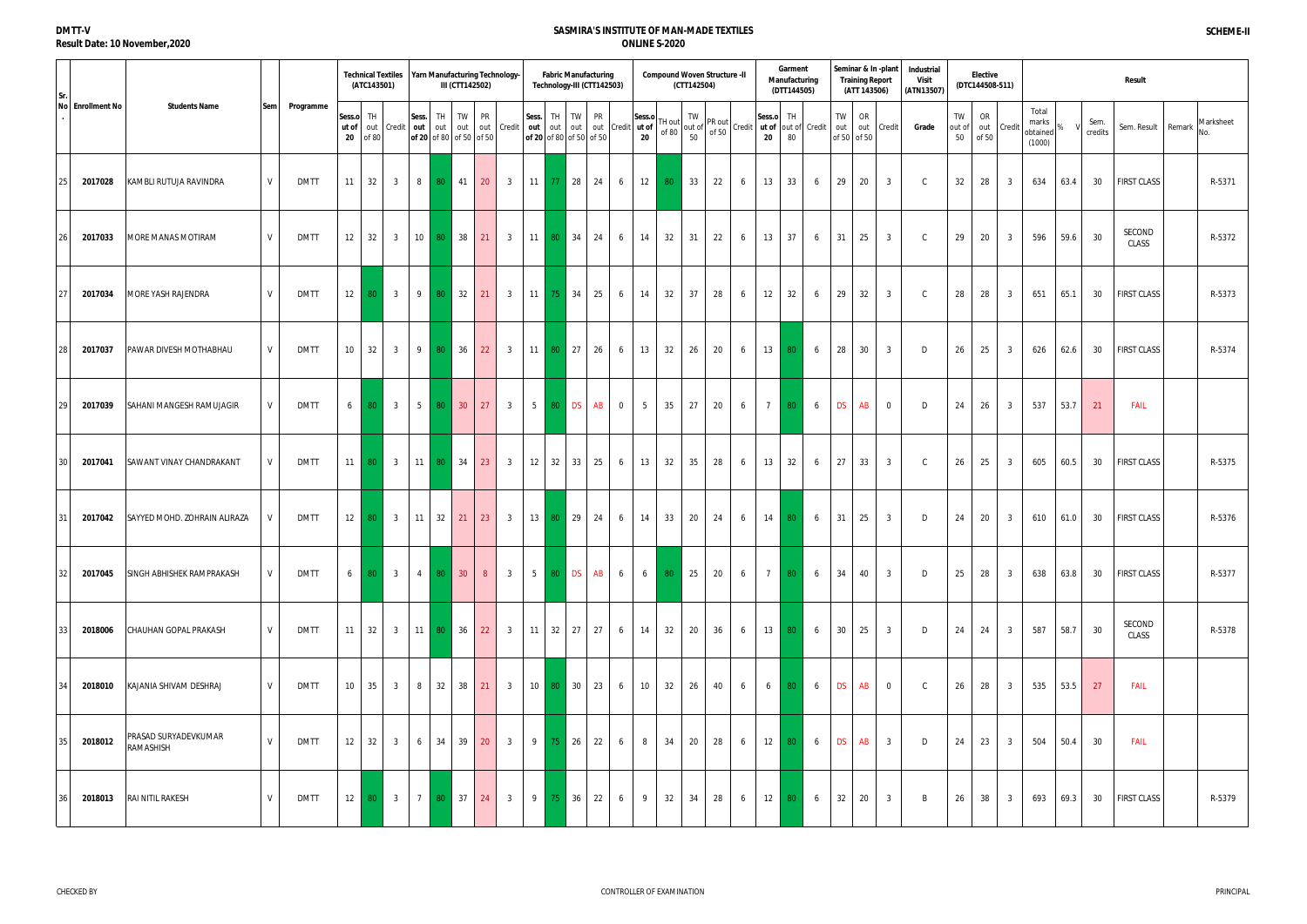#### **DMTT-V Result Date: 10 November,2020**

|                  |                                   |     |             |                          | (ATC143501)       | <b>Technical Textiles</b> |                | Yarn Manufacturing Technology-<br>III (CTT142502)             |    |                |                         |                                         |          | <b>Fabric Manufacturing</b><br>Technology-III (CTT142503)                                                                                                                                                                                                                                        |    |                |                 |    | <b>Compound Woven Structure -II</b><br>(CTT142504)                                                                                                                                                                                                                                                |    |   |                 | Garment<br>Manufacturing<br>(DTT144505) |                 |                 | Seminar & In-plant<br><b>Training Report</b><br>(ATT 143506) |                | Industrial<br><b>Visit</b><br>(ATN13507) |                    | <b>Elective</b><br>(DTC144508-511) |                |                                      |      |                 | Result             |                  |
|------------------|-----------------------------------|-----|-------------|--------------------------|-------------------|---------------------------|----------------|---------------------------------------------------------------|----|----------------|-------------------------|-----------------------------------------|----------|--------------------------------------------------------------------------------------------------------------------------------------------------------------------------------------------------------------------------------------------------------------------------------------------------|----|----------------|-----------------|----|---------------------------------------------------------------------------------------------------------------------------------------------------------------------------------------------------------------------------------------------------------------------------------------------------|----|---|-----------------|-----------------------------------------|-----------------|-----------------|--------------------------------------------------------------|----------------|------------------------------------------|--------------------|------------------------------------|----------------|--------------------------------------|------|-----------------|--------------------|------------------|
| No Enrollment No | <b>Students Name</b>              | Sem | Programme   | Sess.o TH<br>ut of<br>20 | of 80             | out Credit out out        | Sess.          | TH.<br>of 20 of 80 of 50 of 50                                | TW | PR             | out out Credit          |                                         |          | Sess. TH TW PR<br>$\begin{bmatrix} \text{less.} \\ \text{out} \end{bmatrix}$ out $\begin{bmatrix} \text{iv} \\ \text{out} \end{bmatrix}$ out $\begin{bmatrix} \text{v} \\ \text{out} \end{bmatrix}$ credit $\begin{bmatrix} \text{u} \\ \text{u} \end{bmatrix}$ of 80<br>of 20 of 80 of 50 of 50 |    |                | Sess.o<br>20    |    | IT $\begin{bmatrix} 1 & 1 & 1 & 1 \\ 1 & 1 & 1 & 1 \\ 0 & 1 & 1 & 1 \\ 0 & 0 & 0 & 0 \end{bmatrix}$ Credit $\begin{bmatrix} \text{Sess.o} \\ \text{u} \text{t of} \\ \text{u} \text{t of} \\ \text{u} \text{t of} \end{bmatrix}$ Credit $\begin{bmatrix} \text{H} \\ \text{Cretit} \end{bmatrix}$ |    |   |                 |                                         |                 | TW<br>out       | OR<br>of 50 of 50                                            | out Credit     | Grade                                    | TW<br>out of<br>50 | OR<br>of 50                        | out Credit     | Total<br>marks<br>obtained<br>(1000) |      | Sem.<br>credits | Sem. Result Remark | Marksheet<br>No. |
| 2017028          | KAMBLI RUTUJA RAVINDRA            | V   | <b>DMTT</b> | 11                       | 32                | $\overline{3}$            | 8 <sup>1</sup> | 80                                                            | 41 | 20             | $\overline{\mathbf{3}}$ | $11 \quad 77 \quad 28$                  |          |                                                                                                                                                                                                                                                                                                  | 24 | 6              | 12              | 80 | 33                                                                                                                                                                                                                                                                                                | 22 | 6 | 13              | 33                                      | 6               | 29              | 20                                                           | $\overline{3}$ | $\mathsf{C}$                             | 32                 | 28                                 | $\overline{3}$ | 634                                  | 63.4 | 30              | <b>FIRST CLASS</b> | R-5371           |
| 2017033          | <b>MORE MANAS MOTIRAM</b>         | V   | <b>DMTT</b> | 12                       | 32                | $\overline{3}$            | 10             | 80 <sub>1</sub>                                               | 38 | 21             | $\overline{3}$          |                                         |          | 11 80 34                                                                                                                                                                                                                                                                                         | 24 | 6              | 14              | 32 | 31                                                                                                                                                                                                                                                                                                | 22 | 6 | 13              | 37                                      | 6               | 31              | 25                                                           | $\overline{3}$ | $\mathcal{C}$                            | 29                 | 20                                 | $\overline{3}$ | 596                                  | 59.6 | 30              | SECOND<br>CLASS    | R-5372           |
| 2017034          | MORE YASH RAJENDRA                | V   | <b>DMTT</b> |                          | $12 \mid 80 \mid$ | $\overline{\mathbf{3}}$   | $9 \mid 80$    |                                                               | 32 | 21             |                         | 3   11   75   34   25                   |          |                                                                                                                                                                                                                                                                                                  |    | 6              | 14              | 32 | 37                                                                                                                                                                                                                                                                                                | 28 | 6 | 12              | 32                                      | 6               | 29              | 32                                                           | $\overline{3}$ | $\mathsf{C}$                             | 28                 | 28                                 | $\overline{3}$ | 651                                  | 65.1 | 30              | <b>FIRST CLASS</b> | R-5373           |
| 2017037          | PAWAR DIVESH MOTHABHAU            | V   | <b>DMTT</b> | 10 <sup>°</sup>          | 32                | 3 <sup>3</sup>            | 9 <sup>1</sup> | 80                                                            | 36 | 22             | $\overline{3}$          |                                         | 11 80 27 |                                                                                                                                                                                                                                                                                                  | 26 | 6              | 13              | 32 | 26                                                                                                                                                                                                                                                                                                | 20 | 6 | 13              | 80                                      | $6\overline{6}$ | 28              | 30                                                           | $\overline{3}$ | D                                        | 26                 | 25                                 | $\mathbf{3}$   | 626                                  | 62.6 | 30              | <b>FIRST CLASS</b> | R-5374           |
| 2017039          | SAHANI MANGESH RAMUJAGIR          | V   | <b>DMTT</b> | 6 <sup>1</sup>           | 80                | 3 <sup>5</sup>            | 5 <sup>1</sup> | 80                                                            | 30 | 27             | $\overline{\mathbf{3}}$ | $5\overline{)}$                         |          | 80 DS                                                                                                                                                                                                                                                                                            | AB | $\overline{0}$ | 5               | 35 | 27                                                                                                                                                                                                                                                                                                | 20 | 6 | $7\overline{ }$ | 80                                      | 6               | DS              | AB                                                           | $\overline{0}$ | D                                        | 24                 | 26                                 | $\overline{3}$ | 537                                  | 53.7 | 21              | <b>FAIL</b>        |                  |
| 2017041          | SAWANT VINAY CHANDRAKANT          | V   | <b>DMTT</b> |                          | $11$ 80           | $\overline{\mathbf{3}}$   |                | 11 80 34                                                      |    | 23             | $\overline{\mathbf{3}}$ |                                         |          | 12 32 33 25                                                                                                                                                                                                                                                                                      |    | 6              | 13              | 32 | 35                                                                                                                                                                                                                                                                                                | 28 | 6 | 13              | 32                                      | 6               | 27              | 33                                                           | $\overline{3}$ | $\mathsf{C}$                             | 26                 | 25                                 | $\overline{3}$ | 605                                  | 60.5 | 30              | <b>FIRST CLASS</b> | R-5375           |
| 2017042          | SAYYED MOHD. ZOHRAIN ALIRAZA      |     | <b>DMTT</b> |                          | $12 \mid 80 \mid$ | $\overline{\mathbf{3}}$   |                | $11 \mid 32 \mid$                                             | 21 | 23             | $\overline{3}$          |                                         |          | 13 80 29                                                                                                                                                                                                                                                                                         | 24 | 6              | 14              | 33 | 20                                                                                                                                                                                                                                                                                                | 24 | 6 | 14              | 80                                      | 6               | 31              | 25                                                           | $\overline{3}$ | D                                        | 24                 | 20                                 | $\overline{3}$ | 610                                  | 61.0 | 30              | <b>FIRST CLASS</b> | R-5376           |
| 2017045          | SINGH ABHISHEK RAMPRAKASH         | V   | <b>DMTT</b> |                          | $6 \quad 80$      | $\overline{\mathbf{3}}$   |                | $\begin{array}{ c c c c c } \hline 4 & 80 \hline \end{array}$ | 30 | 8 <sup>1</sup> |                         | $3 \mid 5 \mid 80 \mid DS \mid AB \mid$ |          |                                                                                                                                                                                                                                                                                                  |    | 6              |                 |    | $6 \quad 80 \quad 25$                                                                                                                                                                                                                                                                             | 20 | 6 | 7 <sup>1</sup>  |                                         | 80 6            | 34              | 40                                                           | $\overline{3}$ | D                                        | 25                 | 28                                 | 3 <sup>3</sup> | 638                                  | 63.8 | 30              | <b>FIRST CLASS</b> | R-5377           |
| 2018006          | CHAUHAN GOPAL PRAKASH             | V   | <b>DMTT</b> | 11                       | 32                |                           |                | 3 11 80 36                                                    |    | 22             |                         | $3 \mid 11 \mid 32 \mid 27 \mid 27$     |          |                                                                                                                                                                                                                                                                                                  |    | 6              | 14              | 32 | 20                                                                                                                                                                                                                                                                                                | 36 | 6 |                 | 13 80 6                                 |                 | 30 <sup>1</sup> | 25                                                           | $\overline{3}$ | D                                        | 24                 | 24                                 | 3 <sup>3</sup> | 587                                  | 58.7 | 30              | SECOND<br>CLASS    | R-5378           |
| 2018010          | KAJANIA SHIVAM DESHRAJ            | V   | <b>DMTT</b> | 10 <sup>°</sup>          | 35                | $\overline{\mathbf{3}}$   |                | 8 32                                                          | 38 | 21             | 3 <sup>3</sup>          |                                         |          | 10 80 30 23                                                                                                                                                                                                                                                                                      |    | 6              | 10 <sup>1</sup> | 32 | 26                                                                                                                                                                                                                                                                                                | 40 | 6 | $6-1$           |                                         | 80 6            | DS              | <b>AB</b>                                                    | $\overline{0}$ | C                                        | 26                 | 28                                 | 3 <sup>3</sup> | 535                                  | 53.5 | 27              | <b>FAIL</b>        |                  |
| 2018012          | PRASAD SURYADEVKUMAR<br>RAMASHISH | V   | <b>DMTT</b> | 12                       | 32                | $\overline{\mathbf{3}}$   |                | $6 \mid 34 \mid$                                              |    | $39 \mid 20$   | $\overline{\mathbf{3}}$ |                                         |          | 9 75 26                                                                                                                                                                                                                                                                                          | 22 | 6              | 8               | 34 | 20                                                                                                                                                                                                                                                                                                | 28 | 6 |                 | $12 \mid 80 \mid$                       | $6\overline{6}$ | <b>DS</b>       | AB                                                           | $\overline{3}$ | D                                        | 24                 | 23                                 | $\overline{3}$ | 504                                  | 50.4 | 30              | <b>FAIL</b>        |                  |
| 2018013          | RAI NITIL RAKESH                  | V   | <b>DMTT</b> |                          | $12$ 80           | $\overline{\mathbf{3}}$   |                | 7 80 37                                                       |    | 24             | 3 <sup>1</sup>          |                                         |          | 9 75 36                                                                                                                                                                                                                                                                                          | 22 | 6              | 9               | 32 | 34                                                                                                                                                                                                                                                                                                | 28 | 6 | 12              |                                         | 80 6            |                 | 32 20                                                        | $\overline{3}$ | B                                        | 26                 | 38                                 | $\overline{3}$ | 693                                  | 69.3 | 30              | <b>FIRST CLASS</b> | R-5379           |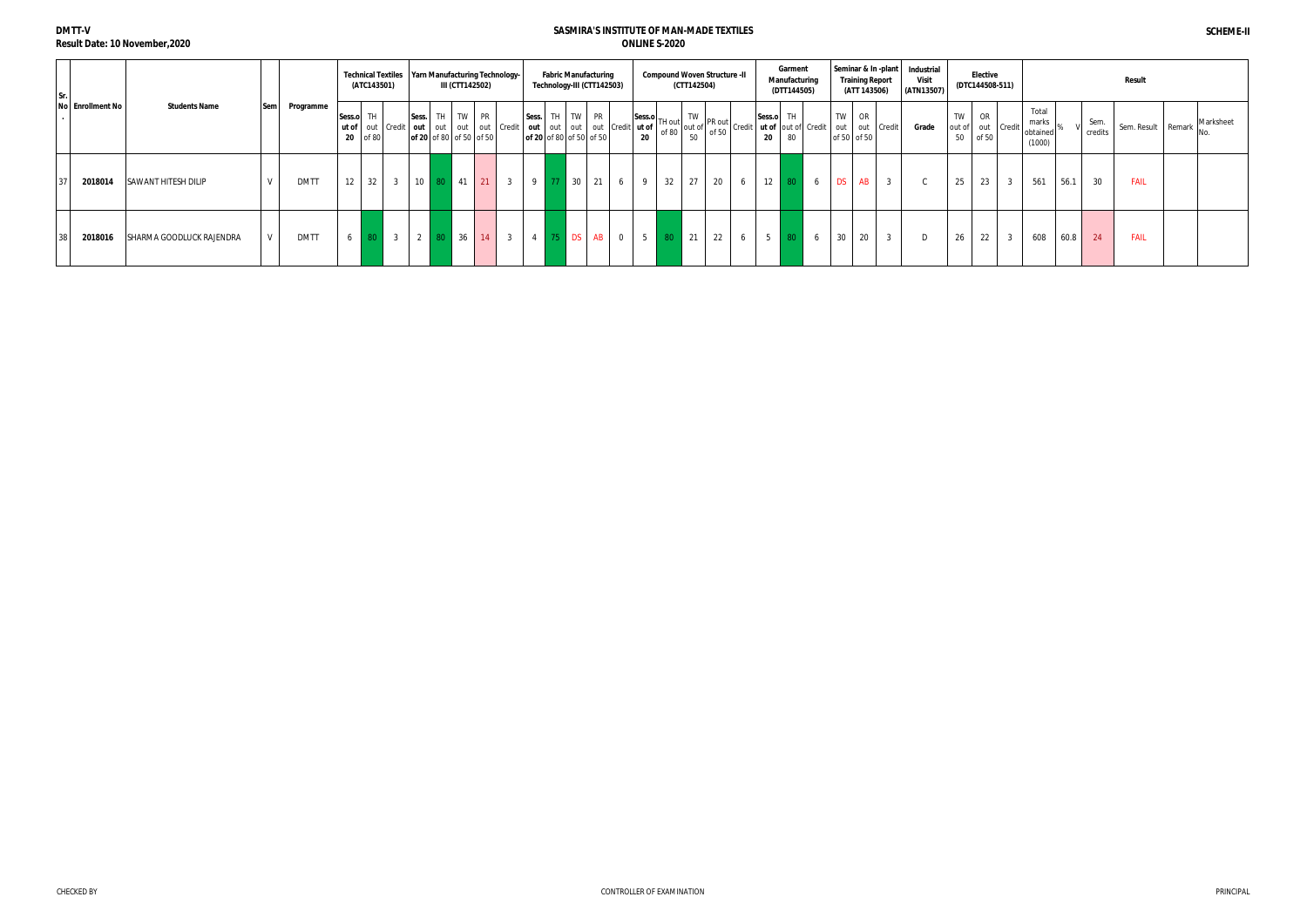**DMTT-V**

**Result Date: 10 November,2020**

| Sr. I |                  |                            |            |             |              | (ATC143501) | Technical Textiles   Yarn Manufacturing Technology- |                 |    | III (CTT142502)                     |    |                |                | <b>Fabric Manufacturing</b><br>Technology-III (CTT142503)           |                |                |    | <b>Compound Woven Structure -II</b><br>(CTT142504) |    |   |    | Garment<br>Manufacturing<br>(DTT144505) |   |           | <b>Training Report</b><br>(ATT 143506) | Seminar & In -plant   Industrial<br>Visit<br>(ATN13507) |                               | <b>Elective</b><br>(DTC144508-511) |        |                                      |      |                 | Result             |           |
|-------|------------------|----------------------------|------------|-------------|--------------|-------------|-----------------------------------------------------|-----------------|----|-------------------------------------|----|----------------|----------------|---------------------------------------------------------------------|----------------|----------------|----|----------------------------------------------------|----|---|----|-----------------------------------------|---|-----------|----------------------------------------|---------------------------------------------------------|-------------------------------|------------------------------------|--------|--------------------------------------|------|-----------------|--------------------|-----------|
|       | No Enrollment No | <b>Students Name</b>       | <b>Sem</b> | Programme   | Sess.o<br>20 | TH<br>of 80 | ut of out Credit   out   out   out   out   Credit   | Sess.           |    | TH TW PR<br>of 20 of 80 of 50 of 50 |    |                | Sess.          | TH TW PR<br>out out out out Credit ut of<br>of 20 of 80 of 50 of 50 |                | 20             |    | $ Sess.o $ <sub>TH out</sub>                       |    |   |    |                                         |   | TW        | OR<br>out out Credit<br>of 50 of 50    | Grade                                                   | TW<br>out of out Credit<br>50 | <b>OR</b><br>of 50                 |        | Total<br>marks<br>obtained<br>(1000) |      | Sem.<br>credits | Sem. Result Remark | Marksheet |
|       | 2018014          | <b>SAWANT HITESH DILIP</b> |            | <b>DMTT</b> | 12           | 32          | 3 <sub>1</sub>                                      | 10 <sup>1</sup> | 80 | 41                                  | 21 | $\overline{3}$ | 9 <sup>1</sup> | 30                                                                  | 21<br>6        | - 9            | 32 | 27                                                 | 20 | 6 | 12 |                                         | 6 | <b>DS</b> | AB                                     |                                                         | 25                            | 23                                 | 3      | 561                                  | 56.1 | 30              | <b>FAIL</b>        |           |
|       | 2018016          | SHARMA GOODLUCK RAJENDRA   | V          | <b>DMTT</b> | 6            |             | 3 <sup>1</sup>                                      | $2 \mid 80$     |    | 36                                  | 14 | $\overline{3}$ | 4 75 DS        | <b>AB</b>                                                           | $\overline{0}$ | 5 <sup>5</sup> |    | 21                                                 | 22 | 6 | 5  |                                         | 6 | 30        | 20                                     |                                                         | 26                            | 22                                 | $\sim$ | 608                                  | 60.8 | 24              | <b>FAIL</b>        |           |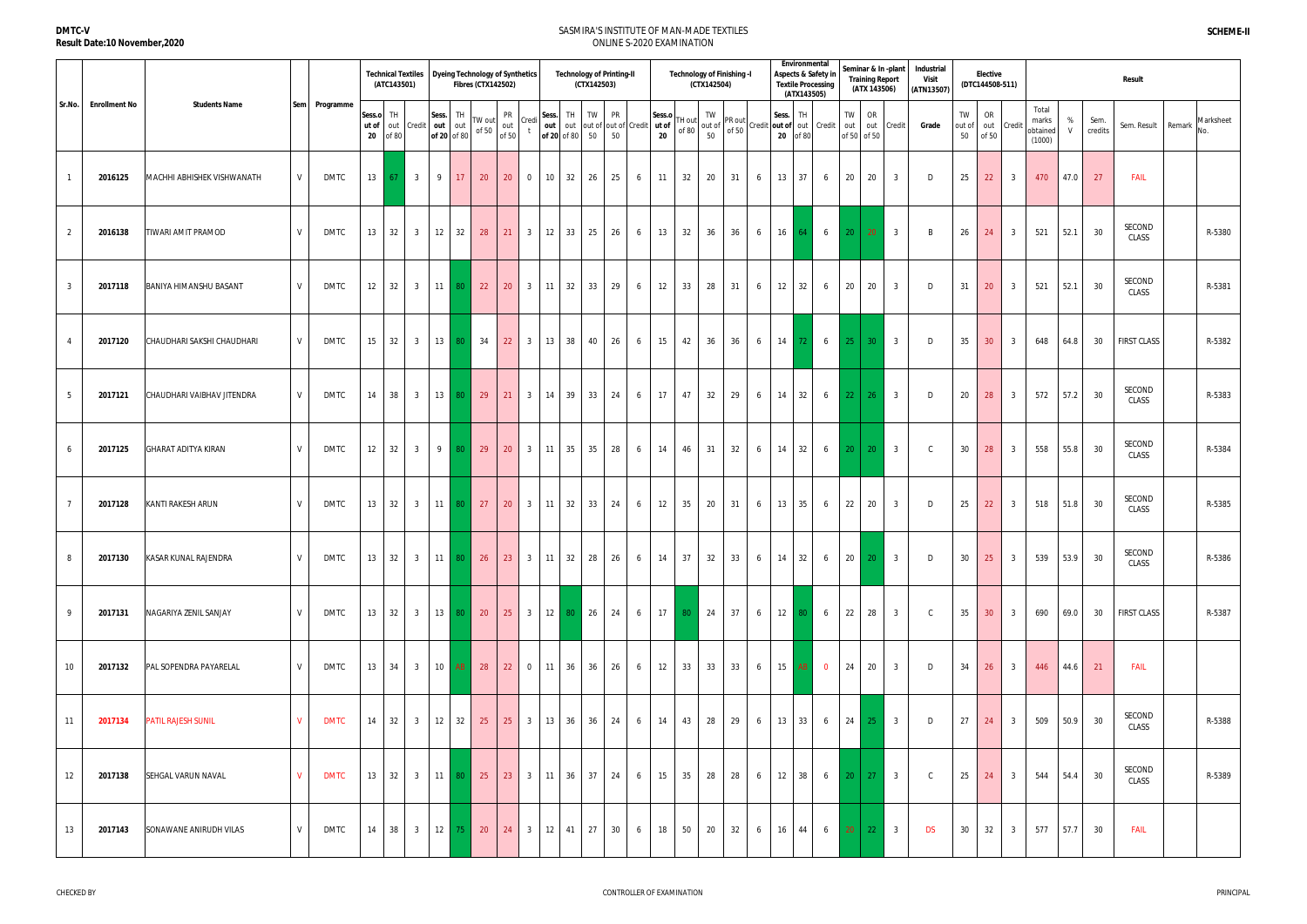|                 |                      |                               |              |             |                       | (ATC143501) | <b>Technical Textiles</b> | <b>Dyeing Technology of Synthetics</b> |     | <b>Fibres (CTX142502)</b> |                    |                |                     |              | <b>Technology of Printing-II</b><br>(CTX142503)                |                 |                |                       |                   | Technology of Finishing -I<br>(CTX142504) |    |   | Environmental<br>Aspects & Safety in<br><b>Textile Processing</b> | (ATX143505) |                        |              | <b>Training Report</b><br>(ATX 143506) | Seminar & In -plant        | Industrial<br>Visit<br>(ATN13507) |                    | Elective<br>(DTC144508-511) |                |                                      |                   |                 | <b>Result</b>      |                 |
|-----------------|----------------------|-------------------------------|--------------|-------------|-----------------------|-------------|---------------------------|----------------------------------------|-----|---------------------------|--------------------|----------------|---------------------|--------------|----------------------------------------------------------------|-----------------|----------------|-----------------------|-------------------|-------------------------------------------|----|---|-------------------------------------------------------------------|-------------|------------------------|--------------|----------------------------------------|----------------------------|-----------------------------------|--------------------|-----------------------------|----------------|--------------------------------------|-------------------|-----------------|--------------------|-----------------|
| Sr.No.          | <b>Enrollment No</b> | <b>Students Name</b>          | Sem          | Programme   | Sess.o<br>ut of<br>20 | TH<br>of 80 | out Credit                | Sess.<br>out out<br>of 20 of 80        | TH  | TW out<br>of 50           | PR<br>out<br>of 50 | Credi          | Sess.               | TH           | TW<br>out   out   out of   out of   Credit<br>of 20 of 80 $50$ | <b>PR</b><br>50 |                | Sess.o<br>ut of<br>20 | TH out<br>of $80$ | TW<br>out of<br>50                        |    |   | Sess.<br>PR out<br>of 50 Credit out of out Credit<br>20 of 80     | TH          |                        | TW           | OR<br>of 50 of 50                      | out out Credit             | Grade                             | TW<br>out of<br>50 | OR<br>of 50                 | out Credit     | Total<br>marks<br>obtained<br>(1000) | %<br>$\mathsf{V}$ | Sem.<br>credits | Sem. Result Remark | Marksheet<br>No |
|                 | 2016125              | MACHHI ABHISHEK VISHWANATH    | $\mathsf{V}$ | <b>DMTC</b> | 13                    | 67          | $\overline{\mathbf{3}}$   | 9                                      | 17  | 20                        | 20                 | $\overline{0}$ | 10                  | 32           | 26                                                             | 25              | 6              | 11                    | 32                | 20                                        | 31 | 6 | 13                                                                | 37          | 6                      | 20           | 20                                     | $\overline{\mathbf{3}}$    | D                                 | 25                 | 22                          | $\overline{3}$ | 470                                  | 47.0              | 27              | <b>FAIL</b>        |                 |
| $\overline{2}$  | 2016138              | fiwari amit pramod            | $\mathsf{V}$ | <b>DMTC</b> | 13                    | 32          | 3 <sup>3</sup>            | 12 <sup>1</sup>                        | 32  | 28                        | 21                 | 3 <sup>3</sup> | 12                  | 33           | 25                                                             | 26              | 6              | 13                    | 32                | 36                                        | 36 | 6 | 16                                                                | 64 I        | 6                      | $20-1$       | 20                                     | $\overline{\mathbf{3}}$    | B                                 | 26                 | 24                          | $\overline{3}$ | 521                                  | 52.1              | 30              | SECOND<br>CLASS    | R-5380          |
| $\mathbf{3}$    | 2017118              | <b>BANIYA HIMANSHU BASANT</b> | $\mathsf{V}$ | DMTC        | 12                    | 32          | 3 <sup>1</sup>            | $11 \quad 80$                          |     | 22                        | 20                 | 3 <sup>3</sup> | $11 \mid 32$        |              | 33                                                             | 29              | 6              | 12                    | 33                | 28                                        | 31 | 6 | 12                                                                | 32          | 6                      | 20           | 20                                     | $\overline{3}$             | D                                 | 31                 | 20                          | $\overline{3}$ | 521                                  | 52.1              | 30              | SECOND<br>CLASS    | R-5381          |
|                 | 2017120              | CHAUDHARI SAKSHI CHAUDHARI    |              | DMTC        | 15                    | 32          | 3 <sup>1</sup>            | 13 80 34                               |     |                           | 22                 | 3 <sup>1</sup> | 13 38               |              | 40                                                             | 26              | 6              | 15                    | 42                | 36                                        | 36 | 6 | 14                                                                | -72 I       | $6 \quad \blacksquare$ | $25 \mid 30$ |                                        | $\overline{\phantom{a}}$ 3 | D                                 | 35                 | 30 <sup>°</sup>             | $\overline{3}$ | 648                                  | 64.8              | 30              | <b>FIRST CLASS</b> | R-5382          |
| $5\overline{)}$ | 2017121              | CHAUDHARI VAIBHAV JITENDRA    | $\mathsf{V}$ | <b>DMTC</b> | 14                    | 38          | $\overline{3}$            | $13$ 80                                |     | 29                        | 21                 | 3 <sup>3</sup> | 14 39               |              | 33                                                             | 24              | 6              | 17                    | 47                | 32                                        | 29 | 6 | 14                                                                | 32          | 6                      |              | $22 \mid 26$                           | $\overline{\mathbf{3}}$    | D                                 | 20                 | 28                          | $\overline{3}$ | 572                                  | 57.2              | 30              | SECOND<br>CLASS    | R-5383          |
| 6               | 2017125              | GHARAT ADITYA KIRAN           | $\mathsf{V}$ | <b>DMTC</b> | 12                    | 32          | 3 <sup>3</sup>            | 9 I                                    | -80 | 29                        | 20                 | 3 <sup>3</sup> | $11 \quad 35$       |              | 35                                                             | 28              | 6              | 14                    | 46                | 31                                        | 32 | 6 | 14                                                                | 32          | 6                      |              | $20 \mid 20$                           | $\overline{\mathbf{3}}$    | $\mathsf{C}$                      | 30                 | 28                          | $\overline{3}$ | 558                                  | 55.8              | 30              | SECOND<br>CLASS    | R-5384          |
|                 | 2017128              | KANTI RAKESH ARUN             |              | <b>DMTC</b> | 13                    | 32          | 3 <sup>1</sup>            | $11$ 80                                |     | 27                        | 20                 | 3 <sup>3</sup> |                     | $11 \mid 32$ | 33                                                             | 24              | 6              | 12                    | 35                | 20                                        | 31 | 6 | 13                                                                | 35          | 6                      | 22           | 20                                     | $\overline{3}$             | D                                 | 25                 | 22                          | $\overline{3}$ | 518                                  | 51.8              | 30              | SECOND<br>CLASS    | R-5385          |
| 8               | 2017130              | KASAR KUNAL RAJENDRA          | V            | <b>DMTC</b> |                       | 13 32       |                           | 3 11 80 26                             |     |                           | 23                 |                | $3 \mid 11 \mid 32$ |              | 28                                                             | 26              | 6              | 14                    | 37                | 32                                        | 33 | 6 | $14 \mid 32 \mid$                                                 |             | 6                      | $20 \mid 20$ |                                        | $\begin{array}{ c c }$ 3   | D                                 | 30                 | 25                          | $\overline{3}$ | 539                                  | 53.9              | 30              | SECOND<br>CLASS    | R-5386          |
| 9               | 2017131              | NAGARIYA ZENIL SANJAY         | V            | <b>DMTC</b> |                       | 13 32       |                           | 3 13 80 20                             |     |                           | 25                 |                |                     |              | $12 \begin{array}{ c c c } 30 & 26 \end{array}$                | 24              | 6 <sup>1</sup> | 17                    |                   | 80 24                                     | 37 | 6 | $12 \mid 80 \mid$                                                 |             | 6                      | 22 28        |                                        | $\overline{\mathbf{3}}$    | $\mathsf{C}$                      | 35                 | 30                          | $\overline{3}$ | 690                                  | 69.0              | 30              | <b>FIRST CLASS</b> | R-5387          |
| 10 <sup>°</sup> | 2017132              | PAL SOPENDRA PAYARELAL        | $\mathsf{V}$ | DMTC        | 13                    | 34          | 3 <sup>1</sup>            | $10$ AB                                |     | 28                        | 22                 | $\overline{0}$ | 11 36               |              | 36                                                             | 26              | 6              | 12                    | 33                | 33                                        | 33 | 6 | 15 AB 0                                                           |             |                        | 24 20        |                                        | $\overline{3}$             | D                                 | 34                 | 26                          | $\overline{3}$ | 446                                  | 44.6              | 21              | <b>FAIL</b>        |                 |
| 11              | 2017134              | <b>PATIL RAJESH SUNIL</b>     |              | <b>DMTC</b> | 14                    | 32          | 3 <sup>1</sup>            | $12 \mid 32 \mid$                      |     | 25                        | 25                 | 3 <sup>1</sup> |                     | 13 36        | 36                                                             | 24              | 6              | 14                    | 43                | 28                                        | 29 | 6 | $13 \mid 33 \mid$                                                 |             | 6                      | 24 25        |                                        | $\overline{\mathbf{3}}$    | D                                 | 27                 | 24                          | $\overline{3}$ | 509                                  | 50.9              | 30              | SECOND<br>CLASS    | R-5388          |
| 12              | 2017138              | SEHGAL VARUN NAVAL            |              | <b>DMTC</b> |                       | 13 32       |                           | 3 11 80 25                             |     |                           | 23                 |                | $3 \mid 11 \mid 36$ |              | 37                                                             | 24              | 6              | 15                    | 35                | 28                                        | 28 | 6 | $12 \mid 38 \mid$                                                 |             | $6 \mid 20 \mid 27$    |              |                                        | $\overline{\mathbf{3}}$    | $\mathsf{C}$                      | 25                 | 24                          | $\overline{3}$ | 544                                  | 54.4              | 30              | SECOND<br>CLASS    | R-5389          |
| 13              | 2017143              | SONAWANE ANIRUDH VILAS        | V            | DMTC        | 14                    | 38          | $\overline{\mathbf{3}}$   | 12                                     | 75  | 20                        | 24                 | 3 <sup>3</sup> | 12                  | 41           | 27                                                             | 30              | 6              | 18                    | 50                | 20                                        | 32 | 6 | 16                                                                | 44          | 6                      |              | $20 \mid 22 \mid$                      | $\overline{\mathbf{3}}$    | <b>DS</b>                         | 30                 | 32                          | $\overline{3}$ | 577                                  | 57.7              | 30              | <b>FAIL</b>        |                 |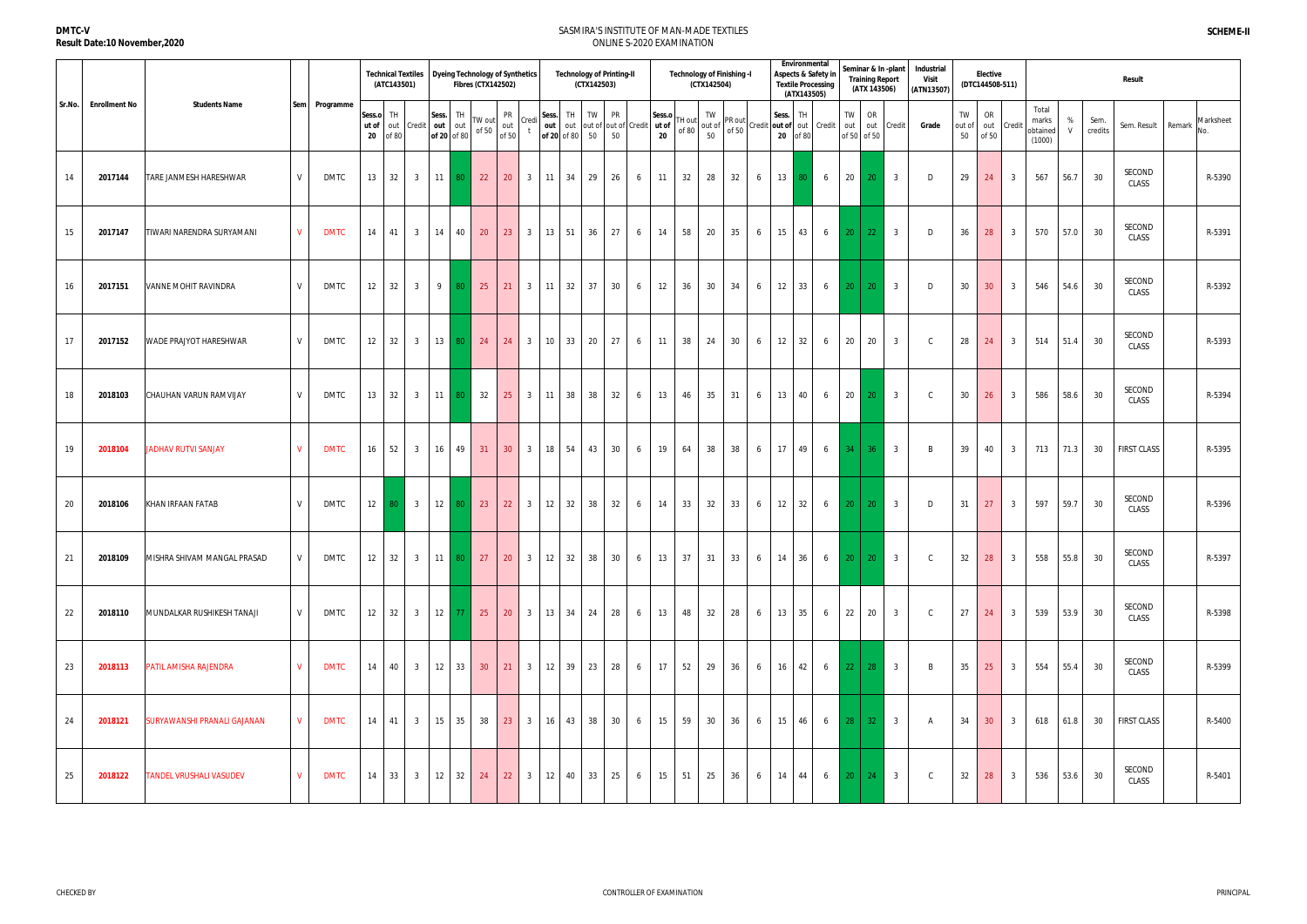|        |                      |                              |              |               |                                | <b>Technical Textiles</b><br>(ATC143501) |                         | Dyeing Technology of Synthetics       | <b>Fibres (CTX142502)</b>                                  |                                                                          |                |       | <b>Technology of Printing-II</b><br>(CTX142503) |                                         |   |                       |                 | (CTX142504) | <b>Technology of Finishing -I</b>                                                                                                                                                                               |   |    | Environmental<br><b>Textile Processing</b><br>(ATX143505) | Aspects & Safety in |                 | <b>Training Report</b><br>(ATX 143506) | Seminar & In -plant        | Industrial<br>Visit<br>(ATN13507) |                    | <b>Elective</b><br>(DTC144508-511) |                |                                      |        |                 | Result             |                            |
|--------|----------------------|------------------------------|--------------|---------------|--------------------------------|------------------------------------------|-------------------------|---------------------------------------|------------------------------------------------------------|--------------------------------------------------------------------------|----------------|-------|-------------------------------------------------|-----------------------------------------|---|-----------------------|-----------------|-------------|-----------------------------------------------------------------------------------------------------------------------------------------------------------------------------------------------------------------|---|----|-----------------------------------------------------------|---------------------|-----------------|----------------------------------------|----------------------------|-----------------------------------|--------------------|------------------------------------|----------------|--------------------------------------|--------|-----------------|--------------------|----------------------------|
| Sr.No. | <b>Enrollment No</b> | <b>Students Name</b>         |              | Sem Programme | Sess.o<br>ut of<br>$20\degree$ | TH<br>of 80                              | out Credit              | Sess. TH<br>out<br>out<br>of 20 of 80 | TW out<br>of 50                                            | PR<br>out<br>of 50                                                       | Credi          | Sess. | TH<br>TW<br>out out<br>of 20 of 80 50           | <b>PR</b><br>out of out of Credit<br>50 |   | Sess.o<br>ut of<br>20 | TH out<br>of 80 |             | It out of $\begin{bmatrix} 1 & 1 & 1 \\ 1 & 1 & 1 \\ 0 & 0 & 0 \end{bmatrix}$ or 50 $\begin{bmatrix} 1 & 1 \\ 1 & 1 \\ 0 & 0 \end{bmatrix}$ or $\begin{bmatrix} 1 & 1 \\ 2 & 1 \\ 0 & 1 \end{bmatrix}$ Credit 1 |   |    |                                                           |                     | TW              | OR<br>out out<br>of 50 of 50           | Credit                     | Grade                             | TW<br>out of<br>50 | OR<br>out Credit<br>of 50          |                | Total<br>marks<br>obtained<br>(1000) | %<br>V | Sem.<br>credits | Sem. Result        | Marksheet<br>Remark<br>No. |
| 14     | 2017144              | TARE JANMESH HARESHWAR       | V            | <b>DMTC</b>   | 13                             | 32                                       | 3 <sup>3</sup>          | $11$ 80                               | 22                                                         | 20                                                                       | 3 I            |       | 29<br>$11 \quad 34$                             | 26                                      | 6 | 11                    | 32              | 28          | 32                                                                                                                                                                                                              | 6 | 13 |                                                           | 6                   | 20              | -20                                    | $\overline{\mathbf{3}}$    | D                                 | 29                 | 24                                 | 3              | 567                                  | 56.7   | 30              | SECOND<br>CLASS    | R-5390                     |
| 15     | 2017147              | TIWARI NARENDRA SURYAMANI    | $\mathbf{V}$ | <b>DMTC</b>   | 14                             | 41                                       | $\overline{3}$          | 14 40                                 | 20                                                         | 23                                                                       |                |       | $3 \mid 13 \mid 51$<br>36                       | 27                                      | 6 | 14                    | 58              | 20          | 35                                                                                                                                                                                                              | 6 | 15 | 43                                                        | 6                   | 20 <sup>1</sup> | 22                                     | $\overline{\mathbf{3}}$    | D                                 | 36                 | 28                                 | $\overline{3}$ | 570                                  | 57.0   | 30              | SECOND<br>CLASS    | R-5391                     |
| 16     | 2017151              | <b>VANNE MOHIT RAVINDRA</b>  | V            | DMTC          | 12                             | 32                                       | $\overline{3}$          | $9 \mid 80$                           |                                                            | $\begin{array}{ c c c }\n\hline\n\textbf{25} & \textbf{21}\n\end{array}$ |                |       | 3   11   32   37                                | 30                                      | 6 | 12                    | 36              | 30          | 34                                                                                                                                                                                                              | 6 | 12 | 33                                                        | 6                   | 20 <sup>1</sup> | 20                                     | $\overline{\mathbf{3}}$    | D                                 | 30                 | 30 <sup>°</sup>                    | $\overline{3}$ | 546                                  | 54.6   | 30              | SECOND<br>CLASS    | R-5392                     |
| 17     | 2017152              | WADE PRAJYOT HARESHWAR       | V            | <b>DMTC</b>   | 12                             | 32                                       | $\overline{\mathbf{3}}$ | $13$ 80                               | $\vert$ 24                                                 | 24                                                                       | 3 <sup>3</sup> |       | $10 \mid 33$<br>20                              | 27                                      | 6 | 11                    | 38              | 24          | 30                                                                                                                                                                                                              | 6 | 12 | 32                                                        | 6                   | 20              | 20                                     | $\overline{3}$             | $\mathsf{C}$                      | 28                 | 24                                 | $\overline{3}$ | 514                                  | 51.4   | 30              | SECOND<br>CLASS    | R-5393                     |
| 18     | 2018103              | CHAUHAN VARUN RAMVIJAY       | V            | <b>DMTC</b>   | 13                             | 32                                       | 3 <sup>1</sup>          | $11$ 80                               | 32                                                         | 25                                                                       |                |       | $3 \mid 11 \mid 38$<br>38                       | 32                                      | 6 | 13                    | 46              | 35          | 31                                                                                                                                                                                                              | 6 | 13 | 40                                                        | 6                   | 20              | 20                                     | 3 <sup>1</sup>             | $\mathsf{C}$                      | 30                 | 26                                 | $\overline{3}$ | 586                                  | 58.6   | 30              | SECOND<br>CLASS    | R-5394                     |
| 19     | 2018104              | <b>JADHAV RUTVI SANJAY</b>   | V            | <b>DMTC</b>   | 16                             | 52                                       | $\overline{\mathbf{3}}$ | $16 \mid 49$                          | 31                                                         | 30                                                                       | 3 <sup>3</sup> |       | 18 54<br>43                                     | 30                                      | 6 | 19                    | 64              | 38          | 38                                                                                                                                                                                                              | 6 | 17 | 49                                                        | $6\overline{6}$     | 34              | 36 <sup>°</sup>                        | $\overline{3}$             | $\overline{B}$                    | 39                 | 40                                 | 3 <sup>3</sup> | 713                                  | 71.3   | 30              | <b>FIRST CLASS</b> | R-5395                     |
| 20     | 2018106              | KHAN IRFAAN FATAB            | V            | DMTC          | 12                             | $80-1$                                   | $\overline{\mathbf{3}}$ | $12$ 80                               | $\vert$ 23                                                 | 22                                                                       |                |       | $3 \mid 12 \mid 32$<br>38                       | 32                                      | 6 | 14                    | 33              | 32          | 33                                                                                                                                                                                                              | 6 | 12 | 32                                                        | $6\overline{6}$     | 20 <sup>1</sup> | 20                                     | $\overline{\mathbf{3}}$    | D                                 | 31                 | 27                                 | $\overline{3}$ | 597                                  | 59.7   | 30              | SECOND<br>CLASS    | R-5396                     |
| 21     | 2018109              | MISHRA SHIVAM MANGAL PRASAD  | V            | <b>DMTC</b>   | 12                             | 32                                       | $\overline{\mathbf{3}}$ | $11$ 80                               | $\begin{array}{ c c c }\n\hline\n\multicolumn{1}{ c }{27}$ | 20                                                                       | 3 <sup>3</sup> |       | $12 \quad 32$<br>38                             | 30                                      | 6 | 13                    | 37              | 31          | 33                                                                                                                                                                                                              | 6 | 14 | 36                                                        | 6                   |                 | $20 \mid 20$                           | $\overline{\phantom{a}}$ 3 | $\mathsf{C}$                      | 32                 | 28                                 | $\overline{3}$ | 558                                  | 55.8   | 30              | SECOND<br>CLASS    | R-5397                     |
| 22     | 2018110              | MUNDALKAR RUSHIKESH TANAJI   | V            | DMTC          | 12                             | 32                                       | 3 <sup>1</sup>          | $12$ 77                               | 25                                                         | 20                                                                       |                |       | $3 \mid 13 \mid 34 \mid 24$                     | 28                                      | 6 | 13                    | 48              | 32          | 28                                                                                                                                                                                                              | 6 | 13 | 35                                                        | 6                   | 22              | 20                                     | 3 <sup>3</sup>             | $\mathsf{C}$                      | 27                 | 24                                 | $\overline{3}$ | 539                                  | 53.9   | 30              | SECOND<br>CLASS    | R-5398                     |
| 23     | 2018113              | <b>PATIL AMISHA RAJENDRA</b> | $\mathbf{V}$ | <b>DMTC</b>   | 14                             | 40                                       | $\overline{\mathbf{3}}$ | $12 \mid 33 \mid$                     | 30 <sup>°</sup>                                            | $\vert$ 21                                                               |                |       | $3 \mid 12 \mid 39 \mid 23 \mid$                | 28                                      | 6 | 17                    | 52              | 29          | 36                                                                                                                                                                                                              | 6 | 16 | 42 <sub>1</sub>                                           | 6                   |                 | $22 \mid 28 \mid$                      | $\overline{\mathbf{3}}$    | B                                 | 35                 | 25                                 | $\overline{3}$ | 554                                  | 55.4   | 30              | SECOND<br>CLASS    | R-5399                     |
| 24     | 2018121              | SURYAWANSHI PRANALI GAJANAN  | $\mathsf{V}$ | <b>DMTC</b>   | 14                             | 41                                       | $\overline{\mathbf{3}}$ | 15 35                                 |                                                            | $38$ 23                                                                  |                |       | 3 16 43 38                                      | 30                                      | 6 | $15 \mid$             | 59              | 30          | 36                                                                                                                                                                                                              | 6 | 15 | 46                                                        | 6                   | 28              | 32 <sup>2</sup>                        | $\overline{\mathbf{3}}$    | A                                 | 34                 | 30 <sup>°</sup>                    | $\overline{3}$ | 618                                  | 61.8   | 30              | <b>FIRST CLASS</b> | R-5400                     |
| 25     | 2018122              | TANDEL VRUSHALI VASUDEV      | $\mathbf{V}$ | <b>DMTC</b>   | 14                             | 33                                       | $\overline{3}$          | $12 \mid 32$                          | 24                                                         | 22                                                                       | 3 <sup>3</sup> | 12    | 33<br>40                                        | 25                                      | 6 | 15                    | 51              | 25          | 36                                                                                                                                                                                                              | 6 | 14 | 44                                                        | 6                   | 20              | 24                                     | $\overline{\mathbf{3}}$    | $\mathsf{C}$                      | 32                 | 28                                 | 3              | 536                                  | 53.6   | 30              | SECOND<br>CLASS    | R-5401                     |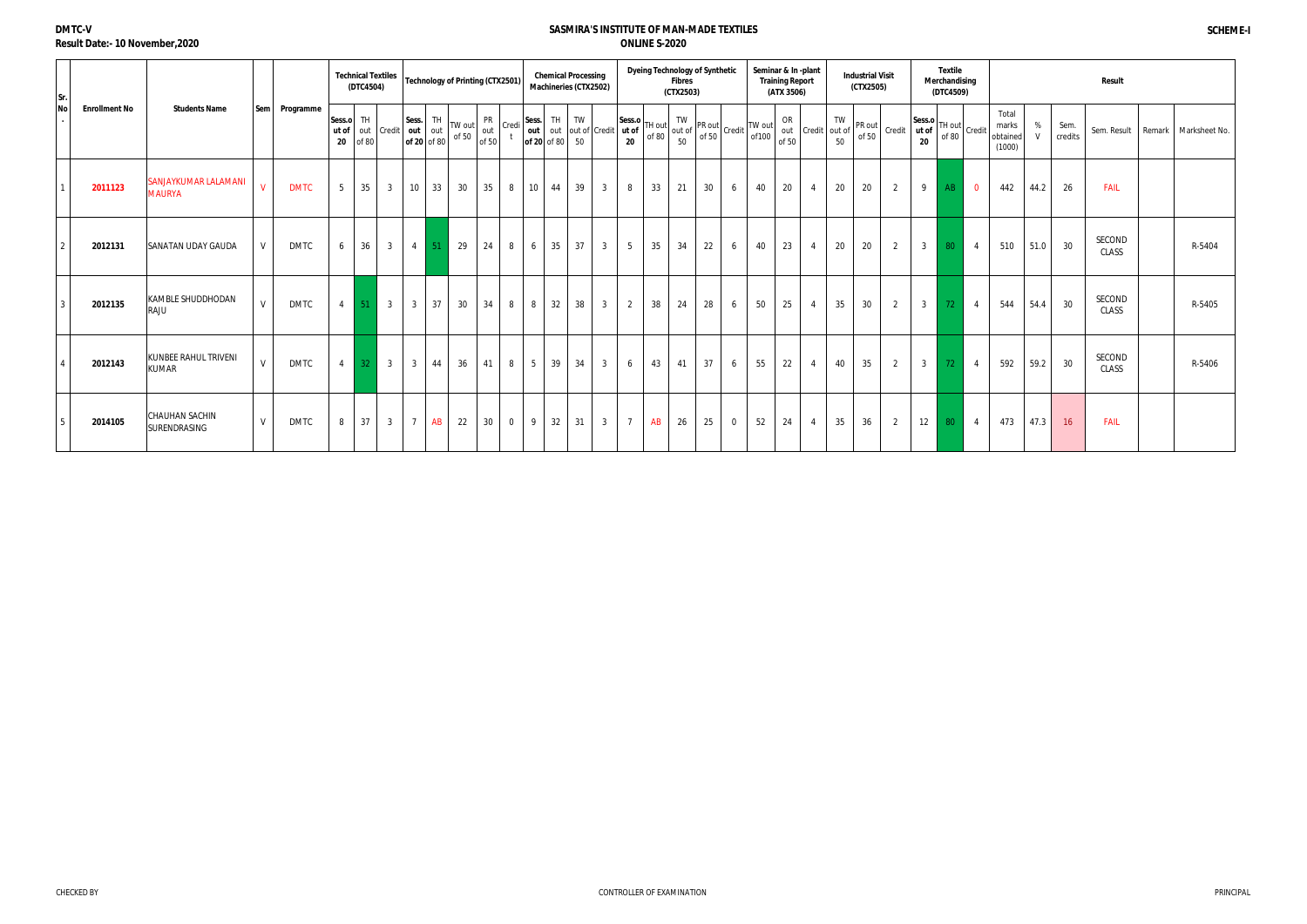| Sr.       |                      |                                              |              |             |                 | <b>Technical Textiles</b><br>(DTC4504) |                              |                |                    | Technology of Printing (CTX2501) |                           |                | Machineries (CTX2502)                         |    | <b>Chemical Processing</b> |                |                 |    | <b>Dyeing Technology of Synthetic</b><br><b>Fibres</b><br>(CTX2503) |    |                | Seminar & In -plant                                                                                                                                                                                                                                                                                                                                 | <b>Training Report</b><br>(ATX 3506) |                   |          | <b>Industrial Visit</b><br>(CTX2505) |                                                                                                                                                     |                | <b>Textile</b><br>Merchandising<br>(DTC4509) |                         |                                      |        |                 | Result          |                        |
|-----------|----------------------|----------------------------------------------|--------------|-------------|-----------------|----------------------------------------|------------------------------|----------------|--------------------|----------------------------------|---------------------------|----------------|-----------------------------------------------|----|----------------------------|----------------|-----------------|----|---------------------------------------------------------------------|----|----------------|-----------------------------------------------------------------------------------------------------------------------------------------------------------------------------------------------------------------------------------------------------------------------------------------------------------------------------------------------------|--------------------------------------|-------------------|----------|--------------------------------------|-----------------------------------------------------------------------------------------------------------------------------------------------------|----------------|----------------------------------------------|-------------------------|--------------------------------------|--------|-----------------|-----------------|------------------------|
| <b>No</b> | <b>Enrollment No</b> | <b>Students Name</b>                         | Sem          | Programme   | Sess.o TH<br>20 | of 80                                  | ut of out Credit   out   out | Sess.          | TH.<br>of 20 of 80 | TW out<br>of 50                  | <b>PR</b><br>out<br>of 50 | Credi          | Sess.<br>out out out of Credit<br>of 20 of 80 | TH | TW<br>50                   |                | Sess.o          |    | TW                                                                  |    |                | $\begin{vmatrix} 1 & 0 & 0 \\ 0 & 1 & 0 \\ 0 & 0 & 0 \end{vmatrix}^T \begin{vmatrix} 1 & 0 & 0 \\ 0 & 0 & 0 \\ 0 & 0 & 0 \end{vmatrix}^T \begin{vmatrix} 1 & 0 & 0 \\ 0 & 0 & 0 \\ 0 & 0 & 0 \end{vmatrix}^T \begin{vmatrix} 1 & 0 & 0 \\ 0 & 1 & 0 \\ 0 & 0 & 0 \end{vmatrix} = \begin{vmatrix} 1 & 0 & 0 \\ 0 & 1 & 0 \\ 0 & 0 & 0 \end{vmatrix}$ | OR<br>of 50                          | out Credit out of | TW<br>50 | PR out<br>of 50                      | $\left[\begin{array}{c c}\n\end{array}\right]$ Credit $\left[\begin{array}{c}\n\text{Sess.o} \\ \text{ut of} \\ \text{of 80}\n\end{array}\right]$ C | 20             |                                              | Credit                  | Total<br>marks<br>obtained<br>(1000) | %<br>V | Sem.<br>credits | Sem. Result     | Remark   Marksheet No. |
|           | 2011123              | SANJAYKUMAR LALAMANI<br><b>MAURYA</b>        | $\mathsf{V}$ | <b>DMTC</b> | 5 <sup>5</sup>  | 35                                     | 3 <sup>1</sup>               | 10             | 33                 | 30                               | 35                        | 8              | $10 \mid 44$                                  |    | 39                         | 3 <sup>3</sup> | 8               | 33 | 21                                                                  | 30 | 6              | 40                                                                                                                                                                                                                                                                                                                                                  | 20                                   | $\overline{4}$    | 20       | 20                                   | 2                                                                                                                                                   | 9              | AB                                           | $\overline{\mathbf{0}}$ | 442                                  | 44.2   | 26              | <b>FAIL</b>     |                        |
|           | 2012131              | <b>SANATAN UDAY GAUDA</b>                    | V            | <b>DMTC</b> | 6               | 36                                     | 3 <sup>3</sup>               | $\sim$ 4       | 51                 | 29                               | 24                        | 8              | 6                                             | 35 | 37                         | 3 <sup>3</sup> | $5\overline{)}$ | 35 | 34                                                                  | 22 | 6              | 40                                                                                                                                                                                                                                                                                                                                                  | 23                                   | $\overline{4}$    | 20       | 20                                   | $\overline{2}$                                                                                                                                      | 3 <sup>1</sup> | 80                                           | $\overline{4}$          | 510                                  | 51.0   | 30              | SECOND<br>CLASS | R-5404                 |
|           | 2012135              | <b>KAMBLE SHUDDHODAN</b><br>RAJU             | V            | <b>DMTC</b> | $\overline{4}$  | 51                                     | $\overline{3}$               | $\overline{3}$ | 37                 | 30                               | 34                        | 8              | 8 <sup>1</sup>                                | 32 | 38                         | 3 <sup>3</sup> | $\overline{2}$  | 38 | 24                                                                  | 28 | 6              | 50                                                                                                                                                                                                                                                                                                                                                  | 25                                   | $\overline{4}$    | 35       | 30                                   | 2                                                                                                                                                   | $\mathbf{3}$   | 72                                           | $\overline{4}$          | 544                                  | 54.4   | 30              | SECOND<br>CLASS | R-5405                 |
|           | 2012143              | KUNBEE RAHUL TRIVENI<br><b>KUMAR</b>         | $\mathsf{V}$ | <b>DMTC</b> | $\overline{4}$  | $32-1$                                 | $\overline{\mathbf{3}}$      | $\overline{3}$ | 44                 | 36                               | 41                        | 8              | $1\overline{5}$ 1                             | 39 | 34                         | 3 <sup>1</sup> | 6               | 43 | 41                                                                  | 37 | 6              | 55                                                                                                                                                                                                                                                                                                                                                  | 22                                   | $\overline{4}$    | 40       | 35                                   | 2                                                                                                                                                   | 3 <sup>1</sup> | 72                                           | $\overline{4}$          | 592                                  | 59.2   | 30              | SECOND<br>CLASS | R-5406                 |
|           | 2014105              | <b>CHAUHAN SACHIN</b><br><b>SURENDRASING</b> | V            | <b>DMTC</b> | 8               | 137                                    | 3 <sup>3</sup>               | $7^{\circ}$    | AB                 | 22                               | 30                        | $\overline{0}$ | $9 \mid 32 \mid$                              |    | 31                         | 3 <sup>3</sup> | $7\overline{ }$ | AB | 26                                                                  | 25 | $\overline{0}$ | 52                                                                                                                                                                                                                                                                                                                                                  | 24                                   | $\overline{4}$    | 35       | 36                                   | $\overline{2}$                                                                                                                                      | 12             | 80                                           | $\overline{4}$          | 473                                  | 47.3   | 16              | <b>FAIL</b>     |                        |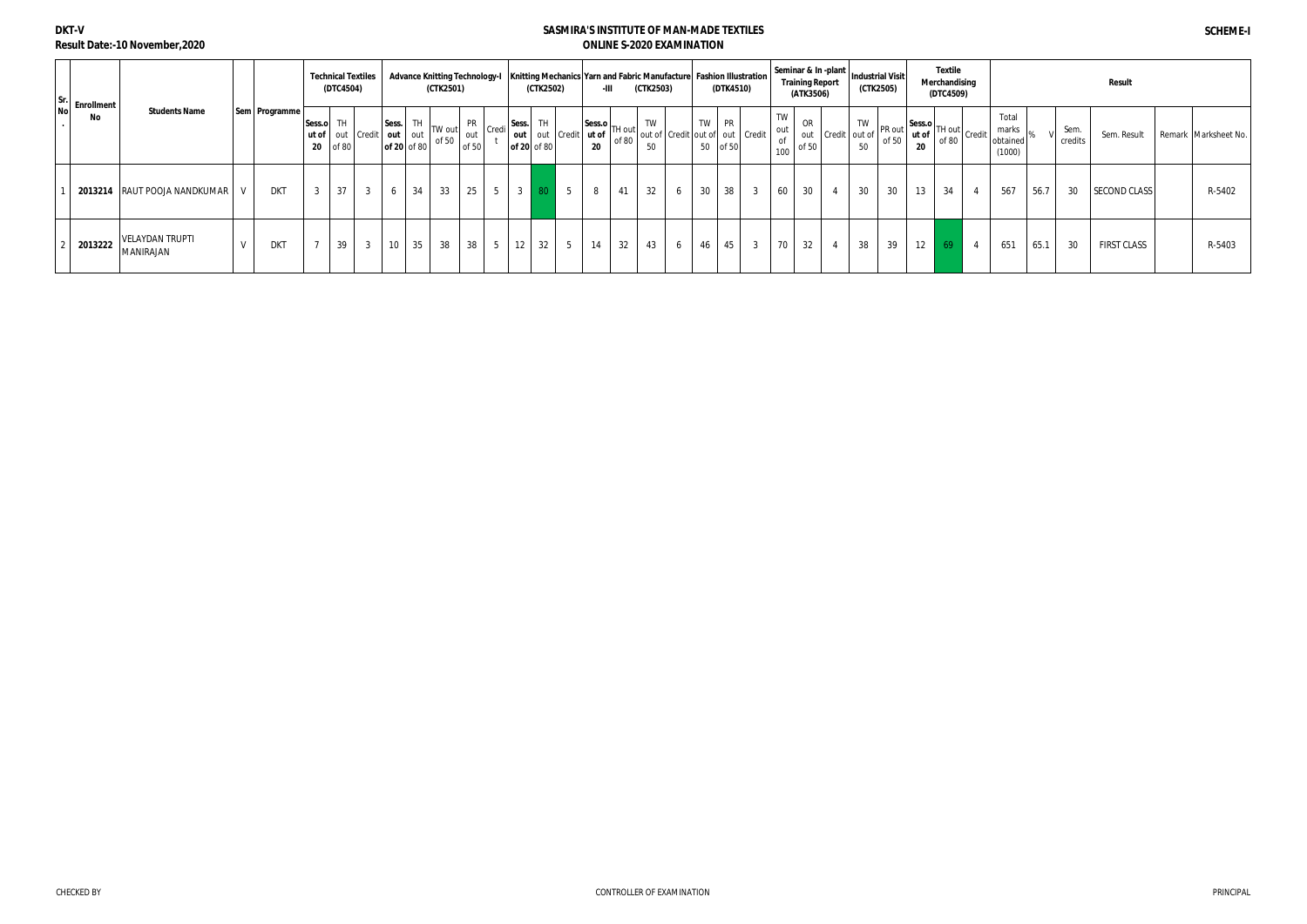# **DKT-V Result Date:-10 November,2020**

|                            |                                     |                 |                | <b>Technical Textiles</b><br>(DTC4504) |                  |                                 |    | (CTK2501)         |              |              | (CTK2502)                                                                                                           |    | $-III$                                | (CTK2503) | Advance Knitting Technology-I   Knitting Mechanics   Yarn and Fabric Manufacture   Fashion Illustration |    | (DTK4510)      |                |                 | (ATK3506)   | Seminar & In -plant   Industrial Visit<br><b>Training Report</b> |          | (CTK2505)       |                                                                                                | Textile<br>Merchandising<br>(DTC4509) |                                      |      |                | <b>Result</b> |                      |
|----------------------------|-------------------------------------|-----------------|----------------|----------------------------------------|------------------|---------------------------------|----|-------------------|--------------|--------------|---------------------------------------------------------------------------------------------------------------------|----|---------------------------------------|-----------|---------------------------------------------------------------------------------------------------------|----|----------------|----------------|-----------------|-------------|------------------------------------------------------------------|----------|-----------------|------------------------------------------------------------------------------------------------|---------------------------------------|--------------------------------------|------|----------------|---------------|----------------------|
| Sr.<br>No Enrollment<br>No | <b>Students Name</b>                | Sem   Programme | Sess.o         | TH.<br>$20$ of 80                      | ut of out Credit | Sess.<br>out out<br>of 20 of 80 |    | TW out<br>of $50$ | out<br>of 50 |              | $\mathsf{FR}$ $\big  \mathsf{Credi} \big  \mathsf{Sess.} \big $ TH $\big $<br>out out Credit ut of<br>of 20   of 80 | 20 | $ Sess.o $ TH out $ _{\sim}$<br>of 80 | TW<br>50  | out of Credit out of out   Credit                                                                       | 50 | TW PR<br>of 50 |                | TW<br>out<br>of | OR<br>of 50 | out Credit out of                                                | TW<br>50 | PR out<br>of 50 | Sess.o $\left  \begin{array}{c} \text{H out} \\ \text{H out} \end{array} \right $ Credit<br>20 | of 80                                 | Total<br>marks<br>obtained<br>(1000) |      | Sem<br>credits | Sem. Result   | Remark Marksheet No. |
| 2013214                    | RAUT POOJA NANDKUMAR                | DKT             | $\overline{3}$ | $37$ 3                                 |                  | 6                               | 34 | 33                | 25           | $\mathbf{3}$ |                                                                                                                     | 8  | 41                                    | 32        |                                                                                                         | 30 | 38             | $\overline{3}$ | 60              | 30          | $\overline{4}$                                                   | 30       | 30              | 13                                                                                             | 34                                    | 567                                  | 56.7 | 30             | SECOND CLASS  | R-5402               |
| 2013222                    | <b>VELAYDAN TRUPTI</b><br>MANIRAJAN | <b>DKT</b>      | $\overline{ }$ | 39                                     | $\overline{3}$   | 10 <sup>1</sup>                 | 35 | 38                | 38           |              | $12 \mid 32$                                                                                                        | 14 | 32                                    | 43        |                                                                                                         | 46 | 45             | $\overline{3}$ | 70              | 32          |                                                                  | 38       | 39              | 12                                                                                             | -69                                   | 651                                  | 65.1 | 30             | FIRST CLASS   | R-5403               |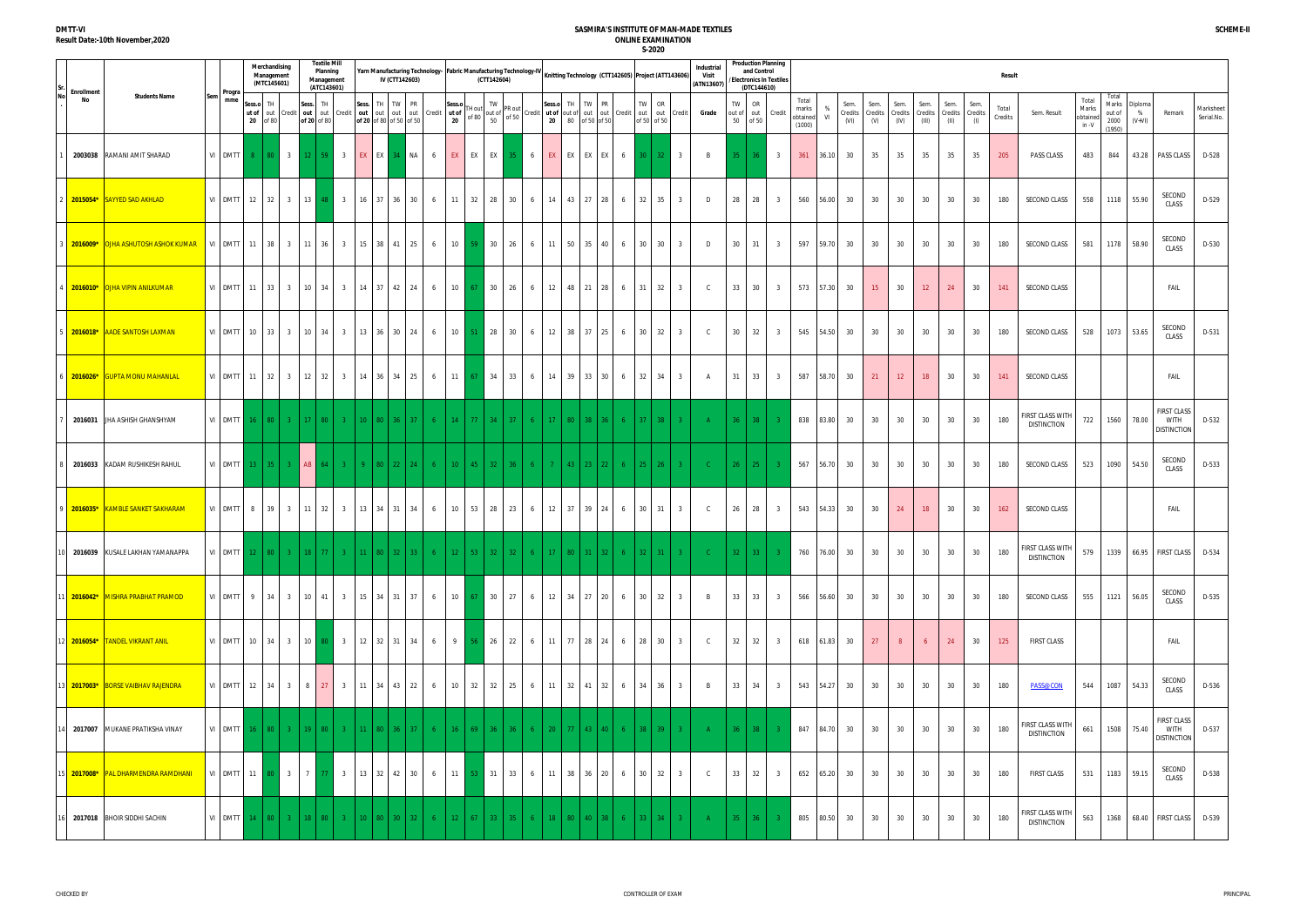| <b>DMTT-VI</b>                          |  |
|-----------------------------------------|--|
| <b>Result Date:-10th November, 2020</b> |  |

|                         |                                                       |     |                                       |                 | Merchandising<br>Management<br>(MTC145601) |                |                      | <b>Textile Mill</b><br>Planning<br>Management<br>(ATC143601) |                          |                                           | IV (CTT142603) |              | Yarn Manufacturing Technology- Fabric Manufacturing Technology-IV |                 |                   | (CTT142604)                                                                                               |                 |       |                   |                                                         |       |   |                   | Knitting Technology (CTT142605) Project (ATT143606)         | Industria<br>Visit<br>(ATN13607) |                          | <b>Production Planning</b><br>and Control<br>/Electronics In Textiles<br>(DTC144610) |                |                                      |                 |                         |                        |                         |                          |                                 |             | <b>Result</b>    |                                                                                                                                                                                                                                                                                                 |                                     |                                            |                          |                                                         |                         |
|-------------------------|-------------------------------------------------------|-----|---------------------------------------|-----------------|--------------------------------------------|----------------|----------------------|--------------------------------------------------------------|--------------------------|-------------------------------------------|----------------|--------------|-------------------------------------------------------------------|-----------------|-------------------|-----------------------------------------------------------------------------------------------------------|-----------------|-------|-------------------|---------------------------------------------------------|-------|---|-------------------|-------------------------------------------------------------|----------------------------------|--------------------------|--------------------------------------------------------------------------------------|----------------|--------------------------------------|-----------------|-------------------------|------------------------|-------------------------|--------------------------|---------------------------------|-------------|------------------|-------------------------------------------------------------------------------------------------------------------------------------------------------------------------------------------------------------------------------------------------------------------------------------------------|-------------------------------------|--------------------------------------------|--------------------------|---------------------------------------------------------|-------------------------|
| <b>Enrollment</b><br>No | <b>Students Name</b>                                  | Sem | Progra<br>mme                         | Sess.o<br>ut of | TH<br>out Credit<br>20 of 80               |                | Sess.<br>of 20 of 80 | TH<br>out out Credit                                         |                          | Sess. TH TW PR<br>of 20 of 80 of 50 of 50 |                |              | out out out out Credit ut of                                      | Sess.o<br>20    |                   | TW<br>TH out $\begin{bmatrix} 1 \text{W} \\ \text{out} \text{or} \\ \text{on} \end{bmatrix}$ PR out<br>50 |                 |       | Sess.o TH         | Credit ut of out of out out Credit<br>20 80 of 50 of 50 | TW PR |   | TW<br>of 50 of 50 | OR<br>out out Credit                                        | Grade                            | TW<br>out of<br>50 of 50 | OR<br>out Credit                                                                     |                | Total<br>marks<br>obtained<br>(1000) | - %<br>- VI     | Sem.<br>Credits<br>(VI) | Sem.<br>Credits<br>(V) | Sem.<br>Credits<br>(IV) | Sem.<br>Credits<br>(III) | Sem.<br>Credits Credits<br>(II) | Sem.<br>(1) | Total<br>Credits | Sem. Result                                                                                                                                                                                                                                                                                     | Total<br>Marks<br>obtained<br>in -V | Total<br>Marks<br>out of<br>2000<br>(1950) | Diploma<br>%<br>$(V+VI)$ | Remark                                                  | Marksheet<br>Serial.No. |
| 2003038                 | RAMANI AMIT SHARAD                                    |     | VI DMTT 8 80 3                        |                 |                                            |                | 12 <sup>2</sup>      | $59$ 3                                                       |                          | <b>EX EX 34</b>                           |                | <b>NA</b>    | 6                                                                 | EX              | EX EX             |                                                                                                           | -35.            | 6     |                   | EX EX EX EX 6                                           |       |   | $30 \mid 32 \mid$ | $\overline{\phantom{a}3}$                                   | B                                | $35 -$                   | -36                                                                                  | $\overline{3}$ | 361                                  | 36.10           | 30                      | 35                     | 35                      | 35                       | 35                              | 35          | 205              | PASS CLASS                                                                                                                                                                                                                                                                                      | 483                                 | 844                                        |                          | 43.28 PASS CLASS                                        | D-528                   |
|                         | 2 <mark>2015054* SAYYED SAD AKHLAD</mark>             |     | VI DMTT 12 32                         |                 |                                            | $3 \mid$       | 13                   |                                                              | $\begin{array}{ c c }$ 3 | 16 37 36 30                               |                |              | 6                                                                 | 11              | $32 \mid 28 \mid$ |                                                                                                           | 30              | 6     | 14 43             |                                                         | 27 28 | 6 | 32                | 35<br>$\overline{\mathbf{3}}$                               | D                                | 28                       | 28                                                                                   | -3             | 560                                  | 56.00           | 30                      | 30                     | 30                      | 30                       | 30                              | 30          | 180              | SECOND CLASS                                                                                                                                                                                                                                                                                    | 558                                 |                                            | 1118 55.90               | SECOND<br>CLASS                                         | D-529                   |
|                         | 8 <mark>  2016009*  </mark> ОЈНА ASHUTOSH ASHOK KUMAR |     | VI DMTT 11                            |                 | 38                                         | $3 \mid 11$    |                      | $36 \quad 3$                                                 |                          | 15 38 41 25                               |                |              | 6                                                                 | 10              | 59 <sup>1</sup>   | 30 <sup>1</sup>                                                                                           | 26              | 6     |                   | 11 50 35 40                                             |       | 6 | 30                | 30<br>$\overline{3}$                                        | D                                | 30                       | 31                                                                                   | $\overline{3}$ | 597                                  | 59.70           | 30                      | 30                     | 30                      | 30                       | 30                              | 30          | 180              | SECOND CLASS                                                                                                                                                                                                                                                                                    | 581                                 |                                            | 1178 58.90               | SECOND<br>CLASS                                         | D-530                   |
|                         | 4 2016010* OJHA VIPIN ANILKUMAR                       |     | VI DMTT 11 33                         |                 |                                            | $3 \quad 10$   |                      | 34 3                                                         |                          | 14 37 42 24                               |                |              | 6                                                                 | 10              | 67 30             |                                                                                                           | 26              | 6     |                   | 12 48 21 28 6                                           |       |   | 31                | 32<br>$\overline{\mathbf{3}}$                               | $\mathsf{C}$                     | 33                       | 30                                                                                   | $\overline{3}$ | 573                                  | 57.30 30        |                         | 15 <sup>2</sup>        | 30                      | 12 <sup>7</sup>          | 24                              | 30          | 141              | <b>SECOND CLASS</b>                                                                                                                                                                                                                                                                             |                                     |                                            |                          | FAIL                                                    |                         |
|                         | 5 2016018* AADE SANTOSH LAXMAN                        |     | VI DMTT 10 33                         |                 |                                            | 3 <sup>3</sup> | 10                   | 34 I                                                         | $\overline{\mathbf{3}}$  | 13 36 30 24                               |                |              | 6                                                                 | 10              | 51                | $\vert$ 28                                                                                                | 30              | 6     |                   | 12 38 37 25                                             |       | 6 | 30                | 32<br>$\overline{\mathbf{3}}$                               | $\mathsf{C}$                     | 30                       | 32                                                                                   | -3             | 545                                  | 54.50           | 30                      | 30                     | 30                      | 30                       | 30                              | 30          | 180              | SECOND CLASS                                                                                                                                                                                                                                                                                    | 528                                 |                                            | 1073 53.65               | SECOND<br>CLASS                                         | D-531                   |
|                         | 6 2016026* GUPTA MONU MAHANLAL                        |     | VI DMTT 11                            |                 | 32                                         | $3 \quad 12$   |                      | 32                                                           | $\overline{\mathbf{3}}$  | 14                                        |                | 36 34 25     | $6\overline{6}$                                                   | 11              | -67               | 34                                                                                                        | 33              | 6     |                   | 14 39 33                                                | 30    | 6 | 32                | 34<br>$\mathbf{3}$                                          | A                                | 31                       | 33                                                                                   | $\mathbf{3}$   | 587                                  | 58.70           | 30                      | 21                     | 12                      | 18                       | 30                              | 30          | 141              | <b>SECOND CLASS</b>                                                                                                                                                                                                                                                                             |                                     |                                            |                          | FAIL                                                    |                         |
|                         | 2016031 JHA ASHISH GHANSHYAM                          |     | VI DMTT 16 80 3 17                    |                 |                                            |                |                      | $80-1$                                                       | $3 -$                    | 10 <sup>°</sup>                           | 80 36 37       |              | -6                                                                | 14 <sup>2</sup> | -77 L             | 34                                                                                                        | $-37$           | $6 -$ | 17                | 80 <br>38 <sup>2</sup>                                  | -36 - |   | 37 <sup>2</sup>   | 38                                                          |                                  | $36 \mid 38$             |                                                                                      |                | 838                                  | 83.80           | 30                      | 30                     | 30                      | 30                       | 30                              | 30          | 180              | FIRST CLASS WITH<br><b>DISTINCTION</b>                                                                                                                                                                                                                                                          | 722                                 |                                            | 1560 78.00               | <b>FIRST CLASS</b><br><b>WITH</b><br><b>DISTINCTION</b> | D-532                   |
|                         | 2016033 KADAM RUSHIKESH RAHUL                         |     | VI DMTT 13 35 3 AB                    |                 |                                            |                |                      | 64                                                           | $3 -$                    | -9.                                       |                | 80   22   24 | 6 <sup>1</sup>                                                    | $10-10$         | 45                | $32-1$                                                                                                    | 36 <sup>°</sup> | $6 -$ |                   | $-43$<br>$23-1$                                         | 22    |   | $25 -$            | 26<br>$3 -$                                                 | - C -                            | 26                       | 25                                                                                   |                | 567                                  | 56.70           | 30                      | 30                     | 30                      | 30                       | 30                              | 30          | 180              | SECOND CLASS                                                                                                                                                                                                                                                                                    | 523                                 | 1090                                       | 54.50                    | SECOND<br>CLASS                                         | D-533                   |
|                         | 9 2016035* KAMBLE SANKET SAKHARAM                     |     | VI DMTT                               | 8               | 39                                         | 3 <sup>1</sup> | 11                   | 32                                                           | $\overline{\mathbf{3}}$  | 13   34   31   34                         |                |              | 6                                                                 | 10              | 53 28             |                                                                                                           | 23              | 6     | $12 \mid 37 \mid$ | 39                                                      | 24    | 6 | 30                | 31<br>3                                                     | $\mathsf{C}$                     | 26                       | 28                                                                                   |                | 543                                  | 54.33           | 30                      | 30                     | 24                      | 18                       | 30                              | 30          | 162              | SECOND CLASS                                                                                                                                                                                                                                                                                    |                                     |                                            |                          | FAIL                                                    |                         |
|                         | 10 2016039 KUSALE LAKHAN YAMANAPPA                    |     | VI DMTT 12 80 3 18 77                 |                 |                                            |                |                      |                                                              |                          | 11   80   32   33                         |                |              |                                                                   | $12-1$          | -53 L             | $32 \mid 32 \mid$                                                                                         |                 | 6     |                   | 17   80   31   32                                       |       |   | $32-1$            |                                                             |                                  | $32 \mid 33$             |                                                                                      |                |                                      | 760 76.00 30 30 |                         |                        |                         | 30 30 30                 |                                 | 30          | 180              | $\left[\begin{array}{c c}\n\text{FIRST CLASS WITH} \\ \text{SIST RIST CLAS}\n\end{array}\right]$ 579 $\left[\begin{array}{c c}\n\text{579} & \text{579} \\ \text{570} & \text{570}\n\end{array}\right]$ 66.95 $\left[\begin{array}{c c}\n\text{FIRST CLASS} & \text{D-534}\n\end{array}\right]$ |                                     |                                            |                          |                                                         |                         |
|                         | 11 2016042* MISHRA PRABHAT PRAMOD                     |     |                                       |                 |                                            |                |                      |                                                              |                          |                                           |                |              | VI DMTT 9 34 3 10 41 3 15 34 31 37 6 10 67 30 27                  |                 |                   |                                                                                                           |                 |       |                   |                                                         |       |   |                   | 6 12 34 27 20 6 30 32 3                                     | $\overline{B}$                   |                          | $33 \mid 33 \mid$                                                                    | 3 <sup>3</sup> |                                      | 566 56.60 30    |                         | 30                     | 30                      | 30                       | 30                              | 30          | 180              | <b>SECOND CLASS</b>                                                                                                                                                                                                                                                                             | 555                                 |                                            | 1121 56.05               | SECOND<br>CLASS                                         | D-535                   |
|                         | 12 2016054* TANDEL VIKRANT ANIL                       |     | VI DMTT 10 34                         |                 |                                            |                |                      | 3 10 80 3                                                    |                          | 12 32 31 34                               |                |              | 6 1                                                               | 9 <sup>1</sup>  |                   | 56 26 22                                                                                                  |                 |       |                   |                                                         |       |   |                   | 6 11 77 28 24 6 28 30 3                                     | $\mathbf{C}$                     |                          | 32 32                                                                                | 3              |                                      | 618 61.83 30    |                         | 27                     | 8                       | 6 <sup>6</sup>           | 24                              | 30          | 125              | <b>FIRST CLASS</b>                                                                                                                                                                                                                                                                              |                                     |                                            |                          | FAIL                                                    |                         |
|                         | 13 2017003* BORSE VAIBHAV RAJENDRA                    |     | VI DMTT 12 34                         |                 |                                            |                |                      | 3 8 27 3                                                     |                          | 11 34 43 22                               |                |              | 6                                                                 |                 |                   | 10 32 32 25                                                                                               |                 |       |                   |                                                         |       |   |                   | 6 11 32 41 32 6 34 36 3                                     | $\overline{B}$                   |                          | 33 34 3                                                                              |                |                                      | 543 54.27 30    |                         | 30                     | 30                      | 30                       | 30                              | 30          | 180              | PASS@CON                                                                                                                                                                                                                                                                                        | 544                                 |                                            | 1087 54.33               | SECOND<br>CLASS                                         | D-536                   |
|                         | 14 2017007 MUKANE PRATIKSHA VINAY                     |     | VI DMTT 16 80 3 19 80 3 11 80 36 37 6 |                 |                                            |                |                      |                                                              |                          |                                           |                |              |                                                                   |                 |                   |                                                                                                           |                 |       |                   |                                                         |       |   |                   | 16   69   36   36   6   20   77   43   40   6   38   39   3 | A                                |                          | $36$ 38 3                                                                            |                |                                      | 847 84.70 30    |                         | 30                     | 30                      | 30                       | 30                              | 30          | 180              | FIRST CLASS WITH<br><b>DISTINCTION</b>                                                                                                                                                                                                                                                          | 661                                 |                                            | 1508 75.40               | <b>FIRST CLASS</b><br><b>WITH</b><br><b>DISTINCTION</b> | D-537                   |
|                         | 5 2017008* PAL DHARMENDRA RAMDHANI                    |     | VI DMTT 11 80 3 7 77 3 13 32 42 30    |                 |                                            |                |                      |                                                              |                          |                                           |                |              | 6 11 53 31 33                                                     |                 |                   |                                                                                                           |                 | 6     |                   |                                                         |       |   |                   | 11 38 36 20 6 30 32 3                                       | $\mathsf{C}$                     | 33                       | 32                                                                                   | 3              |                                      | 652 65.20 30    |                         | 30                     | 30                      | 30                       | 30                              | 30          | 180              | <b>FIRST CLASS</b>                                                                                                                                                                                                                                                                              | 531                                 |                                            | 1183 59.15               | SECOND<br>CLASS                                         | D-538                   |
|                         | 2017018 BHOIR SIDDHI SACHIN                           |     | VI DMTT 14 80                         |                 |                                            | $3 -$          |                      | -80                                                          |                          |                                           |                | 32.          |                                                                   | $12-12$         |                   | 33.                                                                                                       |                 |       |                   |                                                         |       |   | 33.               | 34                                                          |                                  | $35 -$                   | 36 <sup>°</sup>                                                                      |                | 805                                  | 80.50           | 30                      | 30                     | 30                      | 30                       | 30                              | 30          | 180              | FIRST CLASS WITH<br><b>DISTINCTION</b>                                                                                                                                                                                                                                                          | 563                                 |                                            |                          | 1368 68.40 FIRST CLASS D-539                            |                         |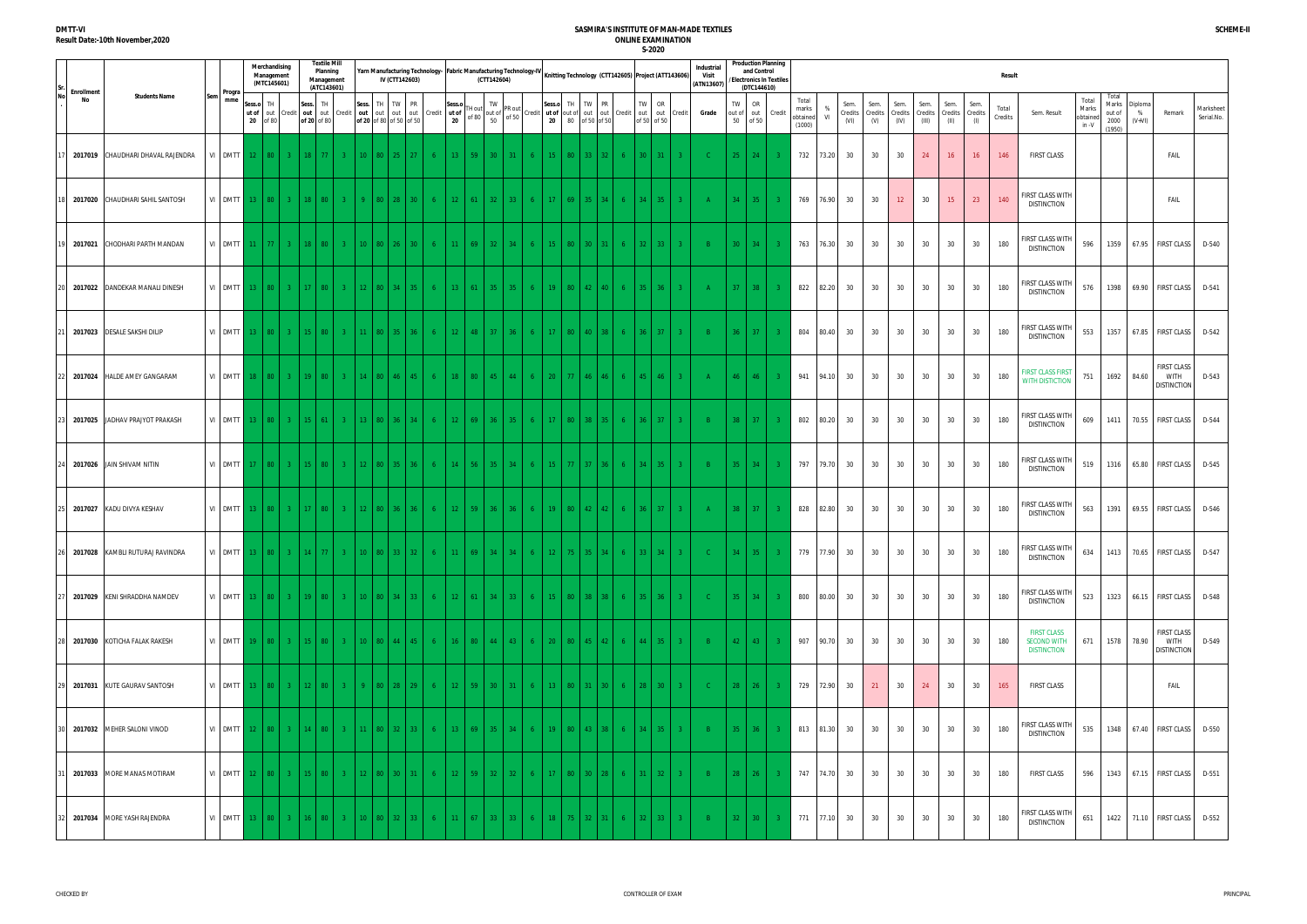|                         |                                    |                               |                       | Merchandising<br>Management<br>(MTC145601) |                |                             | <b>Textile Mill</b><br>Planning<br>Management<br>(ATC143601) |                |                                                           |            | IV (CTT142603)       |                |                              |                        | (CTT142604)     |                                                                                                                                                                           |                      |           |                      | Yarn Manufacturing Technology- Fabric Manufacturing Technology-IV Knitting Technology (CTT142605) Project (ATT143606) |        |                              |                          | Industria<br>Visit<br>(ATN13607) |                    | <b>Production Planning</b><br>and Control<br><b>Electronics In Textiles</b><br>(DTC144610) |        |                                      |                |                         |                        |                         |                          |                                 |             | Result           |                                                                |                                     |                                            |                          |                                                         |                         |
|-------------------------|------------------------------------|-------------------------------|-----------------------|--------------------------------------------|----------------|-----------------------------|--------------------------------------------------------------|----------------|-----------------------------------------------------------|------------|----------------------|----------------|------------------------------|------------------------|-----------------|---------------------------------------------------------------------------------------------------------------------------------------------------------------------------|----------------------|-----------|----------------------|-----------------------------------------------------------------------------------------------------------------------|--------|------------------------------|--------------------------|----------------------------------|--------------------|--------------------------------------------------------------------------------------------|--------|--------------------------------------|----------------|-------------------------|------------------------|-------------------------|--------------------------|---------------------------------|-------------|------------------|----------------------------------------------------------------|-------------------------------------|--------------------------------------------|--------------------------|---------------------------------------------------------|-------------------------|
| <b>Enrollment</b><br>No | <b>Students Name</b>               | Progra<br>mme                 | Sess.o<br>ut of<br>20 | TH<br>of 80                                | out Credit     | Sess.<br>out<br>of 20 of 80 | TH                                                           | out Credit     | Sess.<br>out<br>of 20 of 80 of 50 of 50                   | TH TW      | PR<br>out out out    |                | Sess.o<br>Credit ut of<br>20 | FH out                 | TW              | PR out<br>of 80 out of $\begin{bmatrix} 111 & 041 \\ 06 & 80 \end{bmatrix}$ of 50 of 50 credit $\begin{bmatrix} 1 & 0 & 0 \\ 0 & 20 & 80 \end{bmatrix}$ of 50 of 50 of 50 | Sess.o<br>20         | TH        | TW<br>80 of 50 of 50 | PR<br>Credit                                                                                                          | TW     | OR<br>out out<br>of 50 of 50 | Credit                   | Grade                            | TW<br>out of<br>50 | OR<br>out<br>of 50                                                                         | Credit | Total<br>marks<br>obtained<br>(1000) | V <sub>l</sub> | Sem.<br>Credits<br>(VI) | Sem.<br>Credits<br>(V) | Sem.<br>Credits<br>(IV) | Sem.<br>Credits<br>(III) | Sem.<br>Credits Credits<br>(II) | Sem.<br>(1) | Total<br>Credits | Sem. Result                                                    | Total<br>Marks<br>obtained<br>in -V | Total<br>Marks<br>out of<br>2000<br>(1950) | Diploma<br>%<br>$(V+VI)$ | Remark                                                  | Marksheet<br>Serial.No. |
|                         | 2017019 CHAUDHARI DHAVAL RAJENDRA  | VI DMTT 12                    |                       |                                            | 80 3 18 77     |                             |                                                              |                | 10 <sup>1</sup>                                           |            | 80 25 27             | -6             | $13 -$                       | 59                     | 30 <sup>2</sup> | 31<br>-6                                                                                                                                                                  | 15                   | 80 l      | $33-1$               | 32                                                                                                                    | 30 l   | -31-                         |                          |                                  | 25                 | $-24$                                                                                      |        | 732                                  | 73.20          | 30                      | 30                     | 30                      | 24                       | 16                              | 16          | 146              | <b>FIRST CLASS</b>                                             |                                     |                                            |                          | FAIL                                                    |                         |
|                         | 2017020 CHAUDHARI SAHIL SANTOSH    | VI DMTT 13 80                 |                       |                                            |                | $3 \mid 18 \mid 80$         |                                                              | $3 -$          |                                                           |            | $80 \mid 28 \mid 30$ | -6             | $12-12$                      | 61                     | $32 -$          | 33 <sup>°</sup>                                                                                                                                                           | 17<br>6 <sup>1</sup> | 69        | 35 <sub>1</sub>      | 34 <sup>°</sup>                                                                                                       | 34 l   | 35                           | 3 <sup>2</sup>           |                                  | $34 -$             | 35                                                                                         |        | 769                                  | 76.90          | 30                      | 30                     | 12                      | 30                       | 15 <sub>1</sub>                 | 23          | 140              | FIRST CLASS WITH<br><b>DISTINCTION</b>                         |                                     |                                            |                          | FAIL                                                    |                         |
|                         | 2017021 CHODHARI PARTH MANDAN      | VI DMTT                       | 11 <sup>2</sup>       | -77 L                                      | $3 -$          |                             |                                                              |                | 10 <sup>1</sup>                                           | -80<br>-26 | 30 <sup>2</sup>      |                | 11 <sup>2</sup>              | -69                    | 32 <sup>2</sup> | 34                                                                                                                                                                        | 15                   | $80 -$    | $30-1$               |                                                                                                                       | $32-1$ | 33                           |                          |                                  | $30-1$             | -34                                                                                        |        | 763                                  | 76.30          | 30                      | 30                     | 30                      | 30                       | 30                              | 30          | 180              | FIRST CLASS WITH<br><b>DISTINCTION</b>                         | 596                                 | 1359                                       |                          | 67.95 FIRST CLASS                                       | D-540                   |
|                         | 2017022 DANDEKAR MANALI DINESH     | VI DMTT 13 80 3 17 80         |                       |                                            |                |                             |                                                              | $3 -$          | 12 <sup>2</sup>                                           |            | 80 34 35             | -6 -           | $13-1$                       | -61                    | 35 <sup>2</sup> | 35                                                                                                                                                                        | 19 <sup>°</sup><br>6 | - 80 L    | $42-1$               | 40                                                                                                                    | 35 I   | -36                          |                          |                                  |                    | $37$ 38                                                                                    |        | 822                                  | 82.20          | 30                      | 30                     | 30                      | 30                       | 30                              | 30          | 180              | FIRST CLASS WITH<br><b>DISTINCTION</b>                         | 576                                 |                                            |                          | 1398 69.90 FIRST CLASS D-541                            |                         |
|                         | 2017023 DESALE SAKSHI DILIP        | $VI$ DMTT $13$                |                       | 80 <sup>1</sup>                            |                | $3 \t15 \t80$               |                                                              | $3 -$          | 11 <sup>1</sup>                                           |            | 80 35 36             | -6             | $12 -$                       | -48                    | 37 <sup>2</sup> | 36                                                                                                                                                                        | 17<br>$6 -$          | - 80 - 1  | $40-1$               | 38                                                                                                                    | $36-1$ | 37                           | 3 <sup>2</sup>           |                                  | 36 <sup>2</sup>    | 37 <sup>°</sup>                                                                            |        | 804                                  | 80.40          | 30                      | 30                     | 30                      | 30                       | 30                              | 30          | 180              | FIRST CLASS WITH<br><b>DISTINCTION</b>                         | 553                                 | 1357                                       |                          | 67.85 FIRST CLASS D-542                                 |                         |
|                         | 2017024 HALDE AMEY GANGARAM        | VI DMTT                       | 18 <sup>1</sup>       | 80 <sup>1</sup>                            | $-3$           | $19-19$                     | -80                                                          |                | 14                                                        | -80<br>-46 | 45                   |                | $18-$                        | 80                     | 45              | 44                                                                                                                                                                        | 20                   |           | 46                   |                                                                                                                       | 45     | 46                           |                          |                                  | 46                 | 46                                                                                         |        | 941                                  | 94.10          | 30                      | 30                     | 30                      | 30                       | 30                              | 30          | 180              | <b>FIRST CLASS FIRST</b><br><b>WITH DISTICTION</b>             | 751                                 |                                            | 1692 84.60               | <b>FIRST CLASS</b><br><b>WITH</b><br><b>DISTINCTION</b> | D-543                   |
|                         | 2017025 JADHAV PRAJYOT PRAKASH     | $VI$ DMTT $13$                |                       | 80 <sup>1</sup>                            | $-3$           | $15-1$                      | -61                                                          |                | 13 <sup>°</sup>                                           | 80         | $-36$ $-34$          | -6             | $12-12$                      | 69                     | $36 -$          | $-35$                                                                                                                                                                     | 6<br>17 <sup>2</sup> | 80 l      | 38 I                 |                                                                                                                       | 36 I   | 37                           |                          |                                  | 38 <sup>2</sup>    | 37 <sup>2</sup>                                                                            |        | 802                                  | 80.20          | 30                      | 30                     | 30                      | 30                       | 30                              | 30          | 180              | FIRST CLASS WITH<br><b>DISTINCTION</b>                         | 609                                 | 1411                                       |                          | 70.55 FIRST CLASS D-544                                 |                         |
|                         | 2017026 JAIN SHIVAM NITIN          | VI DMTT 17                    |                       |                                            | 80 3 15 80     |                             |                                                              | $3 -$          | 12 <sup>2</sup>                                           |            | 80 35 36             | -6             | 14 <sup>2</sup>              | 56 <sub>1</sub>        | $35 -$          | 34                                                                                                                                                                        | 15<br>6              | 771       | 37 <sup>1</sup>      | 36.<br>-6                                                                                                             | 34 l   | -35                          | 3 <sup>1</sup>           |                                  | $35 -$             | 34                                                                                         |        | 797                                  | 79.70          | 30                      | 30                     | 30                      | 30                       | 30                              | 30          | 180              | FIRST CLASS WITH<br><b>DISTINCTION</b>                         | 519                                 |                                            |                          | 1316 65.80 FIRST CLASS D-545                            |                         |
|                         | 2017027 KADU DIVYA KESHAV          | VI DMTT                       | $13-1$                | 80                                         | 3 <sup>2</sup> | 17 <sup>2</sup>             | -80                                                          |                | 12 <sup>2</sup>                                           | 80         | 36 36                | -6             | $12-12$                      | 59                     | 36 <sup>2</sup> | -36                                                                                                                                                                       | 19<br>6.             | 80 l      | 42                   | 42.                                                                                                                   | $36-1$ | -37                          |                          |                                  | 38 <sup>2</sup>    | 37 <sup>2</sup>                                                                            |        | 828                                  | 82.80          | 30                      | 30                     | 30                      | 30                       | 30                              | 30          | 180              | FIRST CLASS WITH<br><b>DISTINCTION</b>                         | 563                                 | 1391                                       |                          | 69.55 FIRST CLASS D-546                                 |                         |
|                         | 26 2017028 KAMBLI RUTURAJ RAVINDRA |                               |                       |                                            |                |                             |                                                              |                | VI   DMTT   13   80   3   14   77   3   10   80   33   32 |            |                      |                |                              |                        |                 |                                                                                                                                                                           |                      |           |                      | 6 11 69 34 34 6 12 75 35 34 6 33 34 34                                                                                |        |                              |                          | $\sim$ C $_{\odot}$              |                    | $34$ 35                                                                                    |        |                                      |                | 779 77.90 30            | 30                     | 30                      | 30                       | 30 <sup>2</sup>                 | 30          | 180              | <b>FIRST CLASS WITH</b><br><b>DISTINCTION</b>                  | 634                                 |                                            |                          | 1413 70.65 FIRST CLASS D-547                            |                         |
|                         | 2017029 KENI SHRADDHA NAMDEV       |                               |                       |                                            |                |                             |                                                              |                | VI DMTT 13   80   3   19   80   3   10   80   34   33     |            |                      |                | $6-1$                        |                        |                 |                                                                                                                                                                           |                      |           |                      | 12 61 34 33 6 15 80 38 38 6                                                                                           |        |                              | $35 \mid 36 \mid 3 \mid$ | $-$ C $-$                        |                    | $35 \mid 34 \mid 3$                                                                        |        |                                      | 800 80.00 30   |                         | 30 <sup>2</sup>        | 30                      | 30                       | 30                              | 30          | 180              | FIRST CLASS WITH<br><b>DISTINCTION</b>                         | 523                                 |                                            |                          | 1323 66.15 FIRST CLASS D-548                            |                         |
|                         | 2017030 KOTICHA FALAK RAKESH       |                               |                       |                                            |                |                             |                                                              |                | VI DMTT 19 80 3 15 80 3 10 80 44 45                       |            |                      |                | $6-1$                        |                        |                 |                                                                                                                                                                           |                      |           |                      | 16   80   44   43   6   20   80   45   42   6                                                                         |        |                              | $44$ 35 3                | $-$ B $-$                        |                    | $42 \mid 43 \mid$                                                                          | $-3$   |                                      | 907 90.70      | 30                      | 30                     | 30                      | 30                       | 30                              | 30          | 180              | <b>FIRST CLASS</b><br><b>SECOND WITH</b><br><b>DISTINCTION</b> | 671                                 |                                            | 1578 78.90               | <b>FIRST CLASS</b><br><b>WITH</b><br><b>DISTINCTION</b> | D-549                   |
|                         | 2017031 KUTE GAURAV SANTOSH        | VI DMTT 13   80   3   12   80 |                       |                                            |                |                             |                                                              | 3 <sup>2</sup> | -9.                                                       |            | 80   28   29         | 6 <sup>1</sup> |                              | $12 \quad 59 \quad 30$ |                 | 31                                                                                                                                                                        | 6 <sup>1</sup>       | 13   80   | $31 \mid 30$         | - 6 -                                                                                                                 |        |                              | $28 \mid 30 \mid 3 \mid$ | $\sim$ C $\sim$                  |                    | $28$ 26                                                                                    | -3-    |                                      | 729 72.90 30   |                         | 21                     | 30                      | 24                       | 30                              | 30          | 165              | <b>FIRST CLASS</b>                                             |                                     |                                            |                          | FAIL                                                    |                         |
|                         | 2017032 MEHER SALONI VINOD         | VI DMTT 12   80   3   14   80 |                       |                                            |                |                             |                                                              |                | 3 11 80 32 33                                             |            |                      | $6-1$          |                              |                        |                 |                                                                                                                                                                           |                      |           |                      | 13 69 35 34 6 19 80 43 38 6                                                                                           |        |                              | $34 \mid 35 \mid 3 \mid$ | $\overline{B}$                   |                    | $35 \mid 36 \mid$                                                                          | $-3$   |                                      | 813 81.30 30   |                         | 30                     | 30                      | 30                       | 30                              | 30          | 180              | FIRST CLASS WITH<br><b>DISTINCTION</b>                         | 535                                 |                                            |                          | 1348 67.40 FIRST CLASS D-550                            |                         |
|                         | 2017033 MORE MANAS MOTIRAM         | VI DMTT 12   80   3   15   80 |                       |                                            |                |                             |                                                              |                | 3 12 80 30 31                                             |            |                      |                | $6-1$                        |                        |                 |                                                                                                                                                                           |                      |           |                      | 12   59   32   32   6   17   80   30   28   6                                                                         |        |                              | $31 \mid 32 \mid 3 \mid$ | $-B1$                            |                    | $28$ 26                                                                                    | $-3$   |                                      | 747 74.70 30   |                         | 30                     | 30                      | 30                       | 30                              | 30          | 180              | <b>FIRST CLASS</b>                                             | 596                                 |                                            |                          | 1343 67.15 FIRST CLASS D-551                            |                         |
|                         | 2017034 MORE YASH RAJENDRA         | VI DMTT 13 80 3 16 80         |                       |                                            |                |                             |                                                              | 3 <sup>2</sup> | $10-1$                                                    |            | 80 32 33             | -6             | $11-1$                       | 67                     | 33 <sub>1</sub> | -33-<br>6                                                                                                                                                                 |                      | $18$   75 |                      | $32 \mid 31 \mid$<br>- 6 -                                                                                            |        |                              | $32 \mid 33 \mid 3 \mid$ | $-B$                             |                    | $32 \mid 30 \mid$                                                                          | $-3$   |                                      | 771 77.10      | 30                      | 30                     | 30                      | 30                       | 30                              | 30          | 180              | FIRST CLASS WITH<br><b>DISTINCTION</b>                         | 651                                 |                                            |                          | 1422 71.10 FIRST CLASS D-552                            |                         |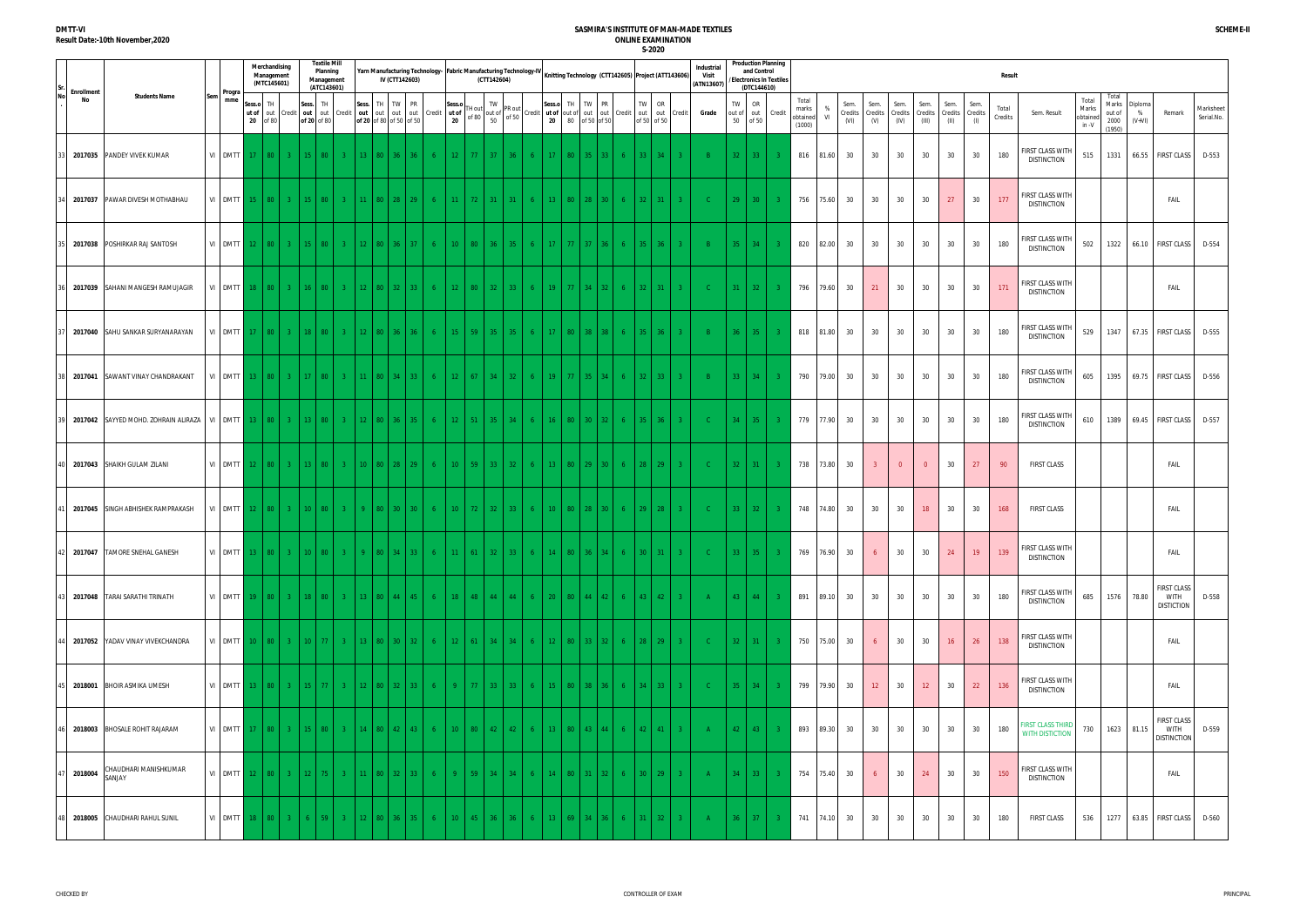|                         |        |                                      |                 |                 | Merchandising<br>Management<br>(MTC145601) |                               |                 | <b>Textile Mill</b><br>Planning<br>Management<br>(ATC143601) |       | Yarn Manufacturing Technology- Fabric Manufacturing Technology-IV Knitting Technology (CTT142605) Project (ATT143606) | IV (CTT142603) |                 |                |                       |                 | (CTT142604)        |                                                              |                |                 |        |                                                                                            |        |                              |                          |                | Industria<br>Visit<br>(ATN13607) |                    | and Control<br>(DTC144610) | <b>Production Planning</b><br>/Electronics In Textiles |                                      |              |                         |                        |                         |                          |                         |                        | Result           |                                                    |                                     |                                            |                          |                                                         |                         |
|-------------------------|--------|--------------------------------------|-----------------|-----------------|--------------------------------------------|-------------------------------|-----------------|--------------------------------------------------------------|-------|-----------------------------------------------------------------------------------------------------------------------|----------------|-----------------|----------------|-----------------------|-----------------|--------------------|--------------------------------------------------------------|----------------|-----------------|--------|--------------------------------------------------------------------------------------------|--------|------------------------------|--------------------------|----------------|----------------------------------|--------------------|----------------------------|--------------------------------------------------------|--------------------------------------|--------------|-------------------------|------------------------|-------------------------|--------------------------|-------------------------|------------------------|------------------|----------------------------------------------------|-------------------------------------|--------------------------------------------|--------------------------|---------------------------------------------------------|-------------------------|
| <b>Enrollment</b><br>No |        | <b>Students Name</b>                 | Progra<br>mme   | Sess.o<br>20    | TH<br>of 80                                | ut of out Credit              | Sess.           | TH<br>out out<br>of 20 of 80                                 |       | Sess. TH TW PR<br>Credit out out out out<br>of 20 of 80 of 50 of 50                                                   |                |                 | Credit         | Sess.o<br>ut of<br>20 | TH out<br>of 80 | TW<br>out of<br>50 | PR out<br>$\int$ of 50 Credit ut of out of $\int$ out $\int$ |                | Sess.o TH<br>20 |        | TW<br><b>PR</b><br>out<br>80 of 50 of 50                                                   | Credit | TW<br>out out<br>of 50 of 50 | OR                       | Credit         | Grade                            | TW<br>out of<br>50 | OR<br>of 50                | out Credit                                             | Total<br>marks<br>obtained<br>(1000) | %<br>VI      | Sem.<br>Credits<br>(VI) | Sem.<br>Credits<br>(V) | Sem.<br>Credits<br>(IV) | Sem.<br>Credits<br>(III) | Sem.<br>Credits<br>(II) | Sem.<br>Credits<br>(1) | Total<br>Credits | Sem. Result                                        | Total<br>Marks<br>obtained<br>in -V | Total<br>Marks<br>out of<br>2000<br>(1950) | Diploma<br>%<br>$(V+VI)$ | Remark                                                  | Marksheet<br>Serial.No. |
|                         |        | 2017035 PANDEY VIVEK KUMAR           |                 |                 |                                            | VI DMTT 17 80 3 15 80         |                 |                                                              |       | 13 <sup>°</sup>                                                                                                       | -80            | 36   36         | -6             | $12 -$                | -77 -           | 37 <sup>2</sup>    | -36                                                          | 6.             |                 | 80     | $35 -$                                                                                     |        | $33 -$                       | 34                       |                |                                  |                    | $32 \mid 33 \mid$          | -3.                                                    | 816                                  | 81.60        | 30                      | 30                     | 30                      | 30                       | 30                      | 30                     | 180              | FIRST CLASS WITH<br><b>DISTINCTION</b>             | 515                                 | 1331                                       |                          | 66.55 FIRST CLASS                                       | D-553                   |
|                         |        | 2017037 PAWAR DIVESH MOTHABHAU       | VI DMTT         |                 | $15 \ 80$                                  | $3-1$                         | 15 <sup>1</sup> | 80 <sup>°</sup>                                              | $3 -$ | 11                                                                                                                    | 80   28   29   |                 | -6             | 11 <sup>2</sup>       | 72              | 31 <sup>2</sup>    | 31                                                           | 6 <sup>1</sup> | $-13$           | $80-1$ | $28-1$<br>30 <sup>2</sup>                                                                  |        | 32 <sup>2</sup>              | 31                       | 3 <sup>1</sup> | - C -                            | 29                 | 30 <sup>°</sup>            |                                                        | 756                                  | 75.60        | 30                      | 30                     | 30                      | 30                       | 27                      | 30                     | 177              | FIRST CLASS WITH<br><b>DISTINCTION</b>             |                                     |                                            |                          | FAIL                                                    |                         |
|                         |        | 2017038 POSHIRKAR RAJ SANTOSH        | VI DMTT         | 12 <sup>7</sup> | $80-1$                                     | $3 -$                         |                 | -80                                                          |       | -80<br>-12                                                                                                            |                | 37 <sup>2</sup> | - 6            | $10-10$               | 80              | 36 <sup>2</sup>    | 35                                                           | 6.             |                 | $77 -$ | 37 <sup>2</sup>                                                                            |        | $35-1$                       | 36                       |                | -R                               | $35 -$             | -34                        |                                                        | 820                                  | 82.00        | 30                      | 30                     | 30                      | 30                       | 30                      | 30                     | 180              | FIRST CLASS WITH<br><b>DISTINCTION</b>             | 502                                 | 1322                                       |                          | 66.10 FIRST CLASS                                       | D-554                   |
|                         |        | 2017039 SAHANI MANGESH RAMUJAGIR     |                 |                 |                                            | VI DMTT 18 80 3 16 80         |                 |                                                              | $3 -$ | 12 <sup>2</sup>                                                                                                       | 80 32 33       |                 | 6 <sup>1</sup> | $12-1$                | $80-1$          | 32                 | $-33$                                                        | $6-1$          | $19$ 77         |        | 34<br>$-32$                                                                                |        | $32-1$                       | 31                       | 3 <sup>1</sup> | - C -                            |                    | $31 \mid 32 \mid$          |                                                        | 796                                  | 79.60        | 30                      | 21                     | 30                      | 30                       | 30                      | 30                     | 171              | FIRST CLASS WITH<br><b>DISTINCTION</b>             |                                     |                                            |                          | FAIL                                                    |                         |
|                         |        | 2017040 SAHU SANKAR SURYANARAYAN     | VI DMTT         |                 | $17$ 80                                    | $3-1$                         | 18              | -80                                                          | $3 -$ | 12 <sup>°</sup>                                                                                                       | 80 36 36       |                 | 6 <sup>1</sup> | $15 -$                | 59 l            | $35 -$             | 35                                                           | 6 <sup>1</sup> | 17              | 80     | 38<br>$-38$                                                                                |        | $35 -$                       | 36                       | $3 -$          | $-B$                             | 36                 | 35                         |                                                        | 818                                  | 81.80        | 30                      | 30                     | 30                      | 30                       | 30                      | 30                     | 180              | FIRST CLASS WITH<br><b>DISTINCTION</b>             | 529                                 | 1347                                       |                          | 67.35 FIRST CLASS                                       | D-555                   |
|                         |        | 2017041 SAWANT VINAY CHANDRAKANT     | VI DMTT         |                 | 13   80                                    | $3 -$                         |                 | -80                                                          |       |                                                                                                                       | -80<br>34 L    | 33 <sup>2</sup> | - 6            | $12 -$                | -67             | 34 <sup>2</sup>    | 32                                                           | 6.             | 19              | 77.    | 35 <sup>2</sup>                                                                            |        | 32 <sup>2</sup>              | 33                       | $3 -$          | R                                | 33                 | -34                        |                                                        | 790                                  | 79.00        | 30                      | 30                     | 30                      | 30                       | 30                      | 30                     | 180              | FIRST CLASS WITH<br><b>DISTINCTION</b>             | 605                                 | 1395                                       |                          | 69.75 FIRST CLASS                                       | D-556                   |
|                         |        | 2017042 SAYYED MOHD. ZOHRAIN ALIRAZA | VI DMTT 13 80   |                 |                                            | $-3$                          | 13 <sup>7</sup> | -80                                                          |       | 12 <sup>°</sup>                                                                                                       | 80 36 1        | $-35$           | 6 <sup>1</sup> | 12                    | $-51$           | 35                 | 34                                                           | $6 -$          | 16 <sup>1</sup> | $80-1$ | $30-1$<br>$32-1$                                                                           |        | $35-1$                       | 36                       |                | - C -                            | 34                 | 35 <sup>2</sup>            |                                                        | 779                                  | 77.90        | 30                      | 30                     | 30                      | 30                       | 30                      | 30                     | 180              | FIRST CLASS WITH<br><b>DISTINCTION</b>             | 610                                 | 1389                                       |                          | 69.45 FIRST CLASS                                       | D-557                   |
|                         |        | 2017043 SHAIKH GULAM ZILANI          |                 |                 |                                            | VI DMTT 12 80 3 13 80         |                 |                                                              | $-3$  | 10 <sup>°</sup>                                                                                                       | 80 28 29       |                 | 6 <sup>1</sup> | 10                    | $-59$           | 33                 | 32 <sup>2</sup>                                              | $6-1$          |                 |        | 13 80 29 30                                                                                |        | $28 -$                       | 29                       | 3 <sup>2</sup> | - C -                            | $32-1$             | 31                         |                                                        | 738                                  | 73.80        | 30                      | -3                     | $\overline{0}$          | $\overline{0}$           | 30                      | 27                     | 90               | <b>FIRST CLASS</b>                                 |                                     |                                            |                          | FAIL                                                    |                         |
|                         |        | 2017045 SINGH ABHISHEK RAMPRAKASH    | VI DMTT         |                 | $12$   80                                  | $3-1$                         | $10-10$         | -80                                                          | $3 -$ |                                                                                                                       | -80            | $30 \mid 30$    | - 6            | $10-10$               | 72              | $32 -$             | -33                                                          | 6              | 10 <sup>°</sup> | 80     | $28-1$<br>30 <sup>2</sup>                                                                  |        | $29 -$                       | 28                       | $3 -$          | - C -                            | $33-1$             | $-32$                      |                                                        | 748                                  | 74.80        | 30                      | 30                     | 30                      | 18 <sup>°</sup>          | 30                      | 30                     | 168              | <b>FIRST CLASS</b>                                 |                                     |                                            |                          | FAIL                                                    |                         |
|                         |        | 2017047 TAMORE SNEHAL GANESH         |                 |                 |                                            |                               |                 |                                                              |       | VI DMTT 13   80   3   10   80   3   9   80   34   33                                                                  |                |                 | 6 <sup>1</sup> |                       |                 |                    |                                                              |                |                 |        | $11 \mid 61 \mid 32 \mid 33 \mid 6 \mid 14 \mid 80 \mid 36 \mid 34 \mid 6 \mid 30 \mid 31$ |        |                              |                          |                | $\sim$ C $\sim$                  | $33 \mid 35 \mid$  |                            |                                                        |                                      | 769 76.90 30 |                         | 6 <sup>6</sup>         | 30                      | 30                       | 24                      | 19                     | 139              | FIRST CLASS WITH<br><b>DISTINCTION</b>             |                                     |                                            |                          | FAIL                                                    |                         |
|                         |        | 2017048 TARAI SARATHI TRINATH        |                 |                 |                                            |                               |                 |                                                              |       | VI DMTT 19 80 3 18 80 3 13 80 44 45                                                                                   |                |                 | 6 <sup>1</sup> |                       |                 |                    |                                                              |                |                 |        | 18 48 44 44 6 20 80 44 42 6                                                                |        |                              | $43 \mid 42 \mid 3 \mid$ |                | AA                               |                    |                            | $43 \mid 44 \mid 3$                                    |                                      |              | 891 89.10 30            | 30                     | 30                      | 30                       | 30                      | 30                     | 180              | FIRST CLASS WITH<br><b>DISTINCTION</b>             | 685                                 |                                            | 1576 78.80               | <b>FIRST CLASS</b><br><b>WITH</b><br><b>DISTICTION</b>  | D-558                   |
|                         |        | 2017052 YADAV VINAY VIVEKCHANDRA     |                 |                 |                                            | VI DMTT 10   80   3   10   77 |                 |                                                              |       | 3 13 80 30 32                                                                                                         |                |                 | 6 <sup>1</sup> |                       |                 |                    | $12 \mid 61 \mid 34 \mid 34 \mid$                            |                |                 |        | 6 12 80 33 32                                                                              | $-6$   |                              | $28 \mid 29 \mid 3$      |                | $-C$                             |                    | $32$ 31                    | $-3$                                                   |                                      | 750 75.00    | 30                      |                        | 30                      | 30                       | 16                      | 26                     | 138              | FIRST CLASS WITH<br><b>DISTINCTION</b>             |                                     |                                            |                          | FAIL                                                    |                         |
|                         |        | 2018001 BHOIR ASMIKA UMESH           | VI DMTT 13   80 |                 |                                            | $-3$                          | 15 <sup>2</sup> |                                                              |       | 12 <sup>2</sup>                                                                                                       | 80 32 33       |                 | 6 <sup>1</sup> | $9 -$                 | - 77 L          | 33                 | 33                                                           | 6 <sup>1</sup> | 15 <sup>2</sup> | 80     | 38   36                                                                                    | $-6$   |                              | $34 \mid 33 \mid$        | $-3$           | $-C$                             |                    | $35$ 34                    | $-3$                                                   |                                      | 799 79.90    | 30                      | 12                     | 30                      | 12                       | 30                      | 22                     | 136              | FIRST CLASS WITH<br><b>DISTINCTION</b>             |                                     |                                            |                          | FAIL                                                    |                         |
|                         |        | 2018003 BHOSALE ROHIT RAJARAM        |                 |                 |                                            | VI DMTT 17 80 3 15 80         |                 |                                                              |       | 3   14   80   42   43                                                                                                 |                |                 | 6 <sup>1</sup> |                       |                 |                    | $10 \mid 80 \mid 42 \mid 42 \mid$                            |                |                 |        | 6 13 80 43 44 6                                                                            |        |                              | $42$ 41 3                |                | AA                               |                    |                            | $42 \mid 43 \mid 3$                                    |                                      | 893 89.30 30 |                         | 30                     | 30                      | 30                       | 30                      | 30                     | 180              | <b>FIRST CLASS THIRD</b><br><b>WITH DISTICTION</b> | 730                                 |                                            | 1623 81.15               | <b>FIRST CLASS</b><br><b>WITH</b><br><b>DISTINCTION</b> | D-559                   |
| 2018004                 | SANJAY | CHAUDHARI MANISHKUMAR                |                 |                 |                                            | VI DMTT 12 80 3 12 75         |                 |                                                              | $3-1$ | 11 <sup>2</sup>                                                                                                       | 80 32 33       |                 | 6 <sup>1</sup> | $9-1$                 |                 | 59 34 34           |                                                              | $6-1$          |                 |        | $14$ 80 31 32                                                                              | -6     |                              | $30 \mid 29 \mid$        | $-3$           | AA                               |                    | $34$ 33                    | $-3$                                                   |                                      | 754 75.40 30 |                         | 6                      | 30                      | 24                       | 30                      | 30                     | 150              | FIRST CLASS WITH<br><b>DISTINCTION</b>             |                                     |                                            |                          | FAIL                                                    |                         |
|                         |        | 2018005 CHAUDHARI RAHUL SUNIL        | VI DMTT 18 80   |                 |                                            | $3 -$                         |                 | -59                                                          |       | 12 <sup>2</sup>                                                                                                       | - 80           | 36 35           | -6.            | 10                    | - 45 -          | 36 <sub>1</sub>    | -36                                                          | 6              | 13 <sup>°</sup> | 69     | 34 <sup>2</sup><br>-36                                                                     |        | $31 -$                       | 32                       | $-3$           | A                                |                    | $36 \mid 37$               | $-3$                                                   |                                      | 741 74.10    | 30                      | 30                     | 30                      | 30                       | 30                      | 30                     | 180              | <b>FIRST CLASS</b>                                 | 536                                 |                                            |                          | 1277 63.85 FIRST CLASS D-560                            |                         |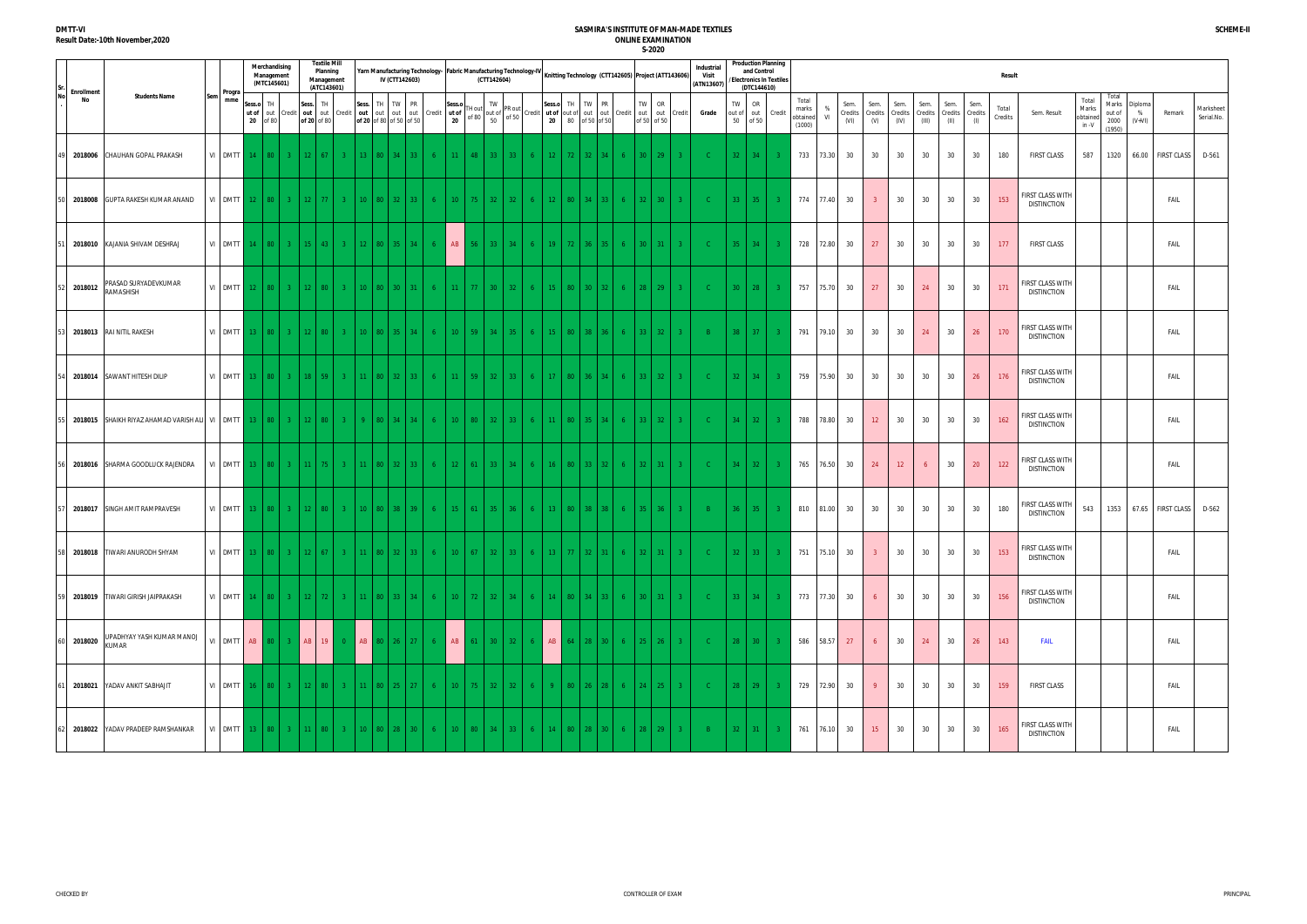| No | Enrollment |                                           |     | Progra             |                 | Merchandising<br>Management<br>(MTC145601) |                |                    | <b>Textile Mill</b><br>Planning<br>Management<br>(ATC143601) |                |                 |         | Yarn Manufacturing Technology- Fabric Manufacturing Technology-IV<br>IV (CTT142603) |                |                 |                 | (CTT142604)                                                                                               |                 |                |           |                 | Knitting Technology (CTT142605) Project (ATT143606)                 |                 |                              |                | Industria<br>Visit<br>(ATN13607) |                     | and Control<br>(DTC144610) | <b>Production Planning</b><br>/Electronics In Textiles |                                      |                |                         |                         |                         |                          |                                 |             | <b>Result</b>    |                                        |                                       |                                            |                          |                         |                         |
|----|------------|-------------------------------------------|-----|--------------------|-----------------|--------------------------------------------|----------------|--------------------|--------------------------------------------------------------|----------------|-----------------|---------|-------------------------------------------------------------------------------------|----------------|-----------------|-----------------|-----------------------------------------------------------------------------------------------------------|-----------------|----------------|-----------|-----------------|---------------------------------------------------------------------|-----------------|------------------------------|----------------|----------------------------------|---------------------|----------------------------|--------------------------------------------------------|--------------------------------------|----------------|-------------------------|-------------------------|-------------------------|--------------------------|---------------------------------|-------------|------------------|----------------------------------------|---------------------------------------|--------------------------------------------|--------------------------|-------------------------|-------------------------|
|    | No         | <b>Students Name</b>                      | Sem | mme                | Sess.c<br>ut of | TH<br>20 of 80                             | out Credit     | Sess.              | TH<br>of 20 of 80                                            | out out Credit |                 |         | Sess. TH TW PR<br>out out out out Credit ut of<br>of 20 of 80 of 50 of 50           |                | Sess.o<br>20    |                 | TW<br>TH out $\begin{bmatrix} 1 \text{W} \\ \text{out} \text{or} \\ \text{on} \end{bmatrix}$ PR out<br>50 |                 |                | Sess.o TH |                 | TW<br>PR<br>Credit ut of out of out out Credit<br>20 80 of 50 of 50 | TW              | OR<br>out out<br>of 50 of 50 | Credit         | Grade                            | TW<br>out of<br>50  | OR<br>of 50                | out Credit                                             | Total<br>marks<br>obtained<br>(1000) | %<br><b>VI</b> | Sem.<br>Credits<br>(VI) | Sem.<br>Credits<br>(V)  | Sem.<br>Credits<br>(IV) | Sem.<br>Credits<br>(III) | Sem.<br>Credits Credits<br>(II) | Sem.<br>(1) | Total<br>Credits | Sem. Result                            | Total<br>Marks<br>obtained<br>$in -V$ | Total<br>Marks<br>out of<br>2000<br>(1950) | Diploma<br>%<br>$(V+VI)$ | Remark                  | Marksheet<br>Serial.No. |
|    | 2018006    | CHAUHAN GOPAL PRAKASH                     |     | VI DMTT 14 80      |                 |                                            | $3 -$          | 12 <sup>2</sup>    | 67                                                           |                |                 | 80 34   | 33 <sup>2</sup>                                                                     |                | 11 <sup>2</sup> | 48              | 33 -                                                                                                      | -33             |                |           | $72 -$          | 32 <sup>2</sup>                                                     | $30-1$          | 29                           |                |                                  | $32 -$              | 34 <sup>°</sup>            |                                                        | 733                                  | 73.30          | 30                      | 30                      | 30                      | 30                       | 30                              | 30          | 180              | <b>FIRST CLASS</b>                     | 587                                   | 1320                                       |                          | 66.00 FIRST CLASS       | D-561                   |
|    |            | 2018008 GUPTA RAKESH KUMAR ANAND          |     | VI DMTT 12 80      |                 |                                            | $3-1$          | 12 <sup>2</sup>    | -77 L                                                        | $3 -$          | 10 <sup>°</sup> |         | $80 \mid 32 \mid 33 \mid$                                                           | 6 <sup>6</sup> | 10              | 75 I            | $32-1$                                                                                                    | $-32$           | $6 -$          | $12$ 80   |                 | 34<br>33 <sup>2</sup>                                               | 32 <sup>2</sup> | 30 <sup>°</sup>              | $3 -$          | - C -                            | $33-1$              | 35 <sub>1</sub>            |                                                        | 774                                  | 77.40          | 30                      | $\overline{3}$          | 30                      | 30                       | 30                              | 30          | 153              | FIRST CLASS WITH<br><b>DISTINCTION</b> |                                       |                                            |                          | FAIL                    |                         |
|    |            | 2018010 KAJANIA SHIVAM DESHRAJ            |     | VI DMTT $14$ 80    |                 |                                            | 3 <sub>1</sub> | $-15$              | 43                                                           |                | 12 <sup>°</sup> |         | 80   35   34                                                                        | - 6            | AB              | 56 <sub>1</sub> | 33 <sup>1</sup>                                                                                           | 34              | $6 -$          | 19        | 72              | 36 -<br>$35 -$                                                      | $30-1$          | 31                           |                | - C -                            | $35 -$              | $-34$                      |                                                        | 728                                  | 72.80          | 30                      | 27                      | 30                      | 30                       | 30                              | 30          | 177              | <b>FIRST CLASS</b>                     |                                       |                                            |                          | FAIL                    |                         |
|    | 2018012    | PRASAD SURYADEVKUMAR<br>RAMASHISH         |     | VI DMTT 12 80      |                 |                                            | $-3$           | 12 <sup>2</sup>    | 80                                                           |                | 10              | 80 30 L | 31 <sup>2</sup>                                                                     |                | 11 <sup>2</sup> | <b>77</b>       | $30-1$                                                                                                    | $-32$           | 6.             |           | 80              | $30-1$<br>32 <sub>1</sub>                                           | $28-$           | 29                           |                | -C -                             | $30-1$              | 28                         |                                                        | 757                                  |                | 75.70 30                | 27                      | 30                      | 24                       | 30                              | 30          | 171              | FIRST CLASS WITH<br><b>DISTINCTION</b> |                                       |                                            |                          | FAIL                    |                         |
|    |            | 2018013 RAI NITIL RAKESH                  |     | VI DMTT 13   80    |                 |                                            |                | $3 \mid 12$        | $80-1$                                                       | $3 -$          | 10 <sup>°</sup> |         | 80   35   34                                                                        | -6             | $10-1$          | $-59$           | 34                                                                                                        | 35 <sub>1</sub> | $6 -$          | $15$ 80   |                 | $38-1$<br>36 <sup>2</sup>                                           | 33 <sup>2</sup> | 32                           | 3 <sup>2</sup> | $-B$                             | 38 <sup>2</sup>     | 37 <sup>°</sup>            |                                                        | 791                                  | 79.10          | 30                      | 30                      | 30                      | 24                       | 30                              | 26          | 170              | FIRST CLASS WITH<br><b>DISTINCTION</b> |                                       |                                            |                          | FAIL                    |                         |
|    |            | 54 2018014 SAWANT HITESH DILIP            |     | VI DMTT 13 80      |                 |                                            | $3 -$          | 18 <sup>°</sup>    | 59                                                           |                |                 |         | 80 32 33                                                                            | - 6            | 11 <sup>2</sup> | 59 l            | 32 <sup>2</sup>                                                                                           | 33              | 6.             |           | 80              | 36 -<br>34 <sup>2</sup>                                             | $33-$           | 32 <sup>°</sup>              |                | - C -                            | $32 -$              | 34                         |                                                        | 759                                  | 75.90          | 30                      | 30                      | 30                      | 30                       | 30                              | 26          | 176              | FIRST CLASS WITH<br><b>DISTINCTION</b> |                                       |                                            |                          | FAIL                    |                         |
|    |            |                                           |     |                    |                 |                                            |                |                    | 80 I                                                         | $3 -$          | $\alpha$        |         | 80 34 34                                                                            | $-6$           | $10-1$          | $80-1$          | 32                                                                                                        | $-33$           | $6 -$          | $11$   80 |                 | $35-1$<br>34                                                        | $33-$           | 32 <sup>2</sup>              |                | - C -                            |                     | $34 \mid 32 \mid$          |                                                        | 788                                  | 78.80          | 30                      | 12                      | 30                      | 30                       | 30                              | 30          | 162              | FIRST CLASS WITH<br><b>DISTINCTION</b> |                                       |                                            |                          | FAIL                    |                         |
|    |            | 2018016 SHARMA GOODLUCK RAJENDRA          |     | VI DMTT 13   80    |                 |                                            |                | $3 \mid 11$        | 75 I                                                         | $3 -$          | 11              |         | 80   32   33                                                                        | 6 <sup>1</sup> | 12              | 61 <sup>1</sup> | $33-1$                                                                                                    | $-34$           | 6              | $16$ 80   |                 | $33-1$<br>32 <sub>1</sub>                                           | 32 <sup>2</sup> | 31                           | $3 -$          | - C -                            | $34 -$              | 32 <sup>2</sup>            |                                                        | 765                                  | 76.50          | 30                      | 24                      | 12                      | 6                        | 30                              | 20          | 122              | FIRST CLASS WITH<br><b>DISTINCTION</b> |                                       |                                            |                          | FAIL                    |                         |
|    |            | 2018017 SINGH AMIT RAMPRAVESH             |     | VI DMTT            |                 | $13$ 80                                    | $3 -$          | -12                | 80                                                           |                |                 | 80 38 1 | 39 <sup>°</sup>                                                                     | - 6            | $15 -$          | <b>61</b>       | $35 -$                                                                                                    |                 | 6.             |           | 80              | 38.                                                                 | 35.             | 36                           |                | - B                              | 36 <sup>2</sup>     | 35 <sub>1</sub>            |                                                        | 810                                  | 81.00          | 30                      | 30                      | 30                      | 30                       | 30                              | 30          | 180              | FIRST CLASS WITH<br><b>DISTINCTION</b> | 543                                   | 1353                                       |                          | 67.65 FIRST CLASS D-562 |                         |
|    |            | 58 2018018 TIWARI ANURODH SHYAM           |     |                    |                 |                                            |                |                    |                                                              |                |                 |         | VI DMTT 13   80   3   12   67   3   11   80   32   33                               | - 6 -          |                 |                 | $10 \mid 67 \mid 32 \mid 33 \mid 6 \mid$                                                                  |                 |                | 13   77   |                 | $32 \mid 31 \mid 6$                                                 |                 | $32 \mid 31$                 |                |                                  |                     | $32 \mid 33$               |                                                        |                                      |                | 751 75.10 30            | $\overline{\mathbf{3}}$ | 30                      |                          | 30 30                           | 30          | 153              | FIRST CLASS WITH<br><b>DISTINCTION</b> |                                       |                                            |                          | FAIL                    |                         |
|    |            | 59 2018019 TIWARI GIRISH JAIPRAKASH       |     | VI DMTT 14 80 3 12 |                 |                                            |                |                    | - 72 L                                                       | $3 -$          | 11 <sup>2</sup> |         | $80 \mid 33 \mid 34 \mid$                                                           | 6 <sup>6</sup> | $10-1$          |                 | 72 32 34                                                                                                  |                 | 6 <sup>1</sup> |           |                 | 14   80   34   33                                                   |                 | $30 \mid 31 \mid$            | $-3$           | $-C$                             | $33 \mid 34 \mid$   |                            | $-3$                                                   |                                      |                | 773 77.30 30            | 6 <sup>6</sup>          | 30                      | 30                       | 30                              | 30          | 156              | FIRST CLASS WITH<br><b>DISTINCTION</b> |                                       |                                            |                          | FAIL                    |                         |
|    | 60 2018020 | UPADHYAY YASH KUMAR MANOJ<br><b>KUMAR</b> |     |                    |                 |                                            |                | VI DMTT AB 80 3 AB | 19                                                           | $\overline{0}$ |                 |         | AB 80 26 27                                                                         | 6 <sup>1</sup> |                 |                 |                                                                                                           |                 |                |           |                 | AB   61   30   32   6   AB   64   28   30   6   25   26   3         |                 |                              |                | $\sim$ C $\sim$                  | $28$ 30             |                            |                                                        |                                      |                | 586 58.57 27            | 6                       | 30                      | 24                       | 30                              | 26          | 143              | <b>FAIL</b>                            |                                       |                                            |                          | FAIL                    |                         |
|    |            | 1 2018021 YADAV ANKIT SABHAJIT            |     | VI DMTT 16 80      |                 |                                            |                | $3 \mid 12$        | 80 I                                                         | $3 -$          | 11 <sup>2</sup> |         | 80   25   27                                                                        | -6             | 10              | 75 I            | $32 \mid 32 \mid$                                                                                         |                 | 6              |           | 80 <sup>1</sup> | 26 <sub>1</sub><br>-28                                              |                 | $24$   25                    | $-3$           | $-C$                             | $28$ 29             |                            | $-3$                                                   |                                      |                | 729 72.90 30            | 9 <sup>°</sup>          | 30                      | 30                       | 30                              | 30          | 159              | <b>FIRST CLASS</b>                     |                                       |                                            |                          | FAIL                    |                         |
|    |            | 62 2018022 YADAV PRADEEP RAMSHANKAR       |     | VI DMTT 13 80 3 11 |                 |                                            |                |                    | $80-1$                                                       | 3 <sup>2</sup> |                 |         | 10   80   28   30                                                                   | 6 <sup>1</sup> |                 |                 | $10 \mid 80 \mid 34 \mid 33 \mid$                                                                         |                 | 6 <sup>1</sup> |           |                 | 14   80   28   30   6                                               |                 | $28$ 29 3                    |                | $-B1$                            | $32 \mid 31 \mid 3$ |                            |                                                        |                                      |                | 761 76.10 30            | 15                      | 30                      | 30                       | 30                              | 30          | 165              | FIRST CLASS WITH<br><b>DISTINCTION</b> |                                       |                                            |                          | FAIL                    |                         |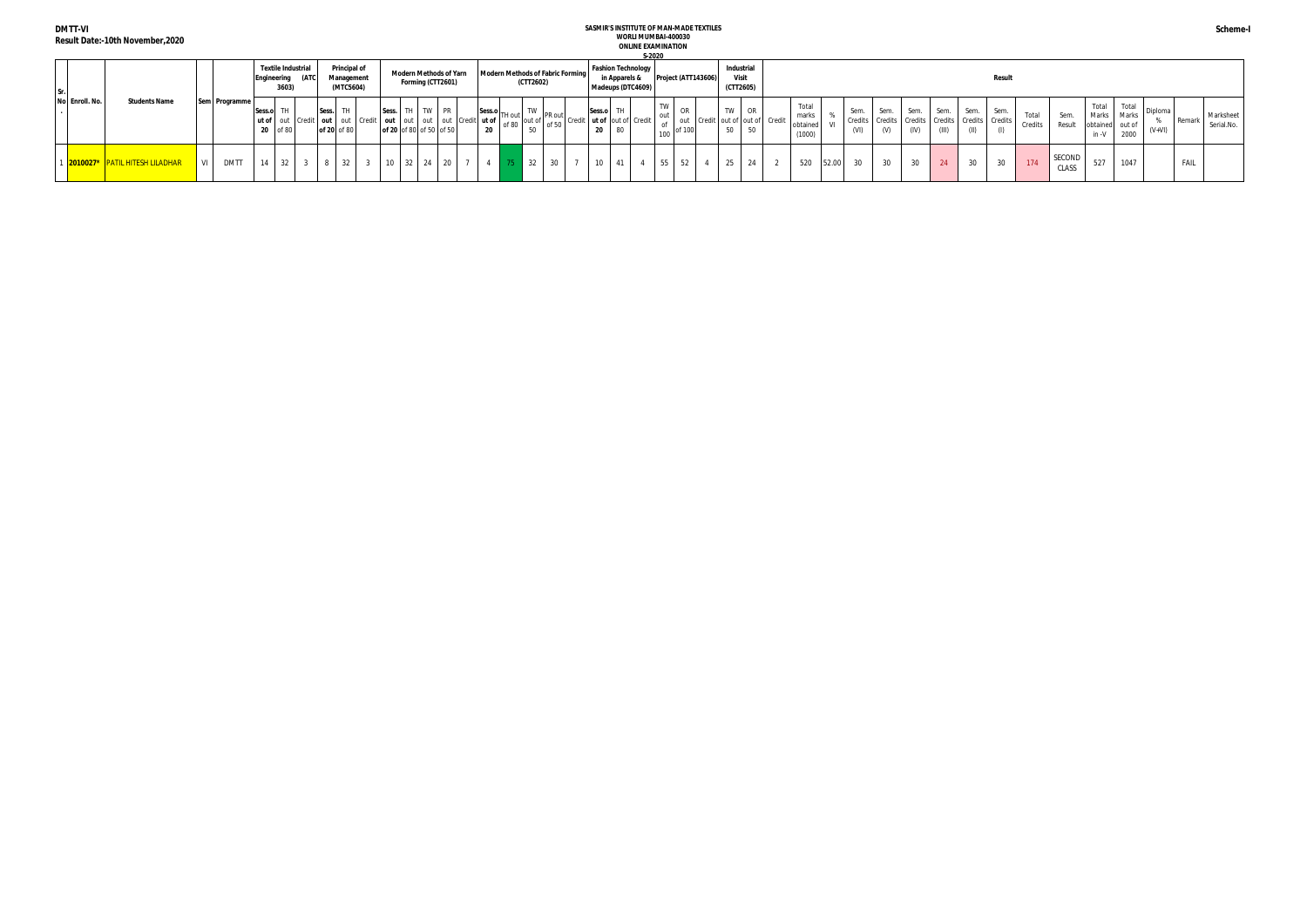**DMTT-VI**

**SASMIR'S INSTITUTE OF MAN-MADE TEXTILES** 

|                | Result Date:-10th November,2020 |     |               |                       |                                   |                           |                         |                                           |                                                                  |                   |                                                                     |                                                                                             |                 |                                    |                 |               | S-2020                                         | WORLI MUMBAI-400030<br><b>ONLINE EXAMINATION</b> |    |    |                                 |                                       |                                      |       |              |                                                                          |                 |               |      |               |                  |                 |                                     |                              |                    |        |                         |
|----------------|---------------------------------|-----|---------------|-----------------------|-----------------------------------|---------------------------|-------------------------|-------------------------------------------|------------------------------------------------------------------|-------------------|---------------------------------------------------------------------|---------------------------------------------------------------------------------------------|-----------------|------------------------------------|-----------------|---------------|------------------------------------------------|--------------------------------------------------|----|----|---------------------------------|---------------------------------------|--------------------------------------|-------|--------------|--------------------------------------------------------------------------|-----------------|---------------|------|---------------|------------------|-----------------|-------------------------------------|------------------------------|--------------------|--------|-------------------------|
|                |                                 |     |               |                       | <b>Textile Industria</b><br>3603) | <b>IEngineering (ATC)</b> |                         | Principal of<br>Management<br>(MTC5604)   | <b>Modern Methods of Yarn</b>                                    | Forming (CTT2601) | Modern Methods of Fabric Forming                                    | (CTT2602)                                                                                   |                 |                                    |                 | in Apparels & | <b>Fashion Technology</b><br>Madeups (DTC4609) | Project (ATT143606)                              |    |    | Industria<br>Visit<br>(CTT2605) |                                       |                                      |       |              |                                                                          |                 |               |      | <b>Result</b> |                  |                 |                                     |                              |                    |        |                         |
| No Enroll. No. | <b>Students Name</b>            |     | Sem Programme | Sess.o TH<br>20 of 80 |                                   |                           | Sess. TH<br>of 20 of 80 | ut of   out   Credit   out   out   Credit | Sess.<br>out out out out Credit ut of<br>of 20 of 80 of 50 of 50 | TW PR             | $\left  \frac{\text{Sess.o}}{\text{TH out}} \right $<br>n8 hc<br>20 | $\begin{array}{c c} \hline \text{TW} & \text{PR out} \\ \hline \end{array}$<br>out of<br>50 |                 | of 50 Credit   ut of out of Credit | Sess.o TH<br>20 | 80            |                                                | TW<br>out<br>of<br>of 100<br>100                 | OR | 50 | TW OR                           | out Credit out of out of Credit<br>50 | Total<br>marks<br>obtained<br>(1000) |       | Sem.<br>(VI) | Sem.<br>Credits   Credits   Credits   Credits   Credits   Credits<br>(V) | Sem.<br>(IV)    | Sem.<br>(III) | Sem. | Sem.          | Total<br>Credits | Sem.<br>Result  | Total<br>obtained out of<br>$in -V$ | Total<br>Marks Marks<br>2000 | Diploma<br>$(V+V)$ | Remarl | Marksheet<br>Serial.No. |
|                | 2010027* PATIL HITESH LILADHAR  | VII | <b>DMTT</b>   | 14                    | $32 \mid 3$                       |                           |                         | 8 32                                      | 10<br>$-32$                                                      | $24 \mid 20$      |                                                                     | 32                                                                                          | 30 <sup>2</sup> |                                    | 10              |               |                                                | 55                                               |    | 25 |                                 | 24                                    | 520                                  | 52.00 | 30           | 30                                                                       | 30 <sup>°</sup> | 24            | 30   | 30            | 174              | SECOND<br>CLASS | 527                                 | 1047                         |                    | FAIL   |                         |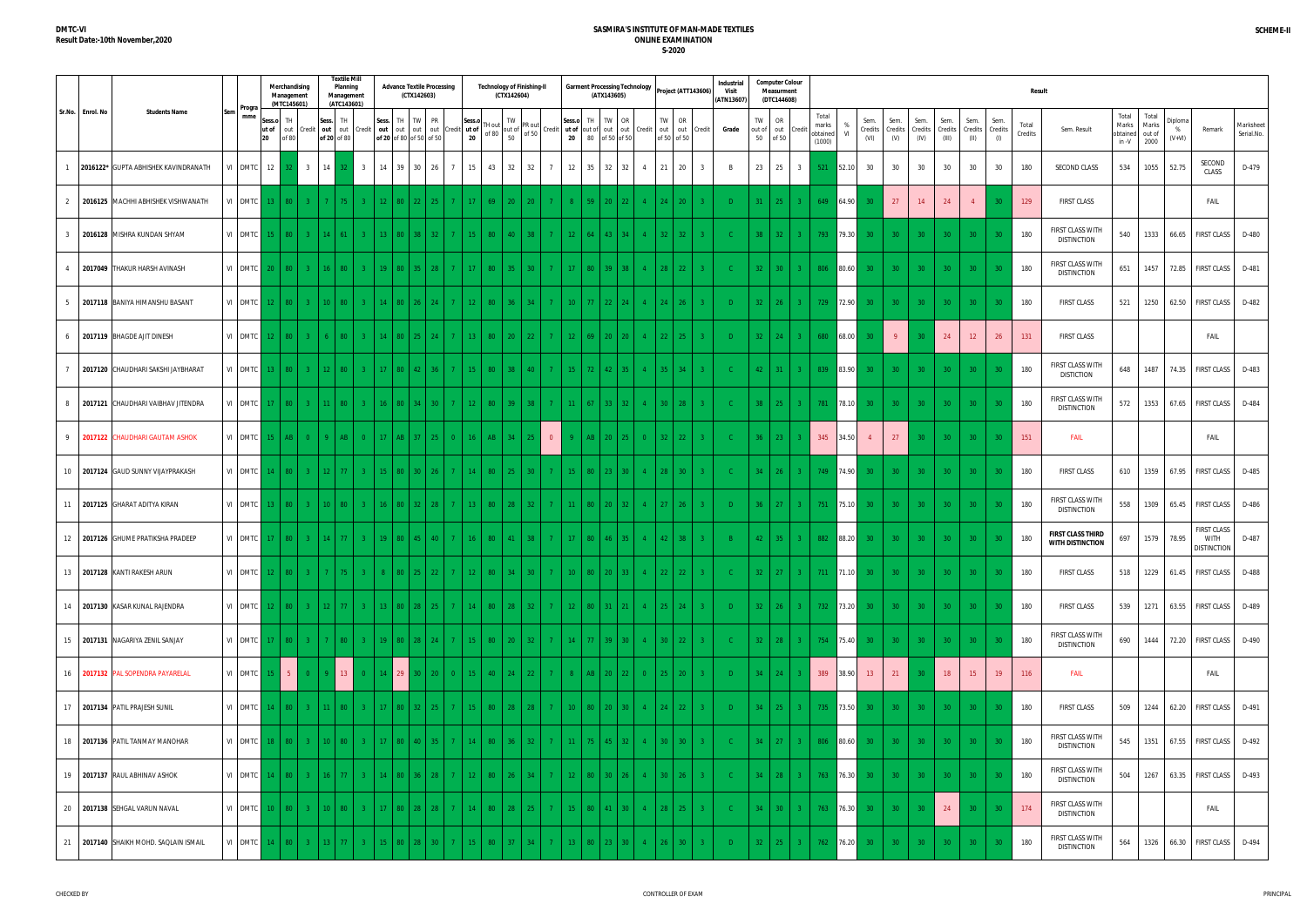|                  |                                            |                 |                       | Merchandising<br>Management<br>(MTC145601) |                |                                  | <b>Textile Mill</b><br>Planning<br>Management<br>(ATC143601) |                          | <b>Advance Textile Processing</b><br>(CTX142603)               |                |                         | <b>Technology of Finishing-II</b><br>(CTX142604)                                                             |                 |                                   |                 | (ATX143605)     | <b>Garment Processing Technology</b>    |                      |                                    | Project (ATT143606) | <b>Industrial</b><br>Visit<br>(ATN13607) |                    | <b>Computer Colour</b><br>Measurment<br>(DTC144608) |                                  |                             |                                      |                        |                         |                          |                         |                        | <b>Result</b>    |                                                     |                                     |                                  |                          |                                                  |                         |
|------------------|--------------------------------------------|-----------------|-----------------------|--------------------------------------------|----------------|----------------------------------|--------------------------------------------------------------|--------------------------|----------------------------------------------------------------|----------------|-------------------------|--------------------------------------------------------------------------------------------------------------|-----------------|-----------------------------------|-----------------|-----------------|-----------------------------------------|----------------------|------------------------------------|---------------------|------------------------------------------|--------------------|-----------------------------------------------------|----------------------------------|-----------------------------|--------------------------------------|------------------------|-------------------------|--------------------------|-------------------------|------------------------|------------------|-----------------------------------------------------|-------------------------------------|----------------------------------|--------------------------|--------------------------------------------------|-------------------------|
| Sr.No. Enrol. No | <b>Students Name</b>                       | Progra<br>mme   | Sess.o<br>ut of<br>20 | TH<br>out<br>of 80                         | redit          | Sess. TH<br>of 20 of 80          | out out Credit                                               |                          | Sess. TH TW PR<br>out out out out C<br>of 20 of 80 of 50 of 50 | redit          | Sess.o<br>t ut of<br>20 | TW<br>TH out of $\begin{bmatrix} 1 \text{W} \\ \text{out} \text{or} \\ \text{on} \end{bmatrix}$ PR out<br>50 |                 | Credit ut of out of out<br>20     | Sess.o TH       | 80 of 50 of 50  | TW OR<br>out Credit                     | out                  | OR<br>TW<br>out<br>of 50 of 50     | Credit              | Grade                                    | TW<br>out of<br>50 | OR<br>out<br>of 50                                  | Total<br>Credi                   | marks<br>obtained<br>(1000) | Sem.<br>%<br>Credits<br>- VI<br>(VI) | Sem.<br>Credits<br>(V) | Sem.<br>Credits<br>(IV) | Sem.<br>Credits<br>(III) | Sem.<br>Credits<br>(II) | Sem.<br>Credits<br>(1) | Total<br>Credits | Sem. Result                                         | Total<br>Marks<br>obtained<br>in -V | Total<br>Marks<br>out of<br>2000 | Diploma<br>%<br>$(V+VI)$ | Remark                                           | Marksheet<br>Serial.No. |
|                  | 2016122* GUPTA ABHISHEK KAVINDRANATH       | VI DMTC 12      |                       |                                            | 3 <sup>3</sup> | 14                               | $\overline{\mathbf{3}}$                                      |                          | 14 39 30 26                                                    | 7              | 15                      | 43 32                                                                                                        | 32              | $7^{\circ}$<br>12                 | 35              | 32              | 32                                      | 21<br>$\overline{4}$ | 20                                 |                     |                                          | 23                 | 25                                                  | $\overline{3}$                   | 521                         | 30<br>52.10                          | 30                     | 30                      | 30                       | 30                      | 30                     | 180              | SECOND CLASS                                        | 534                                 | 1055                             | 52.75                    | SECOND<br>CLASS                                  | D-479                   |
| 2                | 2016125 MACHHI ABHISHEK VISHWANATH         | VI DMTC         | $13-1$                | 80                                         | 3 <sup>°</sup> |                                  |                                                              | $12 \times 80 \times 22$ | $25 -$                                                         | $7 -$          | 17                      | 69<br>20                                                                                                     | 20 <sup>2</sup> | 7 <sup>7</sup>                    | 59              | $20^{\circ}$    |                                         |                      | 24<br>20                           |                     | D.                                       | 31                 | 25                                                  | $3-1$                            | 649                         | 64.90                                | 27                     | 14                      | 24                       | $\overline{4}$          | 30                     | 129              | <b>FIRST CLASS</b>                                  |                                     |                                  |                          | <b>FAIL</b>                                      |                         |
| 3                | 2016128 MISHRA KUNDAN SHYAM                | VI DMTC         |                       | $80-1$                                     | $\mathbf{3}$   | $14 \mid 61$                     |                                                              | $13 \ 80 \ 38$           | 32.                                                            | 7 <sup>1</sup> | -15                     | 80<br>40                                                                                                     | 38 <sup>2</sup> | 7 <sup>7</sup><br>$12-12$         | 64              | 43              |                                         |                      | 32 <sup>2</sup><br>32 <sup>°</sup> |                     |                                          | 38                 | 32                                                  | $-3$                             | 793                         | 79.30<br>30 <sup>°</sup>             | 30 <sup>°</sup>        | 30 <sup>°</sup>         | 30 <sup>°</sup>          | 30 <sup>°</sup>         | $30^{\circ}$           | 180              | FIRST CLASS WITH<br><b>DISTINCTION</b>              | 540                                 | 1333                             | 66.65                    | <b>FIRST CLASS</b>                               | D-480                   |
|                  | 2017049 THAKUR HARSH AVINASH               | VI DMTC         |                       | $80 -$                                     | $\mathbf{3}$   | $16 \mid 80$                     |                                                              |                          | 19 80 35 28                                                    |                |                         | 80<br>35                                                                                                     | 30 <sup>°</sup> | 7 <sup>7</sup><br>$17 -$          | 80              | 39              | -38                                     |                      | $-22$<br>$28-1$                    | $3 -$               | -C.                                      | $32-1$             | 30                                                  | $-3$                             | 806                         | 80.60<br>30                          | 30 <sup>°</sup>        | 30 <sup>°</sup>         | 30 <sup>°</sup>          | 30 <sup>°</sup>         |                        | 180              | FIRST CLASS WITH<br><b>DISTINCTION</b>              | 651                                 | 1457                             |                          | 72.85 FIRST CLASS                                | D-481                   |
| -5               | 2017118 BANIYA HIMANSHU BASANT             | VI DMTC         |                       | ר פ                                        | -3 F           |                                  |                                                              | $14 \mid 80$             |                                                                |                | -12                     | 80<br>36                                                                                                     |                 | 7 <sup>7</sup><br>$10-10$         | 77 <sup>2</sup> | 22 <sup>2</sup> |                                         |                      | 26<br>24.                          |                     | $\Box$                                   | $32-1$             | 26                                                  | $3 -$                            | 729 72.90                   | 30 <sup>°</sup>                      | 30 <sup>°</sup>        | 30 <sup>°</sup>         | 30 <sup>°</sup>          | 30 <sup>°</sup>         | -30                    | 180              | <b>FIRST CLASS</b>                                  | 521                                 | 1250                             |                          | 62.50 FIRST CLASS                                | D-482                   |
| 6                | 2017119 BHAGDE AJIT DINESH                 | VI DMTC         |                       |                                            | $\mathbf{3}$   |                                  |                                                              | $14 \mid 80 \mid$        |                                                                |                |                         | 80<br>20                                                                                                     | $22 -$          | 7 <sup>7</sup><br>$12 -$          | 69              | $20-1$          | 20 <sup>°</sup>                         |                      | $22-1$<br>- 25                     |                     | $\Box$                                   | $32-1$             | 24                                                  | $3-1$                            | 680 68.00                   |                                      | 9 <sup>°</sup>         |                         | 24                       | 12 <sup>7</sup>         | 26                     | 131              | <b>FIRST CLASS</b>                                  |                                     |                                  |                          | FAIL                                             |                         |
|                  | 2017120 CHAUDHARI SAKSHI JAYBHARAT         | VI DMTC         |                       | $80-1$                                     | 3 <sup>2</sup> | $12 \mid 80$                     |                                                              | $17$   80   42           | 36 -                                                           | 7 <sup>1</sup> | 15 <sub>1</sub>         | 80<br>38                                                                                                     | 40 <sup>1</sup> | 7 <sup>1</sup><br>$15-1$          | $72-1$          | $42-1$          | -35-                                    |                      | 34<br>$35-1$                       |                     |                                          | $42-1$             | 31                                                  | $\begin{array}{ccc} \end{array}$ | 839 83.90                   | 30 <sup>°</sup>                      | 30 <sup>°</sup>        | 30 <sup>°</sup>         | 30 <sup>°</sup>          | 30 <sup>°</sup>         | 30                     | 180              | FIRST CLASS WITH<br><b>DISTICTION</b>               | 648                                 | 1487                             |                          | 74.35 FIRST CLASS                                | D-483                   |
| 8                | 2017121 CHAUDHARI VAIBHAV JITENDRA         | VI DMTC         |                       | 80                                         | 3 <sup>2</sup> | $11$ 80 $\overline{\phantom{0}}$ |                                                              |                          | 16   80   34   30                                              | $7 -$          |                         | $12 \mid 80 \mid$<br>39                                                                                      | $-38$           | 7 <sup>1</sup><br>11 <sup>2</sup> | 67              |                 | 33   32                                 |                      | 30   28                            |                     |                                          |                    | $38$ 25 3                                           |                                  | 781 78.10                   | 30 <sup>°</sup>                      | 30 <sup>°</sup>        | 30 <sup>°</sup>         | 30 <sup>°</sup>          | 30                      | 30                     | 180              | FIRST CLASS WITH<br><b>DISTINCTION</b>              | 572                                 | 1353                             |                          | 67.65 FIRST CLASS                                | D-484                   |
| 9                | 2017122 CHAUDHARI GAUTAM ASHOK             | VI DMTC         |                       | $15$ $AB$                                  | $\overline{0}$ | $9$ $AB$                         | $\overline{0}$                                               |                          | $17$ $AB$ $37$ $25$                                            | $0-1$          |                         | $16$ $AB$<br>34                                                                                              | $25 -$          | $\overline{0}$                    | AB              |                 | $20 \mid 25 \mid$                       | $\overline{0}$       | $32 \mid 22 \mid$                  |                     | $\mathbb{C}$                             | 36                 | 23                                                  |                                  | 345                         | 34.50                                | 27                     | 30 <sup>°</sup>         | 30 <sup>°</sup>          | 30 <sup>°</sup>         | 30 <sup>°</sup>        | 151              | <b>FAIL</b>                                         |                                     |                                  |                          | FAIL                                             |                         |
|                  | 10   2017124 GAUD SUNNY VIJAYPRAKASH       | VI DMTC         | 14                    | 80                                         | $\mathbf{3}$   | $12$ 77                          |                                                              |                          | $15 \ 80 \ 30 \ 26$                                            | 7 <sup>1</sup> | 14                      | 80<br>25                                                                                                     | 30 <sup>2</sup> | 7 <sup>7</sup><br>$15 -$          | 80              | 23              | 30 <sup>°</sup>                         |                      | 30<br>28                           |                     |                                          | 34                 | 26                                                  | 3 <sup>2</sup>                   | 749                         | 74.90<br>30 <sup>°</sup>             | 30 <sup>°</sup>        | 30 <sup>°</sup>         | 30 <sup>°</sup>          | 30 <sup>°</sup>         | 30 <sup>°</sup>        | 180              | <b>FIRST CLASS</b>                                  | 610                                 | 1359                             |                          | 67.95 FIRST CLASS                                | D-485                   |
|                  | 11   2017125   GHARAT ADITYA KIRAN         | VI DMTC         |                       |                                            |                |                                  |                                                              |                          |                                                                |                |                         | 80<br>28                                                                                                     | $32 -$          | 7 <sup>7</sup>                    | 80              | 20 <sup>°</sup> |                                         |                      | 27 <sup>1</sup><br>26              |                     | $\mathsf{D}$                             | 36                 | 27                                                  | $3 -$                            | 751                         | 75.10<br>30                          | 30 <sup>°</sup>        | 30                      | 30 <sup>°</sup>          | 30 <sup>°</sup>         |                        | 180              | FIRST CLASS WITH<br><b>DISTINCTION</b>              | 558                                 | 1309                             |                          | 65.45 FIRST CLASS                                | D-486                   |
|                  | 12 2017126 GHUME PRATIKSHA PRADEEP         | VI DMTC         |                       | 80 I                                       | $\mathbf{3}$   | 14 <sup>1</sup>                  |                                                              |                          |                                                                |                |                         | 80                                                                                                           |                 |                                   | $80 -$          | 46.             |                                         |                      | 42.<br>-38                         |                     |                                          | 42                 | 35                                                  |                                  | 882                         | 88.20<br>30 <sup>°</sup>             | 30 <sup>°</sup>        | 30.                     | 30 <sup>°</sup>          |                         |                        | 180              | <b>FIRST CLASS THIRD</b><br><b>WITH DISTINCTION</b> | 697                                 | 1579                             | 78.95                    | FIRST CLASS<br><b>WITH</b><br><b>DISTINCTION</b> | D-487                   |
|                  | 13 2017128 KANTI RAKESH ARUN               | VI DMTC 12 80   |                       |                                            | 3 <sup>°</sup> | 7 7 75 1                         |                                                              |                          | 8 80 25 22                                                     |                |                         | 7 12 80 34 30                                                                                                |                 |                                   |                 |                 | 7   10   80   20   33   4   22   22   3 |                      |                                    |                     | $-C$                                     |                    |                                                     | $32$ 27 3 711 71.10              |                             | 30 <sup>2</sup>                      | 30 <sup>2</sup>        | 30 <sup>°</sup>         | 30 <sup>°</sup>          | 30 <sup>°</sup>         | 30 <sup>°</sup>        | 180              | <b>FIRST CLASS</b>                                  | 518                                 |                                  |                          | 1229 61.45 FIRST CLASS D-488                     |                         |
|                  | 14 2017130 KASAR KUNAL RAJENDRA            | VI DMTC $12$ 80 |                       |                                            | 3 <sup>2</sup> | $12$ 77                          | $3 -$                                                        |                          | 13 80 28 25                                                    |                |                         | 7   14   80   28   32                                                                                        |                 |                                   |                 |                 | 7   12   80   31   21   4   25   24   3 |                      |                                    |                     | D                                        |                    |                                                     | 32 26 3 732 73.20                |                             | 30 <sup>2</sup>                      | 30 <sup>2</sup>        | 30 <sup>°</sup>         | 30 <sup>°</sup>          | 30 <sup>°</sup>         | 30                     | 180              | <b>FIRST CLASS</b>                                  | 539                                 | 1271                             |                          | 63.55 FIRST CLASS D-489                          |                         |
|                  | 15 2017131 NAGARIYA ZENIL SANJAY           | VI DMTC         |                       | 17   80                                    | 3 <sup>2</sup> | 7 80                             | 3 <sup>2</sup>                                               |                          | $19$ 80 28 24                                                  |                |                         | 7 15 80 20 32                                                                                                |                 | 7 <sup>7</sup><br>$-14$           |                 |                 | 77 39 30 4 30 22                        |                      |                                    | $-3$                |                                          |                    |                                                     | 32 28 3 754 75.40                |                             | 30 <sup>°</sup>                      | 30 <sup>2</sup>        | 30 <sup>°</sup>         | 30 <sup>°</sup>          | 30 <sup>°</sup>         | 30                     | 180              | FIRST CLASS WITH<br><b>DISTINCTION</b>              | 690                                 | 1444                             |                          | 72.20 FIRST CLASS D-490                          |                         |
|                  | 16   2017132   PAL SOPENDRA PAYARELAL      | VI DMTC         |                       | $15$ 5                                     | $\overline{0}$ |                                  | $9$ 13<br>$\overline{0}$                                     |                          | 14 29 30 20                                                    |                |                         | 0 15 40 24 22                                                                                                |                 | 7 8                               |                 |                 | AB 20 22 0 25 20 3                      |                      |                                    |                     | D                                        |                    | $34$ 24 3                                           |                                  | 389 38.90                   | 13                                   | 21                     | 30 <sup>°</sup>         | 18                       | 15                      | 19 <sup>°</sup>        | 116              | <b>FAIL</b>                                         |                                     |                                  |                          | FAIL                                             |                         |
|                  | 17 2017134 PATIL PRAJESH SUNIL             | VI DMTC 14 80   |                       |                                            | 3 <sup>2</sup> | 11   80                          | 3 <sup>7</sup>                                               |                          | $17$ 80 32 25                                                  |                |                         | 7 15 80 28 28                                                                                                |                 |                                   |                 |                 | 7   10   80   20   30   4   24   22   3 |                      |                                    |                     | D                                        |                    |                                                     | $34$   25   3   735   73.50      |                             | 30 <sup>2</sup>                      | $30 -$                 | 30 <sup>°</sup>         | $30-1$                   | 30 <sup>°</sup>         | 30 <sup>°</sup>        | 180              | <b>FIRST CLASS</b>                                  | 509                                 |                                  |                          | 1244 62.20 FIRST CLASS D-491                     |                         |
|                  | 18 2017136 PATIL TANMAY MANOHAR            | VI DMTC 18 80   |                       |                                            | 3 <sup>2</sup> | $10$ 80                          |                                                              |                          | 17 80 40 35                                                    | $7-1$          |                         | $14$ 80<br>36                                                                                                | $32-1$          | 7 <sup>7</sup><br>$-11$           |                 | 75 I            | $45 \mid 32 \mid$                       | $\sim$ 4             | $30 \mid 30 \mid$                  | 3 <sup>2</sup>      | -C -                                     |                    | $34$ 27 3                                           |                                  | 806 80.60                   | 30 <sup>°</sup>                      | 30 <sup>2</sup>        | 30 <sup>°</sup>         | 30 <sup>°</sup>          | 30 <sup>°</sup>         | 30                     | 180              | FIRST CLASS WITH<br><b>DISTINCTION</b>              | 545                                 | 1351                             |                          | 67.55 FIRST CLASS D-492                          |                         |
|                  | 19   2017137 RAUL ABHINAV ASHOK            | VI DMTC $14$    |                       |                                            |                | $16$   77                        |                                                              |                          | 14 80 36 28                                                    |                |                         | 7 12 80<br>26                                                                                                | 34              | 7 <sup>1</sup><br>12              | 80              |                 | $30 \mid 26$                            |                      | $30 \mid 26 \mid$                  | $-3$                | $\mathbb{C}$                             |                    | $34$   28   3                                       |                                  | 763 76.30                   | 30 <sup>°</sup>                      | 30 <sup>°</sup>        | 30 <sup>°</sup>         | 30 <sup>°</sup>          | 30 <sup>°</sup>         | 30                     | 180              | FIRST CLASS WITH<br><b>DISTINCTION</b>              | 504                                 | 1267                             |                          | 63.35 FIRST CLASS D-493                          |                         |
|                  | 20 2017138 SEHGAL VARUN NAVAL              | VI DMTC 10      |                       | 80                                         | $\mathbf{3}$   | $10 \mid 80 \mid$                |                                                              |                          | 17 80 28 28                                                    | $7 -$          | 14                      | 80<br>28                                                                                                     | $-25$           | 7 <sup>1</sup><br>15              | 80              |                 | $41$ 30                                 |                      | $28$   25                          |                     | $\mathbb{C}$                             |                    | $34$ 30 3                                           |                                  | 763 76.30                   | 30 <sup>°</sup>                      | 30 <sup>2</sup>        |                         | 24                       |                         | 30                     | 174              | FIRST CLASS WITH<br><b>DISTINCTION</b>              |                                     |                                  |                          | FAIL                                             |                         |
|                  | 21   2017140   SHAIKH MOHD. SAQLAIN ISMAIL | VI DMTC         |                       | 30 I                                       | $\overline{3}$ | $13 \mid 77$                     |                                                              | 15   80   28             | $30-1$                                                         | 7 <sup>1</sup> | 15                      | 80<br>37                                                                                                     | $34 -$          | 7 <sup>1</sup><br>13              | 80              |                 | $23 \mid 30 \mid$                       |                      | 30 <sup>1</sup><br>26              | $3 -$               | D                                        | 32                 | 25                                                  | $3-1$                            | 762 76.20                   | 30 <sup>°</sup>                      | 30 <sup>°</sup>        | 30 <sup>°</sup>         | 30 <sup>°</sup>          | 30                      | 30                     | 180              | FIRST CLASS WITH<br><b>DISTINCTION</b>              | 564                                 | 1326                             |                          | 66.30 FIRST CLASS D-494                          |                         |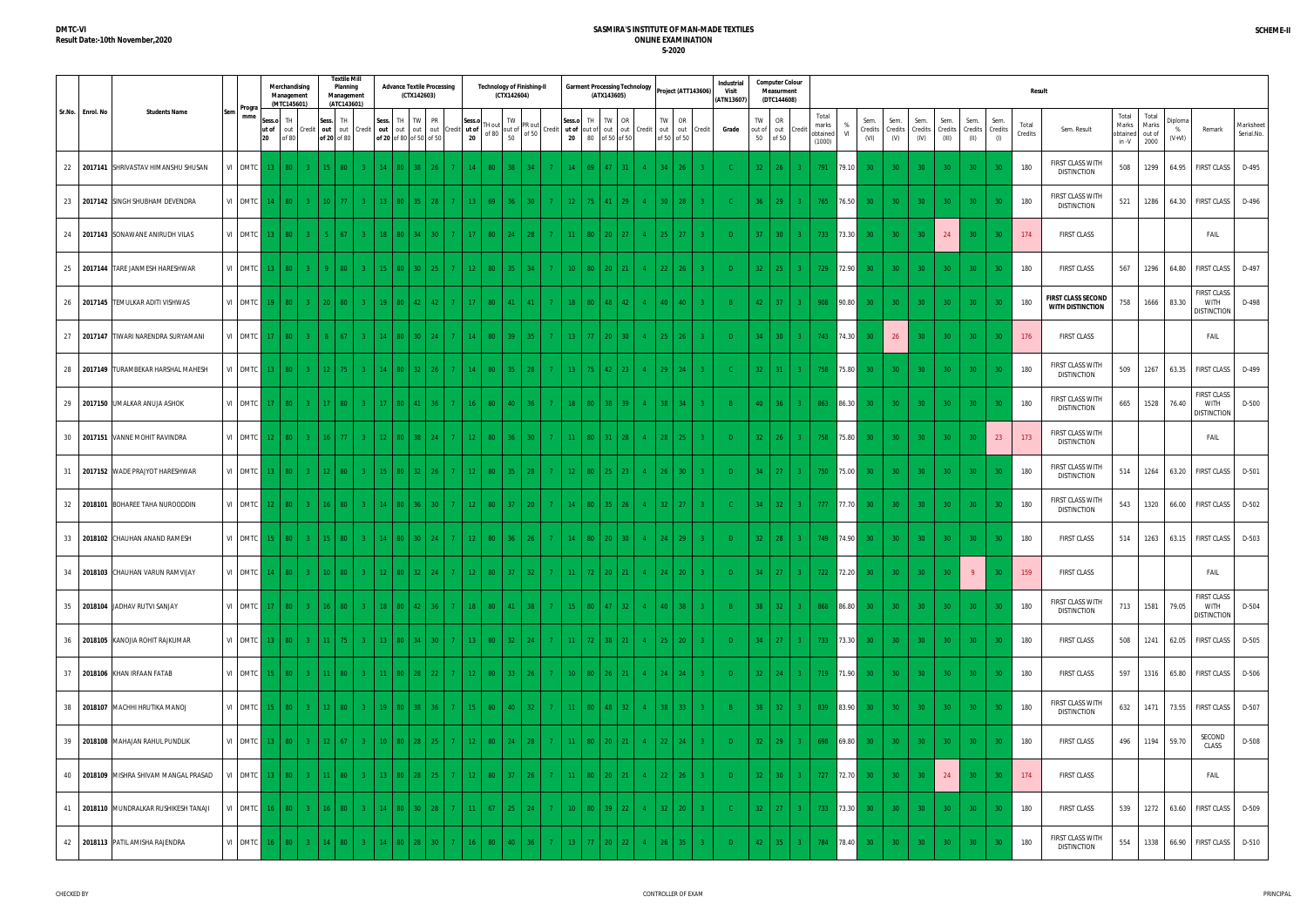|                     |                                            |               |    | Merchandising<br>Management<br>(MTC145601) |                |                 |                          | <b>Textile Mill</b><br>Planning<br>Management<br>(ATC143601) |              | (CTX142603)       | <b>Advance Textile Processing</b>          |                |                       |        | <b>Technology of Finishing-II</b><br>(CTX142604)                                                    |                |                                         |                 | (ATX143605)         | <b>Garment Processing Technology</b> |                |                                  | Project (ATT143606) | <b>Industrial</b><br>Visit<br>(ATN13607) |                    |                   | <b>Computer Colour</b><br><b>Measurment</b><br>(DTC144608) |                                      |           |                          |                        |                         |                 |                                 |                        |                  | <b>Result</b>                                        |                                     |                                  |                          |                                                         |                         |
|---------------------|--------------------------------------------|---------------|----|--------------------------------------------|----------------|-----------------|--------------------------|--------------------------------------------------------------|--------------|-------------------|--------------------------------------------|----------------|-----------------------|--------|-----------------------------------------------------------------------------------------------------|----------------|-----------------------------------------|-----------------|---------------------|--------------------------------------|----------------|----------------------------------|---------------------|------------------------------------------|--------------------|-------------------|------------------------------------------------------------|--------------------------------------|-----------|--------------------------|------------------------|-------------------------|-----------------|---------------------------------|------------------------|------------------|------------------------------------------------------|-------------------------------------|----------------------------------|--------------------------|---------------------------------------------------------|-------------------------|
| Sr.No.<br>Enrol. No | <b>Students Name</b>                       | Progra<br>mme | 20 | Sess.o<br>ut of<br>out<br>f(80)            |                | Sess.<br>redit  | <b>TH</b><br>of 20 of 80 | out out Credit                                               |              | Sess. TH TW PR    | out out out out<br>of 20 of 80 of 50 of 50 | redit          | Sess.o<br>ut of<br>20 | TH out | TW<br>PR out<br>of 80 $\begin{array}{c c}\n\end{array}$ of 50 $\begin{array}{c}\n\end{array}$ of 50 |                | Sess.o<br>Credit ut of out of out<br>20 | TH.<br>80       | TW I<br>of 50 of 50 | OR<br>out Credit                     |                | OR<br>TW I<br>out<br>of 50 of 50 | out Credit          | Grade                                    | TW<br>out of<br>50 |                   | OR<br>out<br>Credit<br>of 50                               | Total<br>marks<br>obtained<br>(1000) | %<br>VI   | Sem.<br>Credits<br>(VI)  | Sem.<br>Credits<br>(V) | Sem.<br>Credits<br>(IV) | Sem.<br>(III)   | Sem.<br>Credits Credits<br>(II) | Sem.<br>Credits<br>(1) | Total<br>Credits | Sem. Result                                          | Total<br>Marks<br>obtained<br>in -V | Total<br>Marks<br>out of<br>2000 | Diploma<br>%<br>$(V+VI)$ | Remark                                                  | Marksheet<br>Serial.No. |
|                     | 22 2017141 SHRIVASTAV HIMANSHU SHUSAN      | VI DMTC       |    | $13-1$<br>80 -                             | $\mathbf{3}$   | 15              |                          |                                                              | $14 \mid 80$ |                   |                                            |                |                       | 80     | 38                                                                                                  | $\overline{7}$ |                                         | 69.             |                     |                                      |                |                                  |                     |                                          | 32                 |                   | 26                                                         | 791                                  |           | 79.10<br>30 <sup>°</sup> | 30 <sup>2</sup>        | 30                      | 30 <sup>°</sup> | 30 <sup>°</sup>                 |                        | 180              | FIRST CLASS WITH<br><b>DISTINCTION</b>               | 508                                 | 1299                             | 64.95                    | <b>FIRST CLASS</b>                                      | D-495                   |
| 23                  | 2017142 SINGH SHUBHAM DEVENDRA             | VI DMTC       |    | $14-1$<br>80                               | $\mathbf{3}$   |                 | $10-1$                   |                                                              |              |                   | $13 \ 80 \ 35 \ 28$                        | 7 <sup>1</sup> | 13                    | 69     | 36<br>30 <sup>2</sup>                                                                               | 7 <sup>1</sup> | $12 -$                                  | $75 -$          | 41                  | -29.                                 |                | 28<br>$30-1$                     |                     |                                          | 36 <sup>1</sup>    |                   | 29<br>3 <sup>2</sup>                                       | 765                                  | 76.50     | 30 <sup>°</sup>          | 30 <sup>°</sup>        | 30 <sup>°</sup>         | 30 <sup>°</sup> | 30 <sup>°</sup>                 |                        | 180              | FIRST CLASS WITH<br><b>DISTINCTION</b>               | 521                                 | 1286                             | 64.30                    | FIRST CLASS                                             | D-496                   |
|                     | 24 2017143 SONAWANE ANIRUDH VILAS          | VI DMTC       |    |                                            |                |                 |                          |                                                              |              |                   |                                            |                |                       | 80     | 24<br>28                                                                                            | 7 <sup>7</sup> |                                         | 80              | $20 -$              |                                      |                | $25 -$<br>-27                    |                     | $\Box$                                   | $37-1$             |                   | 30 <sup>°</sup>                                            | 733                                  | 73.30     | 30                       | <b>30</b>              |                         | 24              |                                 | 30                     | 174              | <b>FIRST CLASS</b>                                   |                                     |                                  |                          | FAIL                                                    |                         |
| 25                  | 2017144 TARE JANMESH HARESHWAR             | VI DMTC       |    |                                            |                |                 |                          |                                                              |              |                   |                                            |                | 12 <sup>°</sup>       | 80     | 35 <sub>1</sub>                                                                                     | 7 <sup>7</sup> | $10-10$                                 | 80              | $20-1$              |                                      |                | $22 -$<br>26                     |                     | D                                        | $32-1$             |                   | 25<br>$3 -$                                                |                                      | 729 72.90 | 30 <sub>1</sub>          | 30 <sup>°</sup>        | 30                      | 30 <sup>°</sup> | 30                              |                        | 180              | <b>FIRST CLASS</b>                                   | 567                                 | 1296                             | 64.80                    | <b>FIRST CLASS</b>                                      | D-497                   |
|                     | 26   2017145   TEMULKAR ADITI VISHWAS      | VI DMTC       |    | 80 l                                       | 3 <sup>°</sup> |                 | $20 \mid 80$             |                                                              |              | $19$   80   42    | $42-1$                                     | 7 <sup>1</sup> | 17                    | 80     | 41<br>41                                                                                            | 7 <sup>1</sup> | $-18$                                   | 80              | 48 <sup>1</sup>     | 42                                   |                | 40<br>40                         |                     |                                          | $42-1$             |                   | 37 <sup>°</sup><br>$3 -$                                   |                                      | 908 90.80 | 30 <sup>°</sup>          | 30 <sup>°</sup>        | 30                      | 30 <sup>°</sup> | 30 <sup>°</sup>                 |                        | 180              | <b>FIRST CLASS SECOND</b><br><b>WITH DISTINCTION</b> | 758                                 | 1666                             | 83.30                    | <b>FIRST CLASS</b><br><b>WITH</b><br><b>DISTINCTION</b> | D-498                   |
| 27                  | 2017147 TIWARI NARENDRA SURYAMAN           | VI DMTC       |    | 80                                         | $\mathbf{3}$   | -8              | $\sqrt{67}$              |                                                              |              | 14   80   30   24 |                                            |                | 14                    | 80     | 39<br>35 <sup>2</sup>                                                                               | 7 <sup>1</sup> | $13 -$                                  | 77 <sup>2</sup> | 20 <sup>1</sup>     | 30 <sup>°</sup>                      |                | $25 \mid 26 \mid$                |                     | $\Box$                                   |                    | 34                | 30<br>$3-1$                                                | 743                                  | 74.30     |                          | 26                     | 30                      | 30 <sup>°</sup> | 30                              | 30                     | 176              | <b>FIRST CLASS</b>                                   |                                     |                                  |                          | FAIL                                                    |                         |
|                     | 28 2017149 TURAMBEKAR HARSHAL MAHESH       | VI DMTC       |    | 13   80                                    | $\overline{3}$ |                 | $12$ 75 $\pm$            |                                                              |              |                   | $14$ 80 32 $26$                            | $7 -$          | $14$ 80 35            |        | $-28$                                                                                               | 7 <sup>1</sup> | 13                                      | 75              | $42 \mid 23 \mid$   |                                      |                | $29 \mid 24$                     |                     |                                          |                    | $32 \mid 31 \mid$ | $-3$                                                       |                                      | 758 75.80 | 30 <sup>°</sup>          | 30 <sup>2</sup>        | 30 <sup>°</sup>         | 30 <sup>°</sup> | 30 <sup>°</sup>                 | 30                     | 180              | FIRST CLASS WITH<br><b>DISTINCTION</b>               | 509                                 | 1267                             |                          | 63.35 FIRST CLASS                                       | D-499                   |
|                     | 29 2017150 UMALKAR ANUJA ASHOK             | VI DMTC       |    | $17$   80                                  | $\mathbf{3}$   |                 | $17 \mid 80$             |                                                              |              | 17   80   41      | 36 <sup>2</sup>                            | $7 -$          | $16$ 80               |        | 40<br>36 <sup>2</sup>                                                                               | 7 <sup>1</sup> | $-18$                                   | 80              | $38-1$              | 39 ·                                 |                | $38-1$<br>$-34$                  |                     |                                          | $40-1$             |                   | 36<br>$3 -$                                                | 863                                  | 86.30     | 30 <sup>°</sup>          | 30 <sup>2</sup>        | 30 <sup>°</sup>         | 30 <sup>°</sup> | 30 <sup>°</sup>                 | 30                     | 180              | FIRST CLASS WITH<br><b>DISTINCTION</b>               | 665                                 | 1528                             | 76.40                    | <b>FIRST CLASS</b><br><b>WITH</b><br>distinction        | D-500                   |
| 30                  | 2017151 VANNE MOHIT RAVINDRA               | VI DMTC       |    | $12$   80                                  | $\mathbf{3}$   |                 | 16 <sup>1</sup>          |                                                              |              |                   | $12 \times 80 \times 38 \times 24$         | 7 <sup>1</sup> | 12 <sup>°</sup>       | 80     | 36<br>30 <sup>2</sup>                                                                               | 7 <sup>1</sup> | 11 <sup>2</sup>                         | 80              | 31 <sup>2</sup>     |                                      |                | 28<br>25                         |                     | D                                        | 32                 |                   | 26<br>$3 -$                                                | 758                                  | 75.80     | 30 <sup>°</sup>          | 30 <sup>°</sup>        | 30 <sup>°</sup>         | 30              |                                 | 23                     | 173              | FIRST CLASS WITH<br><b>DISTINCTION</b>               |                                     |                                  |                          | FAIL                                                    |                         |
| 31                  | 2017152 WADE PRAJYOT HARESHWAR             | VI DMTC       |    | 80 -                                       | -3.            | 12 <sup>°</sup> |                          |                                                              |              |                   |                                            |                |                       | 80     | 35<br>-28                                                                                           | 7 <sup>1</sup> | $12-12$                                 | 80              | $25 -$              |                                      |                | 30 <sup>°</sup>                  |                     |                                          | 34                 |                   | 27<br>$3 -$                                                | 750                                  | 75.00     | 30                       | 30 <sup>°</sup>        | 30 <sup>°</sup>         | 30 <sup>°</sup> |                                 |                        | 180              | FIRST CLASS WITH<br><b>DISTINCTION</b>               | 514                                 | 1264                             |                          | 63.20 FIRST CLASS                                       | D-501                   |
| 32                  | 2018101 BOHAREE TAHA NUROODDIN             | VI DMTC       |    |                                            |                |                 |                          |                                                              |              |                   | ר 30                                       |                |                       | 80     | 37<br>$20-1$                                                                                        | 7 <sup>1</sup> |                                         | 80              |                     |                                      |                | 27<br>32.                        |                     |                                          | 34                 |                   | 32<br>$3 -$                                                | 777                                  | 77.70     | 30 <sup>°</sup>          | 30 <sup>°</sup>        | 30 <sub>1</sub>         | 30 <sup>°</sup> | 30                              |                        | 180              | FIRST CLASS WITH<br><b>DISTINCTION</b>               | 543                                 | 1320                             | 66.00                    | <b>FIRST CLASS</b>                                      | D-502                   |
|                     | 33 2018102 CHAUHAN ANAND RAMESH            | VI DMTC       |    | $15 \t 80$                                 |                | 3 <sup>2</sup>  | $15 \mid 80$             |                                                              |              | 14   80   30      |                                            |                | 12                    | 80     | 36                                                                                                  | 7 <sup>1</sup> | 14                                      | 80              | 20 <sup>2</sup>     | 30.                                  |                | 29<br>24.                        |                     | $\mathsf{D}$                             | $32 \mid$          |                   | 28<br>$-3$                                                 |                                      | 749 74.90 | 30 <sup>°</sup>          | 30 <sup>°</sup>        | 30                      | 30 <sup>°</sup> | 30 <sup>°</sup>                 |                        | 180              | <b>FIRST CLASS</b>                                   | 514                                 | 1263                             |                          | 63.15 FIRST CLASS                                       | D-503                   |
|                     | 34 2018103 CHAUHAN VARUN RAMVIJAY          | VI DMTC       |    | 14<br>$80-1$                               |                | $3 -$           | $10$ 80                  |                                                              |              |                   | 12   80   32   24                          | $7-1$          | 12 80 37              |        | $-32$                                                                                               | 7 <sup>1</sup> |                                         | $72-1$          | $20 \mid 21$        |                                      |                | 24 20                            |                     |                                          |                    |                   | $34$ 27 3                                                  |                                      | 722 72.20 | 30 <sup>°</sup>          | 30 <sub>1</sub>        | 30 <sub>1</sub>         | 30 <sup>°</sup> | 9 <sup>°</sup>                  |                        | 159              | <b>FIRST CLASS</b>                                   |                                     |                                  |                          | FAIL                                                    |                         |
|                     | 35 2018104 JADHAV RUTVI SANJAY             | VI DMTC       |    | 17   80                                    |                | 3 <sup>2</sup>  | $16$ 80 $\parallel$      | $3 -$                                                        |              |                   | 18   80   42   36                          |                | 7 18 80 41            |        | $\overline{\phantom{0}}$ 38                                                                         | 7 <sup>1</sup> | $-15$                                   |                 |                     | 80 47 32 4                           |                | $ 40 $ 38                        | $\bullet$           |                                          |                    |                   | $38$ 32 31                                                 |                                      | 868 86.80 | 30 <sup>°</sup>          | 30 <sup>°</sup>        | 30 <sup>°</sup>         | 30 <sup>°</sup> | 30 <sup>°</sup>                 | 30                     | 180              | FIRST CLASS WITH<br><b>DISTINCTION</b>               | 713                                 | 1581                             | 79.05                    | <b>FIRST CLASS</b><br><b>WITH</b><br><b>DISTINCTION</b> | D-504                   |
|                     | 36 2018105 KANOJIA ROHIT RAJKUMAR          | VI DMTC       |    | 13   80                                    |                | 3 <sup>2</sup>  | $11$ 75 $\pm$            | $3 -$                                                        |              |                   | 13   80   34   30                          |                |                       |        | 7   13   80   32   24                                                                               | 7 <sup>1</sup> | $-11$                                   |                 |                     | $72$ 38 21 4 25 20                   |                |                                  | $-3$                | D                                        |                    |                   | $34$ 27 3                                                  |                                      | 733 73.30 | 30 <sup>°</sup>          | 30 <sup>2</sup>        | 30 <sup>°</sup>         | 30 <sup>°</sup> | 30 <sup>°</sup>                 | 30                     | 180              | <b>FIRST CLASS</b>                                   | 508                                 | 1241                             |                          | 62.05 FIRST CLASS                                       | D-505                   |
|                     | 37 2018106 KHAN IRFAAN FATAB               | VI DMTC       |    | 15   80                                    |                | 3 <sup>2</sup>  | $11$ 80                  |                                                              |              |                   | $11 \mid 80 \mid 28 \mid 22 \mid$          | $7-1$          | $12$ 80 33            |        | $\vert 26 \vert$                                                                                    | 7 <sup>1</sup> | $-10$                                   | 80              | $26$   21           |                                      |                | $4 \mid 24 \mid 24 \mid$         | $-3$                | D                                        |                    | $32 \mid 24 \mid$ | $3-1$                                                      |                                      | 719 71.90 | 30 <sup>°</sup>          | 30 <sup>°</sup>        | 30 <sup>°</sup>         | 30 <sup>°</sup> | 30 <sup>°</sup>                 | 30                     | 180              | <b>FIRST CLASS</b>                                   | 597                                 | 1316                             | 65.80                    | FIRST CLASS                                             | D-506                   |
|                     | 38 2018107 MACHHI HRUTIKA MANOJ            | VI DMTC       |    | $15$   80                                  | $\mathbf{3}$   |                 | $12$   80                |                                                              |              |                   | 19   80   38   36                          | $7-1$          | 15 80 40              |        | $-32$                                                                                               | 7 <sup>1</sup> | $-11$                                   | 80              | $48$ 32             |                                      | $4 -$          | $38$   $33$                      | $-3$                |                                          |                    | $38$ 32           | $-3$                                                       |                                      | 839 83.90 | 30 <sup>°</sup>          | 30 <sup>°</sup>        | 30                      | 30 <sup>°</sup> | 30 <sup>°</sup>                 | 30 <sup>°</sup>        | 180              | FIRST CLASS WITH<br><b>DISTINCTION</b>               | 632                                 | 1471                             |                          | 73.55 FIRST CLASS                                       | D-507                   |
|                     | 39 2018108 MAHAJAN RAHUL PUNDLIK           | VI DMTC       |    | 13   80                                    | $\mathbf{3}$   |                 | $12 \mid 67$             |                                                              |              |                   | $10 \mid 80 \mid 28 \mid 25$               | $7 -$          | $12$ 80               |        | 24<br>$-28$                                                                                         | 7 <sup>1</sup> | 11 <sup>2</sup>                         | 80              | $20 \mid 21$        |                                      |                | $22 \mid 24 \mid$                |                     | D.                                       |                    | $32 \mid 29$      | 3 <sup>2</sup>                                             |                                      | 698 69.80 | 30 <sup>°</sup>          | 30 <sup>°</sup>        | 30 <sup>°</sup>         | 30 <sup>°</sup> | 30 <sup>°</sup>                 | 30                     | 180              | <b>FIRST CLASS</b>                                   | 496                                 |                                  | 1194 59.70               | SECOND<br>CLASS                                         | D-508                   |
|                     | 40 2018109 MISHRA SHIVAM MANGAL PRASAD     | VI DMTC       |    | $80-1$                                     | $\mathbf{3}$   |                 | $11 \quad 80$            |                                                              |              |                   | 13 80 28 25                                | 7 <sup>1</sup> | $12$ 80               |        | 37<br>26                                                                                            | 7 <sup>1</sup> | $11 -$                                  | 80              | $20 \mid 21$        |                                      |                | $22 \mid 26 \mid$                |                     | D                                        |                    | $32-1$            | $30-1$<br>$3 -$                                            |                                      | 727 72.70 | 30 <sup>°</sup>          | 30 <sup>°</sup>        |                         | 24              | 30 <sup>°</sup>                 | 30                     | 174              | <b>FIRST CLASS</b>                                   |                                     |                                  |                          | FAIL                                                    |                         |
|                     | 41   2018110   MUNDRALKAR RUSHIKESH TANAJI | VI DMTC       |    | $16-1$<br>80                               |                | 3 <sup>2</sup>  | $16$ 80                  | $3 -$                                                        |              |                   | 14   80   30   28                          | $7-1$          | $11$ 67               |        | 25<br>24                                                                                            | 7 <sup>7</sup> | $10-1$                                  |                 | 80 39 22            |                                      | 4 <sup>1</sup> | $32 \mid 20 \mid$                |                     | -C.                                      |                    |                   | $32 \mid 27 \mid 3 \mid$                                   |                                      | 733 73.30 | 30 <sup>°</sup>          | 30 <sup>2</sup>        | 30 <sup>°</sup>         | 30 <sup>°</sup> | 30 <sup>°</sup>                 | 30                     | 180              | <b>FIRST CLASS</b>                                   | 539                                 | 1272                             |                          | 63.60 FIRST CLASS                                       | D-509                   |
|                     | 42 2018113 PATIL AMISHA RAJENDRA           | VI DMTC       |    | $16$   80                                  | 3 <sup>°</sup> |                 | $14$ 80                  | $3 -$                                                        |              |                   | 14 80 28 30                                | 7 <sup>1</sup> | $\vert$ 80<br>16      |        | 40<br>36 <sup>2</sup>                                                                               | 7 <sup>1</sup> | $13-1$                                  | $77-1$          | $20 \mid 22 \mid$   |                                      | $4 -$          | $26$ 35                          | 3 <sup>2</sup>      | $\Box$                                   |                    | 42                | $35 \mid 3 \mid$                                           | 784                                  | 78.40     | 30 <sup>°</sup>          | 30 <sub>1</sub>        | 30                      | 30 <sup>°</sup> | 30                              | -30                    | 180              | FIRST CLASS WITH<br><b>DISTINCTION</b>               | 554                                 | 1338                             |                          | 66.90 FIRST CLASS                                       | D-510                   |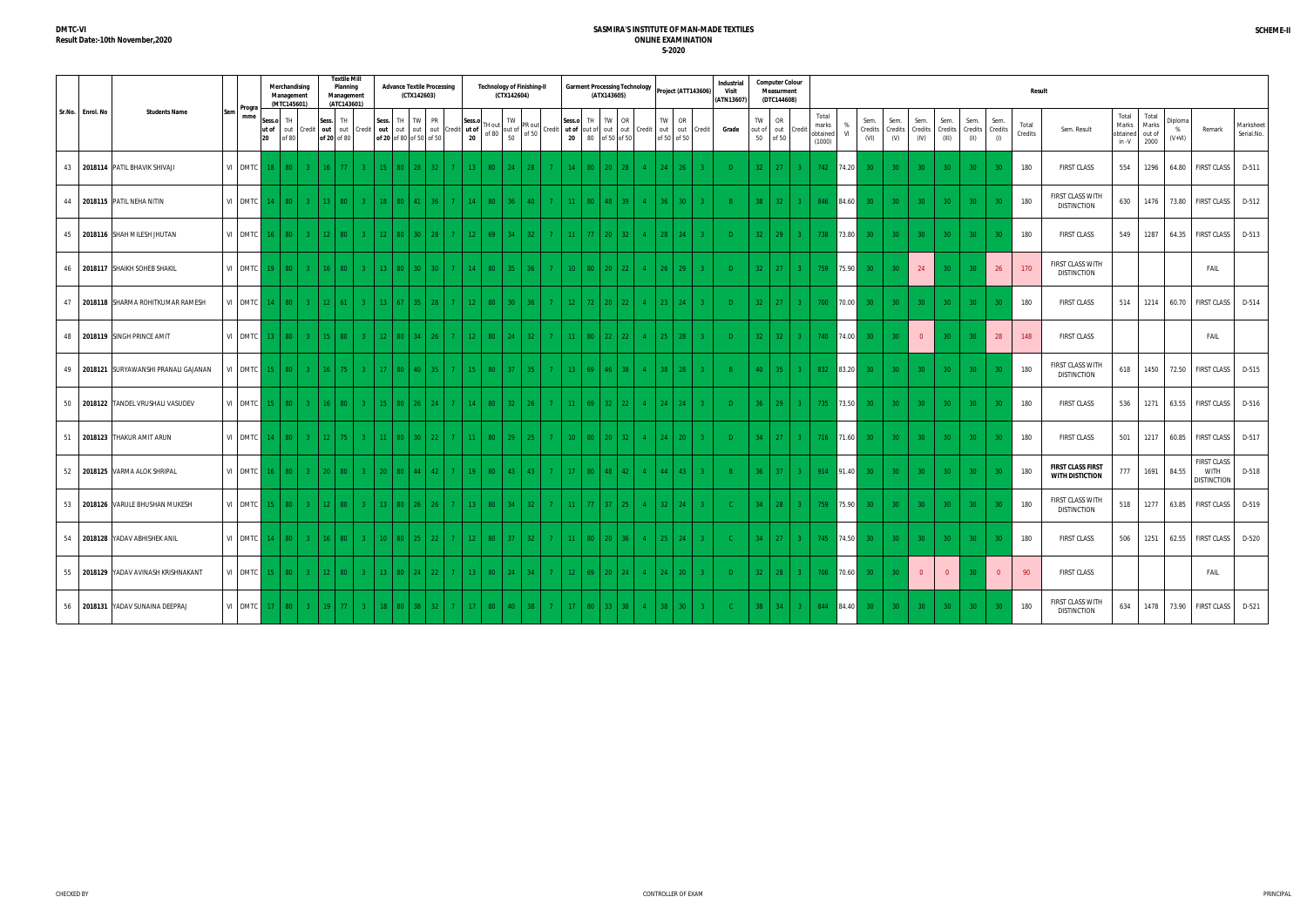|                  |                                            |                   |              | Merchandising<br>Management<br>(MTC145601) |                |        | <b>Textile Mill</b><br>Planning<br>Management<br>(ATC143601) |                |                   | <b>Advance Textile Processing</b><br>(CTX142603)                    |              |                |                 |                                                                          | <b>Technology of Finishing-II</b><br>(CTX142604) |                                   |                 |                 | (ATX143605)          | <b>Garment Processing Technology</b> |              |                                | Project (ATT143606)                        | Industrial<br>Visit<br>(ATN13607) |          | <b>Computer Colour</b><br>Measurment<br>(DTC144608) |                |                                      |                |                         |                        |                         |                          |                         |                        | Result           |                                             |                                            |                        |                     |                                           |                         |
|------------------|--------------------------------------------|-------------------|--------------|--------------------------------------------|----------------|--------|--------------------------------------------------------------|----------------|-------------------|---------------------------------------------------------------------|--------------|----------------|-----------------|--------------------------------------------------------------------------|--------------------------------------------------|-----------------------------------|-----------------|-----------------|----------------------|--------------------------------------|--------------|--------------------------------|--------------------------------------------|-----------------------------------|----------|-----------------------------------------------------|----------------|--------------------------------------|----------------|-------------------------|------------------------|-------------------------|--------------------------|-------------------------|------------------------|------------------|---------------------------------------------|--------------------------------------------|------------------------|---------------------|-------------------------------------------|-------------------------|
| Sr.No. Enrol. No | <b>Students Name</b>                       | Progra<br>mme     | Sess.o<br>20 | <b>TH</b><br>ut of out<br>of 80            |                |        | Sess. TH<br>Credit out out Credit<br>of 20 of 80             |                | Sess.             | TH TW PR<br>out out out out Credit ut of<br>of 20 of 80 of 50 of 50 |              |                | Sess.c<br>20    | $\begin{bmatrix} \nH \text{ out} \\ \text{ of } 80 \\ 50\n\end{bmatrix}$ | TW<br>PR out<br>of 50                            | Credit                            | Sess.o<br>20    | TH<br>80        | TW OR<br>of 50 of 50 |                                      |              | <b>TW</b><br>OR<br>of 50 of 50 | ut of out of out out Credit out out Credit | Grade                             | TW<br>50 | OR<br>out of out<br>of 50                           | Credit         | Total<br>marks<br>obtained<br>(1000) | V <sub>l</sub> | Sem.<br>Credits<br>(VI) | Sem.<br>Credits<br>(V) | Sem.<br>Credits<br>(IV) | Sem.<br>Credits<br>(III) | Sem.<br>Credits<br>(II) | Sem.<br>Credits<br>(1) | Total<br>Credits | Sem. Result                                 | Total<br>Marks<br>obtained out of<br>in -V | Total<br>Marks<br>2000 | Diploma<br>$(V+VI)$ | Remark                                    | Marksheet<br>Serial.No. |
|                  | 43 2018114 PATIL BHAVIK SHIVAJI            | VI DMTC           |              | 80 I                                       | $\mathbf{3}$   | $16-1$ |                                                              |                | $15 \mid 80$      |                                                                     | 32.          |                |                 | 80                                                                       | 24                                               | 7 <sup>7</sup>                    | 14              | 80              | 20 <sup>2</sup>      |                                      |              |                                |                                            | $\Box$                            | 32       | 27                                                  |                | 742                                  | 74.20          | 30 <sup>°</sup>         | 30 <sup>2</sup>        | 30                      | 30 <sup>°</sup>          | 30 <sup>°</sup>         | 30                     | 180              | <b>FIRST CLASS</b>                          | 554                                        | 1296                   | 64.80               | <b>FIRST CLASS</b>                        | D-511                   |
|                  | 44 2018115 PATIL NEHA NITIN                | VI DMTC           |              | 80 I                                       | $-3$           |        | $13 \ 80$                                                    |                | 18   80           |                                                                     | 36.          |                |                 | 80                                                                       | 36<br>$40-1$                                     | 7 <sup>7</sup>                    | 11              | 80              | 48 39                |                                      |              | $36 \mid 30$                   |                                            |                                   |          | $38$ 32                                             | $-3$           | 846                                  | 84.60          | 30 <sup>°</sup>         | 30 <sup>°</sup>        | 30                      | 30 <sup>°</sup>          | 30 <sup>°</sup>         | 30                     | 180              | FIRST CLASS WITH<br><b>DISTINCTION</b>      | 630                                        | 1476                   | 73.80               | FIRST CLASS                               | D-512                   |
|                  | 45 2018116 SHAH MILESH JHUTAN              | VI DMTC           |              | 80 l                                       | $\mathcal{R}$  |        | $12 \mid 80$                                                 |                | $12 \times 80$    |                                                                     | $30 \mid 28$ | 7 <sup>1</sup> | 12 <sup>°</sup> | 69                                                                       | 34<br>32 <sub>1</sub>                            | 7 <sup>7</sup>                    | 11 <sup>2</sup> | 77 <sup>°</sup> | 20 <sup>°</sup>      | 32 <sub>1</sub>                      |              | $28-1$<br>24                   |                                            | D                                 | $32-1$   | 29                                                  | $3 -$          | 738                                  | 73.80          | 30 <sup>°</sup>         | 30 <sup>°</sup>        | 30 <sup>°</sup>         | 30 <sup>°</sup>          | 30 <sup>°</sup>         | -30                    | 180              | <b>FIRST CLASS</b>                          | 549                                        | 1287                   | 64.35               | <b>FIRST CLASS</b>                        | D-513                   |
|                  | 46 2018117 SHAIKH SOHEB SHAKIL             | VI DMTC           | 19 I         | 80 I                                       | $-3$           |        | $16 \mid 80 \mid$                                            |                |                   | 13   80   30   30                                                   |              | 7 <sup>1</sup> | 14              | 80                                                                       | 35<br>36 <sup>2</sup>                            | 7 <sup>1</sup>                    | $10-1$          | 80              | $20 \mid 22 \mid$    |                                      | $4 -$        | $26 \mid 29$                   |                                            | $\Box$                            |          | $32 \mid 27$                                        | $3 -$          | 759                                  | 75.90          | 30 <sup>°</sup>         | 30 <sup>2</sup>        | 24                      | 30 <sup>°</sup>          |                         | 26                     | 170              | FIRST CLASS WITH<br><b>DISTINCTION</b>      |                                            |                        |                     | FAIL                                      |                         |
|                  | 47 2018118 SHARMA ROHITKUMAR RAMESH        | VI DMTC           |              | 80 l                                       | $\overline{3}$ |        | $12 \mid 61$                                                 |                | $13 \mid 67 \mid$ | 35 <sub>1</sub>                                                     | 28 l         | 7 <sup>1</sup> | 12 <sup>7</sup> | 80                                                                       | 30<br>36 <sub>1</sub>                            | 7 <sup>1</sup>                    | $12-1$          | $72-1$          | $20 \mid 22$         |                                      | $\Lambda$    | $23-1$<br>$-24$                |                                            | D                                 | $32-1$   | 27                                                  | $3 -$          | 700                                  | 70.00          | 30 <sup>°</sup>         | $30-1$                 | 30                      | 30                       | 30 <sup>°</sup>         | 30                     | 180              | <b>FIRST CLASS</b>                          | 514                                        | 1214                   | 60.70               | <b>FIRST CLASS</b>                        | D-514                   |
|                  | 48 2018119 SINGH PRINCE AMIT               | VI DMTC           |              | 80 l                                       | $\mathcal{R}$  |        | $15 \mid 80$                                                 |                | $12$ 80           | 34                                                                  | 26.          | 7 <sup>7</sup> | 12              | 80                                                                       | 24                                               | 7 <sup>1</sup><br>$32 -$          | $11 -$          | 80              | 22                   |                                      |              | 25 <sup>2</sup><br>28          |                                            | D                                 | 32       | 32                                                  | $3 -$          | 740                                  | 74.00          | 30 <sub>1</sub>         |                        | $\overline{0}$          | 30 <sup>°</sup>          |                         | 28                     | 148              | <b>FIRST CLASS</b>                          |                                            |                        |                     | FAIL                                      |                         |
|                  | 49   2018121   SURYAWANSHI PRANALI GAJANAN | VI DMTC           |              | 80 <sup>1</sup>                            | 3 <sup>°</sup> |        | $16$   75                                                    |                |                   | 17 80 40 35                                                         |              | $7 -$          | $15$ 80         |                                                                          | 37 <sup>°</sup><br>$-35$                         | 7 <sup>1</sup>                    | $13-1$          | 69              | $46$ 38              |                                      | $4 -$        | $38 \mid 28$                   |                                            | $\overline{B}$                    |          | $40 \mid 35 \mid$                                   | $-3$           | 832                                  | 83.20          | 30 <sup>°</sup>         | $30-1$                 | 30 <sup>°</sup>         | 30 <sup>°</sup>          | 30                      | 30                     | 180              | FIRST CLASS WITH<br><b>DISTINCTION</b>      | 618                                        | 1450                   | 72.50               | <b>FIRST CLASS</b>                        | D-515                   |
|                  | 50 2018122 TANDEL VRUSHALI VASUDEV         | VI DMTC           |              | RO.                                        | $\mathbf{3}$   |        | $16 \mid 80$                                                 |                | 15.               |                                                                     | $24-1$       | 7 <sup>7</sup> | 14              | 80                                                                       | 32 <sup>°</sup><br>-26.                          | 7 <sup>7</sup>                    | 11 <sup>2</sup> | 69              | 32 <sup>2</sup>      | -22.                                 |              | 24 <sup>2</sup><br>24          |                                            | $\Box$                            | 36       | 29                                                  | $3 -$          | 735                                  | 73.50          | 30 <sup>°</sup>         | $30-1$                 | 30 <sup>°</sup>         | 30 <sup>°</sup>          | 30 <sup>°</sup>         | 30                     | 180              | <b>FIRST CLASS</b>                          | 536                                        | 1271                   | 63.55               | FIRST CLASS                               | D-516                   |
|                  | 51 2018123 THAKUR AMIT ARUN                | VI DMTC           | 14 I         | 80 l                                       | $\mathbf{3}$   |        | $12 \mid 75$                                                 |                |                   | $11 \ 80 \ 30 \ 1$                                                  | 22           | 7 <sup>7</sup> | 11              | 80                                                                       | 29                                               | 7 <sup>1</sup><br>$25 -$          | $10-1$          | 80              | $20-1$               | 32                                   | $\mathbf{A}$ | 24<br>-20                      | $3 -$                                      | D                                 | 34       | 27                                                  | $3 -$          | 716                                  | 71.60          | 30 <sup>°</sup>         | 30 <sup>°</sup>        | 30 <sup>°</sup>         | 30 <sup>°</sup>          | 30 <sup>°</sup>         | 30                     | 180              | <b>FIRST CLASS</b>                          | 501                                        | 1217                   | 60.85               | <b>FIRST CLASS</b>                        | D-517                   |
|                  | 52 2018125 VARMA ALOK SHRIPAL              | VI DMTC           |              | 80 l                                       | 3 <sup>°</sup> |        | $20 \mid 80 \mid$                                            |                |                   | $20 \ 80 \ 44$                                                      | $42-1$       | $7-1$          | $19$ 80         |                                                                          | 43<br>$-43$                                      | 7 <sup>7</sup>                    | $17-1$          | 80              | $48 \mid 42$         |                                      | $4 -$        | $44 \mid 43$                   |                                            | R                                 | 36       | 37                                                  | 3 <sup>2</sup> |                                      | 914 91.40      | 30 <sup>°</sup>         | 30 <sup>2</sup>        | 30 <sup>°</sup>         | 30 <sup>°</sup>          | 30 <sup>°</sup>         |                        | 180              | FIRST CLASS FIRST<br><b>WITH DISTICTION</b> | 777                                        | 1691                   | 84.55               | FIRST CLASS<br><b>WITH</b><br>distinction | D-518                   |
|                  | 53 2018126 VARULE BHUSHAN MUKESH           | VI DMTC           |              | 80 I                                       | $\mathbf{3}$   |        | $12 \mid 80$                                                 |                | $13 \mid 80$      | -26 L                                                               | 26.          |                | -13             | 80                                                                       | 34                                               | 7 <sup>7</sup><br>32 <sub>1</sub> | 11 <sup>2</sup> | 77 <sup>2</sup> | 37                   |                                      |              | 24<br>32.                      |                                            |                                   | 34       | 28                                                  | $3 -$          | 759                                  | 75.90          | 30 <sup>°</sup>         | 30 <sup>°</sup>        | 30 <sup>°</sup>         | 30 <sup>°</sup>          | 30 <sup>°</sup>         |                        | 180              | FIRST CLASS WITH<br><b>DISTINCTION</b>      | 518                                        | 1277                   | 63.85               | <b>FIRST CLASS</b>                        | D-519                   |
|                  | 54 2018128 YADAV ABHISHEK ANIL             | VI DMTC           | $14-1$       | $80-1$                                     | 3 <sup>2</sup> |        | $16$   80                                                    | 3 <sup>1</sup> |                   | 10   80   25   22                                                   |              | $7-1$          |                 |                                                                          | 12 80 37 32                                      | 7 <sup>1</sup>                    | $-11$           | $80-1$          | $20 \mid 36$         |                                      | 4            | $25 \mid 24$                   | $3 -$                                      | - C -                             |          | $34 \mid 27 \mid$                                   | 3 <sup>2</sup> | 745                                  | 74.50          | 30 <sup>°</sup>         | 30 <sup>2</sup>        | 30 <sup>°</sup>         | 30 <sup>°</sup>          | 30 <sup>°</sup>         | 30 <sup>°</sup>        | 180              | <b>FIRST CLASS</b>                          | 506                                        | 1251                   | 62.55               | FIRST CLASS                               | D-520                   |
|                  | 55 2018129 YADAV AVINASH KRISHNAKANT       | <b>DMTC</b><br>VI |              | 80 l                                       | $\overline{3}$ |        | $12 \mid 80$                                                 |                |                   | $13 \ 80 \ 24$                                                      | 22           | 7 <sup>1</sup> | $13-1$          | 80                                                                       | 24                                               | 7 <sup>1</sup><br>34              | 12              | 69              | $20 \mid 24$         |                                      |              | 24<br>-20                      |                                            | D                                 | 32       | 28                                                  | $3 -$          | 706                                  | 70.60          | 30 <sup>°</sup>         | 30                     | $\overline{0}$          | $\overline{0}$           |                         | $\overline{0}$         | 90               | <b>FIRST CLASS</b>                          |                                            |                        |                     | FAIL                                      |                         |
|                  | 56 2018131 YADAV SUNAINA DEEPRAJ           | VI DMTC           |              | 17 I<br>80 l                               |                |        |                                                              |                | $18 \mid 80$      |                                                                     |              |                |                 | $80-1$                                                                   | 40                                               |                                   | 17 <sup>2</sup> | 80              |                      |                                      |              |                                |                                            |                                   | 38       | 34                                                  |                | 844                                  | 84.40          | 30 <sup>°</sup>         | 30 <sup>°</sup>        | 30 <sup>°</sup>         | 30 <sup>°</sup>          | 30                      |                        | 180              | FIRST CLASS WITH<br><b>DISTINCTION</b>      | 634                                        | 1478                   | 73.90               | <b>FIRST CLASS</b>                        | D-521                   |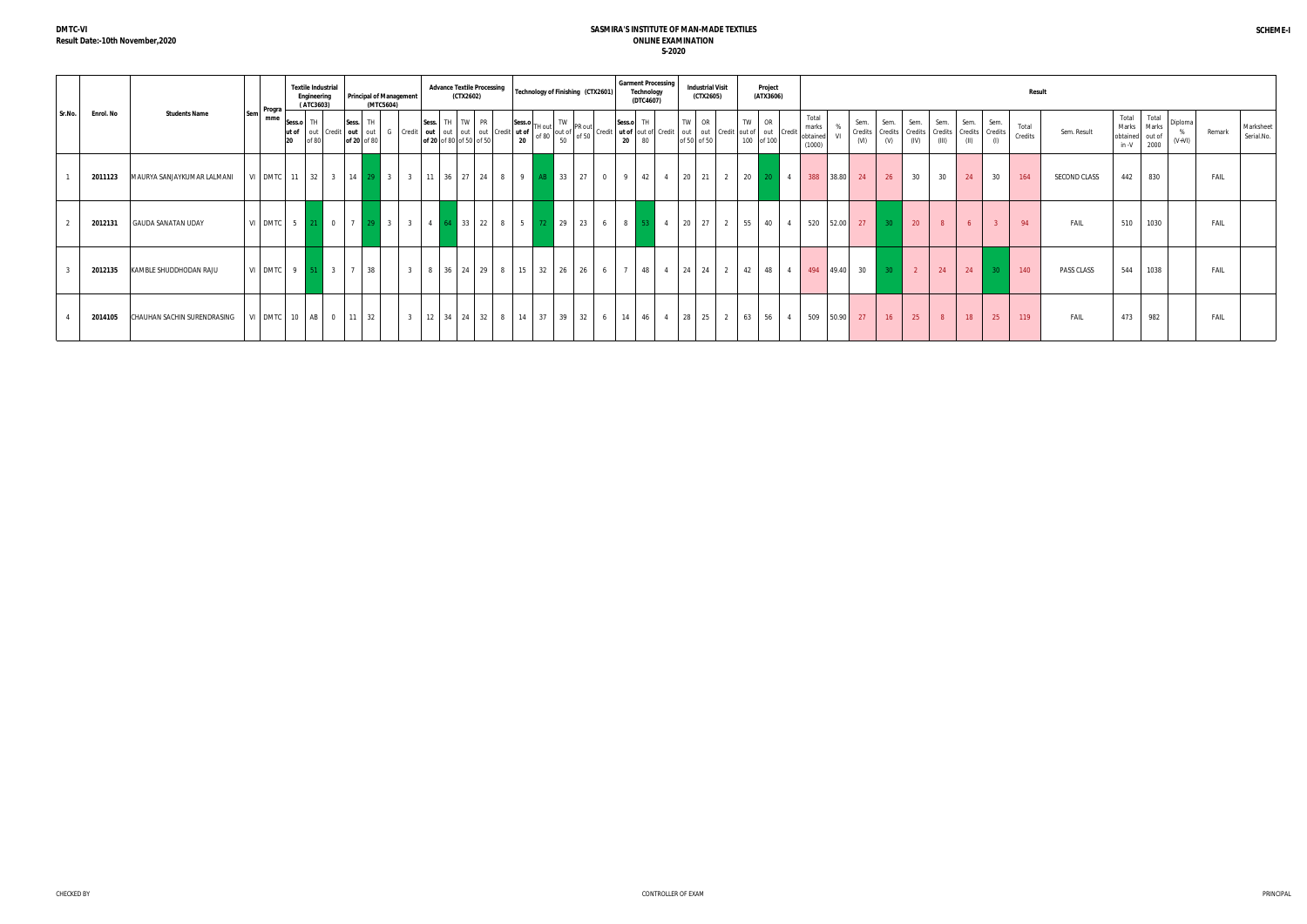|        |           |                             | Progra- | <b>Textile Industrial</b><br>Engineering<br>(ATC3603) |                                                                                                                                                                                                                                           | (MTC5604) | <b>Principal of Management</b> |  | (CTX2602)      |  |         | Advance Textile Processing   Technology of Finishing (CTX2601) |  |                         | <b>Garment Processing</b><br>Technology<br>(DTC4607) |  | <b>Industrial Visit</b><br>(CTX2605)                                                                                                                                                                                                                                                                                                                                                                                                     | Project<br>(ATX3606) |                                      |         |                         |                 |                                 |                            |                |                         |                 | Result             |                     |       |                                                                                                                                                                  |  |             |                         |
|--------|-----------|-----------------------------|---------|-------------------------------------------------------|-------------------------------------------------------------------------------------------------------------------------------------------------------------------------------------------------------------------------------------------|-----------|--------------------------------|--|----------------|--|---------|----------------------------------------------------------------|--|-------------------------|------------------------------------------------------|--|------------------------------------------------------------------------------------------------------------------------------------------------------------------------------------------------------------------------------------------------------------------------------------------------------------------------------------------------------------------------------------------------------------------------------------------|----------------------|--------------------------------------|---------|-------------------------|-----------------|---------------------------------|----------------------------|----------------|-------------------------|-----------------|--------------------|---------------------|-------|------------------------------------------------------------------------------------------------------------------------------------------------------------------|--|-------------|-------------------------|
| Sr.No. | Enrol. No | <b>Students Name</b>        | mme     | Sess.o TH                                             | Sess. TH<br>ut of out credit out out out out out out credit ut of definition out of the out of the original of 20 of 50 of 50 of 50 of 50 of 50 of 50 of 50 of 50 of 50 of 50 of 50 of 50 of 50 of 50 of 50 of 50 of 50 of 50 of 50 of 50 |           |                                |  | Sess. TH TW PR |  | Sess.o. | 50                                                             |  |                         | 20 80                                                |  | $\begin{bmatrix} \nabla H & \nabla H & \nabla W & \nabla H & \nabla H & \nabla H & \nabla H & \nabla H & \nabla H & \nabla H & \nabla H & \nabla H & \nabla H & \nabla H & \nabla H & \nabla H & \nabla H & \nabla H & \nabla H & \nabla H & \nabla H & \nabla H & \nabla H & \nabla H & \nabla H & \nabla H & \nabla H & \nabla H & \nabla H & \nabla H & \nabla H & \nabla H & \nabla H & \nabla H & \nabla H & \nabla$<br>of 50 of 50 | 100 of 100           | Total<br>marks<br>obtained<br>(1000) | %<br>VI | Sem.<br>Credits<br>(VI) | Sem.<br>(V)     | Sem.<br>Credits Credits<br>(IV) | Sem.<br>J Credits<br>(III) | Sem.<br>(II)   | Sem.<br>Credits Credits |                 | Total<br>Credits   | Sem. Result         | Total | Total<br>$\begin{array}{c c}\n\text{Total} & \text{total} \\ \text{Marks} & \text{Marks} \\ \text{obtained} & \text{out of} \\ \text{in -V} & 2000\n\end{array}$ |  | Remark      | Marksheet<br>Serial.No. |
|        | 2011123   | MAURYA SANJAYKUMAR LALMANI  |         |                                                       |                                                                                                                                                                                                                                           |           |                                |  |                |  |         | VI DMTC 11 32 3 14 29 3 3 11 36 27 24 8 9 AB 33 27             |  | $0 \mid 9 \mid 42 \mid$ |                                                      |  | 4 20 21 2 20 20 4                                                                                                                                                                                                                                                                                                                                                                                                                        |                      |                                      |         | 388 38.80 24            | 26              | 30                              | 30                         | 24             | 30                      |                 | 164                | <b>SECOND CLASS</b> | 442   | 830                                                                                                                                                              |  | FAIL        |                         |
|        | 2012131   | <b>GAUDA SANATAN UDAY</b>   |         |                                                       |                                                                                                                                                                                                                                           |           |                                |  |                |  |         |                                                                |  |                         |                                                      |  | VI DMTC 5 21 0 7 29 3 3 4 6 4 33 22 8 5 72 29 23 6 8 53 4 20 27 2 5 5 40 4                                                                                                                                                                                                                                                                                                                                                               |                      |                                      |         | 520 52.00 27            | 30 <sup>°</sup> | $-20$                           | 8 <sup>1</sup>             | 6 <sup>1</sup> |                         | $\overline{3}$  | 94                 | FAIL                | 510   | 1030                                                                                                                                                             |  | <b>FAIL</b> |                         |
|        | 2012135   | KAMBLE SHUDDHODAN RAJU      |         |                                                       | VI DMTC 9 51 3 7 38                                                                                                                                                                                                                       |           |                                |  |                |  |         | 3 8 36 24 29 8 15 32 26 26                                     |  | 6 7 48                  |                                                      |  | 4 24 24 2 42 48 4                                                                                                                                                                                                                                                                                                                                                                                                                        |                      |                                      |         | 494 49.40 30            | $-30$           | $\overline{2}$                  | 24                         | 24             |                         | 30 <sup>°</sup> | $\blacksquare$ 140 | PASS CLASS          | 544   | 1038                                                                                                                                                             |  | FAIL        |                         |
|        | 2014105   | CHAUHAN SACHIN SURENDRASING |         |                                                       | VI DMTC 10 AB 0 11 32                                                                                                                                                                                                                     |           |                                |  |                |  |         | 3   12   34   24   32   8   14   37   39   32   6   14   46    |  |                         |                                                      |  | 4 28 25 2 63 56 4                                                                                                                                                                                                                                                                                                                                                                                                                        |                      |                                      |         | 509 50.90 27            | 16              | 25                              | 8 <sup>1</sup>             | 18             |                         | 25              | 119                | FAIL                | 473   | 982                                                                                                                                                              |  | FAIL        |                         |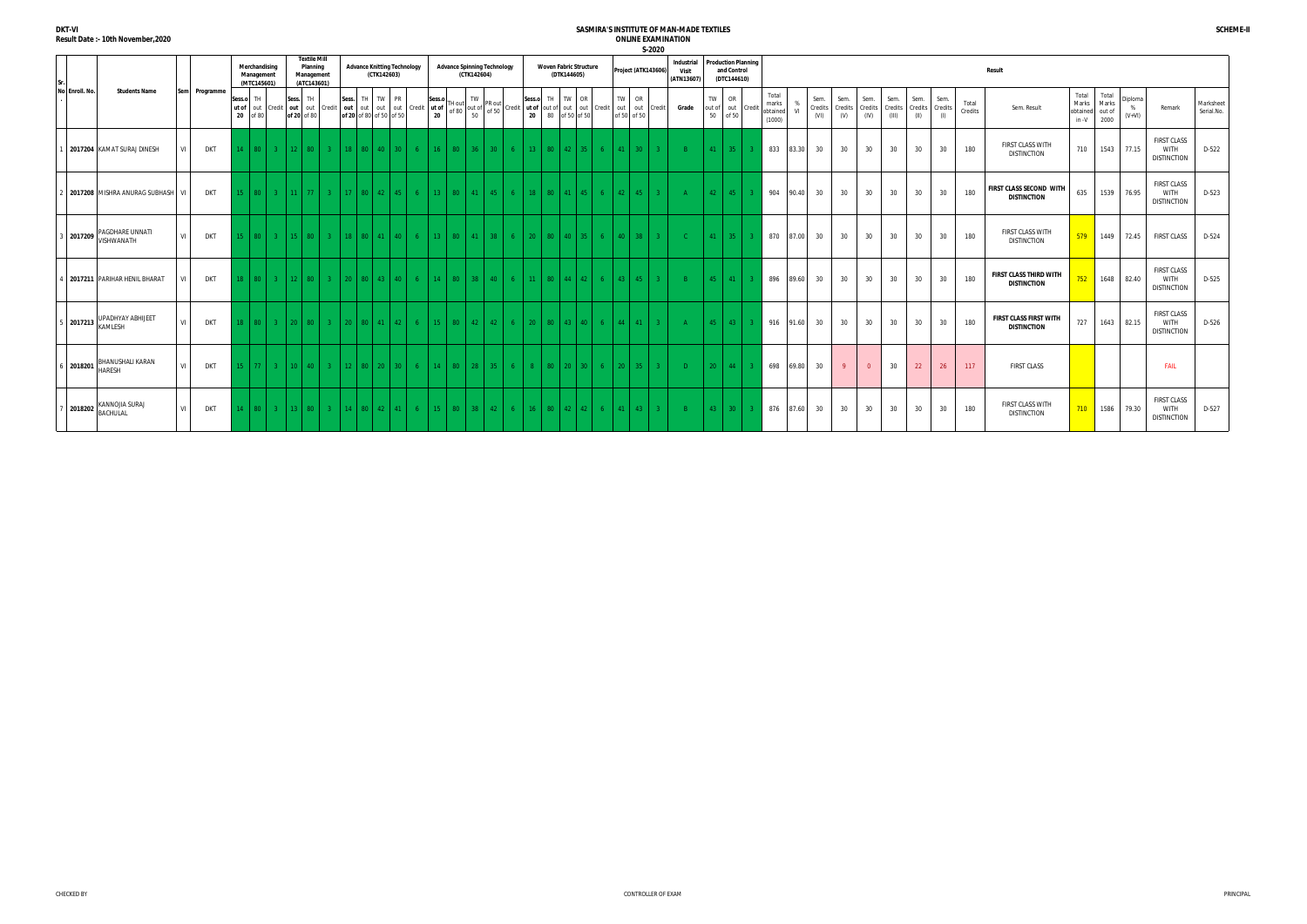|                | S-2020<br><b>Textile Mill</b><br><b>Production Planning</b><br><b>Industrial</b> |                                          |           |               |                 |                                            |                |                                       |                   |               |                                                   |                               |                                                                                                              |                |              |                                                   |                                                                                                               |        |                 |                                          |                                              |                   |      |                   |                             |     |                     |               |                                             |  |                                         |       |                         |                        |                         |                          |                         |                        |                  |                                                     |                                     |                                  |                          |                                                         |                         |
|----------------|----------------------------------------------------------------------------------|------------------------------------------|-----------|---------------|-----------------|--------------------------------------------|----------------|---------------------------------------|-------------------|---------------|---------------------------------------------------|-------------------------------|--------------------------------------------------------------------------------------------------------------|----------------|--------------|---------------------------------------------------|---------------------------------------------------------------------------------------------------------------|--------|-----------------|------------------------------------------|----------------------------------------------|-------------------|------|-------------------|-----------------------------|-----|---------------------|---------------|---------------------------------------------|--|-----------------------------------------|-------|-------------------------|------------------------|-------------------------|--------------------------|-------------------------|------------------------|------------------|-----------------------------------------------------|-------------------------------------|----------------------------------|--------------------------|---------------------------------------------------------|-------------------------|
| No Enroll. No. |                                                                                  | <b>Students Name</b>                     |           |               |                 | Merchandising<br>Management<br>(MTC145601) |                | Planning<br>Management<br>(ATC143601) |                   |               | <b>Advance Knitting Technology</b><br>(CTK142603) |                               |                                                                                                              |                |              | <b>Advance Spinning Technology</b><br>(CTK142604) |                                                                                                               |        |                 |                                          | <b>Woven Fabric Structure</b><br>(DTK144605) |                   |      |                   | Project (ATK143606)         |     | Visit<br>(ATN13607) |               | <b>Result</b><br>and Control<br>(DTC144610) |  |                                         |       |                         |                        |                         |                          |                         |                        |                  |                                                     |                                     |                                  |                          |                                                         |                         |
|                |                                                                                  |                                          |           | Sem Programme | Sess.o TH<br>20 | ut of out<br>of 80                         |                | Sess.<br>of 20 of 80                  | TH                |               | Sess.                                             | TH TW                         | <b>PR</b><br>Credit   out   out   Credit   out   out   out   out   Credit   ut of<br>of 20 of 80 of 50 of 50 |                | Sess.o<br>20 | of 80                                             | TW<br>TH out of $\begin{bmatrix} 1 & 1 & 1 \\ 1 & 1 & 1 \\ 1 & 1 & 1 \end{bmatrix}$ prove that<br>of 50<br>50 |        | Sess.o          | TH<br>Credit ut of out of out out Credit | TW                                           | OR                |      | TW<br>of 50 of 50 | <b>OR</b><br>out out Credit |     | Grade               | TW<br>50      | <b>OR</b><br>out of out Credit<br>of 50     |  | Total<br>marks<br>obtained VI<br>(1000) | %     | Sem.<br>Credits<br>(VI) | Sem.<br>Credits<br>(V) | Sem.<br>Credits<br>(IV) | Sem.<br>Credits<br>(III) | Sem.<br>Credits<br>(II) | Sem.<br>Credits<br>(1) | Total<br>Credits | Sem. Result                                         | Total<br>Marks<br>obtained<br>in -V | Total<br>Marks<br>out of<br>2000 | Diploma<br>%<br>$(V+VI)$ | Remark                                                  | Marksheet<br>Serial.No. |
|                |                                                                                  | 2017204 KAMAT SURAJ DINESH               | VI I      | <b>DKT</b>    |                 | $14$   80                                  | 3 <sup>2</sup> |                                       | $12 \times 80$    | $\mathcal{R}$ |                                                   |                               | 18 80 40 30                                                                                                  | 6 <sup>1</sup> | 16           | 80                                                | $-36$                                                                                                         | $30-1$ |                 | $13 -$<br>80                             | $42^{\circ}$                                 | L 35.             | 6    | 41                | 30 <sup>2</sup>             |     |                     | 41            | $-35$                                       |  | 833                                     | 83.30 | 30                      | 30                     | 30                      | 30                       | 30                      | 30                     | 180              | <b>FIRST CLASS WITH</b><br><b>DISTINCTION</b>       | 710                                 | 1543                             | 77.15                    | <b>FIRST CLASS</b><br><b>WITH</b><br><b>DISTINCTION</b> | $D-522$                 |
|                |                                                                                  | 2017208 MISHRA ANURAG SUBHASH            | <b>VI</b> | <b>DKT</b>    | 15 L            | $80-1$                                     | 3 <sup>1</sup> |                                       | $11$ 77           |               |                                                   | $\parallel$ 80 $\parallel$ 42 |                                                                                                              | $\overline{a}$ | $13-12$      | 80                                                |                                                                                                               | 45.    | $18-18$         | 80 <sub>1</sub>                          |                                              | 45                | 6.   | 42 <sup>°</sup>   | 45                          |     | $\Delta$            | $42-1$        | 45                                          |  | 904                                     | 90.40 | 30                      | 30                     | 30                      | 30                       | 30                      | 30                     | 180              | FIRST CLASS SECOND WITH<br><b>DISTINCTION</b>       | 635                                 | 1539                             | 76.95                    | <b>FIRST CLASS</b><br><b>WITH</b><br><b>DISTINCTION</b> | D-523                   |
|                | 3 2017209                                                                        | PAGDHARE UNNATI<br>VISHWANATH            | VI I      | DKT           | 15 I            | 80 l                                       | $\mathbf{R}$   |                                       |                   |               |                                                   |                               |                                                                                                              |                |              | 80 <sub>1</sub>                                   |                                                                                                               |        | ንበ-             |                                          |                                              |                   |      |                   |                             |     |                     | 41            | $-35$                                       |  | 870                                     | 87.00 | 30                      | 30                     | 30                      | 30                       | 30                      | 30                     | 180              | <b>FIRST CLASS WITH</b><br><b>DISTINCTION</b>       | 579                                 | 1449                             | 72.45                    | <b>FIRST CLASS</b>                                      | D-524                   |
|                |                                                                                  | 4 2017211 PARIHAR HENIL BHARAT           | VI        | <b>DKT</b>    | 18 I            | 30 I                                       | $-3$           |                                       | 12   80           |               | -20                                               | 80   43                       | 40.                                                                                                          | -6             | 14.          | 80                                                | 38 <sup>2</sup>                                                                                               | 40 -   |                 | $11 -$<br>80.                            | $\Delta\Delta$                               | $\vert$ 42        |      | $\overline{12}$   |                             |     |                     | $45 -$        | 41                                          |  | 896                                     | 89.60 | 30                      | 30                     | 30                      | 30                       | 30                      | 30                     | 180              | <b>FIRST CLASS THIRD WITH</b><br><b>DISTINCTION</b> | 752                                 | 1648                             | 82.40                    | <b>FIRST CLASS</b><br><b>WITH</b><br><b>DISTINCTION</b> | D-525                   |
|                |                                                                                  | UPADHYAY ABHIJEET<br>15 2017213 KAMLESH  | VI I      | DKT           | $18-1$          | 80 <sub>1</sub>                            | $\mathbf{3}$   |                                       | 20   80           |               |                                                   |                               | $20$   80   41   42                                                                                          | $\mathsf{A}$   | $-15$ $-1$   | 80                                                | $42-1$                                                                                                        | $42-1$ | 20 <sup>2</sup> | 80                                       |                                              | $43 \mid 40 \mid$ | -6 - | 44                | 41                          | -30 | A                   |               | $45 \mid 43 \mid$                           |  | 916                                     | 91.60 | 30                      | 30                     | 30                      | 30                       | 30                      | 30                     | 180              | <b>FIRST CLASS FIRST WITH</b><br><b>DISTINCTION</b> | 727                                 | 1643                             | 82.15                    | <b>FIRST CLASS</b><br><b>WITH</b><br><b>DISTINCTION</b> | D-526                   |
|                | 6 2018201                                                                        | <b>BHANUSHALI KARAN</b><br><b>HARFSH</b> | VI        | <b>DKT</b>    |                 | $15 \mid 77 \mid$                          | 3 <sup>1</sup> |                                       | $10 \mid 40 \mid$ | $\mathcal{R}$ |                                                   |                               | $12 \times 80 \times 20 \times 30$                                                                           | -6             | 14           | 80                                                | 28                                                                                                            | $35 -$ |                 | $8 -$<br>80                              | 20                                           | l 30.             | -6 - | $20^{\circ}$      |                             |     | $\Box$              | 20            | 44                                          |  | 698                                     | 69.80 | 30                      | $\overline{9}$         | $\overline{0}$          | 30                       | 22 <sup>°</sup>         | 26                     | 117              | <b>FIRST CLASS</b>                                  |                                     |                                  |                          | <b>FAIL</b>                                             |                         |
|                |                                                                                  | KANNOJIA SURAJ<br>/ 2018202 BACHULAL     | VI        | <b>DKT</b>    | 14              | 80 I                                       | $-3$           |                                       | 13   80           |               |                                                   |                               |                                                                                                              | -6             |              | 80.                                               |                                                                                                               | 42.    | 16.             |                                          |                                              | - 42              |      |                   | -43                         |     | -R-                 | $43 \text{ }$ | - 30 L                                      |  | 876                                     | 87.60 | 30                      | 30                     | 30                      | 30                       | 30                      | 30                     | 180              | <b>FIRST CLASS WITH</b><br><b>DISTINCTION</b>       | 710                                 | 1586                             | 79.30                    | <b>FIRST CLASS</b><br><b>WITH</b><br><b>DISTINCTION</b> | D-527                   |